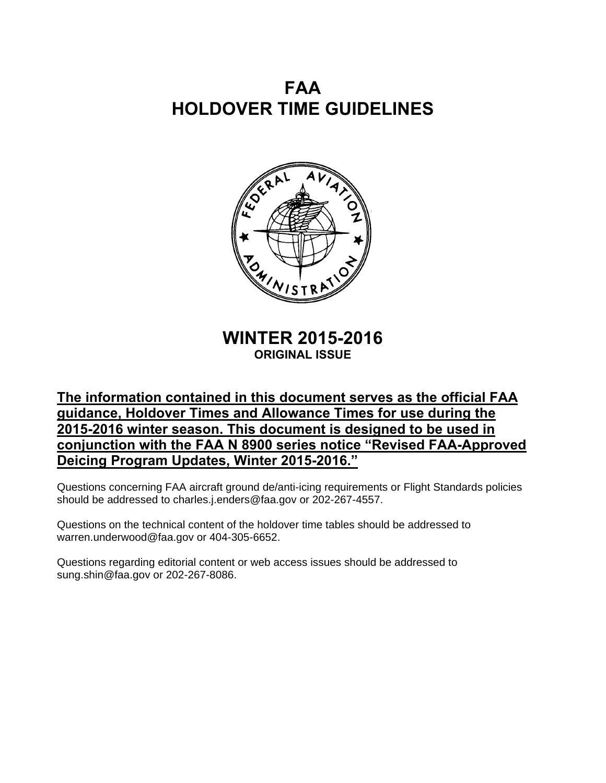# **FAA HOLDOVER TIME GUIDELINES**



**WINTER 2015-2016 ORIGINAL ISSUE** 

## **The information contained in this document serves as the official FAA guidance, Holdover Times and Allowance Times for use during the 2015-2016 winter season. This document is designed to be used in conjunction with the FAA N 8900 series notice "Revised FAA-Approved Deicing Program Updates, Winter 2015-2016."**

Questions concerning FAA aircraft ground de/anti-icing requirements or Flight Standards policies should be addressed to charles.j.enders@faa.gov or 202-267-4557.

Questions on the technical content of the holdover time tables should be addressed to warren.underwood@faa.gov or 404-305-6652.

Questions regarding editorial content or web access issues should be addressed to sung.shin@faa.gov or 202-267-8086.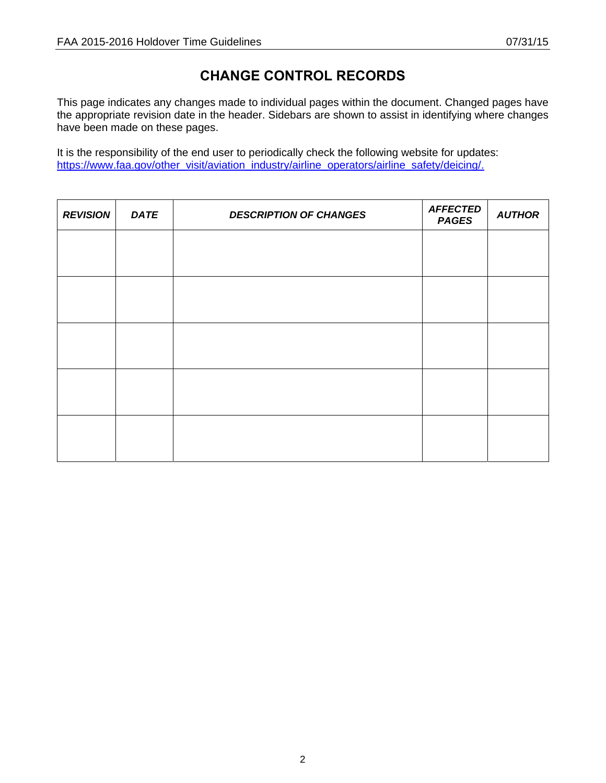## **CHANGE CONTROL RECORDS**

This page indicates any changes made to individual pages within the document. Changed pages have the appropriate revision date in the header. Sidebars are shown to assist in identifying where changes have been made on these pages.

It is the responsibility of the end user to periodically check the following website for updates: [https://www.faa.gov/other\\_visit/aviation\\_industry/airline\\_operators/airline\\_safety/deicing/.](https://www.faa.gov/other_visit/aviation_industry/airline_operators/airline_safety/deicing/)

| <b>REVISION</b> | <b>DATE</b> | <b>DESCRIPTION OF CHANGES</b> | <b>AFFECTED</b><br><b>PAGES</b> | <b>AUTHOR</b> |
|-----------------|-------------|-------------------------------|---------------------------------|---------------|
|                 |             |                               |                                 |               |
|                 |             |                               |                                 |               |
|                 |             |                               |                                 |               |
|                 |             |                               |                                 |               |
|                 |             |                               |                                 |               |
|                 |             |                               |                                 |               |
|                 |             |                               |                                 |               |
|                 |             |                               |                                 |               |
|                 |             |                               |                                 |               |
|                 |             |                               |                                 |               |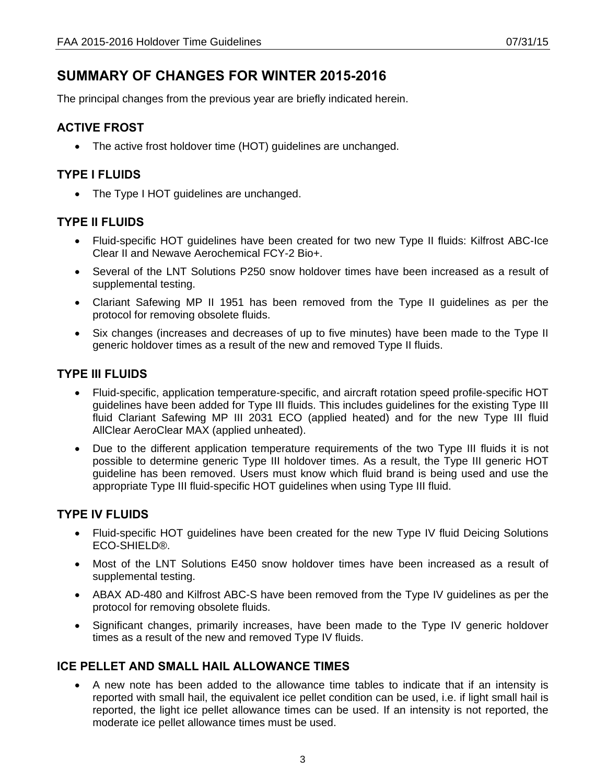## **SUMMARY OF CHANGES FOR WINTER 2015-2016**

The principal changes from the previous year are briefly indicated herein.

### **ACTIVE FROST**

• The active frost holdover time (HOT) guidelines are unchanged.

### **TYPE I FLUIDS**

• The Type I HOT guidelines are unchanged.

### **TYPE II FLUIDS**

- Fluid-specific HOT guidelines have been created for two new Type II fluids: Kilfrost ABC-Ice Clear II and Newave Aerochemical FCY-2 Bio+.
- Several of the LNT Solutions P250 snow holdover times have been increased as a result of supplemental testing.
- Clariant Safewing MP II 1951 has been removed from the Type II guidelines as per the protocol for removing obsolete fluids.
- Six changes (increases and decreases of up to five minutes) have been made to the Type II generic holdover times as a result of the new and removed Type II fluids.

### **TYPE III FLUIDS**

- Fluid-specific, application temperature-specific, and aircraft rotation speed profile-specific HOT guidelines have been added for Type III fluids. This includes guidelines for the existing Type III fluid Clariant Safewing MP III 2031 ECO (applied heated) and for the new Type III fluid AllClear AeroClear MAX (applied unheated).
- Due to the different application temperature requirements of the two Type III fluids it is not possible to determine generic Type III holdover times. As a result, the Type III generic HOT guideline has been removed. Users must know which fluid brand is being used and use the appropriate Type III fluid-specific HOT guidelines when using Type III fluid.

### **TYPE IV FLUIDS**

- Fluid-specific HOT guidelines have been created for the new Type IV fluid Deicing Solutions ECO-SHIELD®.
- Most of the LNT Solutions E450 snow holdover times have been increased as a result of supplemental testing.
- ABAX AD-480 and Kilfrost ABC-S have been removed from the Type IV guidelines as per the protocol for removing obsolete fluids.
- Significant changes, primarily increases, have been made to the Type IV generic holdover times as a result of the new and removed Type IV fluids.

### **ICE PELLET AND SMALL HAIL ALLOWANCE TIMES**

• A new note has been added to the allowance time tables to indicate that if an intensity is reported with small hail, the equivalent ice pellet condition can be used, i.e. if light small hail is reported, the light ice pellet allowance times can be used. If an intensity is not reported, the moderate ice pellet allowance times must be used.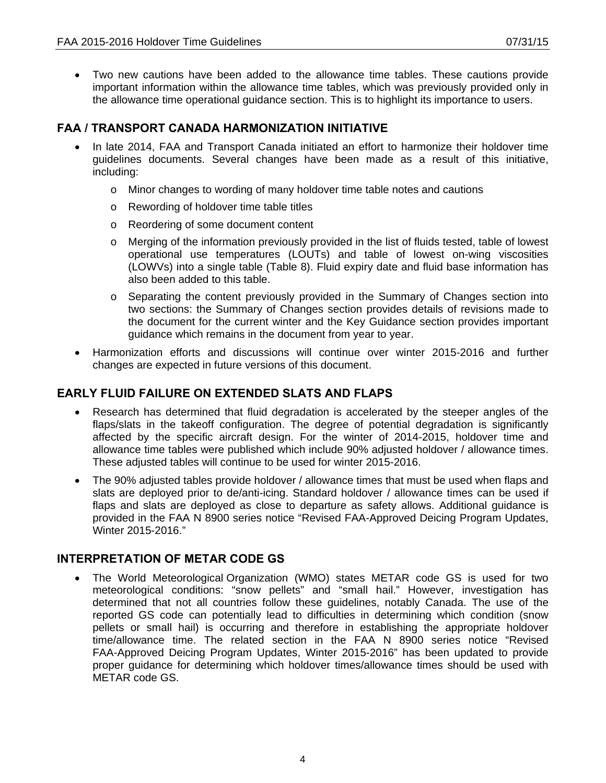• Two new cautions have been added to the allowance time tables. These cautions provide important information within the allowance time tables, which was previously provided only in the allowance time operational guidance section. This is to highlight its importance to users.

### **FAA / TRANSPORT CANADA HARMONIZATION INITIATIVE**

- In late 2014, FAA and Transport Canada initiated an effort to harmonize their holdover time guidelines documents. Several changes have been made as a result of this initiative, including:
	- o Minor changes to wording of many holdover time table notes and cautions
	- o Rewording of holdover time table titles
	- o Reordering of some document content
	- $\circ$  Merging of the information previously provided in the list of fluids tested, table of lowest operational use temperatures (LOUTs) and table of lowest on-wing viscosities (LOWVs) into a single table (Table 8). Fluid expiry date and fluid base information has also been added to this table.
	- o Separating the content previously provided in the Summary of Changes section into two sections: the Summary of Changes section provides details of revisions made to the document for the current winter and the Key Guidance section provides important guidance which remains in the document from year to year.
- Harmonization efforts and discussions will continue over winter 2015-2016 and further changes are expected in future versions of this document.

### **EARLY FLUID FAILURE ON EXTENDED SLATS AND FLAPS**

- Research has determined that fluid degradation is accelerated by the steeper angles of the flaps/slats in the takeoff configuration. The degree of potential degradation is significantly affected by the specific aircraft design. For the winter of 2014-2015, holdover time and allowance time tables were published which include 90% adjusted holdover / allowance times. These adjusted tables will continue to be used for winter 2015-2016.
- The 90% adjusted tables provide holdover / allowance times that must be used when flaps and slats are deployed prior to de/anti-icing. Standard holdover / allowance times can be used if flaps and slats are deployed as close to departure as safety allows. Additional guidance is provided in the FAA N 8900 series notice "Revised FAA-Approved Deicing Program Updates, Winter 2015-2016."

### **INTERPRETATION OF METAR CODE GS**

• The World Meteorological Organization (WMO) states METAR code GS is used for two meteorological conditions: "snow pellets" and "small hail." However, investigation has determined that not all countries follow these guidelines, notably Canada. The use of the reported GS code can potentially lead to difficulties in determining which condition (snow pellets or small hail) is occurring and therefore in establishing the appropriate holdover time/allowance time. The related section in the FAA N 8900 series notice "Revised FAA-Approved Deicing Program Updates, Winter 2015-2016" has been updated to provide proper guidance for determining which holdover times/allowance times should be used with METAR code GS.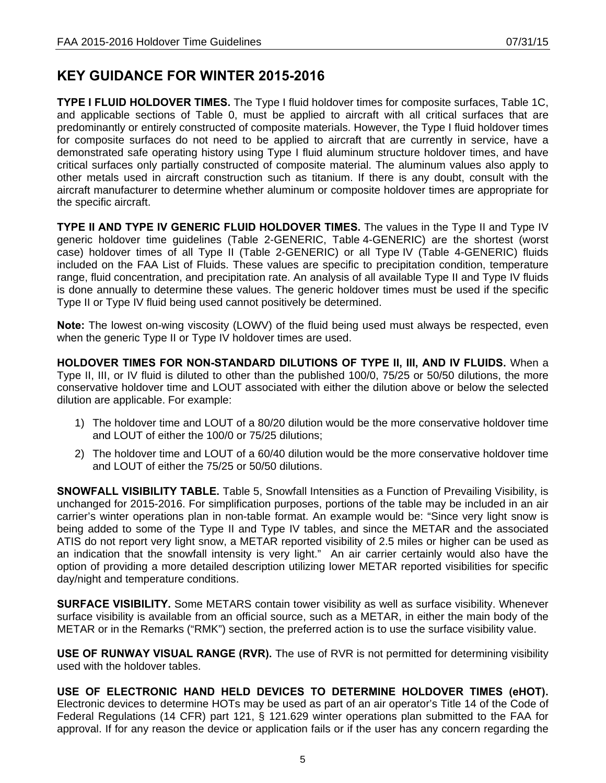## **KEY GUIDANCE FOR WINTER 2015-2016**

**TYPE I FLUID HOLDOVER TIMES.** The Type I fluid holdover times for composite surfaces, Table 1C, and applicable sections of Table 0, must be applied to aircraft with all critical surfaces that are predominantly or entirely constructed of composite materials. However, the Type I fluid holdover times for composite surfaces do not need to be applied to aircraft that are currently in service, have a demonstrated safe operating history using Type I fluid aluminum structure holdover times, and have critical surfaces only partially constructed of composite material. The aluminum values also apply to other metals used in aircraft construction such as titanium. If there is any doubt, consult with the aircraft manufacturer to determine whether aluminum or composite holdover times are appropriate for the specific aircraft.

**TYPE II AND TYPE IV GENERIC FLUID HOLDOVER TIMES.** The values in the Type II and Type IV generic holdover time guidelines (Table 2-GENERIC, Table 4-GENERIC) are the shortest (worst case) holdover times of all Type II (Table 2-GENERIC) or all Type IV (Table 4-GENERIC) fluids included on the FAA List of Fluids. These values are specific to precipitation condition, temperature range, fluid concentration, and precipitation rate. An analysis of all available Type II and Type IV fluids is done annually to determine these values. The generic holdover times must be used if the specific Type II or Type IV fluid being used cannot positively be determined.

**Note:** The lowest on-wing viscosity (LOWV) of the fluid being used must always be respected, even when the generic Type II or Type IV holdover times are used.

**HOLDOVER TIMES FOR NON-STANDARD DILUTIONS OF TYPE II, III, AND IV FLUIDS.** When a Type II, III, or IV fluid is diluted to other than the published 100/0, 75/25 or 50/50 dilutions, the more conservative holdover time and LOUT associated with either the dilution above or below the selected dilution are applicable. For example:

- 1) The holdover time and LOUT of a 80/20 dilution would be the more conservative holdover time and LOUT of either the 100/0 or 75/25 dilutions;
- 2) The holdover time and LOUT of a 60/40 dilution would be the more conservative holdover time and LOUT of either the 75/25 or 50/50 dilutions.

**SNOWFALL VISIBILITY TABLE.** Table 5, Snowfall Intensities as a Function of Prevailing Visibility, is unchanged for 2015-2016. For simplification purposes, portions of the table may be included in an air carrier's winter operations plan in non-table format. An example would be: "Since very light snow is being added to some of the Type II and Type IV tables, and since the METAR and the associated ATIS do not report very light snow, a METAR reported visibility of 2.5 miles or higher can be used as an indication that the snowfall intensity is very light." An air carrier certainly would also have the option of providing a more detailed description utilizing lower METAR reported visibilities for specific day/night and temperature conditions.

**SURFACE VISIBILITY.** Some METARS contain tower visibility as well as surface visibility. Whenever surface visibility is available from an official source, such as a METAR, in either the main body of the METAR or in the Remarks ("RMK") section, the preferred action is to use the surface visibility value.

**USE OF RUNWAY VISUAL RANGE (RVR).** The use of RVR is not permitted for determining visibility used with the holdover tables.

**USE OF ELECTRONIC HAND HELD DEVICES TO DETERMINE HOLDOVER TIMES (eHOT).** Electronic devices to determine HOTs may be used as part of an air operator's Title 14 of the Code of Federal Regulations (14 CFR) part 121, § 121.629 winter operations plan submitted to the FAA for approval. If for any reason the device or application fails or if the user has any concern regarding the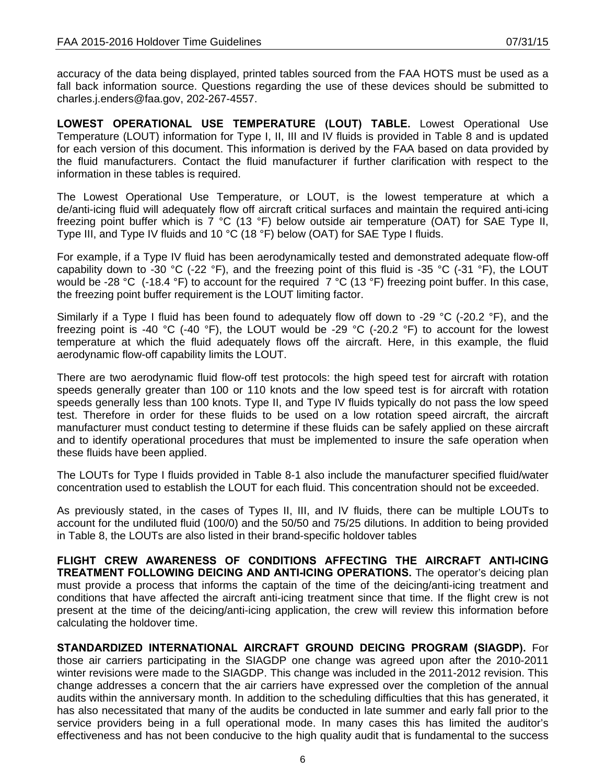accuracy of the data being displayed, printed tables sourced from the FAA HOTS must be used as a fall back information source. Questions regarding the use of these devices should be submitted to charles.j.enders@faa.gov, 202-267-4557.

**LOWEST OPERATIONAL USE TEMPERATURE (LOUT) TABLE.** Lowest Operational Use Temperature (LOUT) information for Type I, II, III and IV fluids is provided in Table 8 and is updated for each version of this document. This information is derived by the FAA based on data provided by the fluid manufacturers. Contact the fluid manufacturer if further clarification with respect to the information in these tables is required.

The Lowest Operational Use Temperature, or LOUT, is the lowest temperature at which a de/anti-icing fluid will adequately flow off aircraft critical surfaces and maintain the required anti-icing freezing point buffer which is 7 °C (13 °F) below outside air temperature (OAT) for SAE Type II, Type III, and Type IV fluids and 10 °C (18 °F) below (OAT) for SAE Type I fluids.

For example, if a Type IV fluid has been aerodynamically tested and demonstrated adequate flow-off capability down to -30 °C (-22 °F), and the freezing point of this fluid is -35 °C (-31 °F), the LOUT would be -28 °C (-18.4 °F) to account for the required 7 °C (13 °F) freezing point buffer. In this case, the freezing point buffer requirement is the LOUT limiting factor.

Similarly if a Type I fluid has been found to adequately flow off down to -29 °C (-20.2 °F), and the freezing point is -40 °C (-40 °F), the LOUT would be -29 °C (-20.2 °F) to account for the lowest temperature at which the fluid adequately flows off the aircraft. Here, in this example, the fluid aerodynamic flow-off capability limits the LOUT.

There are two aerodynamic fluid flow-off test protocols: the high speed test for aircraft with rotation speeds generally greater than 100 or 110 knots and the low speed test is for aircraft with rotation speeds generally less than 100 knots. Type II, and Type IV fluids typically do not pass the low speed test. Therefore in order for these fluids to be used on a low rotation speed aircraft, the aircraft manufacturer must conduct testing to determine if these fluids can be safely applied on these aircraft and to identify operational procedures that must be implemented to insure the safe operation when these fluids have been applied.

The LOUTs for Type I fluids provided in Table 8-1 also include the manufacturer specified fluid/water concentration used to establish the LOUT for each fluid. This concentration should not be exceeded.

As previously stated, in the cases of Types II, III, and IV fluids, there can be multiple LOUTs to account for the undiluted fluid (100/0) and the 50/50 and 75/25 dilutions. In addition to being provided in Table 8, the LOUTs are also listed in their brand-specific holdover tables

**FLIGHT CREW AWARENESS OF CONDITIONS AFFECTING THE AIRCRAFT ANTI-ICING TREATMENT FOLLOWING DEICING AND ANTI-ICING OPERATIONS.** The operator's deicing plan must provide a process that informs the captain of the time of the deicing/anti-icing treatment and conditions that have affected the aircraft anti-icing treatment since that time. If the flight crew is not present at the time of the deicing/anti-icing application, the crew will review this information before calculating the holdover time.

**STANDARDIZED INTERNATIONAL AIRCRAFT GROUND DEICING PROGRAM (SIAGDP).** For those air carriers participating in the SIAGDP one change was agreed upon after the 2010-2011 winter revisions were made to the SIAGDP. This change was included in the 2011-2012 revision. This change addresses a concern that the air carriers have expressed over the completion of the annual audits within the anniversary month. In addition to the scheduling difficulties that this has generated, it has also necessitated that many of the audits be conducted in late summer and early fall prior to the service providers being in a full operational mode. In many cases this has limited the auditor's effectiveness and has not been conducive to the high quality audit that is fundamental to the success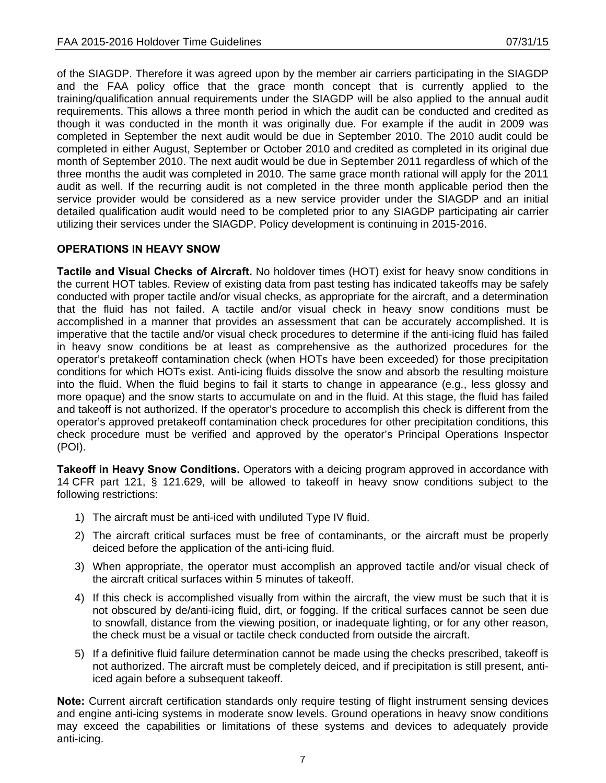of the SIAGDP. Therefore it was agreed upon by the member air carriers participating in the SIAGDP and the FAA policy office that the grace month concept that is currently applied to the training/qualification annual requirements under the SIAGDP will be also applied to the annual audit requirements. This allows a three month period in which the audit can be conducted and credited as though it was conducted in the month it was originally due. For example if the audit in 2009 was completed in September the next audit would be due in September 2010. The 2010 audit could be completed in either August, September or October 2010 and credited as completed in its original due month of September 2010. The next audit would be due in September 2011 regardless of which of the three months the audit was completed in 2010. The same grace month rational will apply for the 2011 audit as well. If the recurring audit is not completed in the three month applicable period then the service provider would be considered as a new service provider under the SIAGDP and an initial detailed qualification audit would need to be completed prior to any SIAGDP participating air carrier utilizing their services under the SIAGDP. Policy development is continuing in 2015-2016.

### **OPERATIONS IN HEAVY SNOW**

**Tactile and Visual Checks of Aircraft.** No holdover times (HOT) exist for heavy snow conditions in the current HOT tables. Review of existing data from past testing has indicated takeoffs may be safely conducted with proper tactile and/or visual checks, as appropriate for the aircraft, and a determination that the fluid has not failed. A tactile and/or visual check in heavy snow conditions must be accomplished in a manner that provides an assessment that can be accurately accomplished. It is imperative that the tactile and/or visual check procedures to determine if the anti-icing fluid has failed in heavy snow conditions be at least as comprehensive as the authorized procedures for the operator's pretakeoff contamination check (when HOTs have been exceeded) for those precipitation conditions for which HOTs exist. Anti-icing fluids dissolve the snow and absorb the resulting moisture into the fluid. When the fluid begins to fail it starts to change in appearance (e.g., less glossy and more opaque) and the snow starts to accumulate on and in the fluid. At this stage, the fluid has failed and takeoff is not authorized. If the operator's procedure to accomplish this check is different from the operator's approved pretakeoff contamination check procedures for other precipitation conditions, this check procedure must be verified and approved by the operator's Principal Operations Inspector (POI).

**Takeoff in Heavy Snow Conditions.** Operators with a deicing program approved in accordance with 14 CFR part 121, § 121.629, will be allowed to takeoff in heavy snow conditions subject to the following restrictions:

- 1) The aircraft must be anti-iced with undiluted Type IV fluid.
- 2) The aircraft critical surfaces must be free of contaminants, or the aircraft must be properly deiced before the application of the anti-icing fluid.
- 3) When appropriate, the operator must accomplish an approved tactile and/or visual check of the aircraft critical surfaces within 5 minutes of takeoff.
- 4) If this check is accomplished visually from within the aircraft, the view must be such that it is not obscured by de/anti-icing fluid, dirt, or fogging. If the critical surfaces cannot be seen due to snowfall, distance from the viewing position, or inadequate lighting, or for any other reason, the check must be a visual or tactile check conducted from outside the aircraft.
- 5) If a definitive fluid failure determination cannot be made using the checks prescribed, takeoff is not authorized. The aircraft must be completely deiced, and if precipitation is still present, antiiced again before a subsequent takeoff.

**Note:** Current aircraft certification standards only require testing of flight instrument sensing devices and engine anti-icing systems in moderate snow levels. Ground operations in heavy snow conditions may exceed the capabilities or limitations of these systems and devices to adequately provide anti-icing.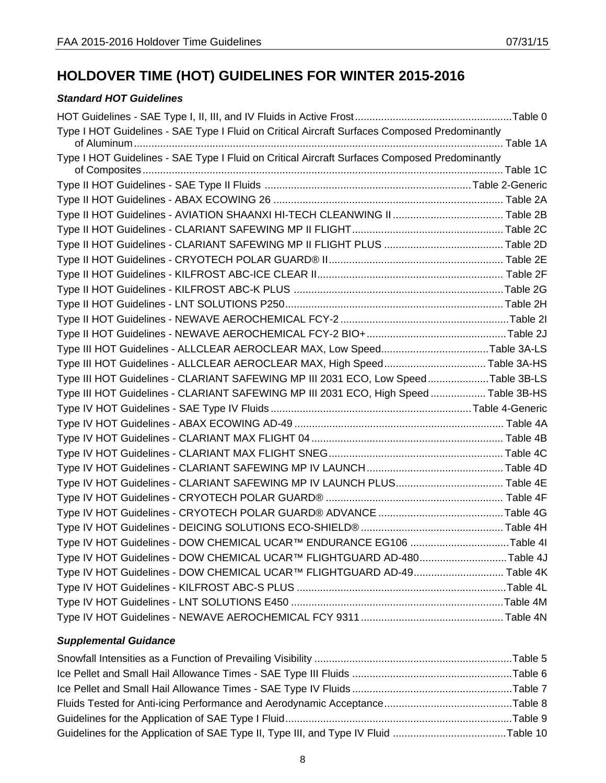# **HOLDOVER TIME (HOT) GUIDELINES FOR WINTER 2015-2016**

### *Standard HOT Guidelines*

| Type I HOT Guidelines - SAE Type I Fluid on Critical Aircraft Surfaces Composed Predominantly |  |
|-----------------------------------------------------------------------------------------------|--|
|                                                                                               |  |
| Type I HOT Guidelines - SAE Type I Fluid on Critical Aircraft Surfaces Composed Predominantly |  |
|                                                                                               |  |
|                                                                                               |  |
|                                                                                               |  |
|                                                                                               |  |
|                                                                                               |  |
|                                                                                               |  |
|                                                                                               |  |
|                                                                                               |  |
|                                                                                               |  |
|                                                                                               |  |
|                                                                                               |  |
| Type III HOT Guidelines - ALLCLEAR AEROCLEAR MAX, Low SpeedTable 3A-LS                        |  |
| Type III HOT Guidelines - ALLCLEAR AEROCLEAR MAX, High SpeedTable 3A-HS                       |  |
| Type III HOT Guidelines - CLARIANT SAFEWING MP III 2031 ECO, Low SpeedTable 3B-LS             |  |
| Type III HOT Guidelines - CLARIANT SAFEWING MP III 2031 ECO, High Speed  Table 3B-HS          |  |
|                                                                                               |  |
|                                                                                               |  |
|                                                                                               |  |
|                                                                                               |  |
|                                                                                               |  |
| Type IV HOT Guidelines - CLARIANT SAFEWING MP IV LAUNCH PLUS Table 4E                         |  |
|                                                                                               |  |
|                                                                                               |  |
|                                                                                               |  |
| Type IV HOT Guidelines - DOW CHEMICAL UCAR™ ENDURANCE EG106 Table 4I                          |  |
| Type IV HOT Guidelines - DOW CHEMICAL UCAR™ FLIGHTGUARD AD-480Table 4J                        |  |
| Type IV HOT Guidelines - DOW CHEMICAL UCAR™ FLIGHTGUARD AD-49 Table 4K                        |  |
|                                                                                               |  |
|                                                                                               |  |
|                                                                                               |  |

### *Supplemental Guidance*

| Guidelines for the Application of SAE Type II, Type III, and Type IV Fluid Table 10 |  |
|-------------------------------------------------------------------------------------|--|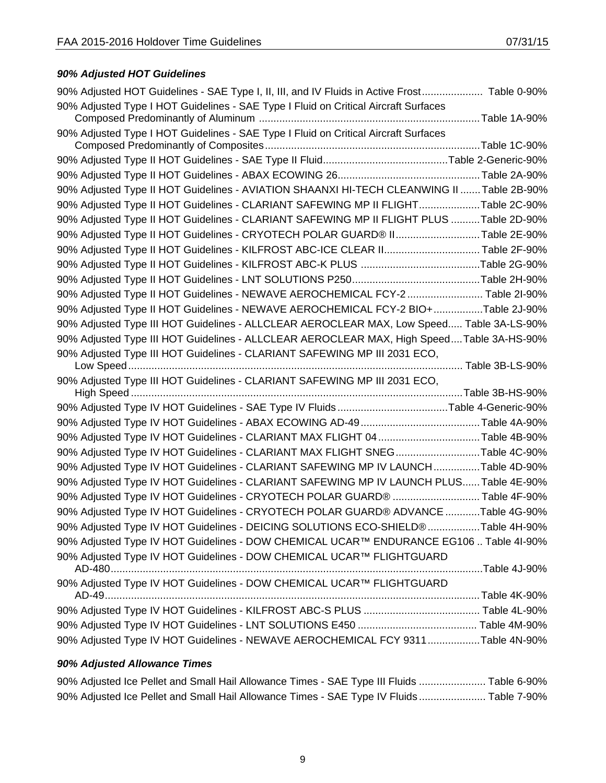### *90% Adjusted HOT Guidelines*

| 90% Adjusted HOT Guidelines - SAE Type I, II, III, and IV Fluids in Active Frost Table 0-90% |  |
|----------------------------------------------------------------------------------------------|--|
| 90% Adjusted Type I HOT Guidelines - SAE Type I Fluid on Critical Aircraft Surfaces          |  |
|                                                                                              |  |
| 90% Adjusted Type I HOT Guidelines - SAE Type I Fluid on Critical Aircraft Surfaces          |  |
|                                                                                              |  |
|                                                                                              |  |
|                                                                                              |  |
| 90% Adjusted Type II HOT Guidelines - AVIATION SHAANXI HI-TECH CLEANWING II  Table 2B-90%    |  |
| 90% Adjusted Type II HOT Guidelines - CLARIANT SAFEWING MP II FLIGHTTable 2C-90%             |  |
| 90% Adjusted Type II HOT Guidelines - CLARIANT SAFEWING MP II FLIGHT PLUS Table 2D-90%       |  |
| 90% Adjusted Type II HOT Guidelines - CRYOTECH POLAR GUARD® IITable 2E-90%                   |  |
| 90% Adjusted Type II HOT Guidelines - KILFROST ABC-ICE CLEAR II Table 2F-90%                 |  |
|                                                                                              |  |
|                                                                                              |  |
| 90% Adjusted Type II HOT Guidelines - NEWAVE AEROCHEMICAL FCY-2  Table 2I-90%                |  |
| 90% Adjusted Type II HOT Guidelines - NEWAVE AEROCHEMICAL FCY-2 BIO+Table 2J-90%             |  |
| 90% Adjusted Type III HOT Guidelines - ALLCLEAR AEROCLEAR MAX, Low Speed Table 3A-LS-90%     |  |
| 90% Adjusted Type III HOT Guidelines - ALLCLEAR AEROCLEAR MAX, High SpeedTable 3A-HS-90%     |  |
| 90% Adjusted Type III HOT Guidelines - CLARIANT SAFEWING MP III 2031 ECO,                    |  |
|                                                                                              |  |
|                                                                                              |  |
| 90% Adjusted Type III HOT Guidelines - CLARIANT SAFEWING MP III 2031 ECO,                    |  |
|                                                                                              |  |
| 90% Adjusted Type IV HOT Guidelines - SAE Type IV FluidsTable 4-Generic-90%                  |  |
|                                                                                              |  |
| 90% Adjusted Type IV HOT Guidelines - CLARIANT MAX FLIGHT 04Table 4B-90%                     |  |
| 90% Adjusted Type IV HOT Guidelines - CLARIANT MAX FLIGHT SNEGTable 4C-90%                   |  |
| 90% Adjusted Type IV HOT Guidelines - CLARIANT SAFEWING MP IV LAUNCHTable 4D-90%             |  |
| 90% Adjusted Type IV HOT Guidelines - CLARIANT SAFEWING MP IV LAUNCH PLUS Table 4E-90%       |  |
| 90% Adjusted Type IV HOT Guidelines - CRYOTECH POLAR GUARD®  Table 4F-90%                    |  |
| 90% Adjusted Type IV HOT Guidelines - CRYOTECH POLAR GUARD® ADVANCE Table 4G-90%             |  |
| 90% Adjusted Type IV HOT Guidelines - DEICING SOLUTIONS ECO-SHIELD® Table 4H-90%             |  |
| 90% Adjusted Type IV HOT Guidelines - DOW CHEMICAL UCAR™ ENDURANCE EG106  Table 4I-90%       |  |
| 90% Adjusted Type IV HOT Guidelines - DOW CHEMICAL UCAR™ FLIGHTGUARD                         |  |
|                                                                                              |  |
| 90% Adjusted Type IV HOT Guidelines - DOW CHEMICAL UCAR™ FLIGHTGUARD                         |  |
|                                                                                              |  |
|                                                                                              |  |
| 90% Adjusted Type IV HOT Guidelines - NEWAVE AEROCHEMICAL FCY 9311Table 4N-90%               |  |

### *90% Adjusted Allowance Times*

|  |  |  |  | 90% Adjusted Ice Pellet and Small Hail Allowance Times - SAE Type III Fluids  Table 6-90% |  |
|--|--|--|--|-------------------------------------------------------------------------------------------|--|
|  |  |  |  | 90% Adjusted Ice Pellet and Small Hail Allowance Times - SAE Type IV Fluids Table 7-90%   |  |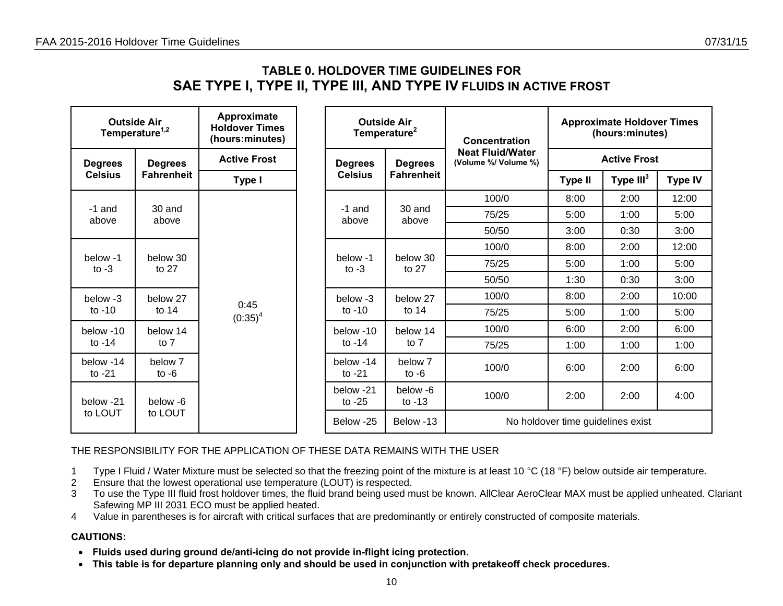## **TABLE 0. HOLDOVER TIME GUIDELINES FOR SAE TYPE I, TYPE II, TYPE III, AND TYPE IV FLUIDS IN ACTIVE FROST**

<span id="page-9-0"></span>

|                       | <b>Outside Air</b><br>Temperature <sup>1,2</sup> | Approximate<br><b>Holdover Times</b><br>(hours:minutes) |  |                       | <b>Outside Air</b><br>Temperature <sup>2</sup> | Concentration                                   |                                   | <b>Approximate Holdover Times</b><br>(hours:minutes) |                |
|-----------------------|--------------------------------------------------|---------------------------------------------------------|--|-----------------------|------------------------------------------------|-------------------------------------------------|-----------------------------------|------------------------------------------------------|----------------|
| <b>Degrees</b>        | <b>Degrees</b>                                   | <b>Active Frost</b>                                     |  | <b>Degrees</b>        | <b>Degrees</b>                                 | <b>Neat Fluid/Water</b><br>(Volume %/ Volume %) |                                   | <b>Active Frost</b>                                  |                |
| <b>Celsius</b>        | <b>Fahrenheit</b>                                | Type I                                                  |  | <b>Celsius</b>        | <b>Fahrenheit</b>                              |                                                 | <b>Type II</b>                    | Type $III3$                                          | <b>Type IV</b> |
|                       |                                                  |                                                         |  |                       |                                                | 100/0                                           | 8:00                              | 2:00                                                 | 12:00          |
| -1 and<br>above       | 30 and<br>above                                  |                                                         |  | -1 and<br>above       | 30 and<br>above                                | 75/25                                           | 5:00                              | 1:00                                                 | 5:00           |
|                       |                                                  |                                                         |  |                       |                                                | 50/50                                           | 3:00                              | 0:30                                                 | 3:00           |
|                       |                                                  |                                                         |  |                       | below 30<br>to 27                              | 100/0                                           | 8:00                              | 2:00                                                 | 12:00          |
| below -1<br>to $-3$   | below 30<br>to $27$                              |                                                         |  | below -1<br>to $-3$   |                                                | 75/25                                           | 5:00                              | 1:00                                                 | 5:00           |
|                       |                                                  |                                                         |  |                       |                                                | 50/50                                           | 1:30                              | 0:30                                                 | 3:00           |
| below -3              | below 27                                         | 0:45                                                    |  | below -3              | below 27                                       | 100/0                                           | 8:00                              | 2:00                                                 | 10:00          |
| to $-10$              | to $14$                                          | $(0:35)^4$                                              |  | to $-10$              | to $14$                                        | 75/25                                           | 5:00                              | 1:00                                                 | 5:00           |
| below -10             | below 14                                         |                                                         |  | below -10             | below 14                                       | 100/0                                           | 6:00                              | 2:00                                                 | 6:00           |
| to -14                | to 7                                             |                                                         |  | to $-14$              | to $7$                                         | 75/25                                           | 1:00                              | 1:00                                                 | 1:00           |
| below -14<br>to $-21$ | below 7<br>to $-6$                               |                                                         |  | below -14<br>to $-21$ | below 7<br>to $-6$                             | 100/0                                           | 6:00                              | 2:00                                                 | 6:00           |
| below -21             | below -6                                         |                                                         |  | below -21<br>to $-25$ | below -6<br>to $-13$                           | 100/0                                           | 2:00                              | 2:00                                                 | 4:00           |
| to LOUT               | to LOUT                                          |                                                         |  | Below -25             | Below -13                                      |                                                 | No holdover time guidelines exist |                                                      |                |

THE RESPONSIBILITY FOR THE APPLICATION OF THESE DATA REMAINS WITH THE USER

1 Type I Fluid / Water Mixture must be selected so that the freezing point of the mixture is at least 10 °C (18 °F) below outside air temperature.

- 2 Ensure that the lowest operational use temperature (LOUT) is respected.
- 3 To use the Type III fluid frost holdover times, the fluid brand being used must be known. AllClear AeroClear MAX must be applied unheated. Clariant Safewing MP III 2031 ECO must be applied heated.
- 4 Value in parentheses is for aircraft with critical surfaces that are predominantly or entirely constructed of composite materials.

- **Fluids used during ground de/anti-icing do not provide in-flight icing protection.**
- **This table is for departure planning only and should be used in conjunction with pretakeoff check procedures.**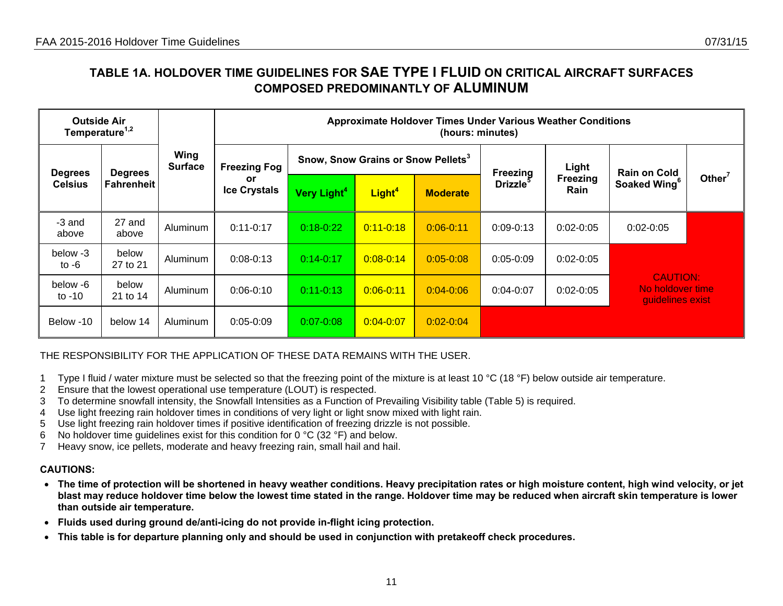## **TABLE 1A. HOLDOVER TIME GUIDELINES FOR SAE TYPE I FLUID ON CRITICAL AIRCRAFT SURFACES COMPOSED PREDOMINANTLY OF ALUMINUM**

| <b>Outside Air</b><br>Temperature <sup>1,2</sup> |                                  | <b>Approximate Holdover Times Under Various Weather Conditions</b><br>(hours: minutes) |               |               |               |               |               |                           |                                                         |                                                |                 |                |                  |                          |                    |
|--------------------------------------------------|----------------------------------|----------------------------------------------------------------------------------------|---------------|---------------|---------------|---------------|---------------|---------------------------|---------------------------------------------------------|------------------------------------------------|-----------------|----------------|------------------|--------------------------|--------------------|
|                                                  | <b>Degrees</b><br><b>Degrees</b> | Wing<br><b>Surface</b>                                                                 |               |               |               |               |               | <b>Freezing Fog</b>       |                                                         | Snow, Snow Grains or Snow Pellets <sup>3</sup> |                 | Freezing       | Light            | <b>Rain on Cold</b>      |                    |
| <b>Fahrenheit</b><br><b>Celsius</b>              |                                  |                                                                                        |               |               |               |               |               | or<br><b>Ice Crystals</b> | Very Light <sup>4</sup>                                 | Light <sup>4</sup>                             | <b>Moderate</b> | <b>Drizzle</b> | Freezing<br>Rain | Soaked Wing <sup>6</sup> | Other <sup>7</sup> |
| -3 and<br>above                                  | 27 and<br>above                  | Aluminum                                                                               | $0:11 - 0:17$ | $0:18-0:22$   | $0:11 - 0:18$ | $0:06 - 0:11$ | $0:09 - 0:13$ | $0:02-0:05$               | $0:02 - 0:05$                                           |                                                |                 |                |                  |                          |                    |
| below -3<br>to $-6$                              | below<br>27 to 21                | Aluminum                                                                               | $0:08 - 0:13$ | $0:14-0:17$   | $0:08 - 0:14$ | $0:05 - 0:08$ | $0:05-0:09$   | $0:02-0:05$               |                                                         |                                                |                 |                |                  |                          |                    |
| below -6<br>to $-10$                             | below<br>21 to 14                | Aluminum                                                                               | $0:06 - 0:10$ | $0:11-0:13$   | $0:06 - 0:11$ | $0:04 - 0:06$ | $0:04-0:07$   | $0:02-0:05$               | <b>CAUTION:</b><br>No holdover time<br>quidelines exist |                                                |                 |                |                  |                          |                    |
| Below -10                                        | below 14                         | Aluminum                                                                               | $0:05 - 0:09$ | $0:07 - 0:08$ | $0:04 - 0:07$ | $0:02 - 0:04$ |               |                           |                                                         |                                                |                 |                |                  |                          |                    |

THE RESPONSIBILITY FOR THE APPLICATION OF THESE DATA REMAINS WITH THE USER.

- 1 Type I fluid / water mixture must be selected so that the freezing point of the mixture is at least 10 °C (18 °F) below outside air temperature.
- 2 Ensure that the lowest operational use temperature (LOUT) is respected.
- 3 To determine snowfall intensity, the Snowfall Intensities as a Function of Prevailing Visibility table (Table 5) is required.
- 4 Use light freezing rain holdover times in conditions of very light or light snow mixed with light rain.
- 5 Use light freezing rain holdover times if positive identification of freezing drizzle is not possible.
- 6 No holdover time guidelines exist for this condition for 0  $\degree$ C (32  $\degree$ F) and below.
- 7 Heavy snow, ice pellets, moderate and heavy freezing rain, small hail and hail.

- **The time of protection will be shortened in heavy weather conditions. Heavy precipitation rates or high moisture content, high wind velocity, or jet blast may reduce holdover time below the lowest time stated in the range. Holdover time may be reduced when aircraft skin temperature is lower than outside air temperature.**
- **Fluids used during ground de/anti-icing do not provide in-flight icing protection.**
- <span id="page-10-0"></span>• **This table is for departure planning only and should be used in conjunction with pretakeoff check procedures.**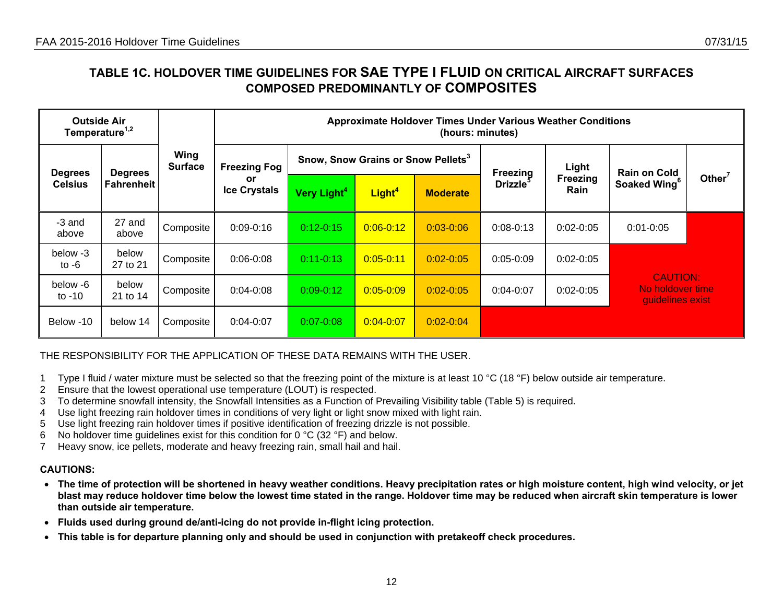## **TABLE 1C. HOLDOVER TIME GUIDELINES FOR SAE TYPE I FLUID ON CRITICAL AIRCRAFT SURFACES COMPOSED PREDOMINANTLY OF COMPOSITES**

| <b>Outside Air</b><br>Temperature <sup>1,2</sup> |                                                        |                | <b>Approximate Holdover Times Under Various Weather Conditions</b><br>(hours: minutes)   |               |                     |                           |                                                                                    |               |                                                         |                          |
|--------------------------------------------------|--------------------------------------------------------|----------------|------------------------------------------------------------------------------------------|---------------|---------------------|---------------------------|------------------------------------------------------------------------------------|---------------|---------------------------------------------------------|--------------------------|
|                                                  | Wing<br><b>Degrees</b><br><b>Degrees</b><br>Fahrenheit | <b>Surface</b> | Snow, Snow Grains or Snow Pellets <sup>3</sup><br><b>Freezing Fog</b><br><b>Freezing</b> | Light         | <b>Rain on Cold</b> |                           |                                                                                    |               |                                                         |                          |
| <b>Celsius</b>                                   |                                                        |                |                                                                                          |               |                     | or<br><b>Ice Crystals</b> | <b>Drizzle</b><br>Light <sup>4</sup><br>Very Light <sup>4</sup><br><b>Moderate</b> |               | Freezing<br>Rain                                        | Soaked Wing <sup>6</sup> |
| -3 and<br>above                                  | 27 and<br>above                                        | Composite      | $0:09 - 0:16$                                                                            | $0:12 - 0:15$ | $0:06 - 0:12$       | $0:03 - 0:06$             | $0:08 - 0:13$                                                                      | $0:02 - 0:05$ | $0:01 - 0:05$                                           |                          |
| below -3<br>to $-6$                              | below<br>27 to 21                                      | Composite      | $0:06 - 0:08$                                                                            | $0:11-0:13$   | $0:05 - 0:11$       | $0:02 - 0:05$             | $0:05 - 0:09$                                                                      | $0:02 - 0:05$ |                                                         |                          |
| below -6<br>to $-10$                             | below<br>21 to 14                                      | Composite      | $0:04 - 0:08$                                                                            | $0:09 - 0:12$ | $0:05 - 0:09$       | $0:02 - 0:05$             | $0:04-0:07$                                                                        | $0:02 - 0:05$ | <b>CAUTION:</b><br>No holdover time<br>quidelines exist |                          |
| Below -10                                        | below 14                                               | Composite      | $0:04 - 0:07$                                                                            | $0:07 - 0:08$ | $0:04 - 0:07$       | $0:02 - 0:04$             |                                                                                    |               |                                                         |                          |

THE RESPONSIBILITY FOR THE APPLICATION OF THESE DATA REMAINS WITH THE USER.

- 1 Type I fluid / water mixture must be selected so that the freezing point of the mixture is at least 10 °C (18 °F) below outside air temperature.
- 2 Ensure that the lowest operational use temperature (LOUT) is respected.
- 3 To determine snowfall intensity, the Snowfall Intensities as a Function of Prevailing Visibility table (Table 5) is required.
- 4 Use light freezing rain holdover times in conditions of very light or light snow mixed with light rain.
- 5 Use light freezing rain holdover times if positive identification of freezing drizzle is not possible.
- 6 No holdover time guidelines exist for this condition for 0  $\degree$ C (32  $\degree$ F) and below.
- 7 Heavy snow, ice pellets, moderate and heavy freezing rain, small hail and hail.

- **The time of protection will be shortened in heavy weather conditions. Heavy precipitation rates or high moisture content, high wind velocity, or jet blast may reduce holdover time below the lowest time stated in the range. Holdover time may be reduced when aircraft skin temperature is lower than outside air temperature.**
- **Fluids used during ground de/anti-icing do not provide in-flight icing protection.**
- <span id="page-11-0"></span>• **This table is for departure planning only and should be used in conjunction with pretakeoff check procedures.**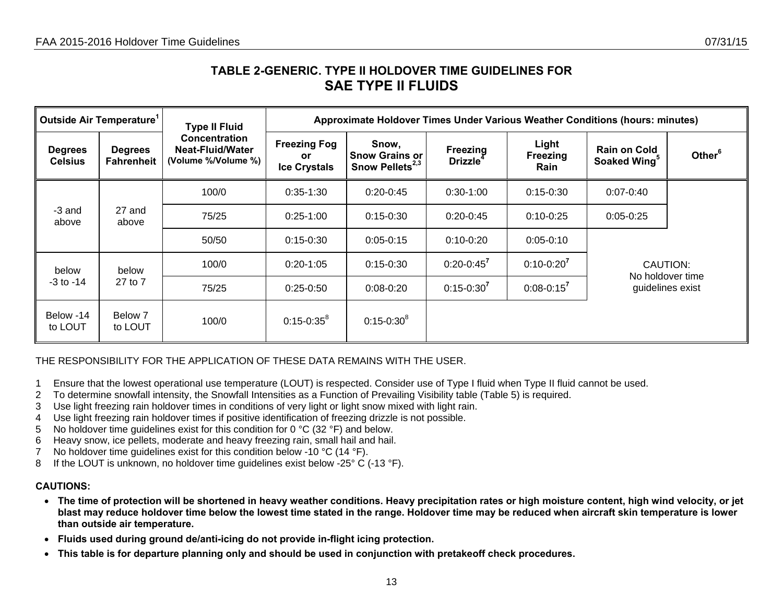## **TABLE 2-GENERIC. TYPE II HOLDOVER TIME GUIDELINES FOR SAE TYPE II FLUIDS**

|                                  | Outside Air Temperature <sup>1</sup> | <b>Type II Fluid</b>                                     |                                                         | Approximate Holdover Times Under Various Weather Conditions (hours: minutes) |                                  |                                  |                                                 |                    |  |  |  |  |
|----------------------------------|--------------------------------------|----------------------------------------------------------|---------------------------------------------------------|------------------------------------------------------------------------------|----------------------------------|----------------------------------|-------------------------------------------------|--------------------|--|--|--|--|
| <b>Degrees</b><br><b>Celsius</b> | <b>Degrees</b><br>Fahrenheit         | Concentration<br>Neat-Fluid/Water<br>(Volume %/Volume %) | <b>Freezing Fog</b><br><b>or</b><br><b>Ice Crystals</b> | Snow,<br><b>Snow Grains or</b><br>Snow Pellets <sup>2,3</sup>                | Freezing<br>Drizzle <sup>4</sup> | Light<br><b>Freezing</b><br>Rain | <b>Rain on Cold</b><br>Soaked Wing <sup>5</sup> | Other <sup>6</sup> |  |  |  |  |
|                                  |                                      | 100/0                                                    | $0:35-1:30$                                             | $0:20-0:45$                                                                  | $0:30-1:00$                      | $0:15-0:30$                      | $0:07 - 0:40$                                   |                    |  |  |  |  |
| -3 and<br>above                  | 27 and<br>above                      | 75/25                                                    | $0:25-1:00$                                             | $0:15 - 0:30$                                                                | $0:20-0:45$                      | $0:10-0:25$                      | $0:05-0:25$                                     |                    |  |  |  |  |
|                                  |                                      | 50/50                                                    | $0:15-0:30$                                             | $0:05-0:15$                                                                  | $0:10-0:20$                      | $0:05-0:10$                      |                                                 |                    |  |  |  |  |
| below                            | below                                | 100/0                                                    | $0:20-1:05$                                             | $0:15 - 0:30$                                                                | $0:20 - 0:45^7$                  | $0:10-0:20^7$                    | CAUTION:<br>No holdover time                    |                    |  |  |  |  |
| $-3$ to $-14$                    | 27 to 7                              | 75/25                                                    | $0:25-0:50$                                             | $0:08-0:20$                                                                  | $0:15 - 0:30^{7}$                | $0:08 - 0:15^7$                  | guidelines exist                                |                    |  |  |  |  |
| Below -14<br>to LOUT             | Below 7<br>to LOUT                   | 100/0                                                    | $0:15 - 0:35^8$                                         | $0:15 - 0:30^8$                                                              |                                  |                                  |                                                 |                    |  |  |  |  |

THE RESPONSIBILITY FOR THE APPLICATION OF THESE DATA REMAINS WITH THE USER.

- 1 Ensure that the lowest operational use temperature (LOUT) is respected. Consider use of Type I fluid when Type II fluid cannot be used.
- 2 To determine snowfall intensity, the Snowfall Intensities as a Function of Prevailing Visibility table (Table 5) is required.
- 3 Use light freezing rain holdover times in conditions of very light or light snow mixed with light rain.
- 4 Use light freezing rain holdover times if positive identification of freezing drizzle is not possible.
- 5 No holdover time guidelines exist for this condition for 0 °C (32 °F) and below.
- 6 Heavy snow, ice pellets, moderate and heavy freezing rain, small hail and hail.
- 7 No holdover time guidelines exist for this condition below -10 °C (14 °F).
- 8 If the LOUT is unknown, no holdover time guidelines exist below -25° C (-13 °F).

- **The time of protection will be shortened in heavy weather conditions. Heavy precipitation rates or high moisture content, high wind velocity, or jet blast may reduce holdover time below the lowest time stated in the range. Holdover time may be reduced when aircraft skin temperature is lower than outside air temperature.**
- **Fluids used during ground de/anti-icing do not provide in-flight icing protection.**
- <span id="page-12-0"></span>• **This table is for departure planning only and should be used in conjunction with pretakeoff check procedures.**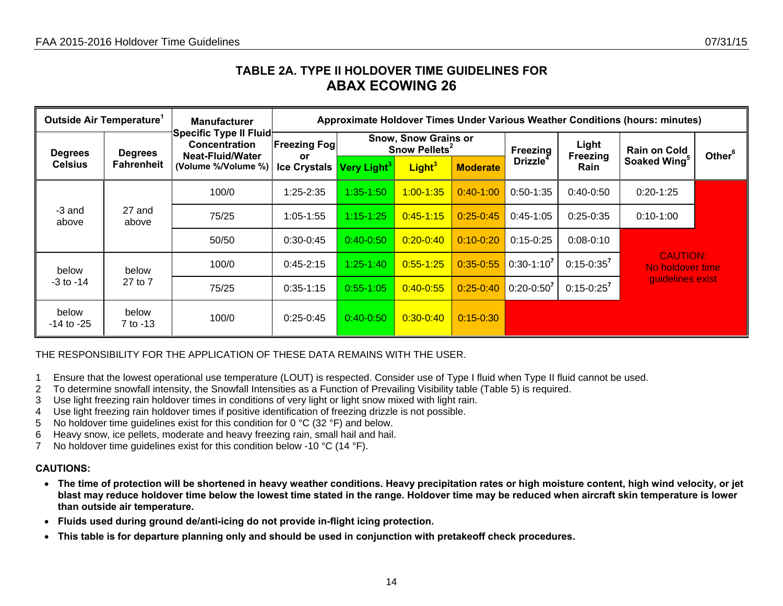## **TABLE 2A. TYPE II HOLDOVER TIME GUIDELINES FOR ABAX ECOWING 26**

| Outside Air Temperature <sup>1</sup> |                   | <b>Manufacturer</b>                                                       | Approximate Holdover Times Under Various Weather Conditions (hours: minutes) |                         |                                                          |                 |                      |                   |                                     |                    |  |  |
|--------------------------------------|-------------------|---------------------------------------------------------------------------|------------------------------------------------------------------------------|-------------------------|----------------------------------------------------------|-----------------|----------------------|-------------------|-------------------------------------|--------------------|--|--|
| <b>Degrees</b><br><b>Celsius</b>     | <b>Degrees</b>    | Specific Type II Fluid<br><b>Concentration</b><br><b>Neat-Fluid/Water</b> | <b>Freezing Fogl</b><br>or                                                   |                         | <b>Snow, Snow Grains or</b><br>Snow Pellets <sup>2</sup> |                 | <b>Freezing</b>      | Light<br>Freezing | <b>Rain on Cold</b>                 | Other <sup>6</sup> |  |  |
|                                      | <b>Fahrenheit</b> | (Volume %/Volume %)                                                       | <b>Ice Crystals</b>                                                          | Very Light <sup>3</sup> | Light <sup>3</sup>                                       | <b>Moderate</b> | Drizzle <sup>4</sup> | Rain              | Soaked Wing <sup>5</sup>            |                    |  |  |
|                                      |                   | 100/0                                                                     | $1:25 - 2:35$                                                                | 1:35-1:50               | $1:00 - 1:35$                                            | $0:40-1:00$     | $0:50-1:35$          | $0:40-0:50$       | $0:20-1:25$                         |                    |  |  |
| -3 and<br>above                      | 27 and<br>above   | 75/25                                                                     | $1:05 - 1:55$                                                                | $1:15 - 1:25$           | $0:45 - 1:15$                                            | $0:25-0.45$     | $0:45-1:05$          | $0:25-0:35$       | $0:10-1:00$                         |                    |  |  |
|                                      |                   | 50/50                                                                     | $0:30-0:45$                                                                  | $0:40 - 0:50$           | $0:20 - 0:40$                                            | $0:10 - 0:20$   | $0:15 - 0:25$        | $0:08-0:10$       |                                     |                    |  |  |
| below                                | below             | 100/0                                                                     | $0:45 - 2:15$                                                                | $1:25 - 1:40$           | $0:55 - 1:25$                                            | $0:35 - 0:55$   | $0:30-1:10^7$        | $0:15 - 0:35^{7}$ | <b>CAUTION:</b><br>No holdover time |                    |  |  |
| $-3$ to $-14$                        | 27 to 7           | 75/25                                                                     | $0:35-1:15$                                                                  | $0:55-1:05$             | $0:40 - 0:55$                                            | $0:25 - 0:40$   | $0:20-0:50^7$        | $0:15-0:25^7$     | guidelines exist                    |                    |  |  |
| below<br>$-14$ to $-25$              | below<br>7 to -13 | 100/0                                                                     | $0:25-0:45$                                                                  | $0:40 - 0:50$           | $0:30 - 0:40$                                            | $0:15 - 0:30$   |                      |                   |                                     |                    |  |  |

THE RESPONSIBILITY FOR THE APPLICATION OF THESE DATA REMAINS WITH THE USER.

- 1 Ensure that the lowest operational use temperature (LOUT) is respected. Consider use of Type I fluid when Type II fluid cannot be used.
- 2 To determine snowfall intensity, the Snowfall Intensities as a Function of Prevailing Visibility table (Table 5) is required.
- 3 Use light freezing rain holdover times in conditions of very light or light snow mixed with light rain.
- 4 Use light freezing rain holdover times if positive identification of freezing drizzle is not possible.
- 5 No holdover time guidelines exist for this condition for 0 °C (32 °F) and below.
- 6 Heavy snow, ice pellets, moderate and heavy freezing rain, small hail and hail.
- 7 No holdover time guidelines exist for this condition below -10 °C (14 °F).

- **The time of protection will be shortened in heavy weather conditions. Heavy precipitation rates or high moisture content, high wind velocity, or jet blast may reduce holdover time below the lowest time stated in the range. Holdover time may be reduced when aircraft skin temperature is lower than outside air temperature.**
- **Fluids used during ground de/anti-icing do not provide in-flight icing protection.**
- <span id="page-13-0"></span>• **This table is for departure planning only and should be used in conjunction with pretakeoff check procedures.**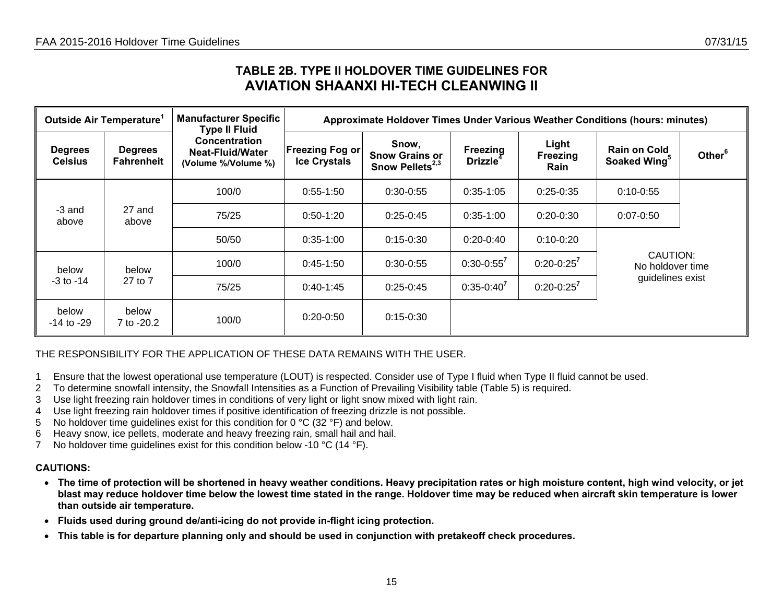## **TABLE 2B. TYPE II HOLDOVER TIME GUIDELINES FOR AVIATION SHAANXI HI-TECH CLEANWING II**

| Outside Air Temperature <sup>1</sup> |                                     | <b>Manufacturer Specific</b><br><b>Type II Fluid</b>            |                                               | Approximate Holdover Times Under Various Weather Conditions (hours: minutes) |                                  |                                  |                                                 |                    |  |  |  |  |
|--------------------------------------|-------------------------------------|-----------------------------------------------------------------|-----------------------------------------------|------------------------------------------------------------------------------|----------------------------------|----------------------------------|-------------------------------------------------|--------------------|--|--|--|--|
| <b>Degrees</b><br><b>Celsius</b>     | <b>Degrees</b><br><b>Fahrenheit</b> | Concentration<br><b>Neat-Fluid/Water</b><br>(Volume %/Volume %) | <b>Freezing Fog or</b><br><b>Ice Crystals</b> | Snow,<br><b>Snow Grains or</b><br>Snow Pellets <sup>2,3</sup>                | Freezing<br>Drizzle <sup>4</sup> | Light<br>Freezing<br><b>Rain</b> | <b>Rain on Cold</b><br>Soaked Wing <sup>5</sup> | Other <sup>6</sup> |  |  |  |  |
|                                      |                                     | 100/0                                                           | $0:55-1:50$                                   | $0:30-0:55$                                                                  | $0:35-1:05$                      | $0:25-0:35$                      | $0:10 - 0:55$                                   |                    |  |  |  |  |
| -3 and<br>above                      | 27 and<br>above                     | 75/25                                                           | $0:50-1:20$                                   | $0:25-0:45$                                                                  | $0:35-1:00$                      | $0:20-0:30$                      | $0:07 - 0:50$                                   |                    |  |  |  |  |
|                                      |                                     | 50/50                                                           | $0:35-1:00$                                   | $0:15-0:30$                                                                  | $0:20-0:40$                      | $0:10-0:20$                      |                                                 |                    |  |  |  |  |
| below                                | below                               | 100/0                                                           | $0:45-1:50$                                   | $0:30-0:55$                                                                  | $0:30 - 0:55^7$                  | $0:20 - 0:25^7$                  | CAUTION:<br>No holdover time                    |                    |  |  |  |  |
| $-3$ to $-14$                        | 27 to 7                             | 75/25                                                           | $0:40-1:45$                                   | $0:25-0:45$                                                                  | $0:35-0:40^{7}$                  | $0:20 - 0:25^7$                  | guidelines exist                                |                    |  |  |  |  |
| below<br>$-14$ to $-29$              | below<br>7 to -20.2                 | 100/0                                                           | $0:20-0:50$                                   | $0:15-0:30$                                                                  |                                  |                                  |                                                 |                    |  |  |  |  |

### THE RESPONSIBILITY FOR THE APPLICATION OF THESE DATA REMAINS WITH THE USER.

- 1 Ensure that the lowest operational use temperature (LOUT) is respected. Consider use of Type I fluid when Type II fluid cannot be used.
- 2 To determine snowfall intensity, the Snowfall Intensities as a Function of Prevailing Visibility table (Table 5) is required.
- 3 Use light freezing rain holdover times in conditions of very light or light snow mixed with light rain.
- 4 Use light freezing rain holdover times if positive identification of freezing drizzle is not possible.
- 5 No holdover time guidelines exist for this condition for 0 °C (32 °F) and below.
- 6 Heavy snow, ice pellets, moderate and heavy freezing rain, small hail and hail.
- 7 No holdover time quidelines exist for this condition below -10 °C (14 °F).

- **The time of protection will be shortened in heavy weather conditions. Heavy precipitation rates or high moisture content, high wind velocity, or jet blast may reduce holdover time below the lowest time stated in the range. Holdover time may be reduced when aircraft skin temperature is lower than outside air temperature.**
- **Fluids used during ground de/anti-icing do not provide in-flight icing protection.**
- <span id="page-14-0"></span>• **This table is for departure planning only and should be used in conjunction with pretakeoff check procedures.**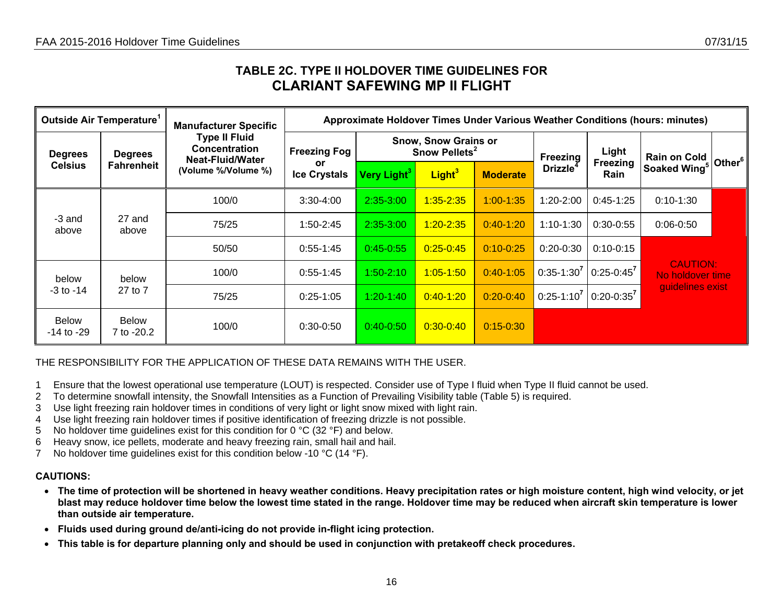## **TABLE 2C. TYPE II HOLDOVER TIME GUIDELINES FOR CLARIANT SAFEWING MP II FLIGHT**

| Outside Air Temperature <sup>1</sup> |                            | <b>Manufacturer Specific</b>                                            | Approximate Holdover Times Under Various Weather Conditions (hours: minutes) |                         |                                                          |                 |                      |                                |                                     |                    |  |  |
|--------------------------------------|----------------------------|-------------------------------------------------------------------------|------------------------------------------------------------------------------|-------------------------|----------------------------------------------------------|-----------------|----------------------|--------------------------------|-------------------------------------|--------------------|--|--|
| <b>Degrees</b><br><b>Celsius</b>     | <b>Degrees</b>             | <b>Type II Fluid</b><br><b>Concentration</b><br><b>Neat-Fluid/Water</b> | <b>Freezing Fog</b>                                                          |                         | <b>Snow, Snow Grains or</b><br>Snow Pellets <sup>2</sup> |                 | Freezing             | Light                          | <b>Rain on Cold</b>                 | Other <sup>6</sup> |  |  |
|                                      | <b>Fahrenheit</b>          | (Volume %/Volume %)                                                     | or<br><b>Ice Crystals</b>                                                    | Very Light <sup>3</sup> | Light <sup>3</sup>                                       | <b>Moderate</b> | Drizzle <sup>4</sup> | <b>Freezing</b><br><b>Rain</b> | Soaked Wing <sup>5</sup>            |                    |  |  |
| -3 and<br>27 and<br>above<br>above   | 100/0                      | $3:30-4:00$                                                             | $2:35-3:00$                                                                  | $1:35 - 2:35$           | $1:00 - 1:35$                                            | $1:20-2:00$     | $0:45-1:25$          | $0:10-1:30$                    |                                     |                    |  |  |
|                                      |                            | 75/25                                                                   | $1:50-2:45$                                                                  | 2:35-3:00               | $1:20 - 2:35$                                            | $0:40-1:20$     | $1:10-1:30$          | $0:30-0:55$                    | $0:06 - 0:50$                       |                    |  |  |
|                                      |                            | 50/50                                                                   | $0:55-1:45$                                                                  | $0:45 - 0:55$           | $0:25 - 0:45$                                            | $0:10 - 0:25$   | $0:20-0:30$          | $0:10-0:15$                    |                                     |                    |  |  |
| below                                | below                      | 100/0                                                                   | $0:55-1:45$                                                                  | $1:50-2:10$             | $1:05 - 1:50$                                            | $0:40 - 1:05$   | $0:35-1:30^7$        | $0:25 - 0:45^7$                | <b>CAUTION:</b><br>No holdover time |                    |  |  |
| $-3$ to $-14$                        | 27 to 7                    | 75/25                                                                   | $0:25-1:05$                                                                  | $1:20-1:40$             | $0:40 - 1:20$                                            | $0:20 - 0:40$   | $0:25-1:10^7$        | $0:20-0:35^7$                  | quidelines exist                    |                    |  |  |
| <b>Below</b><br>$-14$ to $-29$       | <b>Below</b><br>7 to -20.2 | 100/0                                                                   | $0:30-0:50$                                                                  | $0:40 - 0:50$           | $0:30 - 0:40$                                            | $0:15 - 0:30$   |                      |                                |                                     |                    |  |  |

THE RESPONSIBILITY FOR THE APPLICATION OF THESE DATA REMAINS WITH THE USER.

- 1 Ensure that the lowest operational use temperature (LOUT) is respected. Consider use of Type I fluid when Type II fluid cannot be used.
- 2 To determine snowfall intensity, the Snowfall Intensities as a Function of Prevailing Visibility table (Table 5) is required.
- 3 Use light freezing rain holdover times in conditions of very light or light snow mixed with light rain.
- 4 Use light freezing rain holdover times if positive identification of freezing drizzle is not possible.
- 5 No holdover time guidelines exist for this condition for 0 °C (32 °F) and below.
- 6 Heavy snow, ice pellets, moderate and heavy freezing rain, small hail and hail.
- 7 No holdover time guidelines exist for this condition below -10 °C (14 °F).

- **The time of protection will be shortened in heavy weather conditions. Heavy precipitation rates or high moisture content, high wind velocity, or jet blast may reduce holdover time below the lowest time stated in the range. Holdover time may be reduced when aircraft skin temperature is lower than outside air temperature.**
- **Fluids used during ground de/anti-icing do not provide in-flight icing protection.**
- <span id="page-15-0"></span>• **This table is for departure planning only and should be used in conjunction with pretakeoff check procedures.**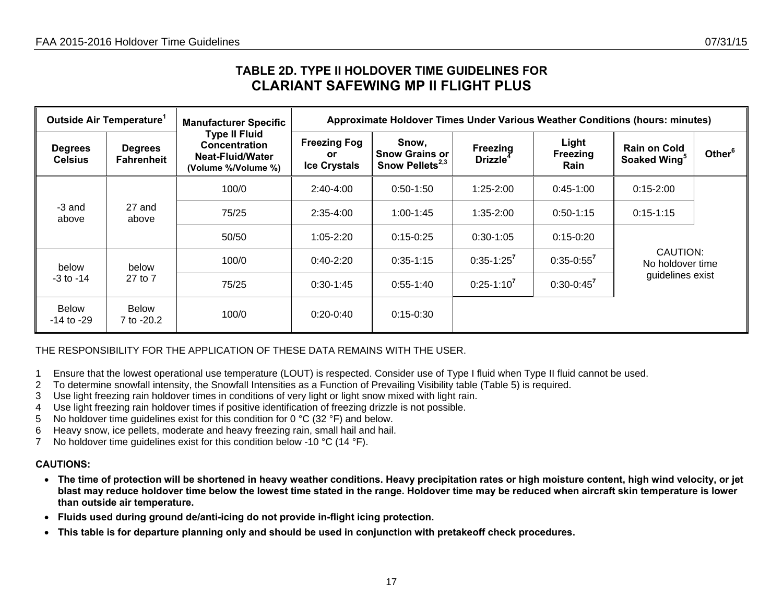## **TABLE 2D. TYPE II HOLDOVER TIME GUIDELINES FOR CLARIANT SAFEWING MP II FLIGHT PLUS**

|                                  | Outside Air Temperature <sup>1</sup> | <b>Manufacturer Specific</b>                                                            |                                                  | Approximate Holdover Times Under Various Weather Conditions (hours: minutes) |                                         |                           |                                                 |                    |  |  |  |  |
|----------------------------------|--------------------------------------|-----------------------------------------------------------------------------------------|--------------------------------------------------|------------------------------------------------------------------------------|-----------------------------------------|---------------------------|-------------------------------------------------|--------------------|--|--|--|--|
| <b>Degrees</b><br><b>Celsius</b> | <b>Degrees</b><br><b>Fahrenheit</b>  | <b>Type II Fluid</b><br><b>Concentration</b><br>Neat-Fluid/Water<br>(Volume %/Volume %) | <b>Freezing Fog</b><br>or<br><b>Ice Crystals</b> | Snow,<br><b>Snow Grains or</b><br>Snow Pellets $^{2,3}$                      | <b>Freezing</b><br>Drizzle <sup>4</sup> | Light<br>Freezing<br>Rain | <b>Rain on Cold</b><br>Soaked Wing <sup>5</sup> | Other <sup>6</sup> |  |  |  |  |
|                                  |                                      | 100/0                                                                                   | $2:40-4:00$                                      | $0:50-1:50$                                                                  | $1:25 - 2:00$                           | $0:45-1:00$               | $0:15 - 2:00$                                   |                    |  |  |  |  |
| -3 and<br>above                  | 27 and<br>above                      | 75/25                                                                                   | $2:35-4:00$                                      | $1:00 - 1:45$                                                                | 1:35-2:00                               | $0:50-1:15$               | $0:15-1:15$                                     |                    |  |  |  |  |
|                                  |                                      | 50/50                                                                                   | $1:05 - 2:20$                                    | $0:15-0:25$                                                                  | $0:30-1:05$                             | $0:15-0:20$               |                                                 |                    |  |  |  |  |
| below                            | below                                | 100/0                                                                                   | $0:40-2:20$                                      | $0:35-1:15$                                                                  | $0:35-1:25^7$                           | $0:35-0:55^7$             | CAUTION:<br>No holdover time                    |                    |  |  |  |  |
| $-3$ to $-14$                    | 27 to 7                              | 75/25                                                                                   | $0:30-1:45$                                      | $0:55-1:40$                                                                  | $0:25-1:10^7$                           | $0:30-0:45^7$             | guidelines exist                                |                    |  |  |  |  |
| <b>Below</b><br>$-14$ to $-29$   | <b>Below</b><br>7 to -20.2           | 100/0                                                                                   | $0:20-0:40$                                      | $0:15 - 0:30$                                                                |                                         |                           |                                                 |                    |  |  |  |  |

### THE RESPONSIBILITY FOR THE APPLICATION OF THESE DATA REMAINS WITH THE USER.

- 1 Ensure that the lowest operational use temperature (LOUT) is respected. Consider use of Type I fluid when Type II fluid cannot be used.
- 2 To determine snowfall intensity, the Snowfall Intensities as a Function of Prevailing Visibility table (Table 5) is required.
- 3 Use light freezing rain holdover times in conditions of very light or light snow mixed with light rain.
- 4 Use light freezing rain holdover times if positive identification of freezing drizzle is not possible.
- 5 No holdover time guidelines exist for this condition for 0 °C (32 °F) and below.
- 6 Heavy snow, ice pellets, moderate and heavy freezing rain, small hail and hail.
- 7 No holdover time guidelines exist for this condition below -10 °C (14 °F).

- **The time of protection will be shortened in heavy weather conditions. Heavy precipitation rates or high moisture content, high wind velocity, or jet blast may reduce holdover time below the lowest time stated in the range. Holdover time may be reduced when aircraft skin temperature is lower than outside air temperature.**
- **Fluids used during ground de/anti-icing do not provide in-flight icing protection.**
- <span id="page-16-0"></span>• **This table is for departure planning only and should be used in conjunction with pretakeoff check procedures.**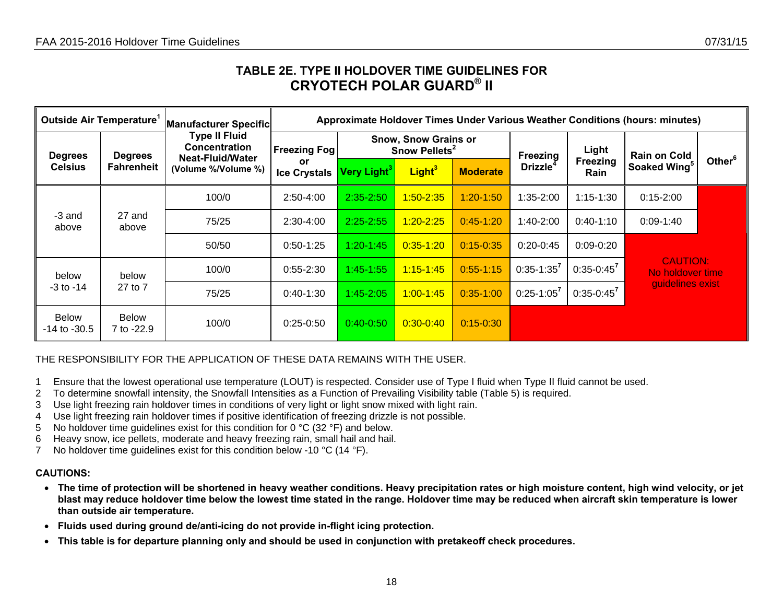## **TABLE 2E. TYPE II HOLDOVER TIME GUIDELINES FOR CRYOTECH POLAR GUARD® II**

| Outside Air Temperature <sup>1</sup> |                            | Manufacturer Specific                                            |                           |                                                          |                    |                 |                 |                  | Approximate Holdover Times Under Various Weather Conditions (hours: minutes) |                    |
|--------------------------------------|----------------------------|------------------------------------------------------------------|---------------------------|----------------------------------------------------------|--------------------|-----------------|-----------------|------------------|------------------------------------------------------------------------------|--------------------|
| <b>Degrees</b>                       | <b>Degrees</b>             | <b>Type II Fluid</b><br><b>Concentration</b><br>Neat-Fluid/Water | <b>Freezing Fog</b>       | <b>Snow, Snow Grains or</b><br>Snow Pellets <sup>2</sup> |                    |                 | <b>Freezing</b> | Light            | <b>Rain on Cold</b>                                                          |                    |
| <b>Celsius</b>                       | <b>Fahrenheit</b>          | (Volume %/Volume %)                                              | or<br><b>Ice Crystals</b> | Very Light $^3\,$                                        | Light <sup>3</sup> | <b>Moderate</b> | <b>Drizzle</b>  | Freezing<br>Rain | Soaked Wing <sup>5</sup>                                                     | Other <sup>6</sup> |
|                                      |                            | 100/0                                                            | 2:50-4:00                 | $2:35 - 2:50$                                            | $1:50 - 2:35$      | $1:20 - 1:50$   | $1:35-2:00$     | $1:15 - 1:30$    | $0:15-2:00$                                                                  |                    |
| -3 and<br>above                      | 27 and<br>above            | 75/25                                                            | $2:30-4:00$               | $2:25 - 2:55$                                            | $1:20 - 2:25$      | $0:45-1:20$     | $1:40-2:00$     | $0:40-1:10$      | $0:09-1:40$                                                                  |                    |
|                                      |                            | 50/50                                                            | $0:50-1:25$               | $1:20 - 1:45$                                            | $0:35 - 1:20$      | $0:15 - 0:35$   | $0:20-0:45$     | $0:09-0:20$      |                                                                              |                    |
| below                                | below                      | 100/0                                                            | $0:55-2:30$               | $1:45 - 1:55$                                            | $1:15 - 1:45$      | $0:55-1:15$     | $0:35-1:35^7$   | $0:35-0:45^7$    | <b>CAUTION:</b><br>No holdover time                                          |                    |
| $-3$ to $-14$                        | 27 to 7                    | 75/25                                                            | $0:40-1:30$               | $1:45 - 2:05$                                            | $1:00 - 1:45$      | $0:35-1:00$     | $0:25-1:05^7$   | $0:35 - 0:45^7$  | guidelines exist                                                             |                    |
| <b>Below</b><br>$-14$ to $-30.5$     | <b>Below</b><br>7 to -22.9 | 100/0                                                            | $0:25-0:50$               | $0:40 - 0:50$                                            | $0:30 - 0:40$      | $0:15 - 0:30$   |                 |                  |                                                                              |                    |

### THE RESPONSIBILITY FOR THE APPLICATION OF THESE DATA REMAINS WITH THE USER.

- 1 Ensure that the lowest operational use temperature (LOUT) is respected. Consider use of Type I fluid when Type II fluid cannot be used.
- 2 To determine snowfall intensity, the Snowfall Intensities as a Function of Prevailing Visibility table (Table 5) is required.
- 3 Use light freezing rain holdover times in conditions of very light or light snow mixed with light rain.
- 4 Use light freezing rain holdover times if positive identification of freezing drizzle is not possible.
- 5 No holdover time guidelines exist for this condition for 0 °C (32 °F) and below.
- 6 Heavy snow, ice pellets, moderate and heavy freezing rain, small hail and hail.
- 7 No holdover time quidelines exist for this condition below -10 °C (14 °F).

- **The time of protection will be shortened in heavy weather conditions. Heavy precipitation rates or high moisture content, high wind velocity, or jet blast may reduce holdover time below the lowest time stated in the range. Holdover time may be reduced when aircraft skin temperature is lower than outside air temperature.**
- **Fluids used during ground de/anti-icing do not provide in-flight icing protection.**
- <span id="page-17-0"></span>• **This table is for departure planning only and should be used in conjunction with pretakeoff check procedures.**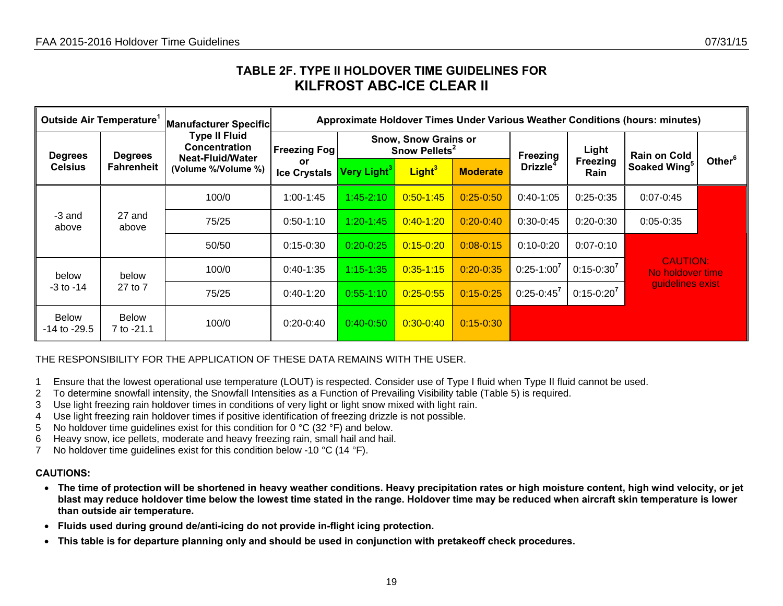## **TABLE 2F. TYPE II HOLDOVER TIME GUIDELINES FOR KILFROST ABC-ICE CLEAR II**

| Outside Air Temperature <sup>1</sup> |                            | <b>Manufacturer Specific</b>                                     |                           |                                                          |                    |                 |                 |                         | Approximate Holdover Times Under Various Weather Conditions (hours: minutes) |                    |
|--------------------------------------|----------------------------|------------------------------------------------------------------|---------------------------|----------------------------------------------------------|--------------------|-----------------|-----------------|-------------------------|------------------------------------------------------------------------------|--------------------|
| <b>Degrees</b>                       | <b>Degrees</b>             | <b>Type II Fluid</b><br><b>Concentration</b><br>Neat-Fluid/Water | <b>Freezing Fog</b>       | <b>Snow, Snow Grains or</b><br>Snow Pellets <sup>2</sup> |                    |                 | <b>Freezing</b> | Light                   | <b>Rain on Cold</b>                                                          |                    |
| <b>Celsius</b>                       | <b>Fahrenheit</b>          | (Volume %/Volume %)                                              | or<br><b>Ice Crystals</b> | Very Light $^3\,$                                        | Light <sup>3</sup> | <b>Moderate</b> | <b>Drizzle</b>  | Freezing<br><b>Rain</b> | Soaked Wing <sup>5</sup>                                                     | Other <sup>6</sup> |
|                                      |                            | 100/0                                                            | 1:00-1:45                 | $1:45 - 2:10$                                            | $0:50 - 1:45$      | $0:25 - 0:50$   | $0:40-1:05$     | $0:25-0:35$             | $0:07 - 0:45$                                                                |                    |
| -3 and<br>above                      | 27 and<br>above            | 75/25                                                            | $0:50-1:10$               | $1:20 - 1:45$                                            | $0:40 - 1:20$      | $0:20 - 0:40$   | $0:30-0:45$     | $0:20-0:30$             | $0:05 - 0:35$                                                                |                    |
|                                      |                            | 50/50                                                            | $0:15 - 0:30$             | $0:20 - 0:25$                                            | $0:15 - 0:20$      | $0:08 - 0:15$   | $0:10-0:20$     | $0:07 - 0:10$           |                                                                              |                    |
| below                                | below                      | 100/0                                                            | $0:40-1:35$               | $1:15 - 1:35$                                            | $0:35 - 1:15$      | $0:20 - 0:35$   | $0:25-1:00^7$   | $0:15 - 0:30^{7}$       | <b>CAUTION:</b><br>No holdover time                                          |                    |
| $-3$ to $-14$                        | 27 to 7                    | 75/25                                                            | $0:40-1:20$               | $0:55 - 1:10$                                            | $0:25 - 0:55$      | $0:15 - 0:25$   | $0:25-0:45^7$   | $0:15-0:20^7$           | guidelines exist                                                             |                    |
| <b>Below</b><br>$-14$ to $-29.5$     | <b>Below</b><br>7 to -21.1 | 100/0                                                            | $0:20-0:40$               | $0:40-0:50$                                              | $0:30 - 0:40$      | $0:15 - 0:30$   |                 |                         |                                                                              |                    |

### THE RESPONSIBILITY FOR THE APPLICATION OF THESE DATA REMAINS WITH THE USER.

- 1 Ensure that the lowest operational use temperature (LOUT) is respected. Consider use of Type I fluid when Type II fluid cannot be used.
- 2 To determine snowfall intensity, the Snowfall Intensities as a Function of Prevailing Visibility table (Table 5) is required.
- 3 Use light freezing rain holdover times in conditions of very light or light snow mixed with light rain.
- 4 Use light freezing rain holdover times if positive identification of freezing drizzle is not possible.
- 5 No holdover time guidelines exist for this condition for 0 °C (32 °F) and below.
- 6 Heavy snow, ice pellets, moderate and heavy freezing rain, small hail and hail.
- 7 No holdover time quidelines exist for this condition below -10 °C (14 °F).

- **The time of protection will be shortened in heavy weather conditions. Heavy precipitation rates or high moisture content, high wind velocity, or jet blast may reduce holdover time below the lowest time stated in the range. Holdover time may be reduced when aircraft skin temperature is lower than outside air temperature.**
- **Fluids used during ground de/anti-icing do not provide in-flight icing protection.**
- <span id="page-18-0"></span>• **This table is for departure planning only and should be used in conjunction with pretakeoff check procedures.**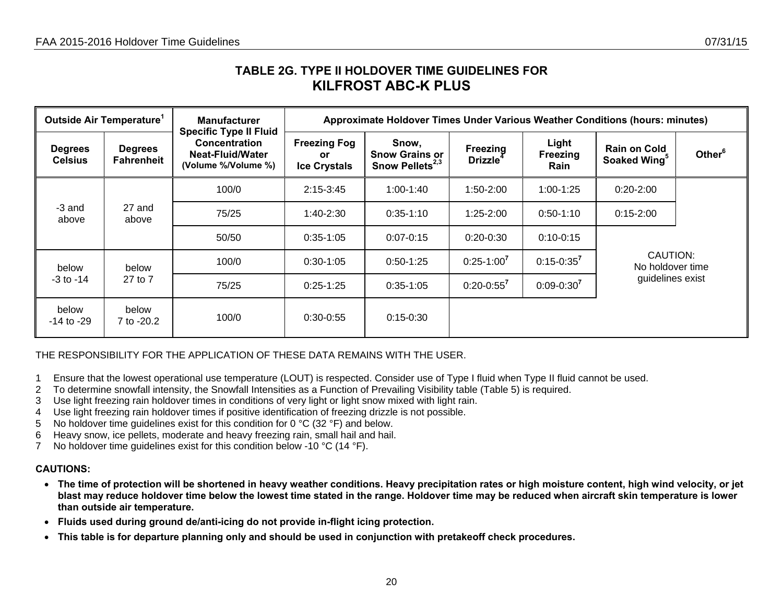## **TABLE 2G. TYPE II HOLDOVER TIME GUIDELINES FOR KILFROST ABC-K PLUS**

|                                  | Outside Air Temperature <sup>1</sup> | <b>Manufacturer</b><br><b>Specific Type II Fluid</b>     |                                                  |                                                               |                                  |                                  |                                                                                                                                                                                                                       |                    |
|----------------------------------|--------------------------------------|----------------------------------------------------------|--------------------------------------------------|---------------------------------------------------------------|----------------------------------|----------------------------------|-----------------------------------------------------------------------------------------------------------------------------------------------------------------------------------------------------------------------|--------------------|
| <b>Degrees</b><br><b>Celsius</b> | <b>Degrees</b><br><b>Fahrenheit</b>  | Concentration<br>Neat-Fluid/Water<br>(Volume %/Volume %) | <b>Freezing Fog</b><br>or<br><b>Ice Crystals</b> | Snow,<br><b>Snow Grains or</b><br>Snow Pellets <sup>2,3</sup> | Freezing<br>Drizzle <sup>4</sup> | Light<br><b>Freezing</b><br>Rain | Approximate Holdover Times Under Various Weather Conditions (hours: minutes)<br><b>Rain on Cold</b><br>Soaked Wing <sup>5</sup><br>$0:20 - 2:00$<br>$0:15 - 2:00$<br>CAUTION:<br>No holdover time<br>guidelines exist | Other <sup>6</sup> |
|                                  |                                      | 100/0                                                    | $2:15 - 3:45$                                    | $1:00-1:40$                                                   | 1:50-2:00                        | $1:00-1:25$                      |                                                                                                                                                                                                                       |                    |
| -3 and<br>above                  | 27 and<br>above                      | 75/25                                                    | $1:40-2:30$                                      | $0:35-1:10$                                                   | $1:25 - 2:00$                    | $0:50-1:10$                      |                                                                                                                                                                                                                       |                    |
|                                  |                                      | 50/50                                                    | $0:35-1:05$                                      | $0:07 - 0:15$                                                 | $0:20-0:30$                      | $0:10 - 0:15$                    |                                                                                                                                                                                                                       |                    |
| below                            | below                                | 100/0                                                    | $0:30-1:05$                                      | $0:50-1:25$                                                   | $0:25-1:00^7$                    | $0:15 - 0:35^{7}$                |                                                                                                                                                                                                                       |                    |
| $-3$ to $-14$                    | 27 to 7                              | 75/25                                                    | $0:25-1:25$                                      | $0:35-1:05$                                                   | $0:20 - 0:55^7$                  | $0:09 - 0:30^{7}$                |                                                                                                                                                                                                                       |                    |
| below<br>-14 to -29              | below<br>7 to -20.2                  | 100/0                                                    | $0:30-0:55$                                      | $0:15-0:30$                                                   |                                  |                                  |                                                                                                                                                                                                                       |                    |

THE RESPONSIBILITY FOR THE APPLICATION OF THESE DATA REMAINS WITH THE USER.

- 1 Ensure that the lowest operational use temperature (LOUT) is respected. Consider use of Type I fluid when Type II fluid cannot be used.
- 2 To determine snowfall intensity, the Snowfall Intensities as a Function of Prevailing Visibility table (Table 5) is required.
- 3 Use light freezing rain holdover times in conditions of very light or light snow mixed with light rain.
- 4 Use light freezing rain holdover times if positive identification of freezing drizzle is not possible.
- 5 No holdover time guidelines exist for this condition for 0 °C (32 °F) and below.
- 6 Heavy snow, ice pellets, moderate and heavy freezing rain, small hail and hail.
- 7 No holdover time guidelines exist for this condition below -10 °C (14 °F).

- **The time of protection will be shortened in heavy weather conditions. Heavy precipitation rates or high moisture content, high wind velocity, or jet blast may reduce holdover time below the lowest time stated in the range. Holdover time may be reduced when aircraft skin temperature is lower than outside air temperature.**
- **Fluids used during ground de/anti-icing do not provide in-flight icing protection.**
- <span id="page-19-0"></span>• **This table is for departure planning only and should be used in conjunction with pretakeoff check procedures.**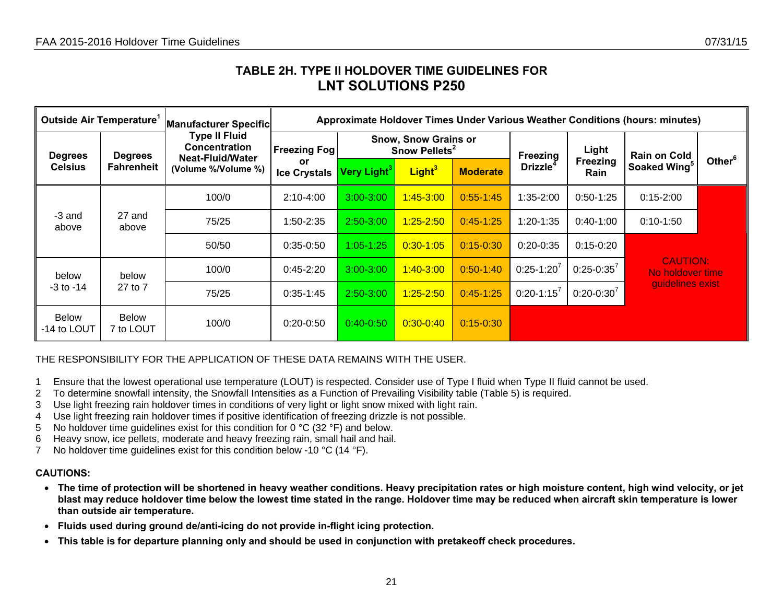## **TABLE 2H. TYPE II HOLDOVER TIME GUIDELINES FOR LNT SOLUTIONS P250**

| Outside Air Temperature <sup>1</sup> |                           | <b>Manufacturer Specific</b>                                     |                           |                                                          |                    |                 |                 |                         | Approximate Holdover Times Under Various Weather Conditions (hours: minutes) |                    |
|--------------------------------------|---------------------------|------------------------------------------------------------------|---------------------------|----------------------------------------------------------|--------------------|-----------------|-----------------|-------------------------|------------------------------------------------------------------------------|--------------------|
| <b>Degrees</b>                       | <b>Degrees</b>            | <b>Type II Fluid</b><br><b>Concentration</b><br>Neat-Fluid/Water | <b>Freezing Fog</b>       | <b>Snow, Snow Grains or</b><br>Snow Pellets <sup>2</sup> |                    |                 | Freezing        | Light                   | <b>Rain on Cold</b>                                                          |                    |
| <b>Celsius</b>                       | Fahrenheit                | (Volume %/Volume %)                                              | or<br><b>Ice Crystals</b> | Very Light $^3\,$                                        | Light <sup>3</sup> | <b>Moderate</b> | <b>Drizzle</b>  | Freezing<br><b>Rain</b> | Soaked Wing5                                                                 | Other <sup>6</sup> |
|                                      |                           | 100/0                                                            | $2:10-4:00$               | $3:00 - 3:00$                                            | $1:45 - 3:00$      | $0:55 - 1:45$   | $1:35 - 2:00$   | $0:50-1:25$             | $0:15 - 2:00$                                                                |                    |
| -3 and<br>above                      | 27 and<br>above           | 75/25                                                            | 1:50-2:35                 | $2:50 - 3:00$                                            | $1:25 - 2:50$      | $0:45-1:25$     | $1:20-1:35$     | $0:40-1:00$             | $0:10-1:50$                                                                  |                    |
|                                      |                           | 50/50                                                            | $0:35-0:50$               | $1:05 - 1:25$                                            | $0:30 - 1:05$      | $0:15 - 0:30$   | $0:20-0:35$     | $0:15 - 0:20$           |                                                                              |                    |
| below                                | below                     | 100/0                                                            | $0:45 - 2:20$             | $3:00 - 3:00$                                            | $1:40 - 3:00$      | $0:50-1:40$     | $0:25-1:20'$    | $0:25 - 0:35^{7}$       | <b>CAUTION:</b><br>No holdover time                                          |                    |
| $-3$ to $-14$<br>27 to 7             |                           | 75/25                                                            | $0:35-1:45$               | $2:50 - 3:00$                                            | $1:25 - 2:50$      | $0:45-1:25$     | $0:20 - 1:15^7$ | $0:20-0:30'$            | guidelines exist                                                             |                    |
| <b>Below</b><br>-14 to LOUT          | <b>Below</b><br>7 to LOUT | 100/0                                                            | $0:20 - 0:50$             | $0:40-0:50$                                              | $0:30 - 0:40$      | $0:15 - 0:30$   |                 |                         |                                                                              |                    |

### THE RESPONSIBILITY FOR THE APPLICATION OF THESE DATA REMAINS WITH THE USER.

- 1 Ensure that the lowest operational use temperature (LOUT) is respected. Consider use of Type I fluid when Type II fluid cannot be used.
- 2 To determine snowfall intensity, the Snowfall Intensities as a Function of Prevailing Visibility table (Table 5) is required.
- 3 Use light freezing rain holdover times in conditions of very light or light snow mixed with light rain.
- 4 Use light freezing rain holdover times if positive identification of freezing drizzle is not possible.
- 5 No holdover time guidelines exist for this condition for 0 °C (32 °F) and below.
- 6 Heavy snow, ice pellets, moderate and heavy freezing rain, small hail and hail.
- 7 No holdover time quidelines exist for this condition below -10 °C (14 °F).

- **The time of protection will be shortened in heavy weather conditions. Heavy precipitation rates or high moisture content, high wind velocity, or jet blast may reduce holdover time below the lowest time stated in the range. Holdover time may be reduced when aircraft skin temperature is lower than outside air temperature.**
- **Fluids used during ground de/anti-icing do not provide in-flight icing protection.**
- <span id="page-20-0"></span>• **This table is for departure planning only and should be used in conjunction with pretakeoff check procedures.**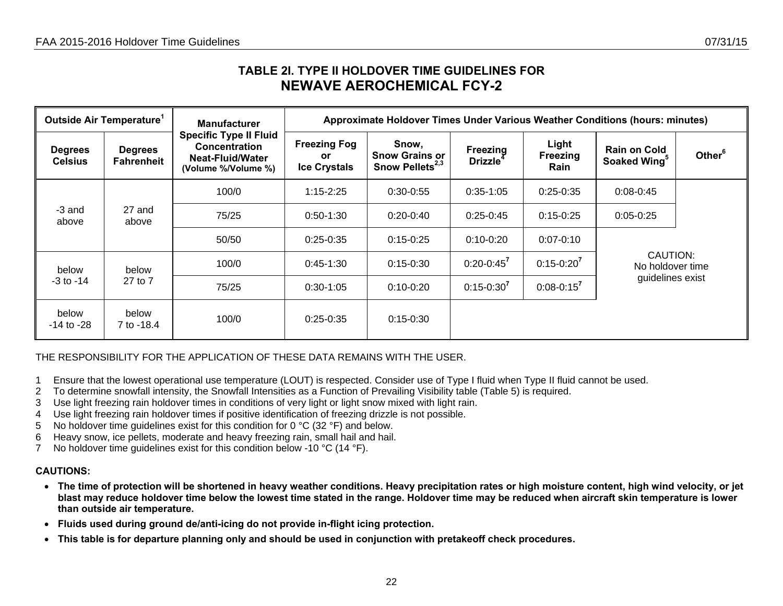## **TABLE 2I. TYPE II HOLDOVER TIME GUIDELINES FOR NEWAVE AEROCHEMICAL FCY-2**

|                                  | Outside Air Temperature <sup>1</sup> | <b>Manufacturer</b>                                                                              | Approximate Holdover Times Under Various Weather Conditions (hours: minutes) |                                                         |                                  |                           |                                                 |                    |  |  |  |
|----------------------------------|--------------------------------------|--------------------------------------------------------------------------------------------------|------------------------------------------------------------------------------|---------------------------------------------------------|----------------------------------|---------------------------|-------------------------------------------------|--------------------|--|--|--|
| <b>Degrees</b><br><b>Celsius</b> | <b>Degrees</b><br><b>Fahrenheit</b>  | <b>Specific Type II Fluid</b><br><b>Concentration</b><br>Neat-Fluid/Water<br>(Volume %/Volume %) | <b>Freezing Fog</b><br><b>or</b><br><b>Ice Crystals</b>                      | Snow,<br><b>Snow Grains or</b><br>Snow Pellets $^{2,3}$ | Freezing<br>Drizzle <sup>4</sup> | Light<br>Freezing<br>Rain | <b>Rain on Cold</b><br>Soaked Wing <sup>5</sup> | Other <sup>6</sup> |  |  |  |
|                                  |                                      | 100/0                                                                                            | $1:15 - 2:25$                                                                | $0:30-0:55$                                             | $0:35-1:05$                      | $0:25-0:35$               | $0:08 - 0:45$                                   |                    |  |  |  |
| -3 and<br>above                  | 27 and<br>above                      | 75/25                                                                                            | $0:50-1:30$                                                                  | $0:20-0:40$                                             | $0:25-0:45$                      | $0:15-0:25$               | $0:05-0:25$                                     |                    |  |  |  |
|                                  |                                      | 50/50                                                                                            | $0:25-0:35$                                                                  | $0:15 - 0:25$                                           | $0:10-0:20$                      | $0:07 - 0:10$             |                                                 |                    |  |  |  |
| below                            | below                                | 100/0                                                                                            | $0:45-1:30$                                                                  | $0:15-0:30$                                             | $0:20 - 0:45^{7}$                | $0:15 - 0:20^{7}$         | CAUTION:<br>No holdover time                    |                    |  |  |  |
| 27 to 7<br>$-3$ to $-14$         |                                      | 75/25                                                                                            | $0:30-1:05$                                                                  | $0:10-0:20$                                             | $0:15 - 0:30^{7}$                | $0:08 - 0:15^7$           | guidelines exist                                |                    |  |  |  |
| below<br>$-14$ to $-28$          | below<br>7 to -18.4                  | 100/0                                                                                            | $0:25-0:35$                                                                  | $0:15 - 0:30$                                           |                                  |                           |                                                 |                    |  |  |  |

THE RESPONSIBILITY FOR THE APPLICATION OF THESE DATA REMAINS WITH THE USER.

- 1 Ensure that the lowest operational use temperature (LOUT) is respected. Consider use of Type I fluid when Type II fluid cannot be used.
- 2 To determine snowfall intensity, the Snowfall Intensities as a Function of Prevailing Visibility table (Table 5) is required.
- 3 Use light freezing rain holdover times in conditions of very light or light snow mixed with light rain.
- 4 Use light freezing rain holdover times if positive identification of freezing drizzle is not possible.
- 5 No holdover time guidelines exist for this condition for 0 °C (32 °F) and below.
- 6 Heavy snow, ice pellets, moderate and heavy freezing rain, small hail and hail.
- 7 No holdover time guidelines exist for this condition below -10 °C (14 °F).

- **The time of protection will be shortened in heavy weather conditions. Heavy precipitation rates or high moisture content, high wind velocity, or jet blast may reduce holdover time below the lowest time stated in the range. Holdover time may be reduced when aircraft skin temperature is lower than outside air temperature.**
- **Fluids used during ground de/anti-icing do not provide in-flight icing protection.**
- <span id="page-21-0"></span>• **This table is for departure planning only and should be used in conjunction with pretakeoff check procedures.**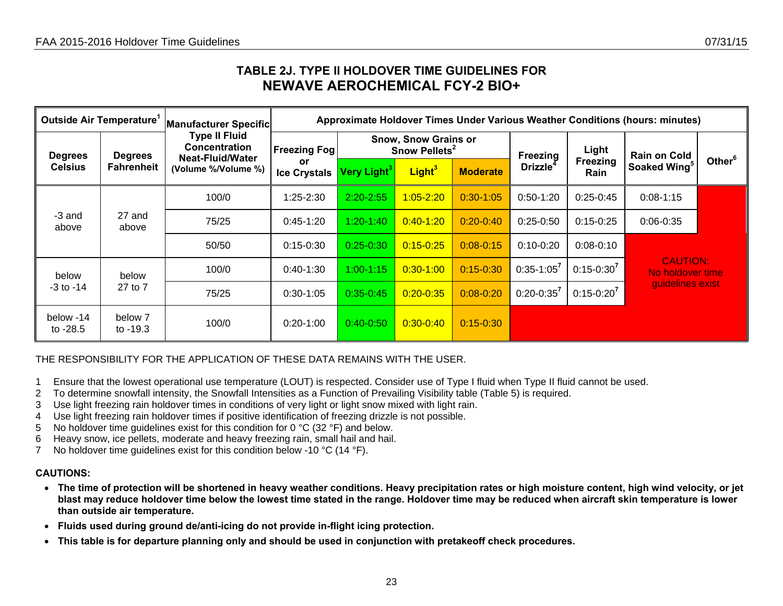## **TABLE 2J. TYPE II HOLDOVER TIME GUIDELINES FOR NEWAVE AEROCHEMICAL FCY-2 BIO+**

| Outside Air Temperature <sup>1</sup> |                       | Manufacturer Specific                                            |                                  |                         |                                                          |                 |                   |                                | Approximate Holdover Times Under Various Weather Conditions (hours: minutes) |                    |
|--------------------------------------|-----------------------|------------------------------------------------------------------|----------------------------------|-------------------------|----------------------------------------------------------|-----------------|-------------------|--------------------------------|------------------------------------------------------------------------------|--------------------|
| <b>Degrees</b>                       | <b>Degrees</b>        | <b>Type II Fluid</b><br><b>Concentration</b><br>Neat-Fluid/Water | <b>Freezing Fog!</b>             |                         | <b>Snow, Snow Grains or</b><br>Snow Pellets <sup>2</sup> |                 | <b>Freezing</b>   | Light                          | <b>Rain on Cold</b>                                                          |                    |
| <b>Celsius</b>                       | <b>Fahrenheit</b>     | (Volume %/Volume %)                                              | <b>or</b><br><b>Ice Crystals</b> | Very Light <sup>3</sup> | Light <sup>3</sup>                                       | <b>Moderate</b> | <b>Drizzle</b>    | <b>Freezing</b><br><b>Rain</b> | Soaked Wing <sup>5</sup>                                                     | Other <sup>6</sup> |
|                                      |                       | 100/0                                                            | $1:25 - 2:30$                    | $2:20 - 2:55$           | $1:05 - 2:20$                                            | $0:30 - 1:05$   | $0:50-1:20$       | $0:25-0:45$                    | $0:08 - 1:15$                                                                |                    |
| -3 and<br>above                      | 27 and<br>above       | 75/25                                                            | $0:45-1:20$                      | $1:20 - 1:40$           | $0:40 - 1:20$                                            | $0:20 - 0:40$   | $0:25-0:50$       | $0:15 - 0:25$                  | $0:06 - 0:35$                                                                |                    |
|                                      |                       | 50/50                                                            | $0:15-0:30$                      | $0:25 - 0:30$           | $0:15 - 0:25$                                            | $0:08 - 0:15$   | $0:10-0:20$       | $0:08 - 0:10$                  |                                                                              |                    |
| below                                | below                 | 100/0                                                            | $0:40-1:30$                      | $1:00 - 1:15$           | $0:30-1:00$                                              | $0:15 - 0:30$   | $0:35-1:05^7$     | $0:15 - 0:30^{7}$              | <b>CAUTION:</b><br>No holdover time                                          |                    |
| -3 to -14<br>27 to 7                 |                       | 75/25                                                            | $0:30-1:05$                      | $0:35 - 0:45$           | $0:20 - 0:35$                                            | $0:08 - 0:20$   | $0:20 - 0:35^{7}$ | $0:15 - 0:20^{7}$              | quidelines exist                                                             |                    |
| below -14<br>to $-28.5$              | below 7<br>to $-19.3$ | 100/0                                                            | $0:20-1:00$                      | $0:40-0:50$             | $0:30 - 0:40$                                            | $0:15 - 0:30$   |                   |                                |                                                                              |                    |

### THE RESPONSIBILITY FOR THE APPLICATION OF THESE DATA REMAINS WITH THE USER.

- 1 Ensure that the lowest operational use temperature (LOUT) is respected. Consider use of Type I fluid when Type II fluid cannot be used.
- 2 To determine snowfall intensity, the Snowfall Intensities as a Function of Prevailing Visibility table (Table 5) is required.
- 3 Use light freezing rain holdover times in conditions of very light or light snow mixed with light rain.
- 4 Use light freezing rain holdover times if positive identification of freezing drizzle is not possible.
- 5 No holdover time guidelines exist for this condition for 0 °C (32 °F) and below.
- 6 Heavy snow, ice pellets, moderate and heavy freezing rain, small hail and hail.
- 7 No holdover time quidelines exist for this condition below -10 °C (14 °F).

- **The time of protection will be shortened in heavy weather conditions. Heavy precipitation rates or high moisture content, high wind velocity, or jet blast may reduce holdover time below the lowest time stated in the range. Holdover time may be reduced when aircraft skin temperature is lower than outside air temperature.**
- **Fluids used during ground de/anti-icing do not provide in-flight icing protection.**
- <span id="page-22-0"></span>• **This table is for departure planning only and should be used in conjunction with pretakeoff check procedures.**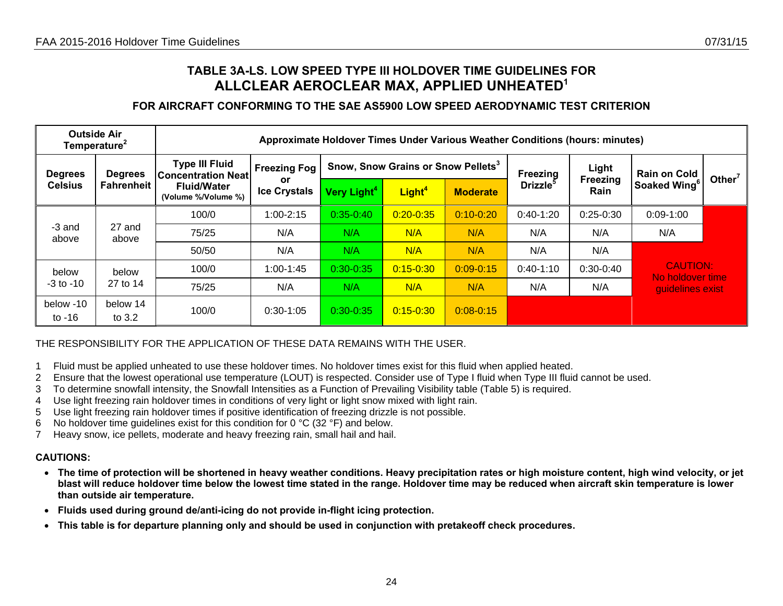## **TABLE 3A-LS. LOW SPEED TYPE III HOLDOVER TIME GUIDELINES FOR ALLCLEAR AEROCLEAR MAX, APPLIED UNHEATED<sup>1</sup>**

### **FOR AIRCRAFT CONFORMING TO THE SAE AS5900 LOW SPEED AERODYNAMIC TEST CRITERION**

|                       | <b>Outside Air</b><br>Temperature <sup>2</sup> |                                                    |                                  | Approximate Holdover Times Under Various Weather Conditions (hours: minutes) |                                                |                 |                      |                   |                                     |           |
|-----------------------|------------------------------------------------|----------------------------------------------------|----------------------------------|------------------------------------------------------------------------------|------------------------------------------------|-----------------|----------------------|-------------------|-------------------------------------|-----------|
| <b>Degrees</b>        | <b>Degrees</b>                                 | <b>Type III Fluid</b><br><b>Concentration Neat</b> | <b>Freezing Fog</b><br><b>or</b> |                                                                              | Snow, Snow Grains or Snow Pellets <sup>3</sup> |                 | Freezing             | Light<br>Freezing | <b>Rain on Cold</b>                 | Other $7$ |
| <b>Celsius</b>        | <b>Fahrenheit</b>                              | <b>Fluid/Water</b><br>(Volume %/Volume %)          | <b>Ice Crystals</b>              | Very Light <sup>4</sup>                                                      | Light <sup>4</sup>                             | <b>Moderate</b> | Drizzle <sup>5</sup> | Rain              | Soaked Wing <sup>6</sup>            |           |
|                       |                                                | 100/0                                              | $1:00 - 2:15$                    | $0:35 - 0:40$                                                                | $0:20 - 0:35$                                  | $0:10 - 0:20$   | $0:40-1:20$          | $0:25-0:30$       | $0:09-1:00$                         |           |
| -3 and<br>above       | 27 and<br>above                                | 75/25                                              | N/A                              | N/A                                                                          | N/A                                            | N/A             | N/A                  | N/A               | N/A                                 |           |
|                       |                                                | 50/50                                              | N/A                              | N/A                                                                          | N/A                                            | N/A             | N/A                  | N/A               |                                     |           |
| below                 | below                                          | 100/0                                              | $1:00-1:45$                      | $0:30 - 0:35$                                                                | $0:15 - 0:30$                                  | $0:09 - 0:15$   | $0:40-1:10$          | $0:30-0:40$       | <b>CAUTION:</b><br>No holdover time |           |
| $-3$ to $-10$         | 27 to 14                                       | 75/25                                              | N/A                              | N/A                                                                          | N/A                                            | N/A             | N/A                  | N/A               | quidelines exist                    |           |
| below -10<br>to $-16$ | below 14<br>to $3.2$                           | 100/0                                              | $0:30-1:05$                      | $0:30 - 0:35$                                                                | $0:15 - 0:30$                                  | $0:08 - 0:15$   |                      |                   |                                     |           |

### THE RESPONSIBILITY FOR THE APPLICATION OF THESE DATA REMAINS WITH THE USER.

- 1 Fluid must be applied unheated to use these holdover times. No holdover times exist for this fluid when applied heated.
- 2 Ensure that the lowest operational use temperature (LOUT) is respected. Consider use of Type I fluid when Type III fluid cannot be used.
- 3 To determine snowfall intensity, the Snowfall Intensities as a Function of Prevailing Visibility table (Table 5) is required.
- 4 Use light freezing rain holdover times in conditions of very light or light snow mixed with light rain.
- 5 Use light freezing rain holdover times if positive identification of freezing drizzle is not possible.
- 6 No holdover time guidelines exist for this condition for 0  $^{\circ}$ C (32  $^{\circ}$ F) and below.
- 7 Heavy snow, ice pellets, moderate and heavy freezing rain, small hail and hail.

- **The time of protection will be shortened in heavy weather conditions. Heavy precipitation rates or high moisture content, high wind velocity, or jet blast will reduce holdover time below the lowest time stated in the range. Holdover time may be reduced when aircraft skin temperature is lower than outside air temperature.**
- **Fluids used during ground de/anti-icing do not provide in-flight icing protection.**
- <span id="page-23-0"></span>• **This table is for departure planning only and should be used in conjunction with pretakeoff check procedures.**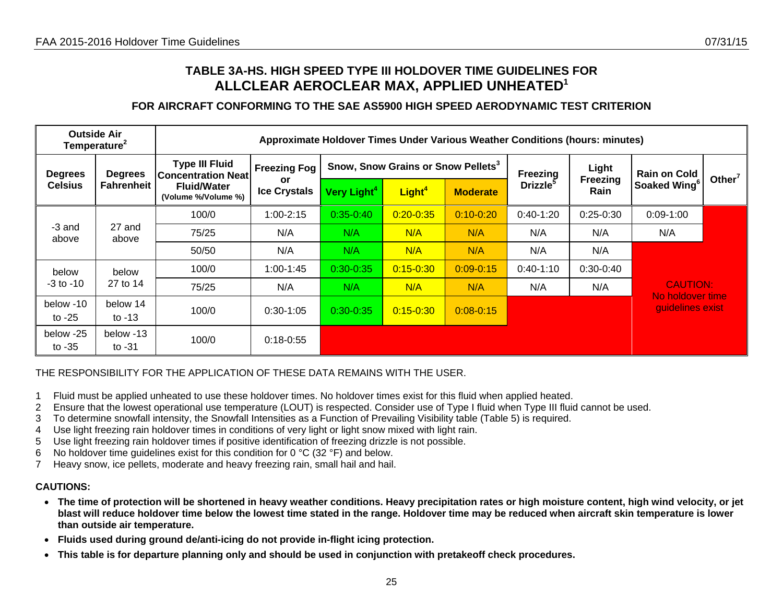## **TABLE 3A-HS. HIGH SPEED TYPE III HOLDOVER TIME GUIDELINES FOR ALLCLEAR AEROCLEAR MAX, APPLIED UNHEATED<sup>1</sup>**

### **FOR AIRCRAFT CONFORMING TO THE SAE AS5900 HIGH SPEED AERODYNAMIC TEST CRITERION**

|                       | <b>Outside Air</b><br>Temperature <sup>2</sup> |                                                    |                           |                         |                                                | Approximate Holdover Times Under Various Weather Conditions (hours: minutes) |                             |                          |                                      |                    |
|-----------------------|------------------------------------------------|----------------------------------------------------|---------------------------|-------------------------|------------------------------------------------|------------------------------------------------------------------------------|-----------------------------|--------------------------|--------------------------------------|--------------------|
| <b>Degrees</b>        | <b>Degrees</b>                                 | <b>Type III Fluid</b><br><b>Concentration Neat</b> | <b>Freezing Fog</b>       |                         | Snow, Snow Grains or Snow Pellets <sup>3</sup> |                                                                              | <b>Freezing</b>             | Light<br><b>Freezing</b> | <b>Rain on Cold</b>                  | Other <sup>7</sup> |
| <b>Celsius</b>        | <b>Fahrenheit</b>                              | <b>Fluid/Water</b><br>(Volume %/Volume %)          | or<br><b>Ice Crystals</b> | Very Light <sup>4</sup> | Light <sup>4</sup>                             | <b>Moderate</b>                                                              | <b>Drizzle</b> <sup>3</sup> | Rain                     | Soaked Wing                          |                    |
|                       |                                                | 100/0                                              | $1:00 - 2:15$             | $0:35 - 0:40$           | $0:20 - 0:35$                                  | $0:10 - 0:20$                                                                | $0:40-1:20$                 | $0:25-0:30$              | $0:09-1:00$                          |                    |
| -3 and<br>above       | 27 and<br>above                                | 75/25                                              | N/A                       | N/A                     | N/A                                            | N/A                                                                          | N/A                         | N/A                      | N/A                                  |                    |
|                       |                                                | 50/50                                              | N/A                       | N/A                     | N/A                                            | N/A                                                                          | N/A                         | N/A                      |                                      |                    |
| below                 | below                                          | 100/0                                              | $1:00-1:45$               | $0:30 - 0:35$           | $0:15 - 0:30$                                  | $0:09 - 0:15$                                                                | $0:40-1:10$                 | $0:30-0:40$              |                                      |                    |
| $-3$ to $-10$         | 27 to 14                                       | 75/25                                              | N/A                       | N/A                     | N/A                                            | N/A                                                                          | N/A                         | N/A                      | <b>CAUTION:</b>                      |                    |
| below -10<br>to $-25$ | below 14<br>to $-13$                           | 100/0                                              | $0:30-1:05$               | $0:30 - 0:35$           | $0:15 - 0:30$                                  | $0:08 - 0:15$                                                                |                             |                          | No holdover time<br>guidelines exist |                    |
| below -25<br>to $-35$ | below -13<br>to $-31$                          | 100/0                                              | $0:18 - 0:55$             |                         |                                                |                                                                              |                             |                          |                                      |                    |

### THE RESPONSIBILITY FOR THE APPLICATION OF THESE DATA REMAINS WITH THE USER.

- 1 Fluid must be applied unheated to use these holdover times. No holdover times exist for this fluid when applied heated.
- 2 Ensure that the lowest operational use temperature (LOUT) is respected. Consider use of Type I fluid when Type III fluid cannot be used.
- 3 To determine snowfall intensity, the Snowfall Intensities as a Function of Prevailing Visibility table (Table 5) is required.
- 4 Use light freezing rain holdover times in conditions of very light or light snow mixed with light rain.
- 5 Use light freezing rain holdover times if positive identification of freezing drizzle is not possible.
- 6 No holdover time guidelines exist for this condition for 0  $\degree$ C (32  $\degree$ F) and below.
- 7 Heavy snow, ice pellets, moderate and heavy freezing rain, small hail and hail.

- **The time of protection will be shortened in heavy weather conditions. Heavy precipitation rates or high moisture content, high wind velocity, or jet blast will reduce holdover time below the lowest time stated in the range. Holdover time may be reduced when aircraft skin temperature is lower than outside air temperature.**
- **Fluids used during ground de/anti-icing do not provide in-flight icing protection.**
- <span id="page-24-0"></span>• **This table is for departure planning only and should be used in conjunction with pretakeoff check procedures.**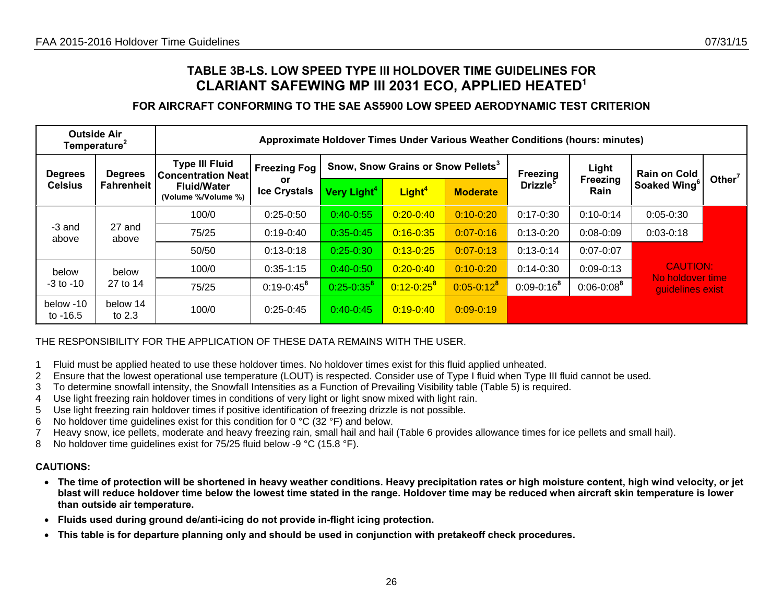### **TABLE 3B-LS. LOW SPEED TYPE III HOLDOVER TIME GUIDELINES FOR CLARIANT SAFEWING MP III 2031 ECO, APPLIED HEATED<sup>1</sup>**

### **FOR AIRCRAFT CONFORMING TO THE SAE AS5900 LOW SPEED AERODYNAMIC TEST CRITERION**

|                       | <b>Outside Air</b><br>Temperature <sup>2</sup> |                                                    | Approximate Holdover Times Under Various Weather Conditions (hours: minutes) |                         |                                                |                 |                      |                   |                                     |           |
|-----------------------|------------------------------------------------|----------------------------------------------------|------------------------------------------------------------------------------|-------------------------|------------------------------------------------|-----------------|----------------------|-------------------|-------------------------------------|-----------|
| <b>Degrees</b>        | <b>Degrees</b>                                 | <b>Type III Fluid</b><br><b>Concentration Neat</b> | <b>Freezing Fog</b><br>or                                                    |                         | Snow, Snow Grains or Snow Pellets <sup>3</sup> |                 | Freezing             | Light<br>Freezing | <b>Rain on Cold</b>                 | Other $7$ |
| <b>Celsius</b>        | <b>Fahrenheit</b>                              | <b>Fluid/Water</b><br>(Volume %/Volume %)          | <b>Ice Crystals</b>                                                          | Very Light <sup>4</sup> | Light <sup>4</sup>                             | <b>Moderate</b> | Drizzle <sup>5</sup> | Rain              | Soaked Wing <sup>6</sup>            |           |
|                       |                                                | 100/0                                              | $0:25-0:50$                                                                  | $0:40 - 0:55$           | $0:20 - 0:40$                                  | $0:10 - 0:20$   | $0:17-0:30$          | $0:10-0:14$       | $0:05 - 0:30$                       |           |
| -3 and<br>above       | 27 and<br>above                                | 75/25                                              | $0:19-0:40$                                                                  | $0:35 - 0:45$           | $0:16 - 0:35$                                  | $0:07 - 0:16$   | $0:13-0:20$          | $0:08 - 0:09$     | $0:03-0:18$                         |           |
|                       |                                                | 50/50                                              | $0:13-0:18$                                                                  | $0:25 - 0:30$           | $0:13 - 0:25$                                  | $0:07 - 0:13$   | $0:13-0:14$          | $0:07 - 0:07$     |                                     |           |
| below                 | below                                          | 100/0                                              | $0:35-1:15$                                                                  | $0:40 - 0:50$           | $0:20 - 0:40$                                  | $0:10 - 0:20$   | $0:14-0:30$          | $0:09 - 0:13$     | <b>CAUTION:</b><br>No holdover time |           |
| $-3$ to $-10$         | 27 to 14                                       | 75/25                                              | $0:19 - 0:45^8$                                                              | $0:25 - 0:35^8$         | $0:12 - 0:25^8$                                | $0:05 - 0:12^8$ | $0:09 - 0:16^8$      | $0:06 - 0:08^8$   | quidelines exist                    |           |
| below -10<br>to -16.5 | below 14<br>to $2.3$                           | 100/0                                              | $0:25-0:45$                                                                  | $0:40-0:45$             | $0:19 - 0:40$                                  | $0:09 - 0:19$   |                      |                   |                                     |           |

### THE RESPONSIBILITY FOR THE APPLICATION OF THESE DATA REMAINS WITH THE USER.

- 1 Fluid must be applied heated to use these holdover times. No holdover times exist for this fluid applied unheated.
- 2 Ensure that the lowest operational use temperature (LOUT) is respected. Consider use of Type I fluid when Type III fluid cannot be used.
- 3 To determine snowfall intensity, the Snowfall Intensities as a Function of Prevailing Visibility table (Table 5) is required.
- 4 Use light freezing rain holdover times in conditions of very light or light snow mixed with light rain.
- 5 Use light freezing rain holdover times if positive identification of freezing drizzle is not possible.
- 6 No holdover time guidelines exist for this condition for 0  $\degree$ C (32  $\degree$ F) and below.
- 7 Heavy snow, ice pellets, moderate and heavy freezing rain, small hail and hail (Table 6 provides allowance times for ice pellets and small hail).
- 8 No holdover time guidelines exist for 75/25 fluid below -9 °C (15.8 °F).

- **The time of protection will be shortened in heavy weather conditions. Heavy precipitation rates or high moisture content, high wind velocity, or jet blast will reduce holdover time below the lowest time stated in the range. Holdover time may be reduced when aircraft skin temperature is lower than outside air temperature.**
- **Fluids used during ground de/anti-icing do not provide in-flight icing protection.**
- <span id="page-25-0"></span>•**This table is for departure planning only and should be used in conjunction with pretakeoff check procedures.**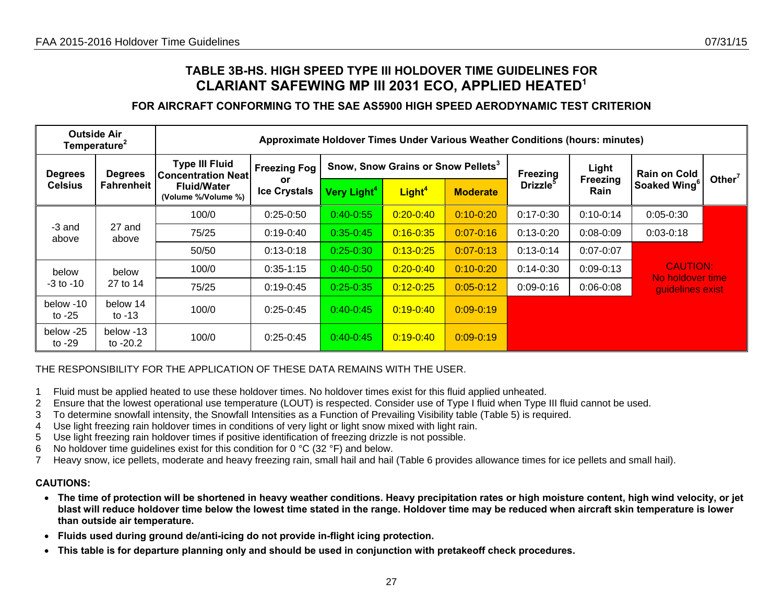### **TABLE 3B-HS. HIGH SPEED TYPE III HOLDOVER TIME GUIDELINES FOR CLARIANT SAFEWING MP III 2031 ECO, APPLIED HEATED<sup>1</sup>**

### **FOR AIRCRAFT CONFORMING TO THE SAE AS5900 HIGH SPEED AERODYNAMIC TEST CRITERION**

|                       | <b>Outside Air</b><br>Temperature <sup>2</sup> |                                                    |                           | Approximate Holdover Times Under Various Weather Conditions (hours: minutes) |                                                |                 |                             |                         |                                     |                    |
|-----------------------|------------------------------------------------|----------------------------------------------------|---------------------------|------------------------------------------------------------------------------|------------------------------------------------|-----------------|-----------------------------|-------------------------|-------------------------------------|--------------------|
| <b>Degrees</b>        | <b>Degrees</b>                                 | <b>Type III Fluid</b><br><b>Concentration Neat</b> | <b>Freezing Fog</b>       |                                                                              | Snow, Snow Grains or Snow Pellets <sup>3</sup> |                 | <b>Freezing</b>             | Light                   | <b>Rain on Cold</b>                 |                    |
| <b>Celsius</b>        | Fahrenheit                                     | <b>Fluid/Water</b><br>(Volume %/Volume %)          | or<br><b>Ice Crystals</b> | Very Light <sup>4</sup>                                                      | Light <sup>4</sup>                             | <b>Moderate</b> | <b>Drizzle</b> <sup>o</sup> | <b>Freezing</b><br>Rain | Soaked Wing <sup>6</sup>            | Other <sup>7</sup> |
|                       |                                                | 100/0                                              | $0:25-0:50$               | $0:40 - 0:55$                                                                | $0:20 - 0:40$                                  | $0:10 - 0:20$   | $0:17 - 0:30$               | $0:10-0:14$             | $0:05 - 0:30$                       |                    |
| -3 and<br>above       | 27 and<br>above                                | 75/25                                              | $0:19-0:40$               | $0:35 - 0:45$                                                                | $0:16 - 0:35$                                  | $0:07 - 0:16$   | $0:13-0:20$                 | $0:08 - 0:09$           | $0:03-0:18$                         |                    |
|                       |                                                | 50/50                                              | $0:13-0:18$               | $0:25 - 0:30$                                                                | $0:13 - 0:25$                                  | $0:07 - 0:13$   | $0:13-0:14$                 | $0:07 - 0:07$           |                                     |                    |
| below                 | below                                          | 100/0                                              | $0:35-1:15$               | $0:40 - 0:50$                                                                | $0:20 - 0:40$                                  | $0:10 - 0:20$   | $0:14 - 0:30$               | $0:09 - 0:13$           | <b>CAUTION:</b><br>No holdover time |                    |
| $-3$ to $-10$         | 27 to 14                                       | 75/25                                              | $0:19 - 0:45$             | $0:25 - 0:35$                                                                | $0:12 - 0:25$                                  | $0:05 - 0:12$   | $0:09-0:16$                 | $0:06 - 0:08$           | guidelines exist                    |                    |
| below -10<br>to $-25$ | below 14<br>to $-13$                           | 100/0                                              | $0:25-0:45$               | $0:40-0:45$                                                                  | $0:19 - 0:40$                                  | $0:09 - 0:19$   |                             |                         |                                     |                    |
| below -25<br>to $-29$ | below -13<br>to $-20.2$                        | 100/0                                              | $0:25-0:45$               | $0:40 - 0:45$                                                                | $0:19 - 0:40$                                  | $0:09 - 0:19$   |                             |                         |                                     |                    |

### THE RESPONSIBILITY FOR THE APPLICATION OF THESE DATA REMAINS WITH THE USER.

- 1 Fluid must be applied heated to use these holdover times. No holdover times exist for this fluid applied unheated.
- 2 Ensure that the lowest operational use temperature (LOUT) is respected. Consider use of Type I fluid when Type III fluid cannot be used.
- 3 To determine snowfall intensity, the Snowfall Intensities as a Function of Prevailing Visibility table (Table 5) is required.
- 4 Use light freezing rain holdover times in conditions of very light or light snow mixed with light rain.
- 5 Use light freezing rain holdover times if positive identification of freezing drizzle is not possible.
- 6 No holdover time guidelines exist for this condition for 0 °C (32 °F) and below.
- 7 Heavy snow, ice pellets, moderate and heavy freezing rain, small hail and hail (Table 6 provides allowance times for ice pellets and small hail).

- **The time of protection will be shortened in heavy weather conditions. Heavy precipitation rates or high moisture content, high wind velocity, or jet blast will reduce holdover time below the lowest time stated in the range. Holdover time may be reduced when aircraft skin temperature is lower than outside air temperature.**
- **Fluids used during ground de/anti-icing do not provide in-flight icing protection.**
- <span id="page-26-0"></span>• **This table is for departure planning only and should be used in conjunction with pretakeoff check procedures.**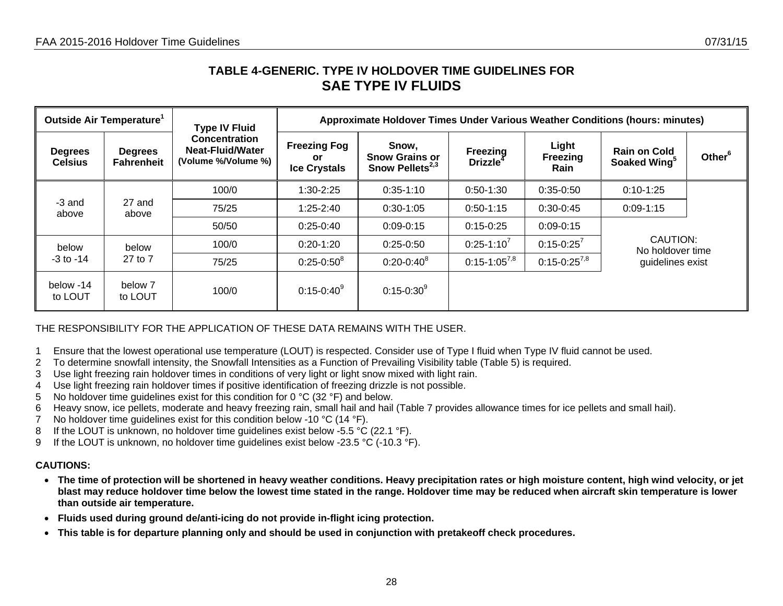### **TABLE 4-GENERIC. TYPE IV HOLDOVER TIME GUIDELINES FOR SAE TYPE IV FLUIDS**

|                                            | Outside Air Temperature <sup>1</sup> | <b>Type IV Fluid</b>                                                   |                                                   | Approximate Holdover Times Under Various Weather Conditions (hours: minutes) |                                                |                                                                                                                                                                                                                                                                    |                    |  |  |  |  |  |  |
|--------------------------------------------|--------------------------------------|------------------------------------------------------------------------|---------------------------------------------------|------------------------------------------------------------------------------|------------------------------------------------|--------------------------------------------------------------------------------------------------------------------------------------------------------------------------------------------------------------------------------------------------------------------|--------------------|--|--|--|--|--|--|
| <b>Degrees</b><br><b>Celsius</b>           | <b>Degrees</b><br><b>Fahrenheit</b>  | <b>Concentration</b><br><b>Neat-Fluid/Water</b><br>(Volume %/Volume %) | <b>Freezing Fog</b><br>or.<br><b>Ice Crystals</b> | Snow,<br><b>Snow Grains or</b><br>Snow Pellets <sup>2,3</sup>                | <b>Freezing</b><br><b>Drizzle</b> <sup>4</sup> | Light<br><b>Rain on Cold</b><br><b>Freezing</b><br>Soaked Wing <sup>5</sup><br>Rain<br>$0:35-0:50$<br>$0:10-1:25$<br>$0:30-0:45$<br>$0:09 - 1:15$<br>$0:09 - 0:15$<br>CAUTION:<br>$0:15 - 0:25^{7}$<br>No holdover time<br>$0:15 - 0:25^{7,8}$<br>guidelines exist | Other <sup>6</sup> |  |  |  |  |  |  |
|                                            |                                      | 100/0                                                                  | 1:30-2:25                                         | $0:35-1:10$                                                                  | $0:50-1:30$                                    |                                                                                                                                                                                                                                                                    |                    |  |  |  |  |  |  |
| -3 and<br>above                            | 27 and<br>above                      | 75/25                                                                  | $1:25 - 2:40$                                     | $0:30-1:05$                                                                  | $0:50-1:15$                                    |                                                                                                                                                                                                                                                                    |                    |  |  |  |  |  |  |
|                                            |                                      | 50/50                                                                  | $0:25-0:40$                                       | $0:09 - 0:15$                                                                | $0:15-0:25$                                    |                                                                                                                                                                                                                                                                    |                    |  |  |  |  |  |  |
| below                                      | below                                | 100/0                                                                  | $0:20-1:20$                                       | $0:25-0:50$                                                                  | $0:25-1:10'$                                   |                                                                                                                                                                                                                                                                    |                    |  |  |  |  |  |  |
| $-3$ to $-14$                              | 27 to 7                              | 75/25                                                                  | $0:25 - 0:50^8$                                   | $0:20 - 0:40^8$                                                              | $0:15-1:05^{7,8}$                              |                                                                                                                                                                                                                                                                    |                    |  |  |  |  |  |  |
| below -14<br>below 7<br>to LOUT<br>to LOUT |                                      | 100/0                                                                  | $0:15 - 0:40^9$                                   | $0:15 - 0:30^9$                                                              |                                                |                                                                                                                                                                                                                                                                    |                    |  |  |  |  |  |  |

### THE RESPONSIBILITY FOR THE APPLICATION OF THESE DATA REMAINS WITH THE USER.

- 1 Ensure that the lowest operational use temperature (LOUT) is respected. Consider use of Type I fluid when Type IV fluid cannot be used.
- 2 To determine snowfall intensity, the Snowfall Intensities as a Function of Prevailing Visibility table (Table 5) is required.
- 3 Use light freezing rain holdover times in conditions of very light or light snow mixed with light rain.
- 4 Use light freezing rain holdover times if positive identification of freezing drizzle is not possible.
- 5 No holdover time guidelines exist for this condition for 0 °C (32 °F) and below.
- 6 Heavy snow, ice pellets, moderate and heavy freezing rain, small hail and hail (Table 7 provides allowance times for ice pellets and small hail).
- 7 No holdover time guidelines exist for this condition below -10 °C (14 °F).
- 8 If the LOUT is unknown, no holdover time quidelines exist below -5.5 °C (22.1 °F).
- 9 If the LOUT is unknown, no holdover time guidelines exist below -23.5 °C (-10.3 °F).

- **The time of protection will be shortened in heavy weather conditions. Heavy precipitation rates or high moisture content, high wind velocity, or jet blast may reduce holdover time below the lowest time stated in the range. Holdover time may be reduced when aircraft skin temperature is lower than outside air temperature.**
- $\bullet$ **Fluids used during ground de/anti-icing do not provide in-flight icing protection.**
- <span id="page-27-0"></span>•**This table is for departure planning only and should be used in conjunction with pretakeoff check procedures.**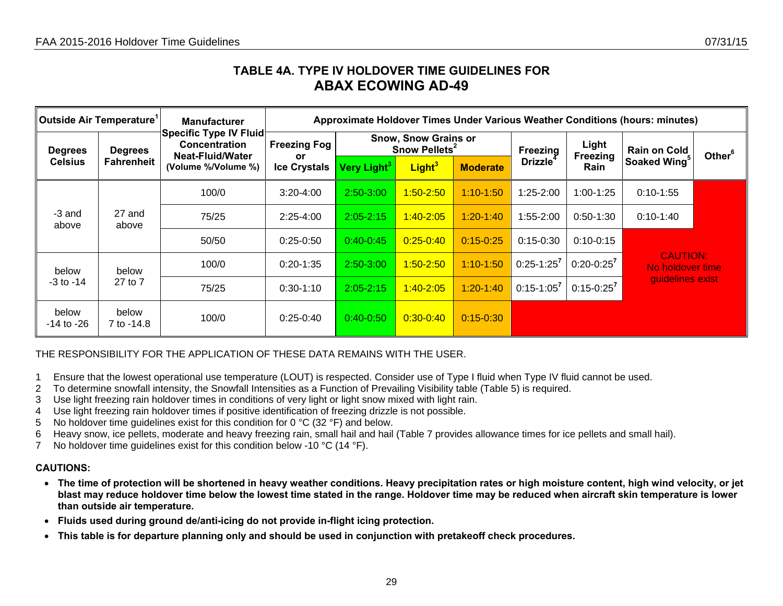## **TABLE 4A. TYPE IV HOLDOVER TIME GUIDELINES FOR ABAX ECOWING AD-49**

| $\,$ Outside Air Temperature $^{\rm 1}$ |                     | <b>Manufacturer</b>                                                                                     | Approximate Holdover Times Under Various Weather Conditions (hours: minutes) |                                                          |                    |                 |                             |                   |                                     |                    |  |  |
|-----------------------------------------|---------------------|---------------------------------------------------------------------------------------------------------|------------------------------------------------------------------------------|----------------------------------------------------------|--------------------|-----------------|-----------------------------|-------------------|-------------------------------------|--------------------|--|--|
| <b>Degrees</b><br><b>Celsius</b>        | <b>Degrees</b>      | <b>Specific Type IV Fluid</b><br><b>Concentration</b><br><b>Neat-Fluid/Water</b><br>(Volume %/Volume %) | <b>Freezing Fog</b><br><b>or</b>                                             | <b>Snow, Snow Grains or</b><br>Snow Pellets <sup>2</sup> |                    |                 | <b>Freezing</b>             | Light<br>Freezing | <b>Rain on Cold</b>                 | Other <sup>6</sup> |  |  |
|                                         | <b>Fahrenheit</b>   |                                                                                                         | <b>Ice Crystals</b>                                                          | Very Light <sup>3</sup>                                  | Light <sup>3</sup> | <b>Moderate</b> | <b>Drizzle</b> <sup>4</sup> | <b>Rain</b>       | Soaked Wing <sup>5</sup>            |                    |  |  |
|                                         |                     | 100/0                                                                                                   | $3:20 - 4:00$                                                                | $2:50 - 3:00$                                            | $1:50 - 2:50$      | $1:10 - 1:50$   | $1:25 - 2:00$               | $1:00-1:25$       | $0:10-1:55$                         |                    |  |  |
| -3 and<br>above                         | 27 and<br>above     | 75/25                                                                                                   | $2:25-4:00$                                                                  | $2:05 - 2:15$                                            | $1:40 - 2:05$      | $1:20-1:40$     | $1:55 - 2:00$               | $0:50-1:30$       | $0:10-1:40$                         |                    |  |  |
|                                         |                     | 50/50                                                                                                   | $0:25-0:50$                                                                  | $0:40-0:45$                                              | $0:25 - 0:40$      | $0:15 - 0:25$   | $0:15 - 0:30$               | $0:10-0:15$       |                                     |                    |  |  |
| below                                   | below               | 100/0                                                                                                   | $0:20 - 1:35$                                                                | $2:50-3:00$                                              | $1:50 - 2:50$      | $1:10-1:50$     | $0:25-1:25^7$               | $0:20-0:25^7$     | <b>CAUTION:</b><br>No holdover time |                    |  |  |
| $-3$ to $-14$                           | 27 to 7             | 75/25                                                                                                   | $0:30-1:10$                                                                  | $2:05 - 2:15$                                            | $1:40 - 2:05$      | $1:20 - 1:40$   | $0:15-1:05^7$               | $0:15-0:25^7$     | guidelines exist                    |                    |  |  |
| below<br>-14 to -26                     | below<br>7 to -14.8 | 100/0                                                                                                   | $0:25-0:40$                                                                  | $0:40-0:50$                                              | $0:30 - 0:40$      | $0:15 - 0:30$   |                             |                   |                                     |                    |  |  |

### THE RESPONSIBILITY FOR THE APPLICATION OF THESE DATA REMAINS WITH THE USER.

- 1 Ensure that the lowest operational use temperature (LOUT) is respected. Consider use of Type I fluid when Type IV fluid cannot be used.
- 2 To determine snowfall intensity, the Snowfall Intensities as a Function of Prevailing Visibility table (Table 5) is required.
- 3 Use light freezing rain holdover times in conditions of very light or light snow mixed with light rain.
- 4 Use light freezing rain holdover times if positive identification of freezing drizzle is not possible.
- 5 No holdover time guidelines exist for this condition for 0 °C (32 °F) and below.
- 6 Heavy snow, ice pellets, moderate and heavy freezing rain, small hail and hail (Table 7 provides allowance times for ice pellets and small hail).
- 7 No holdover time guidelines exist for this condition below -10 °C (14 °F).

- **The time of protection will be shortened in heavy weather conditions. Heavy precipitation rates or high moisture content, high wind velocity, or jet blast may reduce holdover time below the lowest time stated in the range. Holdover time may be reduced when aircraft skin temperature is lower than outside air temperature.**
- **Fluids used during ground de/anti-icing do not provide in-flight icing protection.**
- <span id="page-28-0"></span>• **This table is for departure planning only and should be used in conjunction with pretakeoff check procedures.**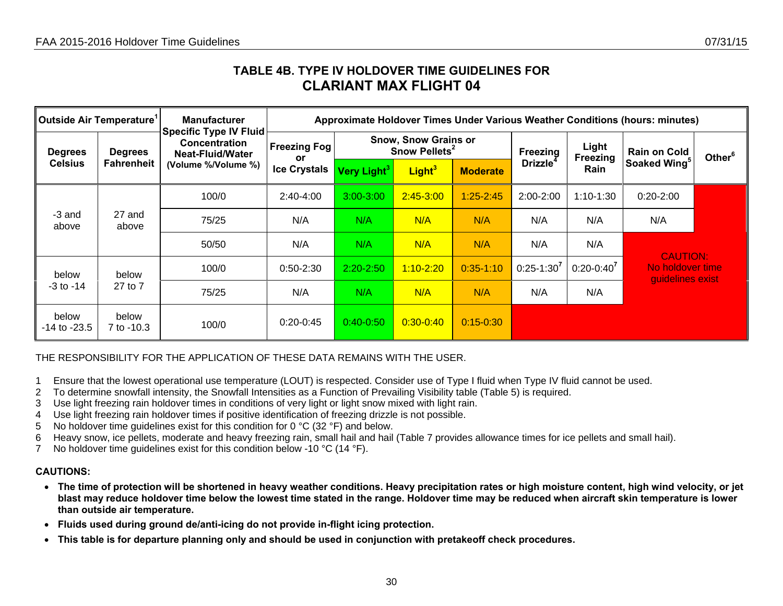### **TABLE 4B. TYPE IV HOLDOVER TIME GUIDELINES FOR CLARIANT MAX FLIGHT 04**

| ∥Outside Air Temperature <sup>1</sup> |                                     | <b>Manufacturer</b>                                                                                     | Approximate Holdover Times Under Various Weather Conditions (hours: minutes) |                         |                                                          |                 |                      |                          |                                      |                    |  |  |
|---------------------------------------|-------------------------------------|---------------------------------------------------------------------------------------------------------|------------------------------------------------------------------------------|-------------------------|----------------------------------------------------------|-----------------|----------------------|--------------------------|--------------------------------------|--------------------|--|--|
| <b>Degrees</b><br><b>Celsius</b>      | <b>Degrees</b><br><b>Fahrenheit</b> | <b>Specific Type IV Fluid</b><br><b>Concentration</b><br><b>Neat-Fluid/Water</b><br>(Volume %/Volume %) | <b>Freezing Fog!</b><br>or                                                   |                         | <b>Snow, Snow Grains or</b><br>Snow Pellets <sup>2</sup> |                 |                      | Light<br><b>Freezing</b> | <b>Rain on Cold</b>                  | Other <sup>6</sup> |  |  |
|                                       |                                     |                                                                                                         | <b>Ice Crystals</b>                                                          | Very Light <sup>3</sup> | Light <sup>3</sup>                                       | <b>Moderate</b> | Drizzle <sup>4</sup> | Rain                     | Soaked Wing <sup>5</sup>             |                    |  |  |
| -3 and<br>27 and<br>above<br>above    |                                     | 100/0                                                                                                   | $2:40-4:00$                                                                  | $3:00 - 3:00$           | $2:45 - 3:00$                                            | $1:25 - 2:45$   | $2:00 - 2:00$        | $1:10-1:30$              | $0:20 - 2:00$                        |                    |  |  |
|                                       |                                     | 75/25                                                                                                   | N/A                                                                          | N/A                     | N/A                                                      | N/A             | N/A                  | N/A                      | N/A                                  |                    |  |  |
|                                       |                                     | 50/50                                                                                                   | N/A                                                                          | N/A                     | N/A                                                      | N/A             | N/A                  | N/A                      | <b>CAUTION:</b>                      |                    |  |  |
| below                                 | below                               | 100/0                                                                                                   | $0:50 - 2:30$                                                                | $2:20 - 2:50$           | $1:10 - 2:20$                                            | $0:35 - 1:10$   | $0:25-1:30^7$        | $0:20-0:40^7$            | No holdover time<br>guidelines exist |                    |  |  |
| -3 to -14                             | 27 to 7                             | 75/25                                                                                                   | N/A                                                                          | N/A                     | N/A                                                      | N/A             | N/A                  | N/A                      |                                      |                    |  |  |
| below<br>$-14$ to $-23.5$             | below<br>7 to -10.3                 | 100/0                                                                                                   | $0:20-0:45$                                                                  | $0:40-0:50$             | $0:30 - 0:40$                                            | $0:15 - 0:30$   |                      |                          |                                      |                    |  |  |

THE RESPONSIBILITY FOR THE APPLICATION OF THESE DATA REMAINS WITH THE USER.

- 1 Ensure that the lowest operational use temperature (LOUT) is respected. Consider use of Type I fluid when Type IV fluid cannot be used.
- 2 To determine snowfall intensity, the Snowfall Intensities as a Function of Prevailing Visibility table (Table 5) is required.
- 3 Use light freezing rain holdover times in conditions of very light or light snow mixed with light rain.
- 4 Use light freezing rain holdover times if positive identification of freezing drizzle is not possible.
- 5 No holdover time guidelines exist for this condition for 0  $\degree$ C (32  $\degree$ F) and below.
- 6 Heavy snow, ice pellets, moderate and heavy freezing rain, small hail and hail (Table 7 provides allowance times for ice pellets and small hail).
- 7 No holdover time guidelines exist for this condition below -10 °C (14 °F).

- **The time of protection will be shortened in heavy weather conditions. Heavy precipitation rates or high moisture content, high wind velocity, or jet blast may reduce holdover time below the lowest time stated in the range. Holdover time may be reduced when aircraft skin temperature is lower than outside air temperature.**
- **Fluids used during ground de/anti-icing do not provide in-flight icing protection.**
- <span id="page-29-0"></span>• **This table is for departure planning only and should be used in conjunction with pretakeoff check procedures.**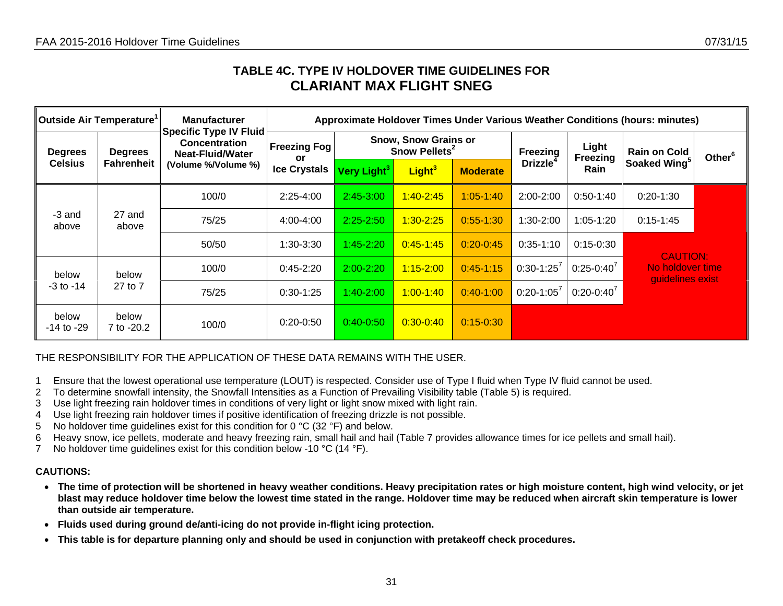## **TABLE 4C. TYPE IV HOLDOVER TIME GUIDELINES FOR CLARIANT MAX FLIGHT SNEG**

| Outside Air Temperature <sup>1</sup> |                                     | <b>Manufacturer</b>                                                                              | Approximate Holdover Times Under Various Weather Conditions (hours: minutes) |                         |                                                   |                 |                      |                          |                                      |                    |  |  |
|--------------------------------------|-------------------------------------|--------------------------------------------------------------------------------------------------|------------------------------------------------------------------------------|-------------------------|---------------------------------------------------|-----------------|----------------------|--------------------------|--------------------------------------|--------------------|--|--|
| <b>Degrees</b><br><b>Celsius</b>     | <b>Degrees</b><br><b>Fahrenheit</b> | <b>Specific Type IV Fluid</b><br><b>Concentration</b><br>Neat-Fluid/Water<br>(Volume %/Volume %) | <b>Freezing Fog</b><br>or                                                    |                         | Snow, Snow Grains or<br>Snow Pellets <sup>2</sup> |                 |                      | Light<br><b>Freezing</b> | <b>Rain on Cold</b>                  | Other <sup>6</sup> |  |  |
|                                      |                                     |                                                                                                  | <b>Ice Crystals</b>                                                          | Very Light <sup>3</sup> | Light <sup>3</sup>                                | <b>Moderate</b> | Drizzle <sup>4</sup> | <b>Rain</b>              | Soaked Wing <sup>5</sup>             |                    |  |  |
|                                      | 100/0                               | $2:25-4:00$                                                                                      | $2:45-3:00$                                                                  | $1:40 - 2:45$           | $1:05 - 1:40$                                     | 2:00-2:00       | $0:50-1:40$          | $0:20-1:30$              |                                      |                    |  |  |
| -3 and<br>above                      | 27 and<br>above                     | 75/25                                                                                            | 4:00-4:00                                                                    | $2:25 - 2:50$           | $1:30 - 2:25$                                     | $0.55 - 1.30$   | $1:30-2:00$          | $1:05 - 1:20$            | $0:15 - 1:45$                        |                    |  |  |
|                                      |                                     | 50/50                                                                                            | 1:30-3:30                                                                    | $1:45 - 2:20$           | $0:45 - 1:45$                                     | $0:20 - 0:45$   | $0:35-1:10$          | $0:15 - 0:30$            | <b>CAUTION:</b>                      |                    |  |  |
| below                                | below                               | 100/0                                                                                            | $0:45 - 2:20$                                                                | $2:00 - 2:20$           | $1:15 - 2:00$                                     | $0:45-1:15$     | $0:30-1:25^7$        | $0:25-0:40^7$            | No holdover time<br>guidelines exist |                    |  |  |
| -3 to -14                            | 27 to 7                             | 75/25                                                                                            | $0:30-1:25$                                                                  | $1:40 - 2:00$           | $1:00 - 1:40$                                     | $0:40-1:00$     | $0:20 - 1:05^7$      | $0:20-0:40^7$            |                                      |                    |  |  |
| below<br>-14 to -29                  | below<br>7 to -20.2                 | 100/0                                                                                            | $0:20-0:50$                                                                  | $0:40 - 0:50$           | $0:30 - 0:40$                                     | $0:15 - 0:30$   |                      |                          |                                      |                    |  |  |

THE RESPONSIBILITY FOR THE APPLICATION OF THESE DATA REMAINS WITH THE USER.

- 1 Ensure that the lowest operational use temperature (LOUT) is respected. Consider use of Type I fluid when Type IV fluid cannot be used.
- 2 To determine snowfall intensity, the Snowfall Intensities as a Function of Prevailing Visibility table (Table 5) is required.
- 3 Use light freezing rain holdover times in conditions of very light or light snow mixed with light rain.
- 4 Use light freezing rain holdover times if positive identification of freezing drizzle is not possible.
- 5 No holdover time guidelines exist for this condition for 0  $\degree$ C (32  $\degree$ F) and below.
- 6 Heavy snow, ice pellets, moderate and heavy freezing rain, small hail and hail (Table 7 provides allowance times for ice pellets and small hail).
- 7 No holdover time guidelines exist for this condition below -10 °C (14 °F).

- **The time of protection will be shortened in heavy weather conditions. Heavy precipitation rates or high moisture content, high wind velocity, or jet blast may reduce holdover time below the lowest time stated in the range. Holdover time may be reduced when aircraft skin temperature is lower than outside air temperature.**
- **Fluids used during ground de/anti-icing do not provide in-flight icing protection.**
- <span id="page-30-0"></span>• **This table is for departure planning only and should be used in conjunction with pretakeoff check procedures.**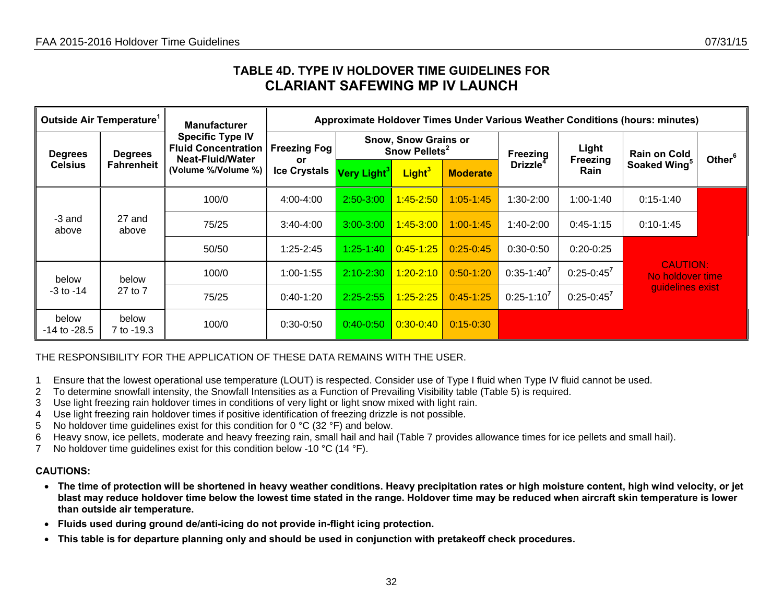## **TABLE 4D. TYPE IV HOLDOVER TIME GUIDELINES FOR CLARIANT SAFEWING MP IV LAUNCH**

| Outside Air Temperature <sup>1</sup> |                                     | <b>Manufacturer</b>                                                                              | Approximate Holdover Times Under Various Weather Conditions (hours: minutes) |                 |                                                          |                 |                |                          |                                     |                    |  |  |
|--------------------------------------|-------------------------------------|--------------------------------------------------------------------------------------------------|------------------------------------------------------------------------------|-----------------|----------------------------------------------------------|-----------------|----------------|--------------------------|-------------------------------------|--------------------|--|--|
| <b>Degrees</b><br><b>Celsius</b>     | <b>Degrees</b><br><b>Fahrenheit</b> | <b>Specific Type IV</b><br><b>Fluid Concentration</b><br>Neat-Fluid/Water<br>(Volume %/Volume %) | <b>Freezing Fog</b><br><b>or</b>                                             |                 | <b>Snow, Snow Grains or</b><br>Snow Pellets <sup>2</sup> |                 |                | Light<br><b>Freezing</b> | <b>Rain on Cold</b>                 | Other <sup>6</sup> |  |  |
|                                      |                                     |                                                                                                  | <b>Ice Crystals</b>                                                          | Very Light $^3$ | Light <sup>3</sup>                                       | <b>Moderate</b> | <b>Drizzle</b> | Rain                     | Soaked Wing <sup>5</sup>            |                    |  |  |
| -3 and<br>27 and<br>above<br>above   |                                     | 100/0                                                                                            | 4:00-4:00                                                                    | $2:50 - 3:00$   | $1:45 - 2:50$                                            | $1:05 - 1:45$   | $1:30-2:00$    | $1:00-1:40$              | $0:15 - 1:40$                       |                    |  |  |
|                                      |                                     | 75/25                                                                                            | $3:40-4:00$                                                                  | $3:00 - 3:00$   | $1:45 - 3:00$                                            | $1:00 - 1:45$   | $1:40-2:00$    | $0:45-1:15$              | $0:10-1:45$                         |                    |  |  |
|                                      |                                     | 50/50                                                                                            | $1:25 - 2:45$                                                                | $1:25 - 1:40$   | <u>0:45-1:25</u>                                         | $0:25-0:45$     | $0:30-0:50$    | $0:20-0:25$              |                                     |                    |  |  |
| below                                | below                               | 100/0                                                                                            | $1:00-1:55$                                                                  | $2:10 - 2:30$   | $1:20 - 2:10$                                            | $0:50-1:20$     | $0:35-1:40'$   | $0:25 - 0:45^7$          | <b>CAUTION:</b><br>No holdover time |                    |  |  |
| $-3$ to $-14$                        | 27 to 7                             | 75/25                                                                                            | $0:40-1:20$                                                                  | $2:25 - 2:55$   | $1:25 - 2:25$                                            | $0:45-1:25$     | $0:25-1:10^7$  | $0:25 - 0:45^7$          | guidelines exist                    |                    |  |  |
| below<br>$-14$ to $-28.5$            | below<br>7 to -19.3                 | 100/0                                                                                            | $0:30-0:50$                                                                  | $0:40-0:50$     | $0:30-0:40$                                              | $0:15 - 0:30$   |                |                          |                                     |                    |  |  |

THE RESPONSIBILITY FOR THE APPLICATION OF THESE DATA REMAINS WITH THE USER.

- 1 Ensure that the lowest operational use temperature (LOUT) is respected. Consider use of Type I fluid when Type IV fluid cannot be used.
- 2 To determine snowfall intensity, the Snowfall Intensities as a Function of Prevailing Visibility table (Table 5) is required.
- 3 Use light freezing rain holdover times in conditions of very light or light snow mixed with light rain.
- 4 Use light freezing rain holdover times if positive identification of freezing drizzle is not possible.
- 5 No holdover time guidelines exist for this condition for 0 °C (32 °F) and below.
- 6 Heavy snow, ice pellets, moderate and heavy freezing rain, small hail and hail (Table 7 provides allowance times for ice pellets and small hail).
- 7 No holdover time guidelines exist for this condition below -10 °C (14 °F).

- **The time of protection will be shortened in heavy weather conditions. Heavy precipitation rates or high moisture content, high wind velocity, or jet blast may reduce holdover time below the lowest time stated in the range. Holdover time may be reduced when aircraft skin temperature is lower than outside air temperature.**
- **Fluids used during ground de/anti-icing do not provide in-flight icing protection.**
- <span id="page-31-0"></span>• **This table is for departure planning only and should be used in conjunction with pretakeoff check procedures.**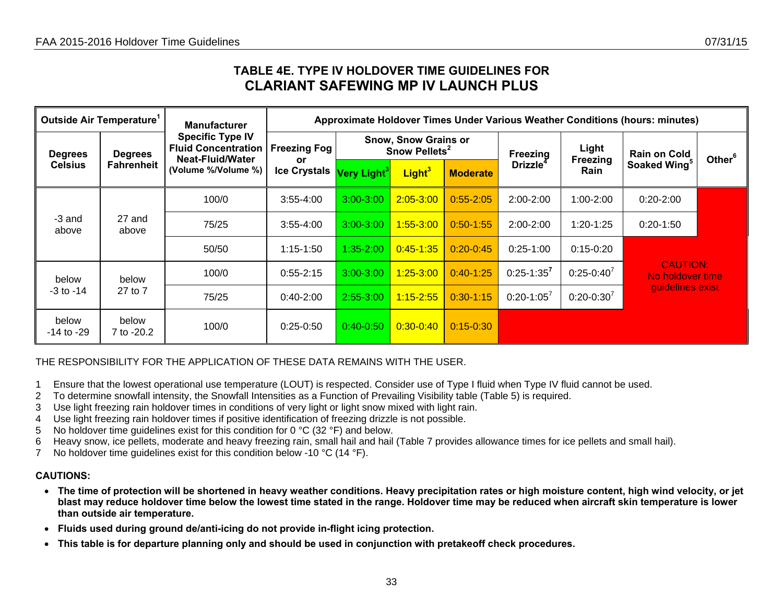### **TABLE 4E. TYPE IV HOLDOVER TIME GUIDELINES FOR CLARIANT SAFEWING MP IV LAUNCH PLUS**

| Outside Air Temperature <sup>1</sup> |                                     | <b>Manufacturer</b>                                                                                     | Approximate Holdover Times Under Various Weather Conditions (hours: minutes) |                                                          |                    |                 |                      |                          |                                     |                    |  |  |
|--------------------------------------|-------------------------------------|---------------------------------------------------------------------------------------------------------|------------------------------------------------------------------------------|----------------------------------------------------------|--------------------|-----------------|----------------------|--------------------------|-------------------------------------|--------------------|--|--|
| <b>Degrees</b><br><b>Celsius</b>     | <b>Degrees</b><br><b>Fahrenheit</b> | <b>Specific Type IV</b><br><b>Fluid Concentration</b><br><b>Neat-Fluid/Water</b><br>(Volume %/Volume %) | <b>Freezing Fog</b><br><b>or</b>                                             | <b>Snow, Snow Grains or</b><br>Snow Pellets <sup>2</sup> |                    |                 | Freezing             | Light<br><b>Freezing</b> | <b>Rain on Cold</b>                 | Other <sup>6</sup> |  |  |
|                                      |                                     |                                                                                                         | <b>Ice Crystals</b>                                                          | Very Light <sup>3</sup>                                  | Light <sup>3</sup> | <b>Moderate</b> | Drizzle <sup>-</sup> | Rain                     | Soaked Wing <sup>5</sup>            |                    |  |  |
| -3 and<br>27 and<br>above<br>above   |                                     | 100/0                                                                                                   | $3:55 - 4:00$                                                                | $3:00 - 3:00$                                            | $2:05 - 3:00$      | $0:55 - 2:05$   | $2:00 - 2:00$        | $1:00 - 2:00$            | $0:20 - 2:00$                       |                    |  |  |
|                                      |                                     | 75/25                                                                                                   | $3:55 - 4:00$                                                                | $3:00 - 3:00$                                            | $1:55 - 3:00$      | $0:50 - 1:55$   | $2:00 - 2:00$        | $1:20-1:25$              | $0:20-1:50$                         |                    |  |  |
|                                      |                                     | 50/50                                                                                                   | $1:15 - 1:50$                                                                | $1:35 - 2:00$                                            | $0:45 - 1:35$      | $0:20 - 0:45$   | $0:25-1:00$          | $0:15-0:20$              |                                     |                    |  |  |
| below                                | below                               | 100/0                                                                                                   | $0:55 - 2:15$                                                                | $3:00 - 3:00$                                            | $1:25 - 3:00$      | $0:40-1:25$     | $0:25 - 1:35^7$      | $0:25-0:40^7$            | <b>CAUTION:</b><br>No holdover time |                    |  |  |
| $-3$ to $-14$                        | 27 to 7                             | 75/25                                                                                                   | $0:40 - 2:00$                                                                | 2:55-3:00                                                | $1:15 - 2:55$      | $0:30-1:15$     | $0:20-1:05^7$        | $0:20 - 0:30^{7}$        | guidelines exist                    |                    |  |  |
| below<br>-14 to -29                  | below<br>7 to -20.2                 | 100/0                                                                                                   | $0:25-0:50$                                                                  | $0:40-0:50$                                              | $0:30-0:40$        | $0:15 - 0:30$   |                      |                          |                                     |                    |  |  |

THE RESPONSIBILITY FOR THE APPLICATION OF THESE DATA REMAINS WITH THE USER.

- 1 Ensure that the lowest operational use temperature (LOUT) is respected. Consider use of Type I fluid when Type IV fluid cannot be used.
- 2 To determine snowfall intensity, the Snowfall Intensities as a Function of Prevailing Visibility table (Table 5) is required.
- 3 Use light freezing rain holdover times in conditions of very light or light snow mixed with light rain.
- 4 Use light freezing rain holdover times if positive identification of freezing drizzle is not possible.
- 5 No holdover time guidelines exist for this condition for 0 °C (32 °F) and below.
- 6 Heavy snow, ice pellets, moderate and heavy freezing rain, small hail and hail (Table 7 provides allowance times for ice pellets and small hail).
- 7 No holdover time guidelines exist for this condition below -10 °C (14 °F).

- **The time of protection will be shortened in heavy weather conditions. Heavy precipitation rates or high moisture content, high wind velocity, or jet blast may reduce holdover time below the lowest time stated in the range. Holdover time may be reduced when aircraft skin temperature is lower than outside air temperature.**
- **Fluids used during ground de/anti-icing do not provide in-flight icing protection.**
- <span id="page-32-0"></span>• **This table is for departure planning only and should be used in conjunction with pretakeoff check procedures.**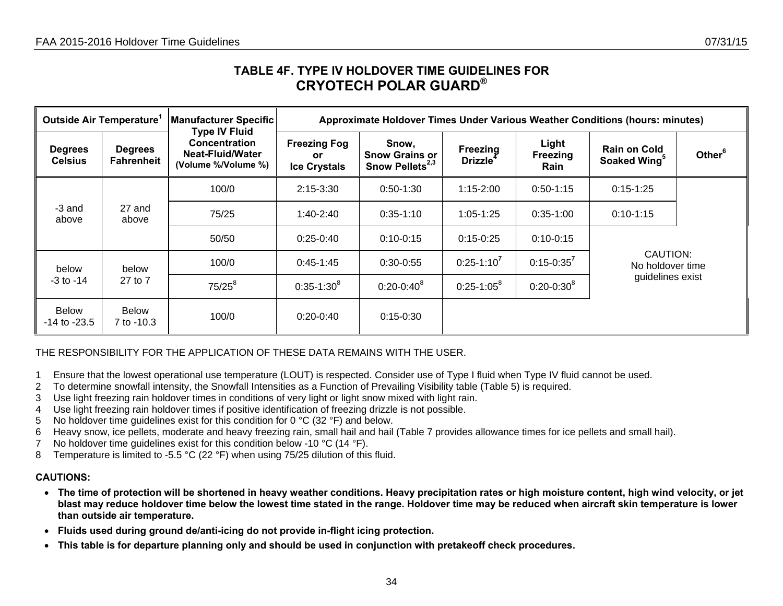## **TABLE 4F. TYPE IV HOLDOVER TIME GUIDELINES FOR CRYOTECH POLAR GUARD®**

| Outside Air Temperature <sup>1</sup> |                                     | Manufacturer Specific<br><b>Type IV Fluid</b>                   | Approximate Holdover Times Under Various Weather Conditions (hours: minutes) |                                                               |                                                |                                  |                                                 |                    |  |  |  |  |
|--------------------------------------|-------------------------------------|-----------------------------------------------------------------|------------------------------------------------------------------------------|---------------------------------------------------------------|------------------------------------------------|----------------------------------|-------------------------------------------------|--------------------|--|--|--|--|
| <b>Degrees</b><br><b>Celsius</b>     | <b>Degrees</b><br><b>Fahrenheit</b> | <b>Concentration</b><br>Neat-Fluid/Water<br>(Volume %/Volume %) | <b>Freezing Fog</b><br>or.<br><b>Ice Crystals</b>                            | Snow,<br><b>Snow Grains or</b><br>Snow Pellets <sup>2,3</sup> | <b>Freezing</b><br><b>Drizzle</b> <sup>4</sup> | Light<br><b>Freezing</b><br>Rain | <b>Rain on Cold</b><br>Soaked Wing <sup>5</sup> | Other <sup>6</sup> |  |  |  |  |
| -3 and<br>above                      |                                     | 100/0                                                           | $2:15 - 3:30$                                                                | $0:50-1:30$                                                   | $1:15 - 2:00$                                  | $0:50-1:15$                      | $0:15-1:25$                                     |                    |  |  |  |  |
|                                      | 27 and<br>above                     | 75/25                                                           | $1:40-2:40$                                                                  | $0:35-1:10$                                                   | $1:05 - 1:25$                                  | $0:35-1:00$                      | $0:10-1:15$                                     |                    |  |  |  |  |
|                                      |                                     | 50/50                                                           | $0:25-0:40$                                                                  | $0:10-0:15$                                                   | $0:15 - 0:25$                                  | $0:10-0:15$                      |                                                 |                    |  |  |  |  |
| below                                | below                               | 100/0                                                           | $0:45-1:45$                                                                  | $0:30-0:55$                                                   | $0:25-1:10^7$                                  | $0:15 - 0:35^{7}$                | CAUTION:<br>No holdover time                    |                    |  |  |  |  |
| $-3$ to $-14$                        | 27 to 7                             | $75/25^{8}$                                                     | $0:35-1:30^{8}$                                                              | $0:20 - 0:40^8$                                               | $0:25-1:05^8$                                  | $0:20 - 0:30^8$                  | guidelines exist                                |                    |  |  |  |  |
| <b>Below</b><br>$-14$ to $-23.5$     | <b>Below</b><br>7 to -10.3          | 100/0                                                           | $0:20-0:40$                                                                  | $0:15-0:30$                                                   |                                                |                                  |                                                 |                    |  |  |  |  |

### THE RESPONSIBILITY FOR THE APPLICATION OF THESE DATA REMAINS WITH THE USER.

- 1 Ensure that the lowest operational use temperature (LOUT) is respected. Consider use of Type I fluid when Type IV fluid cannot be used.
- 2 To determine snowfall intensity, the Snowfall Intensities as a Function of Prevailing Visibility table (Table 5) is required.
- 3 Use light freezing rain holdover times in conditions of very light or light snow mixed with light rain.
- 4 Use light freezing rain holdover times if positive identification of freezing drizzle is not possible.
- 5 No holdover time guidelines exist for this condition for 0  $^{\circ}$ C (32  $^{\circ}$ F) and below.
- 6 Heavy snow, ice pellets, moderate and heavy freezing rain, small hail and hail (Table 7 provides allowance times for ice pellets and small hail).
- 7 No holdover time quidelines exist for this condition below -10 °C (14 °F).
- 8 Temperature is limited to -5.5 °C (22 °F) when using 75/25 dilution of this fluid.

- **The time of protection will be shortened in heavy weather conditions. Heavy precipitation rates or high moisture content, high wind velocity, or jet blast may reduce holdover time below the lowest time stated in the range. Holdover time may be reduced when aircraft skin temperature is lower than outside air temperature.**
- **Fluids used during ground de/anti-icing do not provide in-flight icing protection.**
- <span id="page-33-0"></span>• **This table is for departure planning only and should be used in conjunction with pretakeoff check procedures.**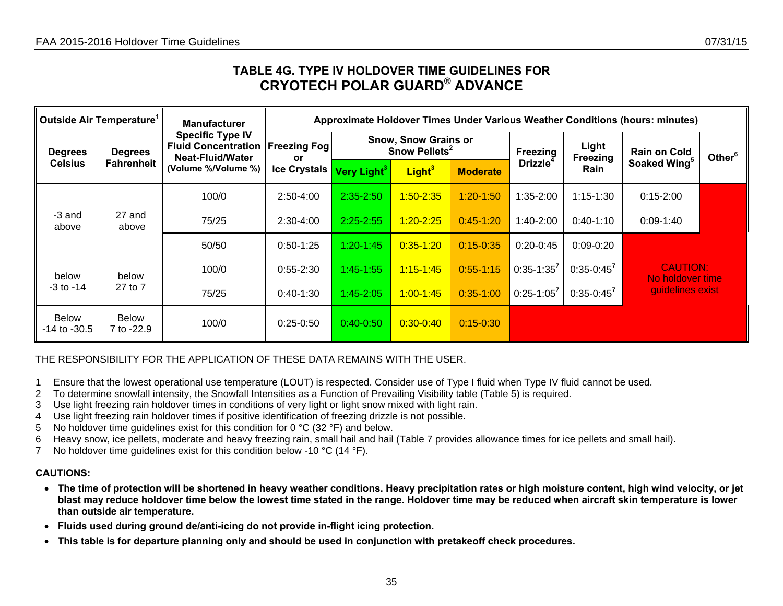## **TABLE 4G. TYPE IV HOLDOVER TIME GUIDELINES FOR CRYOTECH POLAR GUARD® ADVANCE**

| Outside Air Temperature <sup>1</sup> |                                     | <b>Manufacturer</b>                                                                              | Approximate Holdover Times Under Various Weather Conditions (hours: minutes) |                         |                                                          |                 |                             |                   |                                     |                    |  |  |
|--------------------------------------|-------------------------------------|--------------------------------------------------------------------------------------------------|------------------------------------------------------------------------------|-------------------------|----------------------------------------------------------|-----------------|-----------------------------|-------------------|-------------------------------------|--------------------|--|--|
| <b>Degrees</b><br><b>Celsius</b>     | <b>Degrees</b><br><b>Fahrenheit</b> | <b>Specific Type IV</b><br><b>Fluid Concentration</b><br>Neat-Fluid/Water<br>(Volume %/Volume %) | <b>Freezing Fog</b><br>or.                                                   |                         | <b>Snow, Snow Grains or</b><br>Snow Pellets <sup>2</sup> |                 |                             | Light<br>Freezing | <b>Rain on Cold</b>                 | Other <sup>6</sup> |  |  |
|                                      |                                     |                                                                                                  | <b>Ice Crystals</b>                                                          | Very Light <sup>3</sup> | Light <sup>3</sup>                                       | <b>Moderate</b> | <b>Drizzle</b> <sup>4</sup> | Rain              | Soaked Wing <sup>5</sup>            |                    |  |  |
| -3 and<br>27 and<br>above<br>above   | 100/0                               | 2:50-4:00                                                                                        | $2:35 - 2:50$                                                                | $1:50 - 2:35$           | $1:20-1:50$                                              | 1:35-2:00       | $1:15 - 1:30$               | $0:15 - 2:00$     |                                     |                    |  |  |
|                                      |                                     | 75/25                                                                                            | $2:30-4:00$                                                                  | $2:25 - 2:55$           | $1:20 - 2:25$                                            | $0:45-1:20$     | 1:40-2:00                   | $0:40-1:10$       | $0:09 - 1:40$                       |                    |  |  |
|                                      |                                     | 50/50                                                                                            | $0:50-1:25$                                                                  | $1:20 - 1:45$           | $0:35 - 1:20$                                            | $0:15 - 0:35$   | $0:20-0:45$                 | $0:09-0:20$       |                                     |                    |  |  |
| below                                | below                               | 100/0                                                                                            | $0:55 - 2:30$                                                                | $1:45 - 1:55$           | $1:15 - 1:45$                                            | $0:55-1:15$     | $0:35-1:35^7$               | $0:35-0:45^7$     | <b>CAUTION:</b><br>No holdover time |                    |  |  |
| $-3$ to $-14$                        | 27 to 7                             | 75/25                                                                                            | $0:40-1:30$                                                                  | 1:45-2:05               | $1.00 - 1.45$                                            | $0:35-1:00$     | $0:25-1:05$                 | $0:35 - 0:45^7$   | guidelines exist                    |                    |  |  |
| <b>Below</b><br>$-14$ to $-30.5$     | <b>Below</b><br>7 to -22.9          | 100/0                                                                                            | $0:25-0:50$                                                                  | $0:40-0:50$             | $0:30 - 0:40$                                            | $0:15 - 0:30$   |                             |                   |                                     |                    |  |  |

### THE RESPONSIBILITY FOR THE APPLICATION OF THESE DATA REMAINS WITH THE USER.

- 1 Ensure that the lowest operational use temperature (LOUT) is respected. Consider use of Type I fluid when Type IV fluid cannot be used.
- 2 To determine snowfall intensity, the Snowfall Intensities as a Function of Prevailing Visibility table (Table 5) is required.
- 3 Use light freezing rain holdover times in conditions of very light or light snow mixed with light rain.
- 4 Use light freezing rain holdover times if positive identification of freezing drizzle is not possible.
- 5 No holdover time guidelines exist for this condition for 0 °C (32 °F) and below.
- 6 Heavy snow, ice pellets, moderate and heavy freezing rain, small hail and hail (Table 7 provides allowance times for ice pellets and small hail).
- 7 No holdover time guidelines exist for this condition below -10 °C (14 °F).

- **The time of protection will be shortened in heavy weather conditions. Heavy precipitation rates or high moisture content, high wind velocity, or jet blast may reduce holdover time below the lowest time stated in the range. Holdover time may be reduced when aircraft skin temperature is lower than outside air temperature.**
- $\bullet$ **Fluids used during ground de/anti-icing do not provide in-flight icing protection.**
- <span id="page-34-0"></span>•**This table is for departure planning only and should be used in conjunction with pretakeoff check procedures.**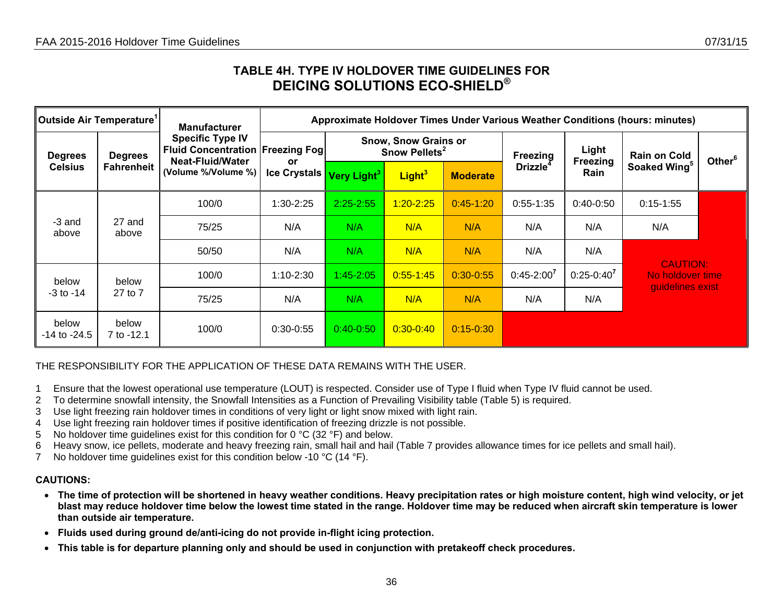## **TABLE 4H. TYPE IV HOLDOVER TIME GUIDELINES FOR DEICING SOLUTIONS ECO-SHIELD®**

| Outside Air Temperature <sup>1</sup> |                                     | <b>Manufacturer</b>                                                                                            | Approximate Holdover Times Under Various Weather Conditions (hours: minutes) |                         |                                                          |                 |                            |                   |                                                         |                    |  |  |
|--------------------------------------|-------------------------------------|----------------------------------------------------------------------------------------------------------------|------------------------------------------------------------------------------|-------------------------|----------------------------------------------------------|-----------------|----------------------------|-------------------|---------------------------------------------------------|--------------------|--|--|
| <b>Degrees</b><br><b>Celsius</b>     | <b>Degrees</b><br><b>Fahrenheit</b> | <b>Specific Type IV</b><br><b>Fluid Concentration Freezing Fogl</b><br>Neat-Fluid/Water<br>(Volume %/Volume %) | <b>or</b>                                                                    |                         | <b>Snow, Snow Grains or</b><br>Snow Pellets <sup>2</sup> |                 | Freezing<br><b>Drizzle</b> | Light<br>Freezing | <b>Rain on Cold</b>                                     | Other <sup>6</sup> |  |  |
|                                      |                                     |                                                                                                                | <b>Ice Crystals</b>                                                          | Very Light <sup>3</sup> | Light <sup>3</sup>                                       | <b>Moderate</b> |                            | Rain              | Soaked Wing <sup>5</sup>                                |                    |  |  |
| -3 and<br>27 and<br>above<br>above   |                                     | 100/0                                                                                                          | 1:30-2:25                                                                    | $2:25 - 2:55$           | $1:20 - 2:25$                                            | $0:45-1:20$     | $0:55-1:35$                | $0:40-0:50$       | $0:15-1:55$                                             |                    |  |  |
|                                      |                                     | 75/25                                                                                                          | N/A                                                                          | N/A                     | N/A                                                      | N/A             | N/A                        | N/A               | N/A                                                     |                    |  |  |
|                                      |                                     | 50/50                                                                                                          | N/A                                                                          | N/A                     | N/A                                                      | N/A             | N/A                        | N/A               |                                                         |                    |  |  |
| below                                | below                               | 100/0                                                                                                          | $1:10-2:30$                                                                  | $1:45 - 2:05$           | $0:55 - 1:45$                                            | $0:30 - 0:55$   | $0:45 - 2:00^7$            | $0:25-0:40^7$     | <b>CAUTION:</b><br>No holdover time<br>guidelines exist |                    |  |  |
| $-3$ to $-14$                        | 27 to 7                             | 75/25                                                                                                          | N/A                                                                          | N/A                     | N/A                                                      | N/A             | N/A                        | N/A               |                                                         |                    |  |  |
| below<br>$-14$ to $-24.5$            | below<br>7 to -12.1                 | 100/0                                                                                                          | $0:30-0:55$                                                                  | $0:40-0:50$             | $0:30-0:40$                                              | $0:15 - 0:30$   |                            |                   |                                                         |                    |  |  |

### THE RESPONSIBILITY FOR THE APPLICATION OF THESE DATA REMAINS WITH THE USER.

- 1 Ensure that the lowest operational use temperature (LOUT) is respected. Consider use of Type I fluid when Type IV fluid cannot be used.
- 2 To determine snowfall intensity, the Snowfall Intensities as a Function of Prevailing Visibility table (Table 5) is required.
- 3 Use light freezing rain holdover times in conditions of very light or light snow mixed with light rain.
- 4 Use light freezing rain holdover times if positive identification of freezing drizzle is not possible.
- 5 No holdover time guidelines exist for this condition for 0  $^{\circ}$ C (32  $^{\circ}$ F) and below.
- 6 Heavy snow, ice pellets, moderate and heavy freezing rain, small hail and hail (Table 7 provides allowance times for ice pellets and small hail).
- 7 No holdover time guidelines exist for this condition below -10 °C (14 °F).

- **The time of protection will be shortened in heavy weather conditions. Heavy precipitation rates or high moisture content, high wind velocity, or jet blast may reduce holdover time below the lowest time stated in the range. Holdover time may be reduced when aircraft skin temperature is lower than outside air temperature.**
- **Fluids used during ground de/anti-icing do not provide in-flight icing protection.**
- <span id="page-35-0"></span>• **This table is for departure planning only and should be used in conjunction with pretakeoff check procedures.**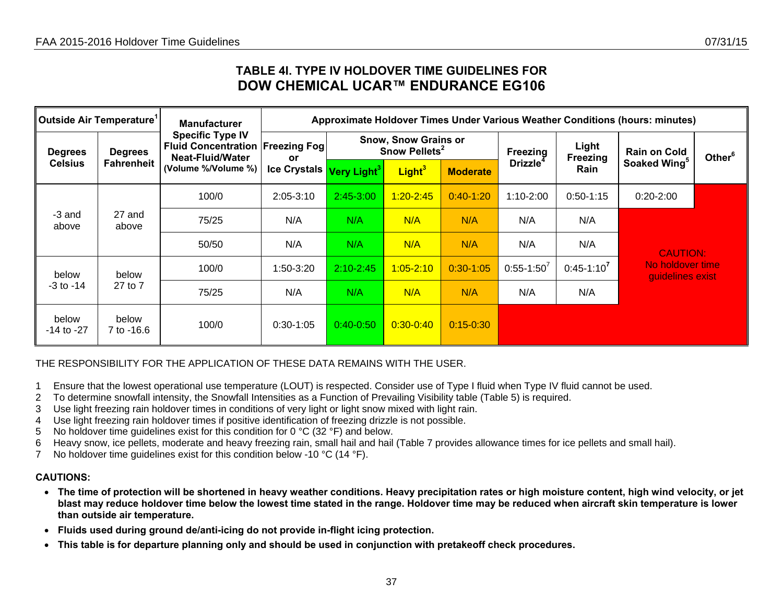## **TABLE 4I. TYPE IV HOLDOVER TIME GUIDELINES FOR DOW CHEMICAL UCAR™ ENDURANCE EG106**

| Outside Air Temperature <sup>1</sup> |                     | <b>Manufacturer</b>                                                                     | Approximate Holdover Times Under Various Weather Conditions (hours: minutes) |                                                          |                    |                 |                      |                          |                                      |                    |  |  |
|--------------------------------------|---------------------|-----------------------------------------------------------------------------------------|------------------------------------------------------------------------------|----------------------------------------------------------|--------------------|-----------------|----------------------|--------------------------|--------------------------------------|--------------------|--|--|
| <b>Degrees</b>                       | <b>Degrees</b>      | <b>Specific Type IV</b><br><b>Fluid Concentration Freezing Fog.</b><br>Neat-Fluid/Water | or                                                                           | <b>Snow, Snow Grains or</b><br>Snow Pellets <sup>2</sup> |                    |                 | Freezing             | Light<br><b>Freezing</b> | <b>Rain on Cold</b>                  | Other <sup>6</sup> |  |  |
| <b>Celsius</b>                       | Fahrenheit          | (Volume %/Volume %)                                                                     | Ice Crystals Very Light <sup>3</sup>                                         |                                                          | Light <sup>3</sup> | <b>Moderate</b> | Drizzle <sup>4</sup> | Rain                     | Soaked Wing <sup>5</sup>             |                    |  |  |
|                                      |                     | 100/0                                                                                   | $2:05 - 3:10$                                                                | 2:45-3:00                                                | $1:20 - 2:45$      | $0:40-1:20$     | $1:10-2:00$          | $0:50-1:15$              | $0:20-2:00$                          |                    |  |  |
| -3 and<br>above                      | 27 and<br>above     | 75/25                                                                                   | N/A                                                                          | N/A                                                      | N/A                | N/A             | N/A                  | N/A                      |                                      |                    |  |  |
|                                      |                     | 50/50                                                                                   | N/A                                                                          | N/A                                                      | N/A                | N/A             | N/A                  | N/A                      | <b>CAUTION:</b>                      |                    |  |  |
| below                                | below               | 100/0                                                                                   | 1:50-3:20                                                                    | $2:10 - 2:45$                                            | $1:05 - 2:10$      | $0:30-1:05$     | $0:55-1:50'$         | $0:45-1:10^7$            | No holdover time<br>quidelines exist |                    |  |  |
| -3 to -14                            | 27 to 7             | 75/25                                                                                   | N/A                                                                          | N/A                                                      | N/A                | N/A             | N/A                  | N/A                      |                                      |                    |  |  |
| below<br>$-14$ to $-27$              | below<br>7 to -16.6 | 100/0                                                                                   | $0:30-1:05$                                                                  | $0:40-0:50$                                              | $0:30 - 0:40$      | $0:15 - 0:30$   |                      |                          |                                      |                    |  |  |

### THE RESPONSIBILITY FOR THE APPLICATION OF THESE DATA REMAINS WITH THE USER.

- 1 Ensure that the lowest operational use temperature (LOUT) is respected. Consider use of Type I fluid when Type IV fluid cannot be used.
- 2 To determine snowfall intensity, the Snowfall Intensities as a Function of Prevailing Visibility table (Table 5) is required.
- 3 Use light freezing rain holdover times in conditions of very light or light snow mixed with light rain.
- 4 Use light freezing rain holdover times if positive identification of freezing drizzle is not possible.
- 5 No holdover time guidelines exist for this condition for 0 °C (32 °F) and below.
- 6 Heavy snow, ice pellets, moderate and heavy freezing rain, small hail and hail (Table 7 provides allowance times for ice pellets and small hail).
- 7 No holdover time guidelines exist for this condition below -10 °C (14 °F).

- **The time of protection will be shortened in heavy weather conditions. Heavy precipitation rates or high moisture content, high wind velocity, or jet blast may reduce holdover time below the lowest time stated in the range. Holdover time may be reduced when aircraft skin temperature is lower than outside air temperature.**
- **Fluids used during ground de/anti-icing do not provide in-flight icing protection.**
- **This table is for departure planning only and should be used in conjunction with pretakeoff check procedures.**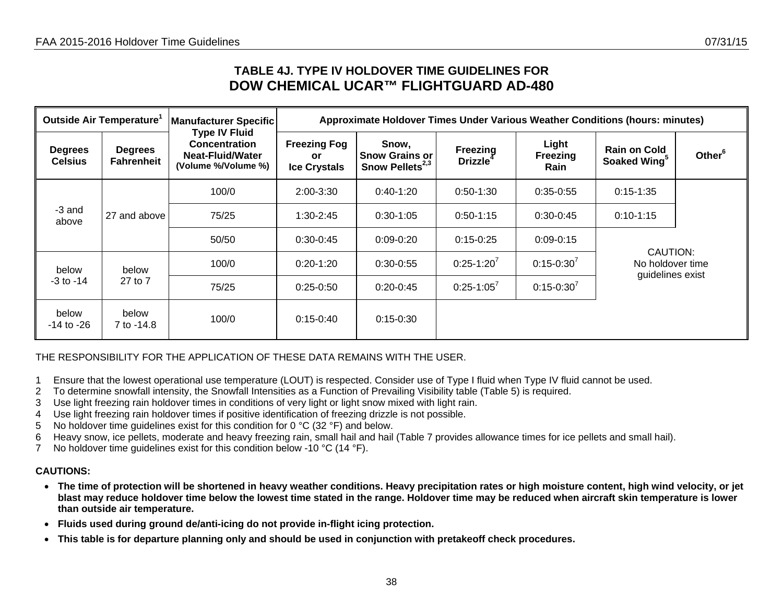## **TABLE 4J. TYPE IV HOLDOVER TIME GUIDELINES FOR DOW CHEMICAL UCAR™ FLIGHTGUARD AD-480**

| Outside Air Temperature <sup>1</sup> |                                     | <b>Manufacturer Specific</b>                                                                   | Approximate Holdover Times Under Various Weather Conditions (hours: minutes) |                                                               |                                         |                           |                                                  |                    |  |  |  |  |
|--------------------------------------|-------------------------------------|------------------------------------------------------------------------------------------------|------------------------------------------------------------------------------|---------------------------------------------------------------|-----------------------------------------|---------------------------|--------------------------------------------------|--------------------|--|--|--|--|
| <b>Degrees</b><br><b>Celsius</b>     | <b>Degrees</b><br><b>Fahrenheit</b> | <b>Type IV Fluid</b><br><b>Concentration</b><br><b>Neat-Fluid/Water</b><br>(Volume %/Volume %) | <b>Freezing Fog</b><br><b>or</b><br><b>Ice Crystals</b>                      | Snow,<br><b>Snow Grains or</b><br>Snow Pellets <sup>2,3</sup> | <b>Freezing</b><br>Drizzle <sup>4</sup> | Light<br>Freezing<br>Rain | <b>Rain on Cold</b><br>Soaked Wing <sup>5</sup>  | Other <sup>6</sup> |  |  |  |  |
|                                      |                                     | 100/0                                                                                          | $2:00-3:30$                                                                  | $0:40-1:20$                                                   | $0:50-1:30$                             | $0:35-0:55$               | $0:15-1:35$                                      |                    |  |  |  |  |
| -3 and<br>above                      | 27 and above                        | 75/25                                                                                          | $1:30-2:45$                                                                  | $0:30-1:05$                                                   | $0:50-1:15$                             | $0:30-0:45$               | $0:10-1:15$                                      |                    |  |  |  |  |
|                                      |                                     | 50/50                                                                                          | $0:30-0:45$                                                                  | $0:09-0:20$                                                   | $0:15-0:25$                             | $0:09 - 0:15$             |                                                  |                    |  |  |  |  |
| below                                | below                               | 100/0                                                                                          | $0:20-1:20$                                                                  | $0:30-0:55$                                                   | $0:25-1:20^7$                           | $0:15 - 0:30^{7}$         | CAUTION:<br>No holdover time<br>guidelines exist |                    |  |  |  |  |
| $-3$ to $-14$                        | 27 to 7                             | 75/25                                                                                          | $0:25-0:50$                                                                  | $0:20-0:45$                                                   | $0:25-1:05^7$                           | $0:15-0:30^{7}$           |                                                  |                    |  |  |  |  |
| below<br>$-14$ to $-26$              | below<br>7 to -14.8                 | 100/0                                                                                          | $0:15-0:40$                                                                  | $0:15 - 0:30$                                                 |                                         |                           |                                                  |                    |  |  |  |  |

THE RESPONSIBILITY FOR THE APPLICATION OF THESE DATA REMAINS WITH THE USER.

- 1 Ensure that the lowest operational use temperature (LOUT) is respected. Consider use of Type I fluid when Type IV fluid cannot be used.
- 2 To determine snowfall intensity, the Snowfall Intensities as a Function of Prevailing Visibility table (Table 5) is required.
- 3 Use light freezing rain holdover times in conditions of very light or light snow mixed with light rain.
- 4 Use light freezing rain holdover times if positive identification of freezing drizzle is not possible.
- 5 No holdover time guidelines exist for this condition for 0 °C (32 °F) and below.
- 6 Heavy snow, ice pellets, moderate and heavy freezing rain, small hail and hail (Table 7 provides allowance times for ice pellets and small hail).
- 7 No holdover time guidelines exist for this condition below -10 °C (14 °F).

- **The time of protection will be shortened in heavy weather conditions. Heavy precipitation rates or high moisture content, high wind velocity, or jet blast may reduce holdover time below the lowest time stated in the range. Holdover time may be reduced when aircraft skin temperature is lower than outside air temperature.**
- **Fluids used during ground de/anti-icing do not provide in-flight icing protection.**
- **This table is for departure planning only and should be used in conjunction with pretakeoff check procedures.**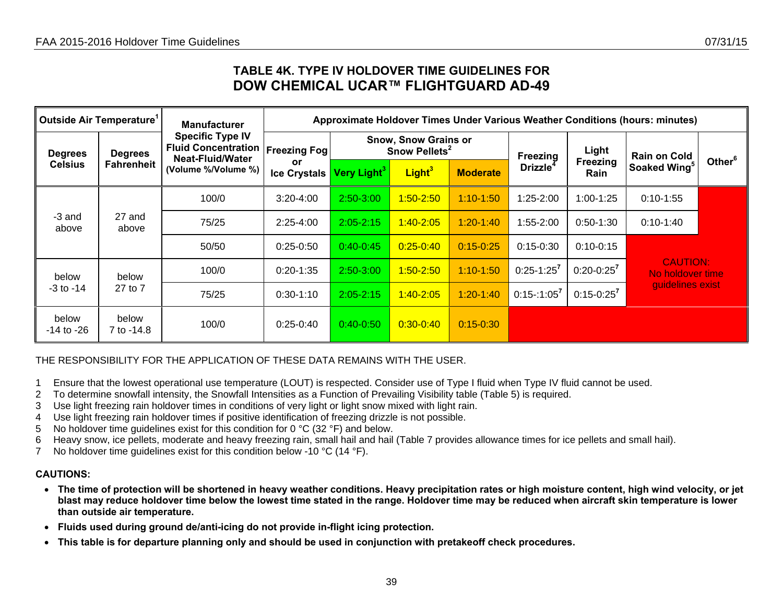## **TABLE 4K. TYPE IV HOLDOVER TIME GUIDELINES FOR DOW CHEMICAL UCAR™ FLIGHTGUARD AD-49**

| Outside Air Temperature <sup>1</sup> |                                     | <b>Manufacturer</b>                                                                              | Approximate Holdover Times Under Various Weather Conditions (hours: minutes) |                         |                                                          |                 |                                         |                         |                                     |                    |  |  |  |
|--------------------------------------|-------------------------------------|--------------------------------------------------------------------------------------------------|------------------------------------------------------------------------------|-------------------------|----------------------------------------------------------|-----------------|-----------------------------------------|-------------------------|-------------------------------------|--------------------|--|--|--|
| <b>Degrees</b><br><b>Celsius</b>     | <b>Degrees</b><br><b>Fahrenheit</b> | <b>Specific Type IV</b><br><b>Fluid Concentration</b><br>Neat-Fluid/Water<br>(Volume %/Volume %) | <b>Freezing Fog</b>                                                          |                         | <b>Snow, Snow Grains or</b><br>Snow Pellets <sup>2</sup> |                 |                                         | Light                   | <b>Rain on Cold</b>                 |                    |  |  |  |
|                                      |                                     |                                                                                                  | <b>or</b><br><b>Ice Crystals</b>                                             | Very Light <sup>3</sup> | Light <sup>3</sup>                                       | <b>Moderate</b> | Freezing<br><b>Drizzle</b> <sup>4</sup> | <b>Freezing</b><br>Rain | Soaked Wing <sup>5</sup>            | Other <sup>6</sup> |  |  |  |
|                                      |                                     | 100/0                                                                                            | $3:20 - 4:00$                                                                | $2:50 - 3:00$           | $1:50 - 2:50$                                            | $1:10 - 1:50$   | $1:25 - 2:00$                           | $1:00-1:25$             | $0:10-1:55$                         |                    |  |  |  |
| -3 and<br>above                      | 27 and<br>above                     | 75/25                                                                                            | $2:25-4:00$                                                                  | $2:05 - 2:15$           | $1:40 - 2:05$                                            | $1:20 - 1:40$   | $1:55 - 2:00$                           | $0:50-1:30$             | $0:10-1:40$                         |                    |  |  |  |
|                                      |                                     | 50/50                                                                                            | $0:25-0:50$                                                                  | $0:40-0:45$             | $0:25 - 0:40$                                            | $0:15 - 0:25$   | $0:15-0:30$                             | $0:10-0:15$             |                                     |                    |  |  |  |
| below                                | below                               | 100/0                                                                                            | $0:20-1:35$                                                                  | 2:50-3:00               | $1:50 - 2:50$                                            | $1:10 - 1:50$   | $0:25-1:25^7$                           | $0:20 - 0:25^7$         | <b>CAUTION:</b><br>No holdover time |                    |  |  |  |
| $-3$ to $-14$                        | 27 to 7                             | 75/25                                                                                            | $0:30-1:10$                                                                  | $2:05 - 2:15$           | $1:40 - 2:05$                                            | $1:20 - 1:40$   | $0:15-1:05^7$                           | $0:15-0:25^7$           | quidelines exist                    |                    |  |  |  |
| below<br>$-14$ to $-26$              | below<br>7 to -14.8                 | 100/0                                                                                            | $0:25-0:40$                                                                  | $0:40-0:50$             | $0:30-0:40$                                              | $0:15 - 0:30$   |                                         |                         |                                     |                    |  |  |  |

THE RESPONSIBILITY FOR THE APPLICATION OF THESE DATA REMAINS WITH THE USER.

- 1 Ensure that the lowest operational use temperature (LOUT) is respected. Consider use of Type I fluid when Type IV fluid cannot be used.
- 2 To determine snowfall intensity, the Snowfall Intensities as a Function of Prevailing Visibility table (Table 5) is required.
- 3 Use light freezing rain holdover times in conditions of very light or light snow mixed with light rain.
- 4 Use light freezing rain holdover times if positive identification of freezing drizzle is not possible.
- 5 No holdover time guidelines exist for this condition for 0 °C (32 °F) and below.
- 6 Heavy snow, ice pellets, moderate and heavy freezing rain, small hail and hail (Table 7 provides allowance times for ice pellets and small hail).
- 7 No holdover time guidelines exist for this condition below -10 °C (14 °F).

- **The time of protection will be shortened in heavy weather conditions. Heavy precipitation rates or high moisture content, high wind velocity, or jet blast may reduce holdover time below the lowest time stated in the range. Holdover time may be reduced when aircraft skin temperature is lower than outside air temperature.**
- **Fluids used during ground de/anti-icing do not provide in-flight icing protection.**
- •**This table is for departure planning only and should be used in conjunction with pretakeoff check procedures.**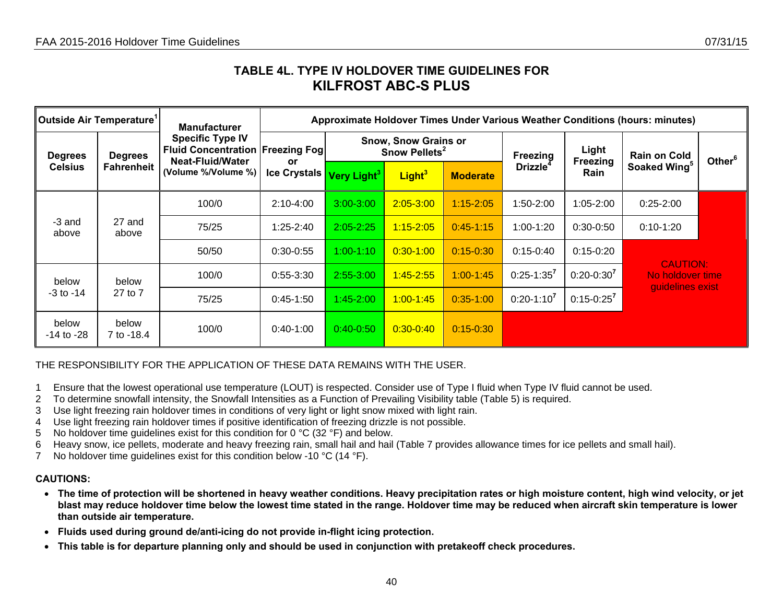## **TABLE 4L. TYPE IV HOLDOVER TIME GUIDELINES FOR KILFROST ABC-S PLUS**

| Outside Air Temperature <sup>1</sup> |                                     | <b>Manufacturer</b>                                                                                                   | Approximate Holdover Times Under Various Weather Conditions (hours: minutes) |                                                          |                    |                 |                |                          |                                     |                    |  |  |
|--------------------------------------|-------------------------------------|-----------------------------------------------------------------------------------------------------------------------|------------------------------------------------------------------------------|----------------------------------------------------------|--------------------|-----------------|----------------|--------------------------|-------------------------------------|--------------------|--|--|
| <b>Degrees</b>                       | <b>Degrees</b><br><b>Fahrenheit</b> | <b>Specific Type IV</b><br><b>Fluid Concentration Freezing Fogl</b><br><b>Neat-Fluid/Water</b><br>(Volume %/Volume %) | <b>or</b>                                                                    | <b>Snow, Snow Grains or</b><br>Snow Pellets <sup>2</sup> |                    |                 | Freezing       | Light<br><b>Freezing</b> | <b>Rain on Cold</b>                 | Other <sup>6</sup> |  |  |
| <b>Celsius</b>                       |                                     |                                                                                                                       | <b>Ice Crystals</b>                                                          | Very Light <sup>3</sup>                                  | Light <sup>3</sup> | <b>Moderate</b> | <b>Drizzle</b> | Rain                     | Soaked Wing <sup>5</sup>            |                    |  |  |
|                                      |                                     | 100/0                                                                                                                 | $2:10-4:00$                                                                  | $3:00 - 3:00$                                            | $2:05 - 3:00$      | $1:15 - 2:05$   | 1:50-2:00      | $1:05 - 2:00$            | $0:25 - 2:00$                       |                    |  |  |
| -3 and<br>above                      | 27 and<br>above                     | 75/25                                                                                                                 | $1:25 - 2:40$                                                                | $2:05 - 2:25$                                            | $1:15 - 2:05$      | $0:45-1:15$     | $1:00-1:20$    | $0:30-0:50$              | $0:10-1:20$                         |                    |  |  |
|                                      |                                     | 50/50                                                                                                                 | $0:30-0:55$                                                                  | $1:00-1:10$                                              | $0:30-1:00$        | $0:15 - 0:30$   | $0:15-0:40$    | $0:15-0:20$              |                                     |                    |  |  |
| below                                | below                               | 100/0                                                                                                                 | $0:55-3:30$                                                                  | 2:55-3:00                                                | $1:45 - 2:55$      | $1:00 - 1:45$   | $0:25-1:35^7$  | $0:20-0:30^{7}$          | <b>CAUTION:</b><br>No holdover time |                    |  |  |
| $-3$ to $-14$                        | 27 to 7                             | 75/25                                                                                                                 | $0:45-1:50$                                                                  | $1:45 - 2:00$                                            | $1:00 - 1:45$      | $0:35-1:00$     | $0:20-1:10^7$  | $0:15 - 0:25^{7}$        | guidelines exist                    |                    |  |  |
| below<br>$-14$ to $-28$              | below<br>7 to -18.4                 | 100/0                                                                                                                 | $0:40-1:00$                                                                  | $0:40 - 0:50$                                            | $0:30-0:40$        | $0:15 - 0:30$   |                |                          |                                     |                    |  |  |

### THE RESPONSIBILITY FOR THE APPLICATION OF THESE DATA REMAINS WITH THE USER.

- 1 Ensure that the lowest operational use temperature (LOUT) is respected. Consider use of Type I fluid when Type IV fluid cannot be used.
- 2 To determine snowfall intensity, the Snowfall Intensities as a Function of Prevailing Visibility table (Table 5) is required.
- 3 Use light freezing rain holdover times in conditions of very light or light snow mixed with light rain.
- 4 Use light freezing rain holdover times if positive identification of freezing drizzle is not possible.
- 5 No holdover time guidelines exist for this condition for 0 °C (32 °F) and below.
- 6 Heavy snow, ice pellets, moderate and heavy freezing rain, small hail and hail (Table 7 provides allowance times for ice pellets and small hail).
- 7 No holdover time guidelines exist for this condition below -10 °C (14 °F).

- **The time of protection will be shortened in heavy weather conditions. Heavy precipitation rates or high moisture content, high wind velocity, or jet blast may reduce holdover time below the lowest time stated in the range. Holdover time may be reduced when aircraft skin temperature is lower than outside air temperature.**
- **Fluids used during ground de/anti-icing do not provide in-flight icing protection.**
- $\bullet$ **This table is for departure planning only and should be used in conjunction with pretakeoff check procedures.**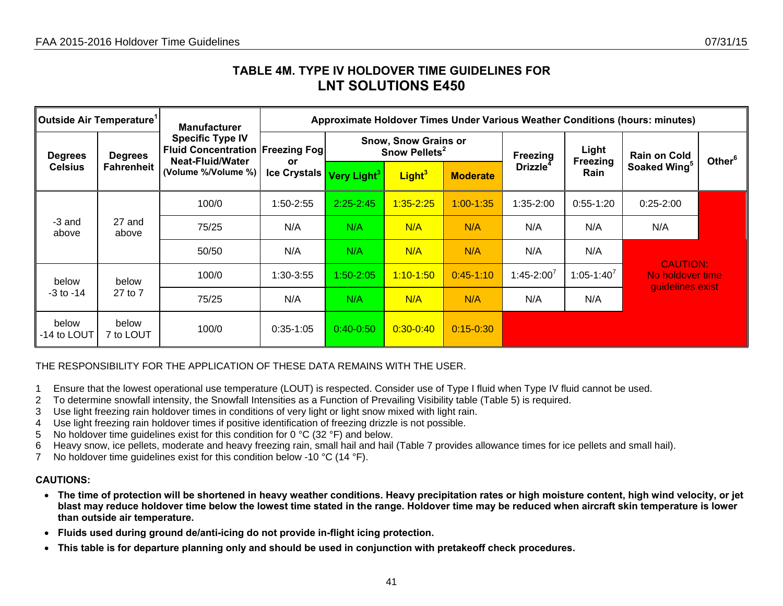## **TABLE 4M. TYPE IV HOLDOVER TIME GUIDELINES FOR LNT SOLUTIONS E450**

| Outside Air Temperature <sup>1</sup> |                                     | <b>Manufacturer</b>                                                                                                   | Approximate Holdover Times Under Various Weather Conditions (hours: minutes) |                                                          |                    |                 |                |                   |                                                         |                    |  |  |
|--------------------------------------|-------------------------------------|-----------------------------------------------------------------------------------------------------------------------|------------------------------------------------------------------------------|----------------------------------------------------------|--------------------|-----------------|----------------|-------------------|---------------------------------------------------------|--------------------|--|--|
| <b>Degrees</b>                       | <b>Degrees</b><br><b>Fahrenheit</b> | <b>Specific Type IV</b><br><b>Fluid Concentration Freezing Fogl</b><br><b>Neat-Fluid/Water</b><br>(Volume %/Volume %) | <b>or</b>                                                                    | <b>Snow, Snow Grains or</b><br>Snow Pellets <sup>2</sup> |                    |                 | Freezing       | Light<br>Freezing | <b>Rain on Cold</b>                                     | Other <sup>6</sup> |  |  |
| <b>Celsius</b>                       |                                     |                                                                                                                       | <b>Ice Crystals</b>                                                          | Very Light <sup>3</sup>                                  | Light <sup>3</sup> | <b>Moderate</b> | <b>Drizzle</b> | Rain              | Soaked Wing <sup>5</sup>                                |                    |  |  |
|                                      |                                     | 100/0                                                                                                                 | 1:50-2:55                                                                    | $2:25 - 2:45$                                            | $1:35 - 2:25$      | $1:00 - 1:35$   | 1:35-2:00      | $0:55-1:20$       | $0:25-2:00$                                             |                    |  |  |
| -3 and<br>above                      | 27 and<br>above                     | 75/25                                                                                                                 | N/A                                                                          | N/A                                                      | N/A                | N/A             | N/A            | N/A               | N/A                                                     |                    |  |  |
|                                      |                                     | 50/50                                                                                                                 | N/A                                                                          | N/A                                                      | N/A                | N/A             | N/A            | N/A               |                                                         |                    |  |  |
| below                                | below                               | 100/0                                                                                                                 | 1:30-3:55                                                                    | $1:50 - 2:05$                                            | $1:10 - 1:50$      | $0:45-1:10$     | $1:45 - 2:00'$ | $1:05 - 1:40^{7}$ | <b>CAUTION:</b><br>No holdover time<br>guidelines exist |                    |  |  |
| $-3$ to $-14$                        | 27 to 7                             | 75/25                                                                                                                 | N/A                                                                          | N/A                                                      | N/A                | N/A             | N/A            | N/A               |                                                         |                    |  |  |
| below<br>-14 to LOUT                 | below<br>7 to LOUT                  | 100/0                                                                                                                 | $0:35-1:05$                                                                  | $0:40-0:50$                                              | $0:30 - 0:40$      | $0:15 - 0:30$   |                |                   |                                                         |                    |  |  |

### THE RESPONSIBILITY FOR THE APPLICATION OF THESE DATA REMAINS WITH THE USER.

- 1 Ensure that the lowest operational use temperature (LOUT) is respected. Consider use of Type I fluid when Type IV fluid cannot be used.
- 2 To determine snowfall intensity, the Snowfall Intensities as a Function of Prevailing Visibility table (Table 5) is required.
- 3 Use light freezing rain holdover times in conditions of very light or light snow mixed with light rain.
- 4 Use light freezing rain holdover times if positive identification of freezing drizzle is not possible.
- 5 No holdover time guidelines exist for this condition for 0 °C (32 °F) and below.
- 6 Heavy snow, ice pellets, moderate and heavy freezing rain, small hail and hail (Table 7 provides allowance times for ice pellets and small hail).
- 7 No holdover time guidelines exist for this condition below -10 °C (14 °F).

- **The time of protection will be shortened in heavy weather conditions. Heavy precipitation rates or high moisture content, high wind velocity, or jet blast may reduce holdover time below the lowest time stated in the range. Holdover time may be reduced when aircraft skin temperature is lower than outside air temperature.**
- **Fluids used during ground de/anti-icing do not provide in-flight icing protection.**
- **This table is for departure planning only and should be used in conjunction with pretakeoff check procedures.**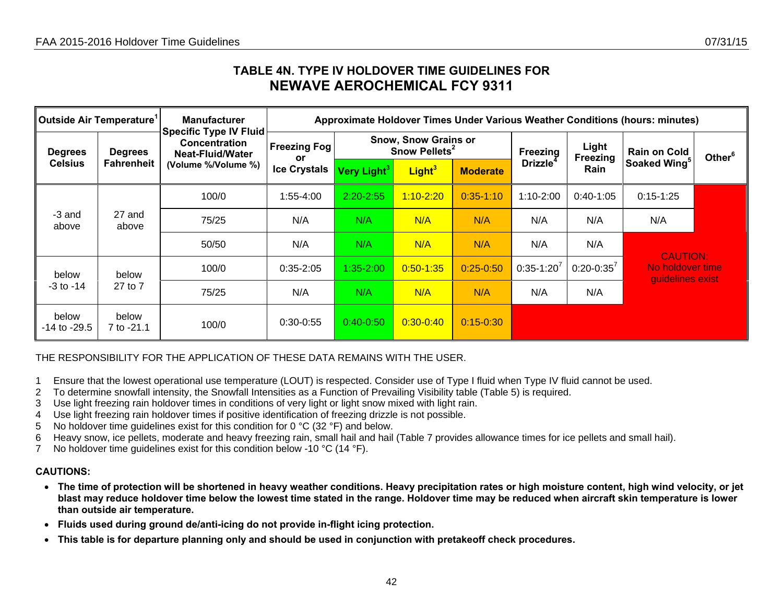## **TABLE 4N. TYPE IV HOLDOVER TIME GUIDELINES FOR NEWAVE AEROCHEMICAL FCY 9311**

| ∥Outside Air Temperature <sup>1</sup> |                                     | <b>Manufacturer</b>                                                       |                           |                                                          |                    |                 |                 |                   | Approximate Holdover Times Under Various Weather Conditions (hours: minutes) |                    |
|---------------------------------------|-------------------------------------|---------------------------------------------------------------------------|---------------------------|----------------------------------------------------------|--------------------|-----------------|-----------------|-------------------|------------------------------------------------------------------------------|--------------------|
| <b>Degrees</b><br><b>Celsius</b>      | <b>Degrees</b><br><b>Fahrenheit</b> | <b>Specific Type IV Fluid</b><br>Concentration<br><b>Neat-Fluid/Water</b> | <b>Freezing Fog</b><br>or | <b>Snow, Snow Grains or</b><br>Snow Pellets <sup>2</sup> |                    |                 | <b>Freezing</b> | Light<br>Freezing | <b>Rain on Cold</b>                                                          | Other <sup>6</sup> |
|                                       |                                     | (Volume %/Volume %)                                                       | <b>Ice Crystals</b>       | Very Light <sup>3</sup>                                  | Light <sup>3</sup> | <b>Moderate</b> | <b>Drizzle</b>  | Rain              | Soaked Wing <sup>5</sup>                                                     |                    |
|                                       |                                     | 100/0                                                                     | 1:55-4:00                 | $2:20 - 2:55$                                            | $1:10 - 2:20$      | $0:35 - 1:10$   | $1:10-2:00$     | $0:40-1:05$       | $0:15-1:25$                                                                  |                    |
| -3 and<br>above                       | 27 and<br>above                     | 75/25                                                                     | N/A                       | N/A                                                      | N/A                | N/A             | N/A             | N/A               | N/A                                                                          |                    |
|                                       |                                     | 50/50                                                                     | N/A                       | N/A                                                      | N/A                | N/A             | N/A             | N/A               | <b>CAUTION:</b>                                                              |                    |
| below                                 | below                               | 100/0                                                                     | $0:35-2:05$               | $1:35 - 2:00$                                            | $0:50 - 1:35$      | $0:25 - 0:50$   | $0:35-1:20^7$   | $0:20-0:35^{7}$   | No holdover time<br>guidelines exist                                         |                    |
| -3 to -14                             | 27 to 7                             | 75/25                                                                     | N/A                       | N/A                                                      | N/A                | N/A             | N/A             | N/A               |                                                                              |                    |
| below<br>$-14$ to $-29.5$             | below<br>7 to -21.1                 | 100/0                                                                     | $0:30-0:55$               | $0:40-0:50$                                              | $0:30-0:40$        | $0:15 - 0:30$   |                 |                   |                                                                              |                    |

THE RESPONSIBILITY FOR THE APPLICATION OF THESE DATA REMAINS WITH THE USER.

- 1 Ensure that the lowest operational use temperature (LOUT) is respected. Consider use of Type I fluid when Type IV fluid cannot be used.
- 2 To determine snowfall intensity, the Snowfall Intensities as a Function of Prevailing Visibility table (Table 5) is required.
- 3 Use light freezing rain holdover times in conditions of very light or light snow mixed with light rain.
- 4 Use light freezing rain holdover times if positive identification of freezing drizzle is not possible.
- 5 No holdover time guidelines exist for this condition for 0  $\degree$ C (32  $\degree$ F) and below.
- 6 Heavy snow, ice pellets, moderate and heavy freezing rain, small hail and hail (Table 7 provides allowance times for ice pellets and small hail).
- 7 No holdover time guidelines exist for this condition below -10 °C (14 °F).

- **The time of protection will be shortened in heavy weather conditions. Heavy precipitation rates or high moisture content, high wind velocity, or jet blast may reduce holdover time below the lowest time stated in the range. Holdover time may be reduced when aircraft skin temperature is lower than outside air temperature.**
- **Fluids used during ground de/anti-icing do not provide in-flight icing protection.**
- **This table is for departure planning only and should be used in conjunction with pretakeoff check procedures.**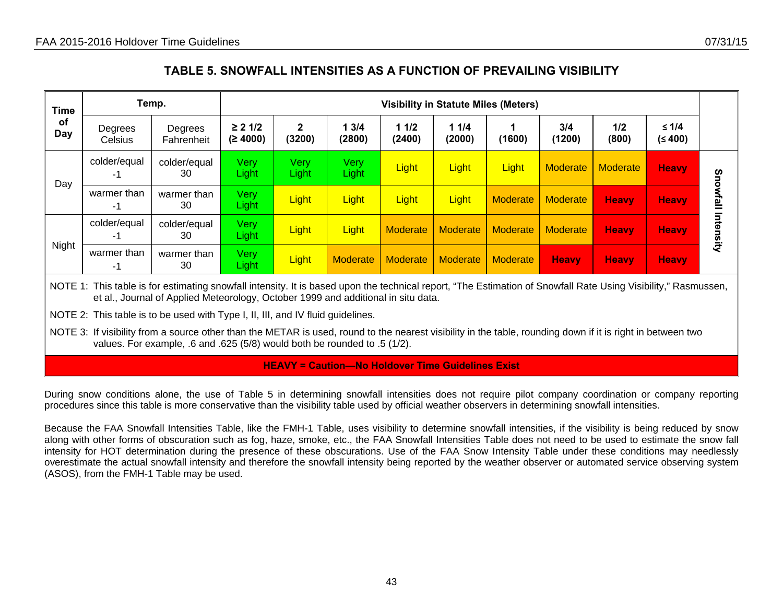### **TABLE 5. SNOWFALL INTENSITIES AS A FUNCTION OF PREVAILING VISIBILITY**

| <b>Time</b><br>of<br>Day | Temp.              |                       | <b>Visibility in Statute Miles (Meters)</b> |                        |                |                 |                 |                 |               |                 |                    |           |
|--------------------------|--------------------|-----------------------|---------------------------------------------|------------------------|----------------|-----------------|-----------------|-----------------|---------------|-----------------|--------------------|-----------|
|                          | Degrees<br>Celsius | Degrees<br>Fahrenheit | $\geq 21/2$<br>(≥ 4000)                     | $\mathbf{2}$<br>(3200) | 13/4<br>(2800) | 11/2<br>(2400)  | 11/4<br>(2000)  | (1600)          | 3/4<br>(1200) | 1/2<br>(800)    | $≤ 1/4$<br>(≤ 400) |           |
|                          | colder/equal<br>-1 | colder/equal<br>30    | Very<br>Light <sub>/</sub>                  | <b>Very</b><br>Light   | Very<br>Light  | Light           | Light           | Light           | Moderate      | <b>Moderate</b> | <b>Heavy</b>       | Sno       |
| Day                      | warmer than<br>-1  | warmer than<br>30     | Very<br>Light                               | Light                  | Light          | Light           | Light           | Moderate        | Moderate      | <b>Heavy</b>    | <b>Heavy</b>       | wfall     |
|                          | colder/equal<br>-1 | colder/equal<br>30    | Very<br>Light                               | Light                  | Light          | <b>Moderate</b> | <b>Moderate</b> | <b>Moderate</b> | Moderate      | <b>Heavy</b>    | <b>Heavy</b>       | Intensity |
| Night                    | warmer than<br>-1  | warmer than<br>30     | Very<br>Light                               | Light                  | Moderate       | <b>Moderate</b> | Moderate        | <b>Moderate</b> | <b>Heavy</b>  | <b>Heavy</b>    | <b>Heavy</b>       |           |

NOTE 1: This table is for estimating snowfall intensity. It is based upon the technical report, "The Estimation of Snowfall Rate Using Visibility," Rasmussen, et al., Journal of Applied Meteorology, October 1999 and additional in situ data.

NOTE 2: This table is to be used with Type I, II, III, and IV fluid guidelines.

NOTE 3: If visibility from a source other than the METAR is used, round to the nearest visibility in the table, rounding down if it is right in between two values. For example, .6 and .625 (5/8) would both be rounded to .5 (1/2).

#### **HEAVY = Caution—No Holdover Time Guidelines Exist**

During snow conditions alone, the use of Table 5 in determining snowfall intensities does not require pilot company coordination or company reporting procedures since this table is more conservative than the visibility table used by official weather observers in determining snowfall intensities.

Because the FAA Snowfall Intensities Table, like the FMH-1 Table, uses visibility to determine snowfall intensities, if the visibility is being reduced by snow along with other forms of obscuration such as fog, haze, smoke, etc., the FAA Snowfall Intensities Table does not need to be used to estimate the snow fall intensity for HOT determination during the presence of these obscurations. Use of the FAA Snow Intensity Table under these conditions may needlessly overestimate the actual snowfall intensity and therefore the snowfall intensity being reported by the weather observer or automated service observing system (ASOS), from the FMH-1 Table may be used.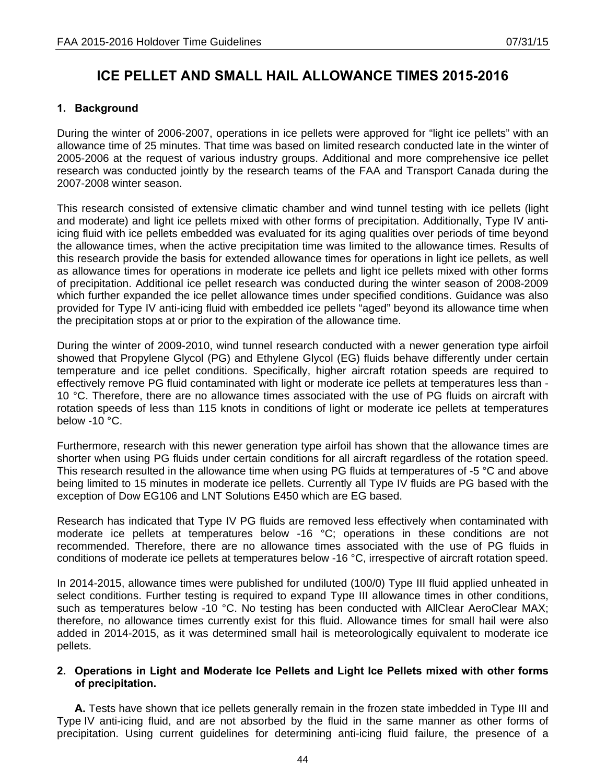## **ICE PELLET AND SMALL HAIL ALLOWANCE TIMES 2015-2016**

### **1. Background**

During the winter of 2006-2007, operations in ice pellets were approved for "light ice pellets" with an allowance time of 25 minutes. That time was based on limited research conducted late in the winter of 2005-2006 at the request of various industry groups. Additional and more comprehensive ice pellet research was conducted jointly by the research teams of the FAA and Transport Canada during the 2007-2008 winter season.

This research consisted of extensive climatic chamber and wind tunnel testing with ice pellets (light and moderate) and light ice pellets mixed with other forms of precipitation. Additionally, Type IV antiicing fluid with ice pellets embedded was evaluated for its aging qualities over periods of time beyond the allowance times, when the active precipitation time was limited to the allowance times. Results of this research provide the basis for extended allowance times for operations in light ice pellets, as well as allowance times for operations in moderate ice pellets and light ice pellets mixed with other forms of precipitation. Additional ice pellet research was conducted during the winter season of 2008-2009 which further expanded the ice pellet allowance times under specified conditions. Guidance was also provided for Type IV anti-icing fluid with embedded ice pellets "aged" beyond its allowance time when the precipitation stops at or prior to the expiration of the allowance time.

During the winter of 2009-2010, wind tunnel research conducted with a newer generation type airfoil showed that Propylene Glycol (PG) and Ethylene Glycol (EG) fluids behave differently under certain temperature and ice pellet conditions. Specifically, higher aircraft rotation speeds are required to effectively remove PG fluid contaminated with light or moderate ice pellets at temperatures less than - 10 °C. Therefore, there are no allowance times associated with the use of PG fluids on aircraft with rotation speeds of less than 115 knots in conditions of light or moderate ice pellets at temperatures below -10 °C.

Furthermore, research with this newer generation type airfoil has shown that the allowance times are shorter when using PG fluids under certain conditions for all aircraft regardless of the rotation speed. This research resulted in the allowance time when using PG fluids at temperatures of -5 °C and above being limited to 15 minutes in moderate ice pellets. Currently all Type IV fluids are PG based with the exception of Dow EG106 and LNT Solutions E450 which are EG based.

Research has indicated that Type IV PG fluids are removed less effectively when contaminated with moderate ice pellets at temperatures below -16 °C; operations in these conditions are not recommended. Therefore, there are no allowance times associated with the use of PG fluids in conditions of moderate ice pellets at temperatures below -16 °C, irrespective of aircraft rotation speed.

In 2014-2015, allowance times were published for undiluted (100/0) Type III fluid applied unheated in select conditions. Further testing is required to expand Type III allowance times in other conditions, such as temperatures below -10 °C. No testing has been conducted with AllClear AeroClear MAX; therefore, no allowance times currently exist for this fluid. Allowance times for small hail were also added in 2014-2015, as it was determined small hail is meteorologically equivalent to moderate ice pellets.

### **2. Operations in Light and Moderate Ice Pellets and Light Ice Pellets mixed with other forms of precipitation.**

**A.** Tests have shown that ice pellets generally remain in the frozen state imbedded in Type III and Type IV anti-icing fluid, and are not absorbed by the fluid in the same manner as other forms of precipitation. Using current guidelines for determining anti-icing fluid failure, the presence of a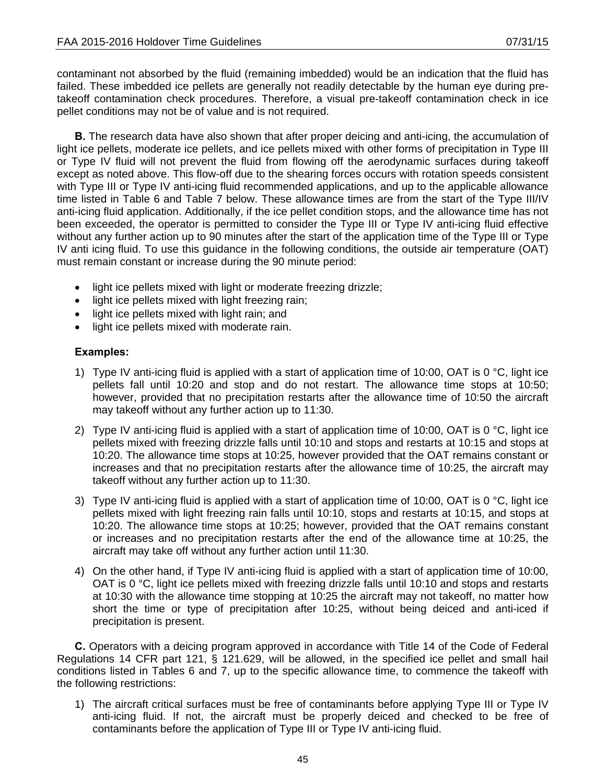contaminant not absorbed by the fluid (remaining imbedded) would be an indication that the fluid has failed. These imbedded ice pellets are generally not readily detectable by the human eye during pretakeoff contamination check procedures. Therefore, a visual pre-takeoff contamination check in ice pellet conditions may not be of value and is not required.

**B.** The research data have also shown that after proper deicing and anti-icing, the accumulation of light ice pellets, moderate ice pellets, and ice pellets mixed with other forms of precipitation in Type III or Type IV fluid will not prevent the fluid from flowing off the aerodynamic surfaces during takeoff except as noted above. This flow-off due to the shearing forces occurs with rotation speeds consistent with Type III or Type IV anti-icing fluid recommended applications, and up to the applicable allowance time listed in Table 6 and Table 7 below. These allowance times are from the start of the Type III/IV anti-icing fluid application. Additionally, if the ice pellet condition stops, and the allowance time has not been exceeded, the operator is permitted to consider the Type III or Type IV anti-icing fluid effective without any further action up to 90 minutes after the start of the application time of the Type III or Type IV anti icing fluid. To use this guidance in the following conditions, the outside air temperature (OAT) must remain constant or increase during the 90 minute period:

- light ice pellets mixed with light or moderate freezing drizzle;
- light ice pellets mixed with light freezing rain;
- light ice pellets mixed with light rain; and
- light ice pellets mixed with moderate rain.

### **Examples:**

- 1) Type IV anti-icing fluid is applied with a start of application time of 10:00, OAT is 0 °C, light ice pellets fall until 10:20 and stop and do not restart. The allowance time stops at 10:50; however, provided that no precipitation restarts after the allowance time of 10:50 the aircraft may takeoff without any further action up to 11:30.
- 2) Type IV anti-icing fluid is applied with a start of application time of 10:00, OAT is 0 °C, light ice pellets mixed with freezing drizzle falls until 10:10 and stops and restarts at 10:15 and stops at 10:20. The allowance time stops at 10:25, however provided that the OAT remains constant or increases and that no precipitation restarts after the allowance time of 10:25, the aircraft may takeoff without any further action up to 11:30.
- 3) Type IV anti-icing fluid is applied with a start of application time of 10:00, OAT is 0 °C, light ice pellets mixed with light freezing rain falls until 10:10, stops and restarts at 10:15, and stops at 10:20. The allowance time stops at 10:25; however, provided that the OAT remains constant or increases and no precipitation restarts after the end of the allowance time at 10:25, the aircraft may take off without any further action until 11:30.
- 4) On the other hand, if Type IV anti-icing fluid is applied with a start of application time of 10:00, OAT is 0 °C, light ice pellets mixed with freezing drizzle falls until 10:10 and stops and restarts at 10:30 with the allowance time stopping at 10:25 the aircraft may not takeoff, no matter how short the time or type of precipitation after 10:25, without being deiced and anti-iced if precipitation is present.

**C.** Operators with a deicing program approved in accordance with Title 14 of the Code of Federal Regulations 14 CFR part 121, § 121.629, will be allowed, in the specified ice pellet and small hail conditions listed in Tables 6 and 7, up to the specific allowance time, to commence the takeoff with the following restrictions:

1) The aircraft critical surfaces must be free of contaminants before applying Type III or Type IV anti-icing fluid. If not, the aircraft must be properly deiced and checked to be free of contaminants before the application of Type III or Type IV anti-icing fluid.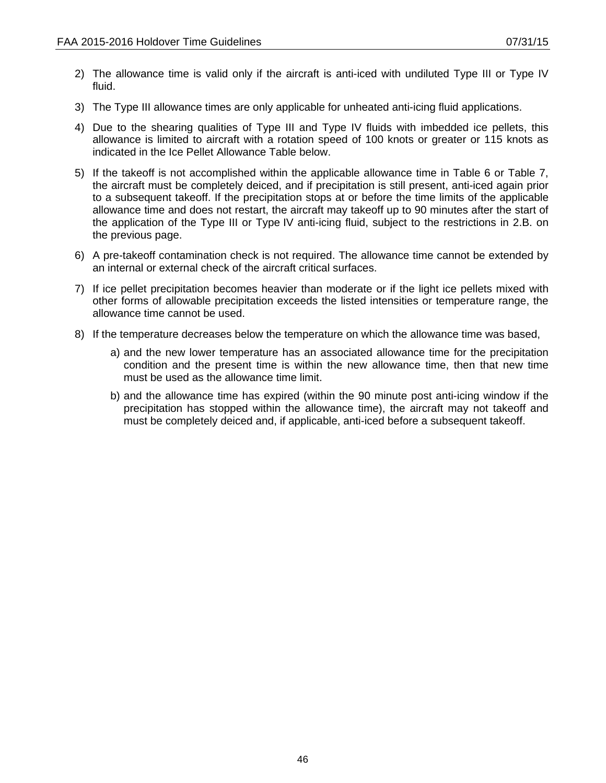- 2) The allowance time is valid only if the aircraft is anti-iced with undiluted Type III or Type IV fluid.
- 3) The Type III allowance times are only applicable for unheated anti-icing fluid applications.
- 4) Due to the shearing qualities of Type III and Type IV fluids with imbedded ice pellets, this allowance is limited to aircraft with a rotation speed of 100 knots or greater or 115 knots as indicated in the Ice Pellet Allowance Table below.
- 5) If the takeoff is not accomplished within the applicable allowance time in Table 6 or Table 7, the aircraft must be completely deiced, and if precipitation is still present, anti-iced again prior to a subsequent takeoff. If the precipitation stops at or before the time limits of the applicable allowance time and does not restart, the aircraft may takeoff up to 90 minutes after the start of the application of the Type III or Type IV anti-icing fluid, subject to the restrictions in 2.B. on the previous page.
- 6) A pre-takeoff contamination check is not required. The allowance time cannot be extended by an internal or external check of the aircraft critical surfaces.
- 7) If ice pellet precipitation becomes heavier than moderate or if the light ice pellets mixed with other forms of allowable precipitation exceeds the listed intensities or temperature range, the allowance time cannot be used.
- 8) If the temperature decreases below the temperature on which the allowance time was based,
	- a) and the new lower temperature has an associated allowance time for the precipitation condition and the present time is within the new allowance time, then that new time must be used as the allowance time limit.
	- b) and the allowance time has expired (within the 90 minute post anti-icing window if the precipitation has stopped within the allowance time), the aircraft may not takeoff and must be completely deiced and, if applicable, anti-iced before a subsequent takeoff.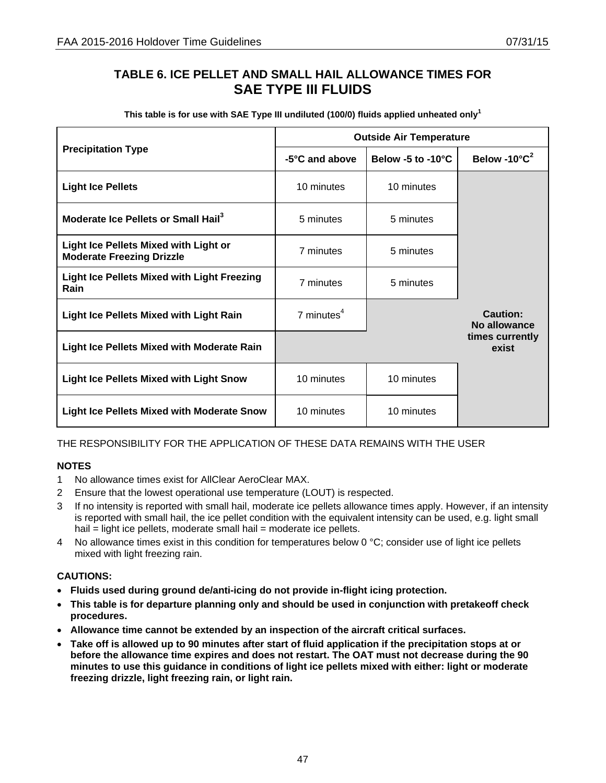## **TABLE 6. ICE PELLET AND SMALL HAIL ALLOWANCE TIMES FOR SAE TYPE III FLUIDS**

| This table is for use with SAE Type III undiluted (100/0) fluids applied unheated only <sup>1</sup> |  |
|-----------------------------------------------------------------------------------------------------|--|
|-----------------------------------------------------------------------------------------------------|--|

|                                                                                  |                 | <b>Outside Air Temperature</b> |                                     |
|----------------------------------------------------------------------------------|-----------------|--------------------------------|-------------------------------------|
| <b>Precipitation Type</b>                                                        | -5°C and above  | Below -5 to -10°C              | Below -10 $^{\circ}$ C <sup>2</sup> |
| <b>Light Ice Pellets</b>                                                         | 10 minutes      | 10 minutes                     |                                     |
| Moderate Ice Pellets or Small Hail <sup>3</sup>                                  | 5 minutes       | 5 minutes                      |                                     |
| <b>Light Ice Pellets Mixed with Light or</b><br><b>Moderate Freezing Drizzle</b> | 7 minutes       | 5 minutes                      |                                     |
| Light Ice Pellets Mixed with Light Freezing<br>Rain                              | 7 minutes       | 5 minutes                      |                                     |
| <b>Light Ice Pellets Mixed with Light Rain</b>                                   | $7$ minutes $4$ |                                | Caution:<br>No allowance            |
| <b>Light Ice Pellets Mixed with Moderate Rain</b>                                |                 |                                | times currently<br>exist            |
| <b>Light Ice Pellets Mixed with Light Snow</b>                                   | 10 minutes      | 10 minutes                     |                                     |
| <b>Light Ice Pellets Mixed with Moderate Snow</b>                                | 10 minutes      | 10 minutes                     |                                     |

### THE RESPONSIBILITY FOR THE APPLICATION OF THESE DATA REMAINS WITH THE USER

### **NOTES**

- 1 No allowance times exist for AllClear AeroClear MAX.
- 2 Ensure that the lowest operational use temperature (LOUT) is respected.
- 3 If no intensity is reported with small hail, moderate ice pellets allowance times apply. However, if an intensity is reported with small hail, the ice pellet condition with the equivalent intensity can be used, e.g. light small hail = light ice pellets, moderate small hail = moderate ice pellets.
- 4 No allowance times exist in this condition for temperatures below 0 °C; consider use of light ice pellets mixed with light freezing rain.

- **Fluids used during ground de/anti-icing do not provide in-flight icing protection.**
- **This table is for departure planning only and should be used in conjunction with pretakeoff check procedures.**
- **Allowance time cannot be extended by an inspection of the aircraft critical surfaces.**
- **Take off is allowed up to 90 minutes after start of fluid application if the precipitation stops at or before the allowance time expires and does not restart. The OAT must not decrease during the 90 minutes to use this guidance in conditions of light ice pellets mixed with either: light or moderate freezing drizzle, light freezing rain, or light rain.**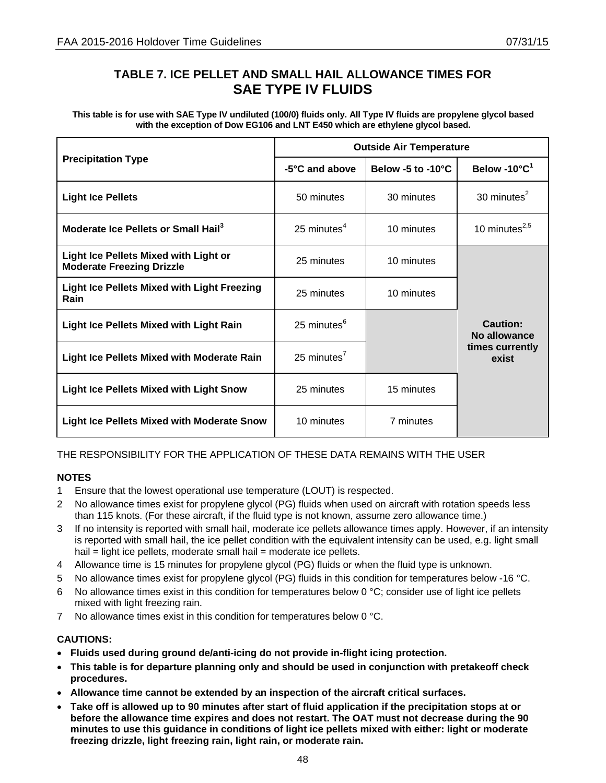## **TABLE 7. ICE PELLET AND SMALL HAIL ALLOWANCE TIMES FOR SAE TYPE IV FLUIDS**

**This table is for use with SAE Type IV undiluted (100/0) fluids only. All Type IV fluids are propylene glycol based with the exception of Dow EG106 and LNT E450 which are ethylene glycol based.** 

|                                                                                  |                 | <b>Outside Air Temperature</b> |                                     |
|----------------------------------------------------------------------------------|-----------------|--------------------------------|-------------------------------------|
| <b>Precipitation Type</b>                                                        | -5°C and above  | Below -5 to -10 $^{\circ}$ C   | Below -10 $^{\circ}$ C <sup>1</sup> |
| <b>Light Ice Pellets</b>                                                         | 50 minutes      | 30 minutes                     | 30 minutes $2$                      |
| Moderate Ice Pellets or Small Hail <sup>3</sup>                                  | 25 minutes $4$  | 10 minutes                     | 10 minutes $^{2,5}$                 |
| <b>Light Ice Pellets Mixed with Light or</b><br><b>Moderate Freezing Drizzle</b> | 25 minutes      | 10 minutes                     |                                     |
| <b>Light Ice Pellets Mixed with Light Freezing</b><br>Rain                       | 25 minutes      | 10 minutes                     |                                     |
| <b>Light Ice Pellets Mixed with Light Rain</b>                                   | 25 minutes $6$  |                                | Caution:<br>No allowance            |
| <b>Light Ice Pellets Mixed with Moderate Rain</b>                                | 25 minutes $^7$ |                                | times currently<br>exist            |
| <b>Light Ice Pellets Mixed with Light Snow</b>                                   | 25 minutes      | 15 minutes                     |                                     |
| <b>Light Ice Pellets Mixed with Moderate Snow</b>                                | 10 minutes      | 7 minutes                      |                                     |

THE RESPONSIBILITY FOR THE APPLICATION OF THESE DATA REMAINS WITH THE USER

### **NOTES**

- 1 Ensure that the lowest operational use temperature (LOUT) is respected.
- 2 No allowance times exist for propylene glycol (PG) fluids when used on aircraft with rotation speeds less than 115 knots. (For these aircraft, if the fluid type is not known, assume zero allowance time.)
- 3 If no intensity is reported with small hail, moderate ice pellets allowance times apply. However, if an intensity is reported with small hail, the ice pellet condition with the equivalent intensity can be used, e.g. light small hail = light ice pellets, moderate small hail = moderate ice pellets.
- 4 Allowance time is 15 minutes for propylene glycol (PG) fluids or when the fluid type is unknown.
- 5 No allowance times exist for propylene glycol (PG) fluids in this condition for temperatures below -16 °C.
- 6 No allowance times exist in this condition for temperatures below 0  $\degree$ C; consider use of light ice pellets mixed with light freezing rain.
- 7 No allowance times exist in this condition for temperatures below 0 °C.

- **Fluids used during ground de/anti-icing do not provide in-flight icing protection.**
- **This table is for departure planning only and should be used in conjunction with pretakeoff check procedures.**
- **Allowance time cannot be extended by an inspection of the aircraft critical surfaces.**
- **Take off is allowed up to 90 minutes after start of fluid application if the precipitation stops at or before the allowance time expires and does not restart. The OAT must not decrease during the 90 minutes to use this guidance in conditions of light ice pellets mixed with either: light or moderate freezing drizzle, light freezing rain, light rain, or moderate rain.**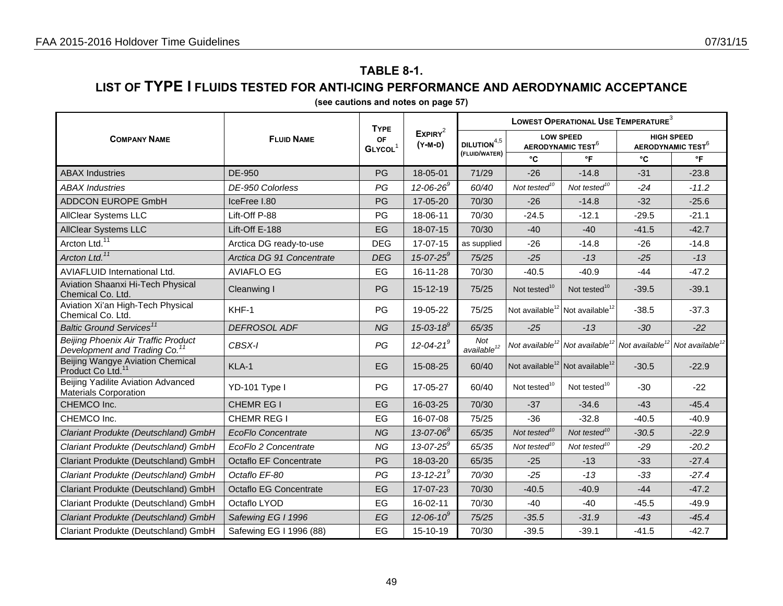# **TABLE 8-1.**

### **LIST OF TYPE I FLUIDS TESTED FOR ANTI-ICING PERFORMANCE AND AERODYNAMIC ACCEPTANCE**

| (see cautions and notes on page 57) |  |
|-------------------------------------|--|
|-------------------------------------|--|

|                                                                                  |                               | <b>TYPE</b>                      |                                | LOWEST OPERATIONAL USE TEMPERATURE <sup>3</sup> |                                                         |                             |                                                    |                             |  |
|----------------------------------------------------------------------------------|-------------------------------|----------------------------------|--------------------------------|-------------------------------------------------|---------------------------------------------------------|-----------------------------|----------------------------------------------------|-----------------------------|--|
| <b>COMPANY NAME</b>                                                              | <b>FLUID NAME</b>             | <b>OF</b><br>GLYCOL <sup>1</sup> | EXPIRY <sup>2</sup><br>(Y-M-D) | DILUTION $^{\rm 4,5}$                           | <b>LOW SPEED</b><br><b>AERODYNAMIC TEST<sup>6</sup></b> |                             | <b>HIGH SPEED</b><br>AERODYNAMIC TEST <sup>6</sup> |                             |  |
|                                                                                  |                               |                                  |                                | (FLUID/WATER)                                   | °C                                                      | $\mathsf{P}$                | °C                                                 | $\mathsf{P}$                |  |
| <b>ABAX Industries</b>                                                           | DE-950                        | PG                               | 18-05-01                       | 71/29                                           | $-26$                                                   | $-14.8$                     | $-31$                                              | $-23.8$                     |  |
| <b>ABAX Industries</b>                                                           | DE-950 Colorless              | PG                               | $12 - 06 - 26^9$               | 60/40                                           | Not tested $10$                                         | Not tested $10$             | $-24$                                              | $-11.2$                     |  |
| <b>ADDCON EUROPE GmbH</b>                                                        | IceFree I.80                  | PG                               | 17-05-20                       | 70/30                                           | $-26$                                                   | $-14.8$                     | $-32$                                              | $-25.6$                     |  |
| <b>AllClear Systems LLC</b>                                                      | Lift-Off P-88                 | PG                               | 18-06-11                       | 70/30                                           | $-24.5$                                                 | $-12.1$                     | $-29.5$                                            | $-21.1$                     |  |
| <b>AllClear Systems LLC</b>                                                      | Lift-Off E-188                | EG                               | 18-07-15                       | 70/30                                           | $-40$                                                   | $-40$                       | $-41.5$                                            | $-42.7$                     |  |
| Arcton Ltd. <sup>11</sup>                                                        | Arctica DG ready-to-use       | <b>DEG</b>                       | 17-07-15                       | as supplied                                     | $-26$                                                   | $-14.8$                     | $-26$                                              | $-14.8$                     |  |
| Arcton Ltd. <sup>11</sup>                                                        | Arctica DG 91 Concentrate     | <b>DEG</b>                       | $15 - 07 - 25^9$               | 75/25                                           | $-25$                                                   | $-13$                       | $-25$                                              | $-13$                       |  |
| <b>AVIAFLUID International Ltd.</b>                                              | <b>AVIAFLO EG</b>             | EG                               | 16-11-28                       | 70/30                                           | $-40.5$                                                 | $-40.9$                     | $-44$                                              | $-47.2$                     |  |
| Aviation Shaanxi Hi-Tech Physical<br>Chemical Co. Ltd.                           | Cleanwing I                   | PG                               | 15-12-19                       | 75/25                                           | Not tested $10$                                         | Not tested <sup>10</sup>    | $-39.5$                                            | $-39.1$                     |  |
| Aviation Xi'an High-Tech Physical<br>Chemical Co. Ltd.                           | KHF-1                         | PG                               | 19-05-22                       | 75/25                                           | Not available <sup>12</sup>                             | Not available <sup>12</sup> | $-38.5$                                            | $-37.3$                     |  |
| Baltic Ground Services <sup>11</sup>                                             | DEFROSOL ADF                  | <b>NG</b>                        | $15 - 03 - 18^9$               | 65/35                                           | $-25$                                                   | $-13$                       | $-30$                                              | $-22$                       |  |
| Beijing Phoenix Air Traffic Product<br>Development and Trading Co. <sup>11</sup> | CBSX-I                        | PG                               | $12 - 04 - 21$ <sup>9</sup>    | Not<br>available <sup>12</sup>                  | Not available <sup>12</sup> Not available <sup>12</sup> |                             | Not available <sup>12</sup>                        | Not available <sup>12</sup> |  |
| Beijing Wangye Aviation Chemical<br>Product Co Ltd. <sup>11</sup>                | KLA-1                         | EG                               | 15-08-25                       | 60/40                                           | Not available <sup>12</sup> Not available <sup>12</sup> |                             | $-30.5$                                            | $-22.9$                     |  |
| Beijing Yadilite Aviation Advanced<br><b>Materials Corporation</b>               | YD-101 Type I                 | PG                               | 17-05-27                       | 60/40                                           | Not tested <sup>10</sup>                                | Not tested <sup>10</sup>    | $-30$                                              | $-22$                       |  |
| CHEMCO Inc.                                                                      | CHEMR EG I                    | EG                               | 16-03-25                       | 70/30                                           | $-37$                                                   | $-34.6$                     | $-43$                                              | $-45.4$                     |  |
| CHEMCO Inc.                                                                      | CHEMR REG I                   | EG                               | 16-07-08                       | 75/25                                           | $-36$                                                   | $-32.8$                     | $-40.5$                                            | $-40.9$                     |  |
| Clariant Produkte (Deutschland) GmbH                                             | <b>EcoFlo Concentrate</b>     | <b>NG</b>                        | $13 - 07 - 06^9$               | 65/35                                           | Not tested <sup>10</sup>                                | Not tested <sup>10</sup>    | $-30.5$                                            | $-22.9$                     |  |
| Clariant Produkte (Deutschland) GmbH                                             | EcoFlo 2 Concentrate          | <b>NG</b>                        | $13 - 07 - 25^9$               | 65/35                                           | Not tested <sup>10</sup>                                | Not tested <sup>10</sup>    | $-29$                                              | $-20.2$                     |  |
| Clariant Produkte (Deutschland) GmbH                                             | <b>Octaflo EF Concentrate</b> | PG                               | 18-03-20                       | 65/35                                           | $-25$                                                   | $-13$                       | $-33$                                              | $-27.4$                     |  |
| Clariant Produkte (Deutschland) GmbH                                             | Octaflo EF-80                 | PG                               | 13-12-21 <sup>9</sup>          | 70/30                                           | $-25$                                                   | $-13$                       | $-33$                                              | $-27.4$                     |  |
| Clariant Produkte (Deutschland) GmbH                                             | <b>Octaflo EG Concentrate</b> | EG                               | 17-07-23                       | 70/30                                           | $-40.5$                                                 | $-40.9$                     | $-44$                                              | $-47.2$                     |  |
| Clariant Produkte (Deutschland) GmbH                                             | Octaflo LYOD                  | EG                               | 16-02-11                       | 70/30                                           | $-40$                                                   | $-40$                       | $-45.5$                                            | $-49.9$                     |  |
| Clariant Produkte (Deutschland) GmbH                                             | Safewing EG I 1996            | EG                               | $12 - 06 - 10^9$               | 75/25                                           | $-35.5$                                                 | $-31.9$                     | $-43$                                              | $-45.4$                     |  |
| Clariant Produkte (Deutschland) GmbH                                             | Safewing EG I 1996 (88)       | EG                               | 15-10-19                       | 70/30                                           | $-39.5$                                                 | $-39.1$                     | $-41.5$                                            | $-42.7$                     |  |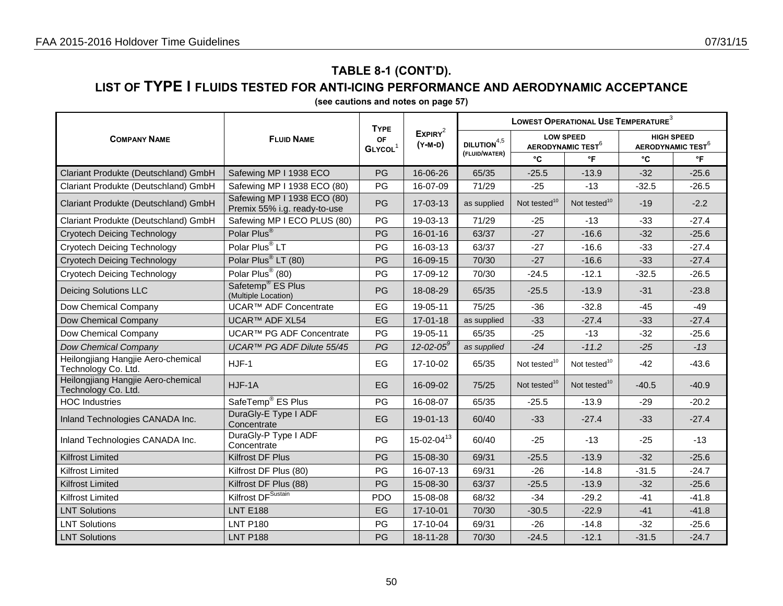### **LIST OF TYPE I FLUIDS TESTED FOR ANTI-ICING PERFORMANCE AND AERODYNAMIC ACCEPTANCE**

|                                                           |                                                             | <b>TYPE</b>                      |                                |                       | LOWEST OPERATIONAL USE TEMPERATURE <sup>3</sup> |                                                   |                                                    |                          |  |  |
|-----------------------------------------------------------|-------------------------------------------------------------|----------------------------------|--------------------------------|-----------------------|-------------------------------------------------|---------------------------------------------------|----------------------------------------------------|--------------------------|--|--|
| <b>COMPANY NAME</b>                                       | <b>FLUID NAME</b>                                           | <b>OF</b><br>GLYCOL <sup>1</sup> | EXPIRY <sup>2</sup><br>(Y-M-D) | DILUTION $^{\rm 4,5}$ |                                                 | <b>LOW SPEED</b><br>AERODYNAMIC TEST <sup>6</sup> | <b>HIGH SPEED</b><br>AERODYNAMIC TEST <sup>6</sup> |                          |  |  |
|                                                           |                                                             |                                  |                                | (FLUID/WATER)         | °C                                              | $\,^{\circ}$ F                                    | °C                                                 | $\,{}^{\circ}\mathsf{F}$ |  |  |
| Clariant Produkte (Deutschland) GmbH                      | Safewing MP I 1938 ECO                                      | PG                               | 16-06-26                       | 65/35                 | $-25.5$                                         | $-13.9$                                           | $-32$                                              | $-25.6$                  |  |  |
| Clariant Produkte (Deutschland) GmbH                      | Safewing MP I 1938 ECO (80)                                 | PG                               | 16-07-09                       | 71/29                 | $-25$                                           | $-13$                                             | $-32.5$                                            | $-26.5$                  |  |  |
| Clariant Produkte (Deutschland) GmbH                      | Safewing MP I 1938 ECO (80)<br>Premix 55% i.g. ready-to-use | PG                               | 17-03-13                       | as supplied           | Not tested <sup>10</sup>                        | Not tested <sup>10</sup>                          | $-19$                                              | $-2.2$                   |  |  |
| Clariant Produkte (Deutschland) GmbH                      | Safewing MP I ECO PLUS (80)                                 | PG                               | 19-03-13                       | 71/29                 | $-25$                                           | $-13$                                             | $-33$                                              | $-27.4$                  |  |  |
| <b>Cryotech Deicing Technology</b>                        | Polar Plus <sup>®</sup>                                     | PG                               | $16 - 01 - 16$                 | 63/37                 | $-27$                                           | $-16.6$                                           | $-32$                                              | $-25.6$                  |  |  |
| <b>Cryotech Deicing Technology</b>                        | Polar Plus <sup>®</sup> LT                                  | PG                               | 16-03-13                       | 63/37                 | $-27$                                           | $-16.6$                                           | $-33$                                              | $-27.4$                  |  |  |
| <b>Cryotech Deicing Technology</b>                        | Polar Plus <sup>®</sup> LT (80)                             | PG                               | 16-09-15                       | 70/30                 | $-27$                                           | $-16.6$                                           | $-33$                                              | $-27.4$                  |  |  |
| <b>Cryotech Deicing Technology</b>                        | Polar Plus <sup>®</sup> (80)                                | PG                               | 17-09-12                       | 70/30                 | $-24.5$                                         | $-12.1$                                           | $-32.5$                                            | $-26.5$                  |  |  |
| <b>Deicing Solutions LLC</b>                              | Safetemp <sup>®</sup> ES Plus<br>(Multiple Location)        | PG                               | 18-08-29                       | 65/35                 | $-25.5$                                         | $-13.9$                                           | $-31$                                              | $-23.8$                  |  |  |
| Dow Chemical Company                                      | <b>UCAR™ ADF Concentrate</b>                                | EG                               | 19-05-11                       | 75/25                 | $-36$                                           | $-32.8$                                           | $-45$                                              | $-49$                    |  |  |
| Dow Chemical Company                                      | UCAR™ ADF XL54                                              | EG                               | 17-01-18                       | as supplied           | $-33$                                           | $-27.4$                                           | $-33$                                              | $-27.4$                  |  |  |
| Dow Chemical Company                                      | UCAR™ PG ADF Concentrate                                    | PG                               | 19-05-11                       | 65/35                 | $-25$                                           | $-13$                                             | $-32$                                              | $-25.6$                  |  |  |
| Dow Chemical Company                                      | UCAR™ PG ADF Dilute 55/45                                   | PG                               | $12 - 02 - 05^9$               | as supplied           | $-24$                                           | $-11.2$                                           | $-25$                                              | $-13$                    |  |  |
| Heilongjiang Hangjie Aero-chemical<br>Technology Co. Ltd. | $HJF-1$                                                     | EG                               | 17-10-02                       | 65/35                 | Not tested <sup>10</sup>                        | Not tested <sup>10</sup>                          | $-42$                                              | $-43.6$                  |  |  |
| Heilongjiang Hangjie Aero-chemical<br>Technology Co. Ltd. | HJF-1A                                                      | EG                               | 16-09-02                       | 75/25                 | Not tested <sup>10</sup>                        | Not tested <sup>10</sup>                          | $-40.5$                                            | $-40.9$                  |  |  |
| <b>HOC Industries</b>                                     | SafeTemp <sup>®</sup> ES Plus                               | PG                               | 16-08-07                       | 65/35                 | $-25.5$                                         | $-13.9$                                           | $-29$                                              | $-20.2$                  |  |  |
| Inland Technologies CANADA Inc.                           | DuraGly-E Type I ADF<br>Concentrate                         | EG                               | 19-01-13                       | 60/40                 | $-33$                                           | $-27.4$                                           | $-33$                                              | $-27.4$                  |  |  |
| Inland Technologies CANADA Inc.                           | DuraGly-P Type I ADF<br>Concentrate                         | PG                               | $15 - 02 - 04$ <sup>13</sup>   | 60/40                 | $-25$                                           | $-13$                                             | $-25$                                              | $-13$                    |  |  |
| <b>Kilfrost Limited</b>                                   | Kilfrost DF Plus                                            | PG                               | 15-08-30                       | 69/31                 | $-25.5$                                         | $-13.9$                                           | $-32$                                              | $-25.6$                  |  |  |
| <b>Kilfrost Limited</b>                                   | Kilfrost DF Plus (80)                                       | PG                               | 16-07-13                       | 69/31                 | $-26$                                           | $-14.8$                                           | $-31.5$                                            | $-24.7$                  |  |  |
| <b>Kilfrost Limited</b>                                   | Kilfrost DF Plus (88)                                       | PG                               | 15-08-30                       | 63/37                 | $-25.5$                                         | $-13.9$                                           | $-32$                                              | $-25.6$                  |  |  |
| <b>Kilfrost Limited</b>                                   | Kilfrost DF <sup>Sustain</sup>                              | <b>PDO</b>                       | 15-08-08                       | 68/32                 | $-34$                                           | $-29.2$                                           | $-41$                                              | $-41.8$                  |  |  |
| <b>LNT Solutions</b>                                      | <b>LNT E188</b>                                             | EG                               | 17-10-01                       | 70/30                 | $-30.5$                                         | $-22.9$                                           | $-41$                                              | $-41.8$                  |  |  |
| <b>LNT Solutions</b>                                      | <b>LNT P180</b>                                             | PG                               | 17-10-04                       | 69/31                 | $-26$                                           | $-14.8$                                           | $-32$                                              | $-25.6$                  |  |  |
| <b>LNT Solutions</b>                                      | <b>LNT P188</b>                                             | PG                               | 18-11-28                       | 70/30                 | $-24.5$                                         | $-12.1$                                           | $-31.5$                                            | $-24.7$                  |  |  |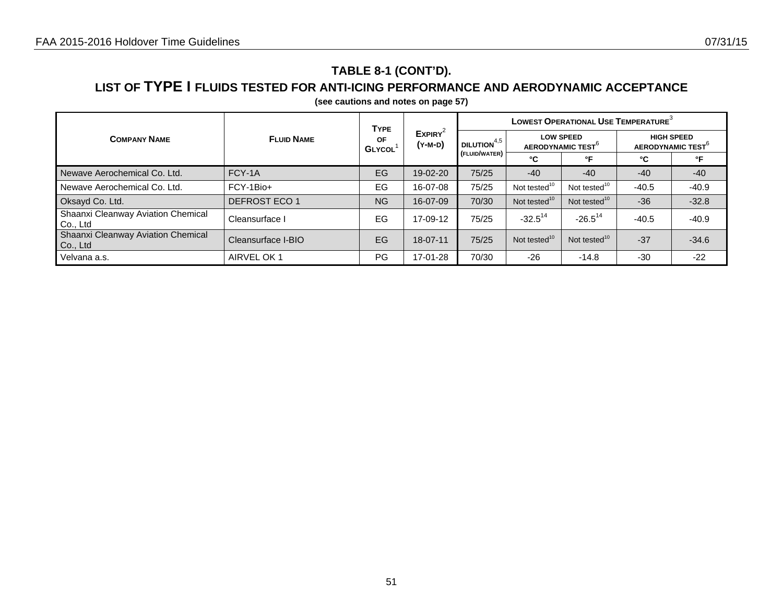## **TABLE 8-1 (CONT'D).**

### **LIST OF TYPE I FLUIDS TESTED FOR ANTI-ICING PERFORMANCE AND AERODYNAMIC ACCEPTANCE**

|                                                |                    | <b>TYPE</b>         | $EXPIRY^2$<br>(Y-M-D) | LOWEST OPERATIONAL USE TEMPERATURE <sup>3</sup> |                                                   |                          |                                                    |         |  |
|------------------------------------------------|--------------------|---------------------|-----------------------|-------------------------------------------------|---------------------------------------------------|--------------------------|----------------------------------------------------|---------|--|
| <b>COMPANY NAME</b>                            | <b>FLUID NAME</b>  | OF<br><b>GLYCOL</b> |                       | i dilution $^{4,5}$                             | <b>LOW SPEED</b><br>AERODYNAMIC TEST <sup>°</sup> |                          | <b>HIGH SPEED</b><br>AERODYNAMIC TEST <sup>®</sup> |         |  |
|                                                |                    |                     |                       | (FLUID/WATER)<br>°C<br>°F<br>°C                 |                                                   | °F                       |                                                    |         |  |
| Newave Aerochemical Co. Ltd.                   | FCY-1A             | EG                  | 19-02-20              | 75/25                                           | $-40$                                             | $-40$                    | $-40$                                              | $-40$   |  |
| Newave Aerochemical Co. Ltd.                   | FCY-1Bio+          | EG                  | 16-07-08              | 75/25                                           | Not tested <sup>10</sup>                          | Not tested <sup>10</sup> | $-40.5$                                            | $-40.9$ |  |
| Oksayd Co. Ltd.                                | DEFROST ECO 1      | <b>NG</b>           | 16-07-09              | 70/30                                           | Not tested <sup>10</sup>                          | Not tested <sup>10</sup> | $-36$                                              | $-32.8$ |  |
| Shaanxi Cleanway Aviation Chemical<br>Co., Ltd | Cleansurface I     | EG                  | 17-09-12              | 75/25                                           | $-32.5^{14}$                                      | $-26.5^{14}$             | $-40.5$                                            | $-40.9$ |  |
| Shaanxi Cleanway Aviation Chemical<br>Co., Ltd | Cleansurface I-BIO | EG                  | $18 - 07 - 11$        | 75/25                                           | Not tested <sup>10</sup>                          | Not tested <sup>10</sup> | $-37$                                              | $-34.6$ |  |
| Velvana a.s.                                   | AIRVEL OK 1        | PG                  | 17-01-28              | 70/30                                           | $-26$                                             | $-14.8$                  | $-30$                                              | $-22$   |  |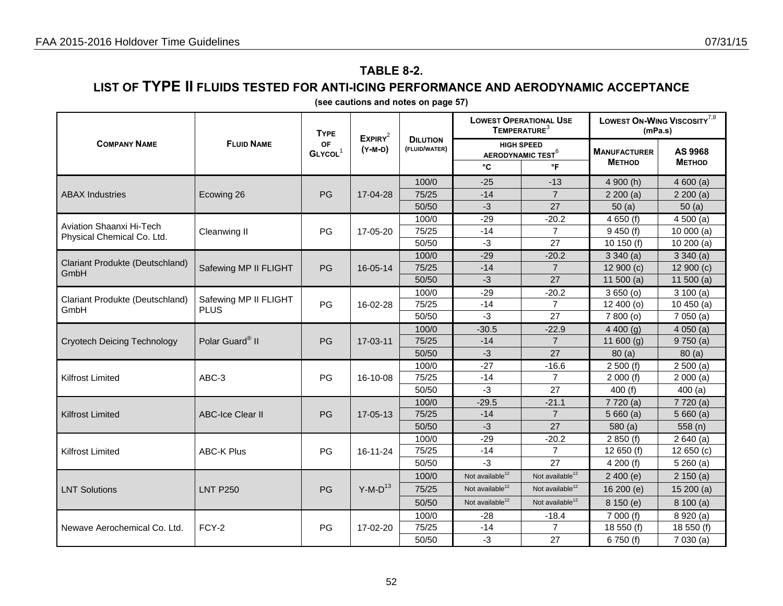## **TABLE 8-2.**

### **LIST OF TYPE II FLUIDS TESTED FOR ANTI-ICING PERFORMANCE AND AERODYNAMIC ACCEPTANCE**

|                                         | <b>FLUID NAME</b>                    | <b>TYPE</b>                      | EXPIRY <sup>2</sup> |                                  | <b>LOWEST OPERATIONAL USE</b><br>TEMPERATURE <sup>3</sup> |                             | LOWEST ON-WING VISCOSITY <sup>7,8</sup><br>(mPa.s) |                          |  |
|-----------------------------------------|--------------------------------------|----------------------------------|---------------------|----------------------------------|-----------------------------------------------------------|-----------------------------|----------------------------------------------------|--------------------------|--|
| <b>COMPANY NAME</b>                     |                                      | <b>OF</b><br>GLYCOL <sup>1</sup> | (Y-M-D)             | <b>DILUTION</b><br>(FLUID/WATER) | <b>HIGH SPEED</b><br><b>AERODYNAMIC TEST<sup>6</sup></b>  |                             | <b>MANUFACTURER</b><br><b>METHOD</b>               | AS 9968<br><b>METHOD</b> |  |
|                                         |                                      |                                  |                     |                                  | °C                                                        | °F                          |                                                    |                          |  |
|                                         |                                      |                                  |                     | 100/0                            | $-25$                                                     | $-13$                       | 4 900 (h)                                          | 4600(a)                  |  |
| <b>ABAX Industries</b>                  | Ecowing 26                           | PG                               | 17-04-28            | 75/25                            | $-14$                                                     | $\overline{7}$              | 2200(a)                                            | 2200(a)                  |  |
|                                         |                                      |                                  |                     | 50/50                            | $-3$                                                      | 27                          | 50(a)                                              | 50(a)                    |  |
| Aviation Shaanxi Hi-Tech                |                                      |                                  |                     | 100/0                            | $-29$                                                     | $-20.2$                     | 4650(f)                                            | 4500(a)                  |  |
| Physical Chemical Co. Ltd.              | Cleanwing II                         | PG                               | 17-05-20            | 75/25                            | $-14$                                                     | $\overline{7}$              | 9450(f)                                            | 10000(a)                 |  |
|                                         |                                      |                                  |                     | 50/50                            | $-3$                                                      | 27                          | 10 150 (f)                                         | 10200(a)                 |  |
|                                         |                                      |                                  |                     | 100/0                            | $-29$                                                     | $-20.2$                     | 3340(a)                                            | 3340(a)                  |  |
| Clariant Produkte (Deutschland)<br>GmbH | Safewing MP II FLIGHT                | PG                               | 16-05-14            | 75/25                            | $-14$                                                     | $\overline{7}$              | 12900(c)                                           | 12 900 (c)               |  |
|                                         |                                      |                                  |                     | 50/50                            | $-3$                                                      | 27                          | 11 500 $(a)$                                       | 11 500 $(a)$             |  |
| Clariant Produkte (Deutschland)<br>GmbH | Safewing MP II FLIGHT<br><b>PLUS</b> | PG                               | 16-02-28            | 100/0                            | $-29$                                                     | $-20.2$                     | 3650(0)                                            | 3100(a)                  |  |
|                                         |                                      |                                  |                     | 75/25                            | $-14$                                                     | $\overline{7}$              | 12 400 (o)                                         | 10450(a)                 |  |
|                                         |                                      |                                  |                     | 50/50                            | $-3$                                                      | 27                          | 7 800 (o)                                          | 7050(a)                  |  |
|                                         |                                      |                                  |                     | 100/0                            | $-30.5$                                                   | $-22.9$                     | 4400(q)                                            | 4050(a)                  |  |
| <b>Cryotech Deicing Technology</b>      | Polar Guard <sup>®</sup> II          | PG                               | 17-03-11            | 75/25                            | $-14$                                                     | $\overline{7}$              | 11 600 $(g)$                                       | 9750(a)                  |  |
|                                         |                                      |                                  |                     | 50/50                            | $-3$                                                      | 27                          | 80(a)                                              | 80(a)                    |  |
|                                         | ABC-3                                | PG                               | 16-10-08            | 100/0                            | $-27$                                                     | $-16.6$                     | 2500(f)                                            | 2500(a)                  |  |
| <b>Kilfrost Limited</b>                 |                                      |                                  |                     | 75/25                            | $-14$                                                     | $\overline{7}$              | 2000(f)                                            | 2000(a)                  |  |
|                                         |                                      |                                  |                     | 50/50                            | $-3$                                                      | 27                          | 400(f)                                             | 400(a)                   |  |
|                                         |                                      |                                  |                     | 100/0                            | $-29.5$                                                   | $-21.1$                     | 7720(a)                                            | 7 720 (a)                |  |
| <b>Kilfrost Limited</b>                 | <b>ABC-Ice Clear II</b>              | PG                               | 17-05-13            | 75/25                            | $-14$                                                     | $\overline{7}$              | 5660(a)                                            | 5660(a)                  |  |
|                                         |                                      |                                  |                     | 50/50                            | $-3$                                                      | 27                          | 580(a)                                             | 558(n)                   |  |
|                                         |                                      |                                  |                     | 100/0                            | $-29$                                                     | $-20.2$                     | 2850(f)                                            | 2640(a)                  |  |
| Kilfrost Limited                        | <b>ABC-K Plus</b>                    | PG                               | 16-11-24            | 75/25                            | $-14$                                                     | $\overline{7}$              | 12 650 (f)                                         | 12 650 (c)               |  |
|                                         |                                      |                                  |                     | 50/50                            | $-3$                                                      | 27                          | 4200(f)                                            | 5260(a)                  |  |
|                                         |                                      |                                  |                     | 100/0                            | Not available <sup>12</sup>                               | Not available <sup>12</sup> | 2400(e)                                            | 2 150 (a)                |  |
| <b>LNT Solutions</b>                    | <b>LNT P250</b>                      | PG                               | $Y-M-D^{13}$        | 75/25                            | Not available <sup>12</sup>                               | Not available <sup>12</sup> | 16 200 (e)                                         | 15200(a)                 |  |
|                                         |                                      |                                  |                     | 50/50                            | Not available <sup>12</sup>                               | Not available <sup>12</sup> | 8 150 (e)                                          | 8100(a)                  |  |
|                                         |                                      |                                  |                     | 100/0                            | $-28$                                                     | $-18.4$                     | 7 000 (f)                                          | 8 920 (a)                |  |
| Newave Aerochemical Co. Ltd.            | FCY-2                                | PG                               | 17-02-20            | 75/25                            | $-14$                                                     | $\overline{7}$              | 18 550 (f)                                         | 18 550 (f)               |  |
|                                         |                                      |                                  |                     | 50/50                            | $-3$                                                      | 27                          | 6750 (f)                                           | 7030(a)                  |  |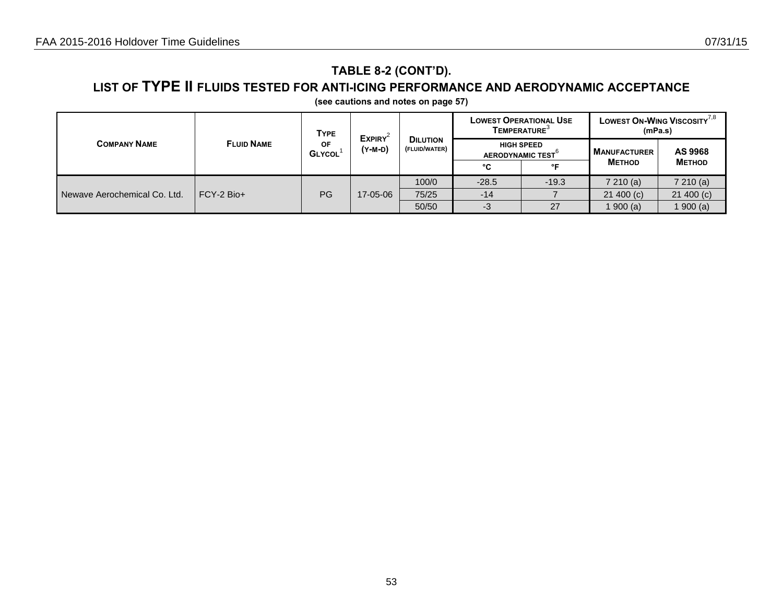## **TABLE 8-2 (CONT'D).**

### **LIST OF TYPE II FLUIDS TESTED FOR ANTI-ICING PERFORMANCE AND AERODYNAMIC ACCEPTANCE**

| <b>COMPANY NAME</b>          |                   | <b>TYPE</b>         | $EXPIRY^2$<br>(Y-M-D) |                                  |                                              | <b>LOWEST OPERATIONAL USE</b><br><b>TEMPERATURE</b> <sup>3</sup> | <b>LOWEST ON-WING VISCOSITY 7,8</b><br>(mPa.s) |               |
|------------------------------|-------------------|---------------------|-----------------------|----------------------------------|----------------------------------------------|------------------------------------------------------------------|------------------------------------------------|---------------|
|                              | <b>FLUID NAME</b> | ΟF<br><b>GLYCOL</b> |                       | <b>DILUTION</b><br>(FLUID/WATER) | <b>HIGH SPEED</b><br><b>AERODYNAMIC TEST</b> |                                                                  | <b>MANUFACTURER</b>                            | AS 9968       |
|                              |                   |                     |                       |                                  | °C                                           | ∘⊏                                                               | <b>METHOD</b>                                  | <b>METHOD</b> |
|                              | $FCY-2$ Bio+      | PG                  | 17-05-06              | 100/0                            | $-28.5$                                      | $-19.3$                                                          | 7210(a)                                        | 7210(a)       |
| Newave Aerochemical Co. Ltd. |                   |                     |                       | 75/25                            | $-14$                                        |                                                                  | 21400(c)                                       | 21400(c)      |
|                              |                   |                     |                       | 50/50                            | -3                                           | 27                                                               | 1 900 (a)                                      | 1900(a)       |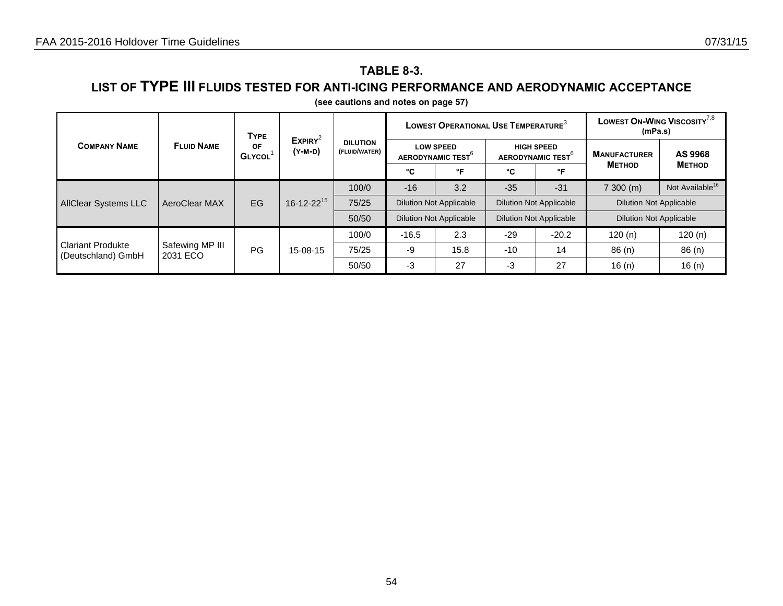## **TABLE 8-3.**

### **LIST OF TYPE III FLUIDS TESTED FOR ANTI-ICING PERFORMANCE AND AERODYNAMIC ACCEPTANCE**

| <b>COMPANY NAME</b>                            | <b>FLUID NAME</b>           | <b>TYPE</b><br>ΟF<br><b>GLYCOL</b> | EXPIRY <sup>2</sup><br>(Y-M-D) |                                  |                                                   | LOWEST OPERATIONAL USE TEMPERATURE <sup>3</sup> |                                                    | LOWEST ON-WING VISCOSITY <sup>7,8</sup><br>(mPa.s) |                                |                             |
|------------------------------------------------|-----------------------------|------------------------------------|--------------------------------|----------------------------------|---------------------------------------------------|-------------------------------------------------|----------------------------------------------------|----------------------------------------------------|--------------------------------|-----------------------------|
|                                                |                             |                                    |                                | <b>DILUTION</b><br>(FLUID/WATER) | <b>LOW SPEED</b><br>AERODYNAMIC TEST <sup>O</sup> |                                                 | <b>HIGH SPEED</b><br>AERODYNAMIC TEST <sup>6</sup> |                                                    | <b>MANUFACTURER</b>            | AS 9968                     |
|                                                |                             |                                    |                                |                                  | °C                                                | °F                                              | °C                                                 | °F                                                 | <b>METHOD</b>                  | <b>METHOD</b>               |
|                                                | AeroClear MAX               | EG                                 | $16 - 12 - 22^{15}$            | 100/0                            | $-16$                                             | 3.2                                             | $-35$                                              | $-31$                                              | 7300 (m)                       | Not Available <sup>16</sup> |
| <b>AllClear Systems LLC</b>                    |                             |                                    |                                | 75/25                            | <b>Dilution Not Applicable</b>                    |                                                 |                                                    | <b>Dilution Not Applicable</b>                     | <b>Dilution Not Applicable</b> |                             |
|                                                |                             |                                    |                                | 50/50                            | <b>Dilution Not Applicable</b>                    |                                                 | <b>Dilution Not Applicable</b>                     |                                                    | <b>Dilution Not Applicable</b> |                             |
|                                                |                             |                                    | 15-08-15                       | 100/0                            | $-16.5$                                           | 2.3                                             | $-29$                                              | $-20.2$                                            | 120(n)                         | 120(n)                      |
| <b>Clariant Produkte</b><br>(Deutschland) GmbH | Safewing MP III<br>2031 ECO | PG                                 |                                | 75/25                            | -9                                                | 15.8                                            | $-10$                                              | 14                                                 | 86(n)                          | 86(n)                       |
|                                                |                             |                                    |                                | 50/50                            | $-3$                                              | 27                                              | -3                                                 | 27                                                 | 16 $(n)$                       | 16 $(n)$                    |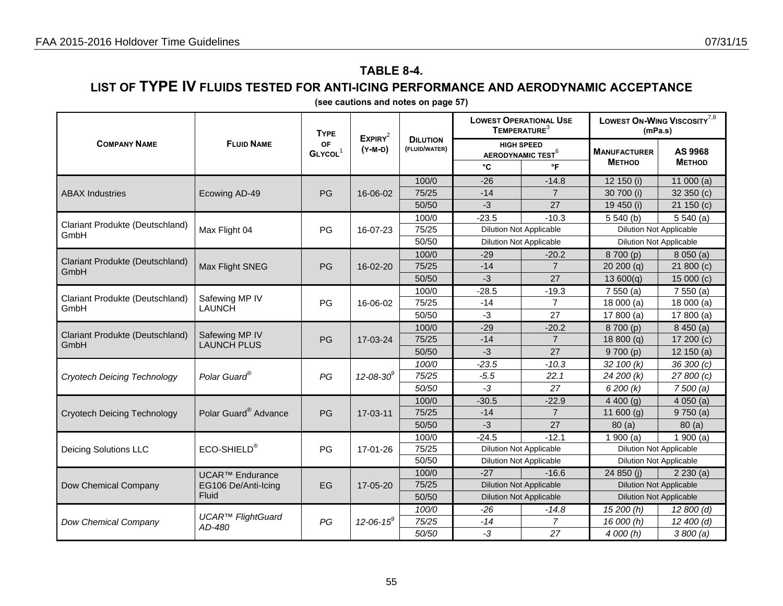## **TABLE 8-4.**

### **LIST OF TYPE IV FLUIDS TESTED FOR ANTI-ICING PERFORMANCE AND AERODYNAMIC ACCEPTANCE**

|                                         | <b>FLUID NAME</b>        | <b>TYPE</b>               | EXPIRY <sup>2</sup> |                                  | TEMPERATURE <sup>3</sup>                                 | <b>LOWEST OPERATIONAL USE</b>  | LOWEST ON-WING VISCOSITY <sup>7,8</sup><br>(mPa.s) |                         |  |
|-----------------------------------------|--------------------------|---------------------------|---------------------|----------------------------------|----------------------------------------------------------|--------------------------------|----------------------------------------------------|-------------------------|--|
| <b>COMPANY NAME</b>                     |                          | OF<br>GLYCOL <sup>1</sup> | (Y-M-D)             | <b>DILUTION</b><br>(FLUID/WATER) | <b>HIGH SPEED</b><br><b>AERODYNAMIC TEST<sup>6</sup></b> |                                | <b>MANUFACTURER</b><br><b>METHOD</b>               | AS 9968<br><b>МЕТНО</b> |  |
|                                         |                          |                           |                     |                                  | °C                                                       | °F                             |                                                    |                         |  |
|                                         |                          |                           |                     | 100/0                            | $-26$                                                    | $-14.8$                        | 12 150 (i)                                         | 11 000 $(a)$            |  |
| <b>ABAX Industries</b>                  | Ecowing AD-49            | PG                        | 16-06-02            | 75/25                            | $-14$                                                    | $\overline{7}$                 | 30 700 (i)                                         | 32 350 (c)              |  |
|                                         |                          |                           |                     | 50/50                            | $-3$                                                     | 27                             | 19 450 (i)                                         | 21 150 (c)              |  |
| Clariant Produkte (Deutschland)         |                          |                           |                     | 100/0                            | $-23.5$                                                  | $-10.3$                        | 5540(b)                                            | 5540(a)                 |  |
| GmbH                                    | Max Flight 04            | PG                        | 16-07-23            | 75/25                            |                                                          | <b>Dilution Not Applicable</b> | <b>Dilution Not Applicable</b>                     |                         |  |
|                                         |                          |                           |                     | 50/50                            |                                                          | <b>Dilution Not Applicable</b> | <b>Dilution Not Applicable</b>                     |                         |  |
| Clariant Produkte (Deutschland)         |                          |                           |                     | 100/0                            | $-29$                                                    | $-20.2$                        | 8700 (p)                                           | 8050(a)                 |  |
| GmbH                                    | Max Flight SNEG          | PG                        | 16-02-20            | 75/25                            | $-14$                                                    | $\overline{7}$                 | 20200(q)                                           | 21 800 (c)              |  |
|                                         |                          |                           |                     | 50/50                            | $-3$                                                     | 27                             | 13600(q)                                           | 15 000 (c)              |  |
|                                         | Safewing MP IV           |                           | 16-06-02            | 100/0                            | $-28.5$                                                  | $-19.3$                        | 7550(a)                                            | 7550(a)                 |  |
| Clariant Produkte (Deutschland)<br>GmbH | <b>LAUNCH</b>            | PG                        |                     | 75/25                            | $-14$                                                    | $\overline{7}$                 | 18000(a)                                           | 18 000 (a)              |  |
|                                         |                          |                           |                     | 50/50                            | $-3$                                                     | 27                             | 17 800 $(a)$                                       | 17 800 $(a)$            |  |
|                                         | Safewing MP IV           |                           |                     | 100/0                            | $-29$                                                    | $-20.2$                        | 8700 (p)                                           | 8450(a)                 |  |
| Clariant Produkte (Deutschland)<br>GmbH | <b>LAUNCH PLUS</b>       | PG                        | 17-03-24            | 75/25                            | $-14$                                                    | $\overline{7}$                 | 18800(q)                                           | 17 200 (c)              |  |
|                                         |                          |                           |                     | 50/50                            | $-3$                                                     | 27                             | 9700(p)                                            | 12 150 (a)              |  |
|                                         | Polar Guard®             | PG                        | $12 - 08 - 30^9$    | 100/0                            | $-23.5$                                                  | $-10.3$                        | 32 100 (k)                                         | 36 300 (c)              |  |
| <b>Cryotech Deicing Technology</b>      |                          |                           |                     | 75/25                            | $-5.5$                                                   | 22.1                           | 24 200 (k)                                         | 27 800 (c)              |  |
|                                         |                          |                           |                     | 50/50                            | $-3$                                                     | 27                             | 6200(k)                                            | 7500(a)                 |  |
|                                         |                          |                           |                     | 100/0                            | $-30.5$                                                  | $-22.9$                        | 4400(q)                                            | 4050(a)                 |  |
| <b>Cryotech Deicing Technology</b>      | Polar Guard® Advance     | PG                        | 17-03-11            | 75/25                            | $-14$                                                    | $\overline{7}$                 | 11 600 $(g)$                                       | 9750(a)                 |  |
|                                         |                          |                           |                     | 50/50                            | $-3$                                                     | 27                             | 80(a)                                              | 80(a)                   |  |
|                                         |                          |                           |                     | 100/0                            | $-24.5$                                                  | $-12.1$                        | $\frac{1}{1}$ 900 (a)                              | 1900(a)                 |  |
| <b>Deicing Solutions LLC</b>            | ECO-SHIELD®              | PG                        | 17-01-26            | 75/25                            |                                                          | <b>Dilution Not Applicable</b> | <b>Dilution Not Applicable</b>                     |                         |  |
|                                         |                          |                           |                     | 50/50                            |                                                          | <b>Dilution Not Applicable</b> | <b>Dilution Not Applicable</b>                     |                         |  |
|                                         | <b>UCAR™ Endurance</b>   |                           |                     | 100/0                            | $-27$                                                    | $-16.6$                        | 24 850 (i)                                         | 2230(a)                 |  |
| Dow Chemical Company                    | EG106 De/Anti-Icing      | EG                        | 17-05-20            | 75/25                            |                                                          | <b>Dilution Not Applicable</b> | <b>Dilution Not Applicable</b>                     |                         |  |
|                                         | Fluid                    |                           |                     | 50/50                            |                                                          | <b>Dilution Not Applicable</b> | <b>Dilution Not Applicable</b>                     |                         |  |
|                                         | <b>UCAR™ FlightGuard</b> |                           |                     | 100/0                            | $-26$                                                    | $-14.8$                        | 15 200 (h)                                         | 12 800 (d)              |  |
| Dow Chemical Company                    | AD-480                   | PG                        | $12 - 06 - 15^9$    | 75/25                            | $-14$                                                    | 7                              | 16 000 (h)                                         | 12 400 (d)              |  |
|                                         |                          |                           |                     | 50/50                            | $-3$                                                     | 27                             | 4 000 (h)                                          | 3800(a)                 |  |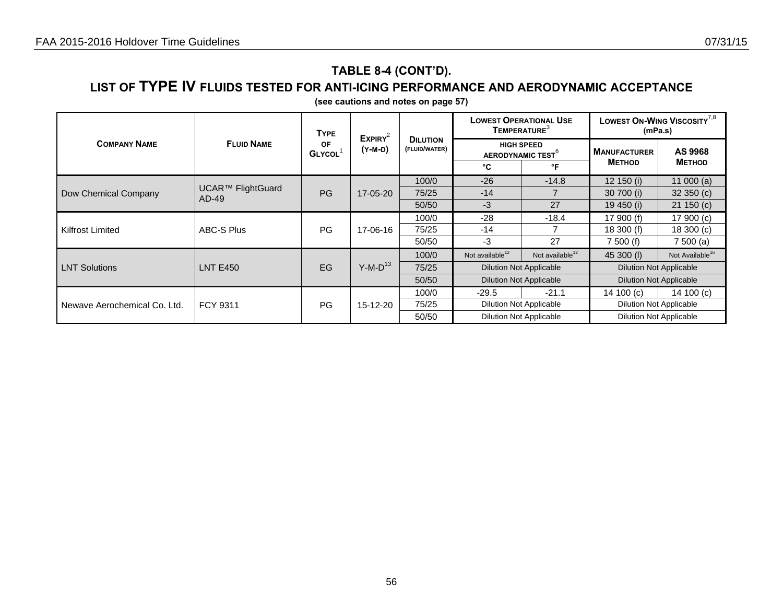## **TABLE 8-4 (CONT'D).**

### **LIST OF TYPE IV FLUIDS TESTED FOR ANTI-ICING PERFORMANCE AND AERODYNAMIC ACCEPTANCE**

|                              |                            | <b>TYPE</b>         | $EXPIRY^2$<br>(Y-M-D) |                                  | TEMPERATURE <sup>3</sup>       | <b>LOWEST OPERATIONAL USE</b>                      | LOWEST ON-WING VISCOSITY <sup>7,8</sup><br>(mPa.s) |                             |
|------------------------------|----------------------------|---------------------|-----------------------|----------------------------------|--------------------------------|----------------------------------------------------|----------------------------------------------------|-----------------------------|
| <b>COMPANY NAME</b>          | <b>FLUID NAME</b>          | OF<br><b>GLYCOL</b> |                       | <b>DILUTION</b><br>(FLUID/WATER) |                                | <b>HIGH SPEED</b><br>AERODYNAMIC TEST <sup>6</sup> |                                                    | AS 9968                     |
|                              |                            |                     |                       |                                  | °C                             | °F                                                 | <b>METHOD</b>                                      | <b>METHOD</b>               |
|                              |                            |                     | 17-05-20              | 100/0                            | $-26$                          | $-14.8$                                            | 12 150 (i)                                         | 11 000 $(a)$                |
| Dow Chemical Company         | UCAR™ FlightGuard<br>AD-49 | PG                  |                       | 75/25                            | $-14$                          |                                                    | 30 700 (i)                                         | 32350(c)                    |
|                              |                            |                     |                       | 50/50                            | $-3$                           | 27                                                 | 19 450 (i)                                         | 21150(c)                    |
|                              | <b>ABC-S Plus</b>          | <b>PG</b>           | 17-06-16              | 100/0                            | $-28$                          | $-18.4$                                            | 17 900 (f)                                         | 17 900 (c)                  |
| <b>Kilfrost Limited</b>      |                            |                     |                       | 75/25                            | $-14$                          |                                                    | 18 300 (f)                                         | 18300(c)                    |
|                              |                            |                     |                       | 50/50                            | $-3$                           | 27                                                 | 7500(f)                                            | 7500(a)                     |
|                              |                            |                     |                       | 100/0                            | Not available $12$             | Not available <sup>12</sup>                        | 45 300 (I)                                         | Not Available <sup>16</sup> |
| <b>LNT Solutions</b>         | <b>LNT E450</b>            | EG                  | $Y-M-D^{13}$          | 75/25                            | <b>Dilution Not Applicable</b> |                                                    | <b>Dilution Not Applicable</b>                     |                             |
|                              |                            |                     |                       | 50/50                            | <b>Dilution Not Applicable</b> |                                                    | <b>Dilution Not Applicable</b>                     |                             |
| Newave Aerochemical Co. Ltd. |                            | <b>PG</b>           | 15-12-20              | 100/0                            | $-29.5$                        | $-21.1$                                            | 14 100 $(c)$                                       | 14 100 $(c)$                |
|                              | FCY 9311                   |                     |                       | 75/25                            | <b>Dilution Not Applicable</b> |                                                    | <b>Dilution Not Applicable</b>                     |                             |
|                              |                            |                     |                       | 50/50                            | <b>Dilution Not Applicable</b> |                                                    | <b>Dilution Not Applicable</b>                     |                             |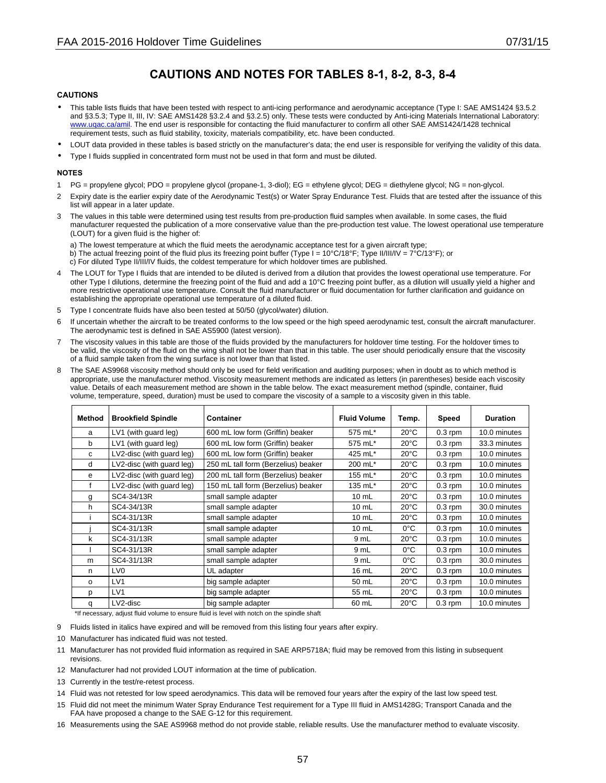### **CAUTIONS AND NOTES FOR TABLES 8-1, 8-2, 8-3, 8-4**

#### **CAUTIONS**

- This table lists fluids that have been tested with respect to anti-icing performance and aerodynamic acceptance (Type I: SAE AMS1424 §3.5.2 and §3.5.3; Type II, III, IV: SAE AMS1428 §3.2.4 and §3.2.5) only. These tests were conducted by Anti-icing Materials International Laboratory: www.uqac.ca/amil. The end user is responsible for contacting the fluid manufacturer to confirm all other SAE AMS1424/1428 technical requirement tests, such as fluid stability, toxicity, materials compatibility, etc. have been conducted.
- LOUT data provided in these tables is based strictly on the manufacturer's data; the end user is responsible for verifying the validity of this data.
- Type I fluids supplied in concentrated form must not be used in that form and must be diluted.

#### **NOTES**

- 1 PG = propylene glycol; PDO = propylene glycol (propane-1, 3-diol); EG = ethylene glycol; DEG = diethylene glycol; NG = non-glycol.
- 2 Expiry date is the earlier expiry date of the Aerodynamic Test(s) or Water Spray Endurance Test. Fluids that are tested after the issuance of this list will appear in a later update.
- 3 The values in this table were determined using test results from pre-production fluid samples when available. In some cases, the fluid manufacturer requested the publication of a more conservative value than the pre-production test value. The lowest operational use temperature (LOUT) for a given fluid is the higher of:

a) The lowest temperature at which the fluid meets the aerodynamic acceptance test for a given aircraft type; b) The actual freezing point of the fluid plus its freezing point buffer (Type I =  $10^{\circ}C/18^{\circ}F$ ; Type II/III/IV =  $7^{\circ}C/13^{\circ}F$ ); or c) For diluted Type II/III/IV fluids, the coldest temperature for which holdover times are published.

- 4 The LOUT for Type I fluids that are intended to be diluted is derived from a dilution that provides the lowest operational use temperature. For other Type I dilutions, determine the freezing point of the fluid and add a 10°C freezing point buffer, as a dilution will usually yield a higher and more restrictive operational use temperature. Consult the fluid manufacturer or fluid documentation for further clarification and guidance on establishing the appropriate operational use temperature of a diluted fluid.
- 5 Type I concentrate fluids have also been tested at 50/50 (glycol/water) dilution.
- 6 If uncertain whether the aircraft to be treated conforms to the low speed or the high speed aerodynamic test, consult the aircraft manufacturer. The aerodynamic test is defined in SAE AS5900 (latest version).
- 7 The viscosity values in this table are those of the fluids provided by the manufacturers for holdover time testing. For the holdover times to be valid, the viscosity of the fluid on the wing shall not be lower than that in this table. The user should periodically ensure that the viscosity of a fluid sample taken from the wing surface is not lower than that listed.
- 8 The SAE AS9968 viscosity method should only be used for field verification and auditing purposes; when in doubt as to which method is appropriate, use the manufacturer method. Viscosity measurement methods are indicated as letters (in parentheses) beside each viscosity value. Details of each measurement method are shown in the table below. The exact measurement method (spindle, container, fluid volume, temperature, speed, duration) must be used to compare the viscosity of a sample to a viscosity given in this table.

| Method  | <b>Brookfield Spindle</b> | Container                           | <b>Fluid Volume</b> | Temp.          | Speed     | <b>Duration</b> |
|---------|---------------------------|-------------------------------------|---------------------|----------------|-----------|-----------------|
| a       | LV1 (with guard leg)      | 600 mL low form (Griffin) beaker    | 575 mL*             | $20^{\circ}$ C | $0.3$ rpm | 10.0 minutes    |
| b       | LV1 (with quard leg)      | 600 mL low form (Griffin) beaker    | 575 mL*             | $20^{\circ}$ C | $0.3$ rpm | 33.3 minutes    |
| C       | LV2-disc (with guard leg) | 600 mL low form (Griffin) beaker    | 425 mL*             | $20^{\circ}$ C | $0.3$ rpm | 10.0 minutes    |
| d       | LV2-disc (with guard leg) | 250 mL tall form (Berzelius) beaker | 200 mL*             | $20^{\circ}$ C | $0.3$ rpm | 10.0 minutes    |
| e       | LV2-disc (with guard leg) | 200 mL tall form (Berzelius) beaker | 155 mL*             | $20^{\circ}$ C | $0.3$ rpm | 10.0 minutes    |
|         | LV2-disc (with guard leg) | 150 mL tall form (Berzelius) beaker | 135 mL*             | $20^{\circ}$ C | $0.3$ rpm | 10.0 minutes    |
| g       | SC4-34/13R                | small sample adapter                | $10 \text{ mL}$     | $20^{\circ}$ C | $0.3$ rpm | 10.0 minutes    |
| h       | SC4-34/13R                | small sample adapter                | $10 \text{ mL}$     | $20^{\circ}$ C | $0.3$ rpm | 30.0 minutes    |
|         | SC4-31/13R                | small sample adapter                | $10$ mL             | $20^{\circ}$ C | $0.3$ rpm | 10.0 minutes    |
|         | SC4-31/13R                | small sample adapter                | $10 \text{ mL}$     | $0^{\circ}$ C  | $0.3$ rpm | 10.0 minutes    |
| k       | SC4-31/13R                | small sample adapter                | 9 mL                | $20^{\circ}$ C | $0.3$ rpm | 10.0 minutes    |
|         | SC4-31/13R                | small sample adapter                | 9 mL                | $0^{\circ}$ C  | $0.3$ rpm | 10.0 minutes    |
| m       | SC4-31/13R                | small sample adapter                | 9 mL                | $0^{\circ}$ C  | $0.3$ rpm | 30.0 minutes    |
| n.      | LV <sub>0</sub>           | UL adapter                          | 16 mL               | $20^{\circ}$ C | $0.3$ rpm | 10.0 minutes    |
| $\circ$ | LV1                       | big sample adapter                  | 50 mL               | $20^{\circ}$ C | $0.3$ rpm | 10.0 minutes    |
| p       | LV <sub>1</sub>           | big sample adapter                  | 55 mL               | $20^{\circ}$ C | $0.3$ rpm | 10.0 minutes    |
| q       | LV2-disc                  | big sample adapter                  | 60 mL               | $20^{\circ}$ C | $0.3$ rpm | 10.0 minutes    |

\*If necessary, adjust fluid volume to ensure fluid is level with notch on the spindle shaft

- 9 Fluids listed in italics have expired and will be removed from this listing four years after expiry.
- 10 Manufacturer has indicated fluid was not tested.
- 11 Manufacturer has not provided fluid information as required in SAE ARP5718A; fluid may be removed from this listing in subsequent revisions.
- 12 Manufacturer had not provided LOUT information at the time of publication.
- 13 Currently in the test/re-retest process.
- 14 Fluid was not retested for low speed aerodynamics. This data will be removed four years after the expiry of the last low speed test.
- 15 Fluid did not meet the minimum Water Spray Endurance Test requirement for a Type III fluid in AMS1428G; Transport Canada and the FAA have proposed a change to the SAE G-12 for this requirement.
- 16 Measurements using the SAE AS9968 method do not provide stable, reliable results. Use the manufacturer method to evaluate viscosity.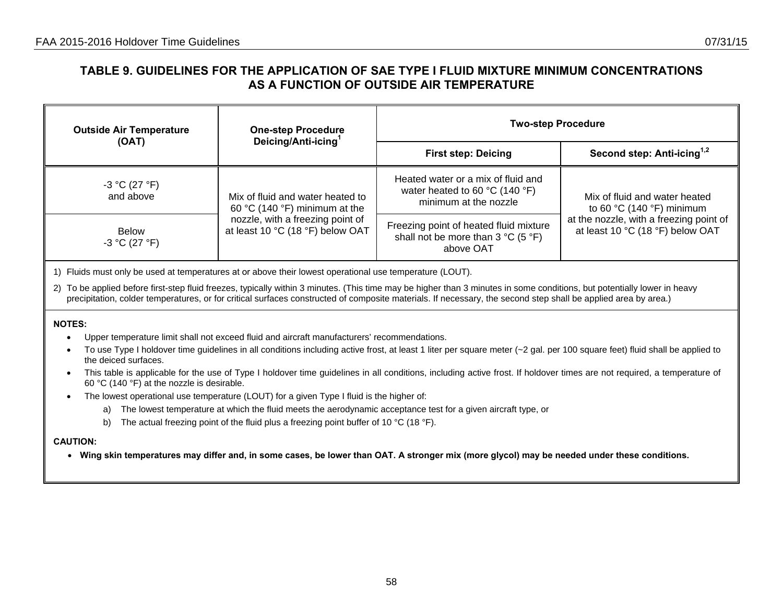### **TABLE 9. GUIDELINES FOR THE APPLICATION OF SAE TYPE I FLUID MIXTURE MINIMUM CONCENTRATIONS AS A FUNCTION OF OUTSIDE AIR TEMPERATURE**

| <b>Outside Air Temperature</b>                                                                           | <b>One-step Procedure</b>                                            | <b>Two-step Procedure</b>                                                                                         |                                                                              |  |  |  |
|----------------------------------------------------------------------------------------------------------|----------------------------------------------------------------------|-------------------------------------------------------------------------------------------------------------------|------------------------------------------------------------------------------|--|--|--|
| (OAT)                                                                                                    | Deicing/Anti-icing <sup>1</sup>                                      | <b>First step: Deicing</b>                                                                                        | Second step: Anti-icing <sup>1,2</sup>                                       |  |  |  |
| $-3 °C (27 °F)$<br>and above                                                                             | Mix of fluid and water heated to<br>60 °C (140 °F) minimum at the    | Heated water or a mix of fluid and<br>water heated to 60 $^{\circ}$ C (140 $^{\circ}$ F)<br>minimum at the nozzle | Mix of fluid and water heated<br>to 60 $\degree$ C (140 $\degree$ F) minimum |  |  |  |
| <b>Below</b><br>$-3 °C (27 °F)$                                                                          | nozzle, with a freezing point of<br>at least 10 °C (18 °F) below OAT | Freezing point of heated fluid mixture<br>shall not be more than $3^{\circ}C$ (5 $^{\circ}F$ )<br>above OAT       | at the nozzle, with a freezing point of<br>at least 10 °C (18 °F) below OAT  |  |  |  |
| 1) Fluids must only be used at temperatures at or above their lowest operational use temperature (LOUT). |                                                                      |                                                                                                                   |                                                                              |  |  |  |

2) To be applied before first-step fluid freezes, typically within 3 minutes. (This time may be higher than 3 minutes in some conditions, but potentially lower in heavy precipitation, colder temperatures, or for critical surfaces constructed of composite materials. If necessary, the second step shall be applied area by area.)

#### **NOTES:**

- •Upper temperature limit shall not exceed fluid and aircraft manufacturers' recommendations.
- •To use Type I holdover time guidelines in all conditions including active frost, at least 1 liter per square meter  $(-2)$  gal. per 100 square feet) fluid shall be applied to the deiced surfaces.
- • This table is applicable for the use of Type I holdover time guidelines in all conditions, including active frost. If holdover times are not required, a temperature of 60 °C (140 °F) at the nozzle is desirable.
- • The lowest operational use temperature (LOUT) for a given Type I fluid is the higher of:
	- a) The lowest temperature at which the fluid meets the aerodynamic acceptance test for a given aircraft type, or
	- b) The actual freezing point of the fluid plus a freezing point buffer of 10 °C (18 °F).

#### **CAUTION:**

• **Wing skin temperatures may differ and, in some cases, be lower than OAT. A stronger mix (more glycol) may be needed under these conditions.**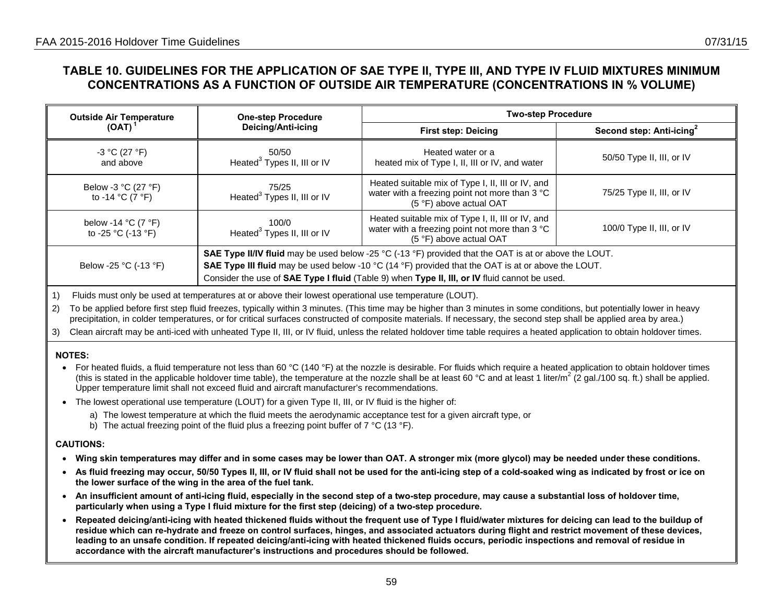## **TABLE 10. GUIDELINES FOR THE APPLICATION OF SAE TYPE II, TYPE III, AND TYPE IV FLUID MIXTURES MINIMUM CONCENTRATIONS AS A FUNCTION OF OUTSIDE AIR TEMPERATURE (CONCENTRATIONS IN % VOLUME)**

| <b>Outside Air Temperature</b>                                | <b>One-step Procedure</b>                        | <b>Two-step Procedure</b>                                                                                                                                                                                                                                                                                           |                           |
|---------------------------------------------------------------|--------------------------------------------------|---------------------------------------------------------------------------------------------------------------------------------------------------------------------------------------------------------------------------------------------------------------------------------------------------------------------|---------------------------|
| (OAT)                                                         | Deicing/Anti-icing                               | <b>First step: Deicing</b>                                                                                                                                                                                                                                                                                          | Second step: Anti-icing   |
| $-3 °C (27 °F)$<br>and above                                  | 50/50<br>Heated <sup>3</sup> Types II, III or IV | Heated water or a<br>heated mix of Type I, II, III or IV, and water                                                                                                                                                                                                                                                 | 50/50 Type II, III, or IV |
| Below -3 °C (27 °F)<br>to -14 °C (7 °F)                       | 75/25<br>Heated <sup>3</sup> Types II, III or IV | Heated suitable mix of Type I, II, III or IV, and<br>water with a freezing point not more than 3 °C<br>(5 °F) above actual OAT                                                                                                                                                                                      | 75/25 Type II, III, or IV |
| below -14 $^{\circ}$ C (7 $^{\circ}$ F)<br>to -25 °C (-13 °F) | 100/0<br>Heated <sup>3</sup> Types II, III or IV | Heated suitable mix of Type I, II, III or IV, and<br>water with a freezing point not more than 3 °C<br>(5 °F) above actual OAT                                                                                                                                                                                      | 100/0 Type II, III, or IV |
| Below -25 °C (-13 °F)                                         |                                                  | SAE Type II/IV fluid may be used below -25 °C (-13 °F) provided that the OAT is at or above the LOUT.<br><b>SAE Type III fluid</b> may be used below -10 °C (14 °F) provided that the OAT is at or above the LOUT.<br>Consider the use of SAE Type I fluid (Table 9) when Type II, III, or IV fluid cannot be used. |                           |

1) Fluids must only be used at temperatures at or above their lowest operational use temperature (LOUT).

2) To be applied before first step fluid freezes, typically within 3 minutes. (This time may be higher than 3 minutes in some conditions, but potentially lower in heavy precipitation, in colder temperatures, or for critical surfaces constructed of composite materials. If necessary, the second step shall be applied area by area.)

3) Clean aircraft may be anti-iced with unheated Type II, III, or IV fluid, unless the related holdover time table requires a heated application to obtain holdover times.

#### **NOTES:**

• For heated fluids, a fluid temperature not less than 60 °C (140 °F) at the nozzle is desirable. For fluids which require a heated application to obtain holdover times (this is stated in the applicable holdover time table), the temperature at the nozzle shall be at least 60 °C and at least 1 liter/m<sup>2</sup> (2 gal./100 sq. ft.) shall be applied. Upper temperature limit shall not exceed fluid and aircraft manufacturer's recommendations.

- The lowest operational use temperature (LOUT) for a given Type II, III, or IV fluid is the higher of:
	- a) The lowest temperature at which the fluid meets the aerodynamic acceptance test for a given aircraft type, or
	- b) The actual freezing point of the fluid plus a freezing point buffer of  $7 \text{ }^{\circ}$ C (13  $\text{ }^{\circ}$ F).

- **Wing skin temperatures may differ and in some cases may be lower than OAT. A stronger mix (more glycol) may be needed under these conditions.**
- **As fluid freezing may occur, 50/50 Types II, III, or IV fluid shall not be used for the anti-icing step of a cold-soaked wing as indicated by frost or ice on the lower surface of the wing in the area of the fuel tank.**
- **An insufficient amount of anti-icing fluid, especially in the second step of a two-step procedure, may cause a substantial loss of holdover time, particularly when using a Type I fluid mixture for the first step (deicing) of a two-step procedure.**
- **Repeated deicing/anti-icing with heated thickened fluids without the frequent use of Type I fluid/water mixtures for deicing can lead to the buildup of residue which can re-hydrate and freeze on control surfaces, hinges, and associated actuators during flight and restrict movement of these devices, leading to an unsafe condition. If repeated deicing/anti-icing with heated thickened fluids occurs, periodic inspections and removal of residue in accordance with the aircraft manufacturer's instructions and procedures should be followed.**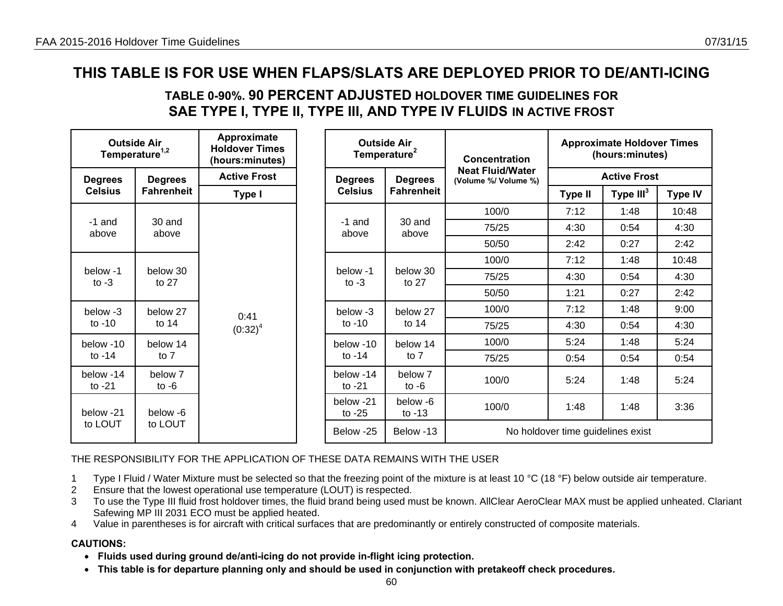## **TABLE 0-90%. 90 PERCENT ADJUSTED HOLDOVER TIME GUIDELINES FOR SAE TYPE I, TYPE II, TYPE III, AND TYPE IV FLUIDS IN ACTIVE FROST**

| <b>Outside Air</b><br>Temperature <sup>1,2</sup> |                    | Approximate<br><b>Holdover Times</b><br>(hours:minutes) |                       |                                  | <b>Outside Air</b><br>Temperature <sup>2</sup> | Concentration                                   | <b>Approximate Holdover Times</b><br>(hours:minutes) |             |                |  |
|--------------------------------------------------|--------------------|---------------------------------------------------------|-----------------------|----------------------------------|------------------------------------------------|-------------------------------------------------|------------------------------------------------------|-------------|----------------|--|
| <b>Degrees</b>                                   | <b>Degrees</b>     | <b>Active Frost</b>                                     |                       | <b>Degrees</b><br><b>Degrees</b> |                                                | <b>Neat Fluid/Water</b><br>(Volume %/ Volume %) | <b>Active Frost</b>                                  |             |                |  |
| <b>Celsius</b>                                   | <b>Fahrenheit</b>  | Type I                                                  |                       | <b>Celsius</b>                   | <b>Fahrenheit</b>                              |                                                 | <b>Type II</b>                                       | Type $III3$ | <b>Type IV</b> |  |
|                                                  |                    |                                                         |                       |                                  |                                                | 100/0                                           | 7:12                                                 | 1:48        | 10:48          |  |
| -1 and<br>above                                  | 30 and<br>above    |                                                         |                       | $-1$ and<br>above                | 30 and<br>above                                | 75/25                                           | 4:30                                                 | 0:54        | 4:30           |  |
|                                                  |                    |                                                         |                       |                                  |                                                | 50/50                                           | 2:42                                                 | 0:27        | 2:42           |  |
|                                                  |                    |                                                         |                       |                                  |                                                | 100/0                                           | 7:12                                                 | 1:48        | 10:48          |  |
| below 30<br>below -1<br>to $-3$                  | to $27$            |                                                         |                       | below -1                         | below 30<br>to $27$<br>to $-3$                 | 75/25                                           | 4:30                                                 | 0:54        | 4:30           |  |
|                                                  |                    |                                                         |                       |                                  |                                                | 50/50                                           | 1:21                                                 | 0:27        | 2:42           |  |
| below -3                                         | below 27           | 0:41                                                    |                       | below -3                         | below 27                                       | 100/0                                           | 7:12                                                 | 1:48        | 9:00           |  |
| to $-10$                                         | to 14              | $(0:32)^4$                                              |                       | to $-10$                         | to $14$                                        | 75/25                                           | 4:30                                                 | 0:54        | 4:30           |  |
| below -10                                        | below 14           |                                                         |                       | below -10                        | below 14                                       | 100/0                                           | 5:24                                                 | 1:48        | 5:24           |  |
| to $-14$                                         | to $7$             |                                                         |                       | to $-14$                         | to 7                                           | 75/25                                           | 0:54                                                 | 0:54        | 0:54           |  |
| below -14<br>to $-21$                            | below 7<br>to $-6$ |                                                         | below -14<br>to $-21$ | below 7<br>to $-6$               | 100/0                                          | 5:24                                            | 1:48                                                 | 5:24        |                |  |
| below -21                                        | below -6           |                                                         |                       | below -21<br>to $-25$            | below -6<br>to $-13$                           | 100/0                                           | 1:48                                                 | 1:48        | 3:36           |  |
| to LOUT                                          | to LOUT            |                                                         |                       | Below -25                        | Below -13                                      |                                                 | No holdover time guidelines exist                    |             |                |  |

THE RESPONSIBILITY FOR THE APPLICATION OF THESE DATA REMAINS WITH THE USER

- 1 Type I Fluid / Water Mixture must be selected so that the freezing point of the mixture is at least 10 °C (18 °F) below outside air temperature.
- 2 Ensure that the lowest operational use temperature (LOUT) is respected.
- 3 To use the Type III fluid frost holdover times, the fluid brand being used must be known. AllClear AeroClear MAX must be applied unheated. Clariant Safewing MP III 2031 ECO must be applied heated.
- 4 Value in parentheses is for aircraft with critical surfaces that are predominantly or entirely constructed of composite materials.

- **Fluids used during ground de/anti-icing do not provide in-flight icing protection.**
- **This table is for departure planning only and should be used in conjunction with pretakeoff check procedures.**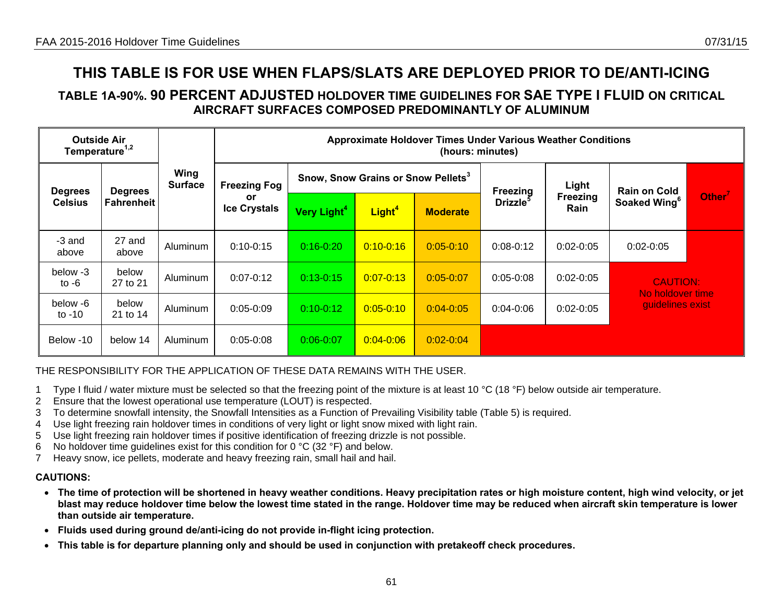### **TABLE 1A-90%. 90 PERCENT ADJUSTED HOLDOVER TIME GUIDELINES FOR SAE TYPE I FLUID ON CRITICAL AIRCRAFT SURFACES COMPOSED PREDOMINANTLY OF ALUMINUM**

| <b>Outside Air</b><br>Temperature <sup>1,2</sup> |                   |                        |                           |                         |                                                | <b>Approximate Holdover Times Under Various Weather Conditions</b><br>(hours: minutes) |                      |                  |                                      |                    |
|--------------------------------------------------|-------------------|------------------------|---------------------------|-------------------------|------------------------------------------------|----------------------------------------------------------------------------------------|----------------------|------------------|--------------------------------------|--------------------|
| <b>Degrees</b>                                   | <b>Degrees</b>    | Wing<br><b>Surface</b> | <b>Freezing Fog</b>       |                         | Snow, Snow Grains or Snow Pellets <sup>3</sup> |                                                                                        | Freezing             | Light            | <b>Rain on Cold</b>                  |                    |
| <b>Celsius</b>                                   | <b>Fahrenheit</b> |                        | or<br><b>Ice Crystals</b> | Very Light <sup>4</sup> | Light <sup>4</sup>                             | <b>Moderate</b>                                                                        | Drizzle <sup>5</sup> | Freezing<br>Rain | Soaked Wing <sup>6</sup>             | Other <sup>7</sup> |
| -3 and<br>above                                  | 27 and<br>above   | Aluminum               | $0:10-0:15$               | $0:16 - 0:20$           | $0:10 - 0:16$                                  | $0:05 - 0:10$                                                                          | $0:08-0:12$          | $0:02 - 0:05$    | $0:02 - 0:05$                        |                    |
| below -3<br>to $-6$                              | below<br>27 to 21 | Aluminum               | $0:07 - 0:12$             | $0:13 - 0:15$           | $0:07 - 0:13$                                  | $0:05-0:07$                                                                            | $0:05-0:08$          | $0:02 - 0:05$    | <b>CAUTION:</b>                      |                    |
| below -6<br>to $-10$                             | below<br>21 to 14 | Aluminum               | $0:05 - 0:09$             | $0:10 - 0:12$           | $0:05 - 0:10$                                  | $0:04 - 0:05$                                                                          | $0:04 - 0:06$        | $0:02 - 0:05$    | No holdover time<br>guidelines exist |                    |
| Below -10                                        | below 14          | Aluminum               | $0:05 - 0:08$             | $0:06 - 0:07$           | $0:04 - 0:06$                                  | $0:02 - 0:04$                                                                          |                      |                  |                                      |                    |

### THE RESPONSIBILITY FOR THE APPLICATION OF THESE DATA REMAINS WITH THE USER.

- 1 Type I fluid / water mixture must be selected so that the freezing point of the mixture is at least 10 °C (18 °F) below outside air temperature.
- 2 Ensure that the lowest operational use temperature (LOUT) is respected.
- 3 To determine snowfall intensity, the Snowfall Intensities as a Function of Prevailing Visibility table (Table 5) is required.
- 4 Use light freezing rain holdover times in conditions of very light or light snow mixed with light rain.
- 5 Use light freezing rain holdover times if positive identification of freezing drizzle is not possible.
- 6 No holdover time guidelines exist for this condition for  $0^{\circ}$ C (32  $^{\circ}$ F) and below.
- 7 Heavy snow, ice pellets, moderate and heavy freezing rain, small hail and hail.

- **The time of protection will be shortened in heavy weather conditions. Heavy precipitation rates or high moisture content, high wind velocity, or jet blast may reduce holdover time below the lowest time stated in the range. Holdover time may be reduced when aircraft skin temperature is lower than outside air temperature.**
- **Fluids used during ground de/anti-icing do not provide in-flight icing protection.**
- **This table is for departure planning only and should be used in conjunction with pretakeoff check procedures.**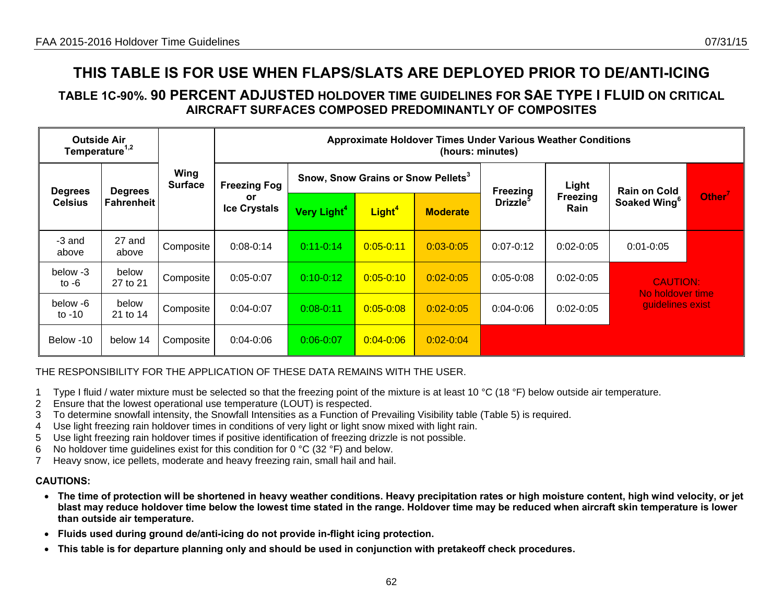### **TABLE 1C-90%. 90 PERCENT ADJUSTED HOLDOVER TIME GUIDELINES FOR SAE TYPE I FLUID ON CRITICAL AIRCRAFT SURFACES COMPOSED PREDOMINANTLY OF COMPOSITES**

| <b>Outside Air</b><br>Temperature <sup>1,2</sup>                 |                        |                     |                           |                                                |                    | <b>Approximate Holdover Times Under Various Weather Conditions</b><br>(hours: minutes) |                      |                     |                                      |                    |
|------------------------------------------------------------------|------------------------|---------------------|---------------------------|------------------------------------------------|--------------------|----------------------------------------------------------------------------------------|----------------------|---------------------|--------------------------------------|--------------------|
| <b>Degrees</b><br><b>Degrees</b><br><b>Celsius</b><br>Fahrenheit | Wing<br><b>Surface</b> | <b>Freezing Fog</b> |                           | Snow, Snow Grains or Snow Pellets <sup>3</sup> |                    | Freezing                                                                               | Light                | <b>Rain on Cold</b> |                                      |                    |
|                                                                  |                        |                     | or<br><b>Ice Crystals</b> | Very Light <sup>4</sup>                        | Light <sup>4</sup> | <b>Moderate</b>                                                                        | Drizzle <sup>5</sup> | Freezing<br>Rain    | Soaked Wing <sup>6</sup>             | Other <sup>7</sup> |
| -3 and<br>above                                                  | 27 and<br>above        | Composite           | $0:08-0:14$               | $0:11-0:14$                                    | $0:05 - 0:11$      | $0:03 - 0:05$                                                                          | $0:07 - 0:12$        | $0:02-0:05$         | $0:01 - 0:05$                        |                    |
| below -3<br>to $-6$                                              | below<br>27 to 21      | Composite           | $0:05 - 0:07$             | $0:10-0:12$                                    | $0:05 - 0:10$      | $0:02 - 0:05$                                                                          | $0:05-0:08$          | $0:02 - 0:05$       | <b>CAUTION:</b>                      |                    |
| below -6<br>to $-10$                                             | below<br>21 to 14      | Composite           | $0:04 - 0:07$             | $0:08 - 0:11$                                  | $0:05 - 0:08$      | $0:02 - 0:05$                                                                          | $0:04 - 0:06$        | $0:02-0:05$         | No holdover time<br>guidelines exist |                    |
| Below -10                                                        | below 14               | Composite           | $0:04 - 0:06$             | $0:06 - 0:07$                                  | $0:04 - 0:06$      | $0:02 - 0:04$                                                                          |                      |                     |                                      |                    |

### THE RESPONSIBILITY FOR THE APPLICATION OF THESE DATA REMAINS WITH THE USER.

- 1 Type I fluid / water mixture must be selected so that the freezing point of the mixture is at least 10 °C (18 °F) below outside air temperature.
- 2 Ensure that the lowest operational use temperature (LOUT) is respected.
- 3 To determine snowfall intensity, the Snowfall Intensities as a Function of Prevailing Visibility table (Table 5) is required.
- 4 Use light freezing rain holdover times in conditions of very light or light snow mixed with light rain.
- 5 Use light freezing rain holdover times if positive identification of freezing drizzle is not possible.
- 6 No holdover time guidelines exist for this condition for  $0^{\circ}$ C (32  $^{\circ}$ F) and below.
- 7 Heavy snow, ice pellets, moderate and heavy freezing rain, small hail and hail.

- **The time of protection will be shortened in heavy weather conditions. Heavy precipitation rates or high moisture content, high wind velocity, or jet blast may reduce holdover time below the lowest time stated in the range. Holdover time may be reduced when aircraft skin temperature is lower than outside air temperature.**
- **Fluids used during ground de/anti-icing do not provide in-flight icing protection.**
- •**This table is for departure planning only and should be used in conjunction with pretakeoff check procedures.**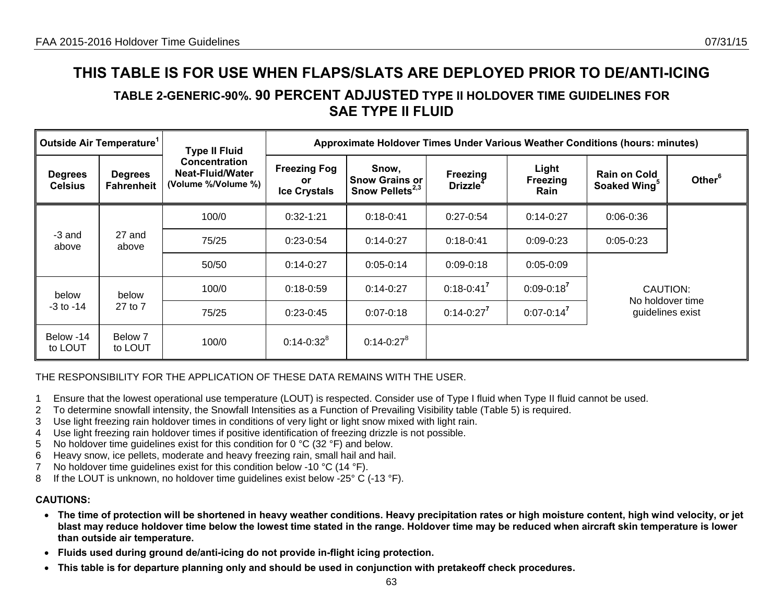## **TABLE 2-GENERIC-90%. 90 PERCENT ADJUSTED TYPE II HOLDOVER TIME GUIDELINES FOR SAE TYPE II FLUID**

|                                            | Outside Air Temperature <sup>1</sup> | <b>Type II Fluid</b>                                                   |                                                  | Approximate Holdover Times Under Various Weather Conditions (hours: minutes) |                                         |                           |                                                 |                    |
|--------------------------------------------|--------------------------------------|------------------------------------------------------------------------|--------------------------------------------------|------------------------------------------------------------------------------|-----------------------------------------|---------------------------|-------------------------------------------------|--------------------|
| <b>Degrees</b><br><b>Celsius</b>           | <b>Degrees</b><br><b>Fahrenheit</b>  | <b>Concentration</b><br><b>Neat-Fluid/Water</b><br>(Volume %/Volume %) | <b>Freezing Fog</b><br>or<br><b>Ice Crystals</b> | Snow,<br><b>Snow Grains or</b><br>Snow Pellets <sup>2,3</sup>                | <b>Freezing</b><br>Drizzle <sup>4</sup> | Light<br>Freezing<br>Rain | <b>Rain on Cold</b><br>Soaked Wing <sup>5</sup> | Other <sup>6</sup> |
|                                            |                                      | 100/0                                                                  | $0:32-1:21$                                      | $0:18-0:41$                                                                  | $0:27-0:54$                             | $0:14-0:27$               | $0:06 - 0:36$                                   |                    |
| -3 and<br>above                            | 27 and<br>above                      | 75/25                                                                  | $0:23-0:54$                                      | $0:14-0:27$                                                                  | $0:18-0:41$                             | $0:09 - 0:23$             | $0:05-0:23$                                     |                    |
|                                            |                                      | 50/50                                                                  | $0:14-0:27$                                      | $0:05-0:14$                                                                  | $0:09 - 0:18$                           | $0:05 - 0:09$             |                                                 |                    |
| below                                      | below                                | 100/0                                                                  | $0:18 - 0:59$                                    | $0:14-0:27$                                                                  | $0:18 - 0:41^7$                         | $0:09 - 0:18^7$           | CAUTION:<br>No holdover time                    |                    |
| $-3$ to $-14$<br>27 to 7                   |                                      | 75/25                                                                  | $0:23-0:45$                                      | $0:07 - 0:18$                                                                | $0:14-0:27^7$                           | $0:07 - 0:14^7$           |                                                 | guidelines exist   |
| Below -14<br>Below 7<br>to LOUT<br>to LOUT |                                      | 100/0                                                                  | $0:14 - 0:32^8$                                  | $0:14 - 0:27^8$                                                              |                                         |                           |                                                 |                    |

#### THE RESPONSIBILITY FOR THE APPLICATION OF THESE DATA REMAINS WITH THE USER.

- 1 Ensure that the lowest operational use temperature (LOUT) is respected. Consider use of Type I fluid when Type II fluid cannot be used.
- 2 To determine snowfall intensity, the Snowfall Intensities as a Function of Prevailing Visibility table (Table 5) is required.
- 3 Use light freezing rain holdover times in conditions of very light or light snow mixed with light rain.
- 4 Use light freezing rain holdover times if positive identification of freezing drizzle is not possible.
- 5 No holdover time guidelines exist for this condition for 0 °C (32 °F) and below.
- 6 Heavy snow, ice pellets, moderate and heavy freezing rain, small hail and hail.
- 7 No holdover time guidelines exist for this condition below -10 °C (14 °F).
- 8 If the LOUT is unknown, no holdover time quidelines exist below -25° C (-13 °F).

- **The time of protection will be shortened in heavy weather conditions. Heavy precipitation rates or high moisture content, high wind velocity, or jet blast may reduce holdover time below the lowest time stated in the range. Holdover time may be reduced when aircraft skin temperature is lower than outside air temperature.**
- **Fluids used during ground de/anti-icing do not provide in-flight icing protection.**
- **This table is for departure planning only and should be used in conjunction with pretakeoff check procedures.**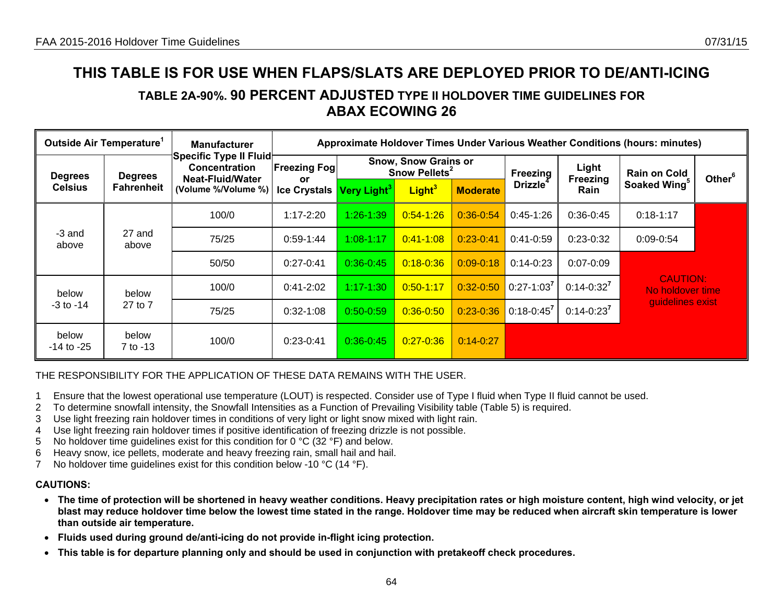## **TABLE 2A-90%. 90 PERCENT ADJUSTED TYPE II HOLDOVER TIME GUIDELINES FOR ABAX ECOWING 26**

|                                          | Outside Air Temperature <sup>1</sup> | <b>Manufacturer</b>                                                | Approximate Holdover Times Under Various Weather Conditions (hours: minutes) |                         |                                                          |                 |                      |                  |                                     |                    |
|------------------------------------------|--------------------------------------|--------------------------------------------------------------------|------------------------------------------------------------------------------|-------------------------|----------------------------------------------------------|-----------------|----------------------|------------------|-------------------------------------|--------------------|
| <b>Degrees</b>                           | <b>Degrees</b>                       | Specific Type II Fluid<br><b>Concentration</b><br>Neat-Fluid/Water | <b>Freezing Fogl</b>                                                         |                         | <b>Snow, Snow Grains or</b><br>Snow Pellets <sup>2</sup> |                 |                      | Light            | <b>Rain on Cold</b>                 | Other <sup>6</sup> |
| <b>Celsius</b>                           | <b>Fahrenheit</b>                    | (Volume %/Volume %)                                                | or<br><b>Ice Crystals</b>                                                    | Very Light <sup>3</sup> | Light <sup>3</sup>                                       | <b>Moderate</b> | Drizzle <sup>4</sup> | Freezing<br>Rain | Soaked Wing <sup>5</sup>            |                    |
|                                          |                                      | 100/0                                                              | $1:17 - 2:20$                                                                | $1:26 - 1:39$           | $0:54 - 1:26$                                            | $0:36-0.54$     | $0:45-1:26$          | $0:36-0:45$      | $0:18-1:17$                         |                    |
| -3 and<br>above                          | 27 and<br>above                      | 75/25                                                              | $0:59-1:44$                                                                  | $1:08 - 1:17$           | $0:41 - 1:08$                                            | $0:23-0:41$     | $0:41-0:59$          | $0:23-0:32$      | $0:09 - 0:54$                       |                    |
|                                          |                                      | 50/50                                                              | $0:27-0:41$                                                                  | $0:36-0:45$             | $0:18 - 0:36$                                            | $0:09 - 0:18$   | $0:14-0:23$          | $0:07 - 0:09$    |                                     |                    |
| below                                    | below                                | 100/0                                                              | $0:41-2:02$                                                                  | $1:17 - 1:30$           | $0:50 - 1:17$                                            | $0:32 - 0:50$   | $0:27-1:03$          | $0:14-0:32^7$    | <b>CAUTION:</b><br>No holdover time |                    |
| $-3$ to $-14$                            | 27 to 7                              | 75/25                                                              | $0:32-1:08$                                                                  | $0:50-0:59$             | $0:36 - 0:50$                                            | $0:23 - 0:36$   | $0:18-0:45^7$        | $0:14-0:23^7$    | quidelines exist                    |                    |
| below<br>below<br>-14 to -25<br>7 to -13 |                                      | 100/0                                                              | $0:23-0:41$                                                                  | $0:36-0:45$             | $0:27 - 0:36$                                            | $0:14-0:27$     |                      |                  |                                     |                    |

#### THE RESPONSIBILITY FOR THE APPLICATION OF THESE DATA REMAINS WITH THE USER.

- 1 Ensure that the lowest operational use temperature (LOUT) is respected. Consider use of Type I fluid when Type II fluid cannot be used.
- 2 To determine snowfall intensity, the Snowfall Intensities as a Function of Prevailing Visibility table (Table 5) is required.
- 3 Use light freezing rain holdover times in conditions of very light or light snow mixed with light rain.
- 4 Use light freezing rain holdover times if positive identification of freezing drizzle is not possible.
- 5 No holdover time guidelines exist for this condition for 0 °C (32 °F) and below.
- 6 Heavy snow, ice pellets, moderate and heavy freezing rain, small hail and hail.
- 7 No holdover time quidelines exist for this condition below -10 °C (14 °F).

- **The time of protection will be shortened in heavy weather conditions. Heavy precipitation rates or high moisture content, high wind velocity, or jet blast may reduce holdover time below the lowest time stated in the range. Holdover time may be reduced when aircraft skin temperature is lower than outside air temperature.**
- **Fluids used during ground de/anti-icing do not provide in-flight icing protection.**
- **This table is for departure planning only and should be used in conjunction with pretakeoff check procedures.**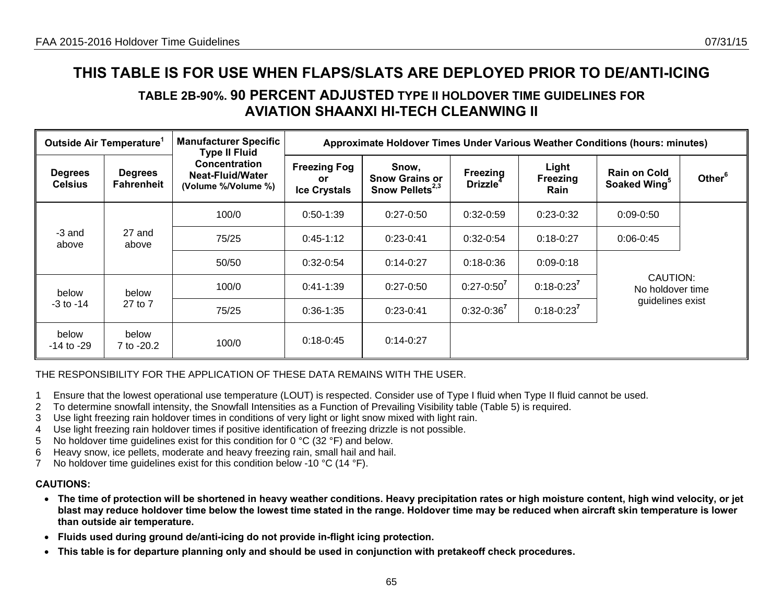## **TABLE 2B-90%. 90 PERCENT ADJUSTED TYPE II HOLDOVER TIME GUIDELINES FOR AVIATION SHAANXI HI-TECH CLEANWING II**

|                                                | Outside Air Temperature <sup>1</sup> | <b>Manufacturer Specific</b><br><b>Type II Fluid</b>     | Approximate Holdover Times Under Various Weather Conditions (hours: minutes) |                                                               |                                  |                           |                                                 |                    |  |  |  |
|------------------------------------------------|--------------------------------------|----------------------------------------------------------|------------------------------------------------------------------------------|---------------------------------------------------------------|----------------------------------|---------------------------|-------------------------------------------------|--------------------|--|--|--|
| <b>Degrees</b><br><b>Celsius</b>               | <b>Degrees</b><br><b>Fahrenheit</b>  | Concentration<br>Neat-Fluid/Water<br>(Volume %/Volume %) | <b>Freezing Fog</b><br><b>or</b><br><b>Ice Crystals</b>                      | Snow,<br><b>Snow Grains or</b><br>Snow Pellets <sup>2,3</sup> | Freezing<br>Drizzle <sup>4</sup> | Light<br>Freezing<br>Rain | <b>Rain on Cold</b><br>Soaked Wing <sup>5</sup> | Other <sup>6</sup> |  |  |  |
|                                                |                                      | 100/0                                                    | $0:50-1:39$                                                                  | $0:27-0:50$                                                   | $0:32-0:59$                      | $0:23-0:32$               | $0:09-0:50$                                     |                    |  |  |  |
| -3 and<br>above                                | 27 and<br>above                      | 75/25                                                    | $0:45-1:12$                                                                  | $0:23-0:41$                                                   | $0:32-0:54$                      | $0:18 - 0:27$             | $0:06 - 0:45$                                   |                    |  |  |  |
|                                                |                                      | 50/50                                                    | $0:32-0:54$                                                                  | $0:14-0:27$                                                   | $0:18 - 0:36$                    | $0:09 - 0:18$             |                                                 |                    |  |  |  |
| below                                          | below                                | 100/0                                                    | $0:41-1:39$                                                                  | $0:27 - 0:50$                                                 | $0:27 - 0:50^7$                  | $0:18 - 0:23^7$           | CAUTION:<br>No holdover time                    |                    |  |  |  |
| 27 to 7<br>$-3$ to $-14$                       |                                      | 75/25                                                    | $0:36-1:35$                                                                  | $0:23-0:41$                                                   | $0:32 - 0:36^7$                  | $0:18 - 0:23^7$           | guidelines exist                                |                    |  |  |  |
| below<br>below<br>$-14$ to $-29$<br>7 to -20.2 |                                      | 100/0                                                    | $0:18-0:45$                                                                  | $0:14-0:27$                                                   |                                  |                           |                                                 |                    |  |  |  |

THE RESPONSIBILITY FOR THE APPLICATION OF THESE DATA REMAINS WITH THE USER.

- 1 Ensure that the lowest operational use temperature (LOUT) is respected. Consider use of Type I fluid when Type II fluid cannot be used.
- 2 To determine snowfall intensity, the Snowfall Intensities as a Function of Prevailing Visibility table (Table 5) is required.
- 3 Use light freezing rain holdover times in conditions of very light or light snow mixed with light rain.
- 4 Use light freezing rain holdover times if positive identification of freezing drizzle is not possible.
- 5 No holdover time guidelines exist for this condition for 0 °C (32 °F) and below.
- 6 Heavy snow, ice pellets, moderate and heavy freezing rain, small hail and hail.
- 7 No holdover time quidelines exist for this condition below -10 °C (14 °F).

- **The time of protection will be shortened in heavy weather conditions. Heavy precipitation rates or high moisture content, high wind velocity, or jet blast may reduce holdover time below the lowest time stated in the range. Holdover time may be reduced when aircraft skin temperature is lower than outside air temperature.**
- **Fluids used during ground de/anti-icing do not provide in-flight icing protection.**
- **This table is for departure planning only and should be used in conjunction with pretakeoff check procedures.**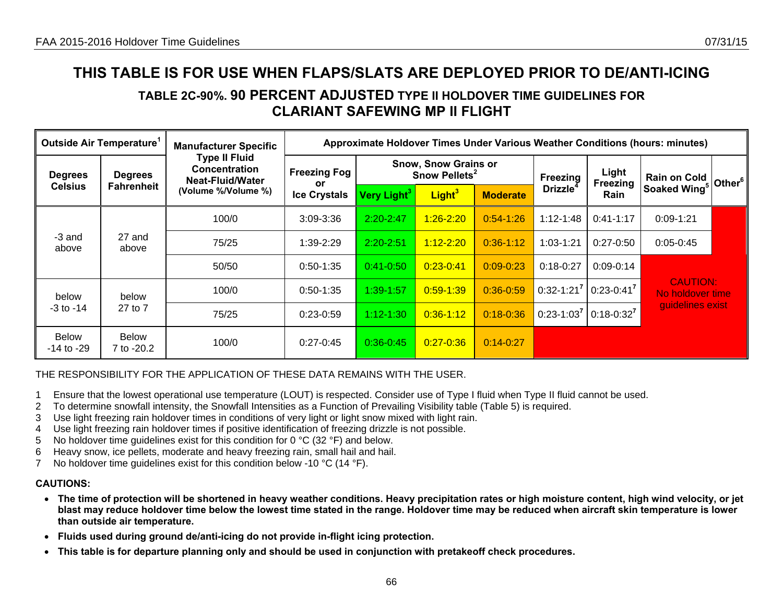## **TABLE 2C-90%. 90 PERCENT ADJUSTED TYPE II HOLDOVER TIME GUIDELINES FOR CLARIANT SAFEWING MP II FLIGHT**

|                                | Outside Air Temperature <sup>1</sup> | <b>Manufacturer Specific</b>                                            | Approximate Holdover Times Under Various Weather Conditions (hours: minutes) |                         |                                                          |                 |                      |                                          |                                     |                    |
|--------------------------------|--------------------------------------|-------------------------------------------------------------------------|------------------------------------------------------------------------------|-------------------------|----------------------------------------------------------|-----------------|----------------------|------------------------------------------|-------------------------------------|--------------------|
| <b>Degrees</b>                 | <b>Degrees</b>                       | <b>Type II Fluid</b><br><b>Concentration</b><br><b>Neat-Fluid/Water</b> | <b>Freezing Fog</b><br>or                                                    |                         | <b>Snow, Snow Grains or</b><br>Snow Pellets <sup>2</sup> |                 | Freezing             | Light<br>Freezing                        | <b>Rain on Cold</b>                 | Other <sup>6</sup> |
| <b>Celsius</b>                 | <b>Fahrenheit</b>                    | (Volume %/Volume %)                                                     | <b>Ice Crystals</b>                                                          | Very Light <sup>3</sup> | Light <sup>3</sup>                                       | <b>Moderate</b> | Drizzle <sup>4</sup> | Rain                                     | Soaked Wing <sup>5</sup>            |                    |
|                                |                                      | 100/0                                                                   | 3:09-3:36                                                                    | $2:20 - 2:47$           | $1:26 - 2:20$                                            | $0:54 - 1:26$   | $1:12 - 1:48$        | $0:41-1:17$                              | $0:09 - 1:21$                       |                    |
| -3 and<br>above                | 27 and<br>above                      | 75/25                                                                   | $1:39-2:29$                                                                  | $2:20 - 2:51$           | $1:12 - 2:20$                                            | $0:36 - 1:12$   | $1:03 - 1:21$        | $0:27-0:50$                              | $0:05-0:45$                         |                    |
|                                |                                      | 50/50                                                                   | $0:50-1:35$                                                                  | $0:41 - 0:50$           | $0:23 - 0:41$                                            | $0:09 - 0:23$   | $0:18-0:27$          | $0:09-0:14$                              |                                     |                    |
| below                          | below                                | 100/0                                                                   | $0:50-1:35$                                                                  | 1:39-1:57               | $0:59 - 1:39$                                            | $0:36 - 0:59$   | $0:32 - 1:21^7$      | $0:23-0:41^7$                            | <b>CAUTION:</b><br>No holdover time |                    |
| $-3$ to $-14$<br>27 to 7       |                                      | 75/25                                                                   | $0:23-0:59$                                                                  | $1:12 - 1:30$           | $0:36 - 1:12$                                            | $0:18 - 0:36$   |                      | $0.23 - 1.03^{7}$ 0.18-0.32 <sup>7</sup> | guidelines exist                    |                    |
| <b>Below</b><br>$-14$ to $-29$ | <b>Below</b><br>7 to -20.2           | 100/0                                                                   | $0:27-0:45$                                                                  | $0:36-0:45$             | $0:27 - 0:36$                                            | $0:14 - 0.27$   |                      |                                          |                                     |                    |

THE RESPONSIBILITY FOR THE APPLICATION OF THESE DATA REMAINS WITH THE USER.

- 1 Ensure that the lowest operational use temperature (LOUT) is respected. Consider use of Type I fluid when Type II fluid cannot be used.
- 2 To determine snowfall intensity, the Snowfall Intensities as a Function of Prevailing Visibility table (Table 5) is required.
- 3 Use light freezing rain holdover times in conditions of very light or light snow mixed with light rain.
- 4 Use light freezing rain holdover times if positive identification of freezing drizzle is not possible.
- 5 No holdover time guidelines exist for this condition for 0 °C (32 °F) and below.
- 6 Heavy snow, ice pellets, moderate and heavy freezing rain, small hail and hail.
- 7 No holdover time guidelines exist for this condition below -10 °C (14 °F).

- **The time of protection will be shortened in heavy weather conditions. Heavy precipitation rates or high moisture content, high wind velocity, or jet blast may reduce holdover time below the lowest time stated in the range. Holdover time may be reduced when aircraft skin temperature is lower than outside air temperature.**
- **Fluids used during ground de/anti-icing do not provide in-flight icing protection.**
- **This table is for departure planning only and should be used in conjunction with pretakeoff check procedures.**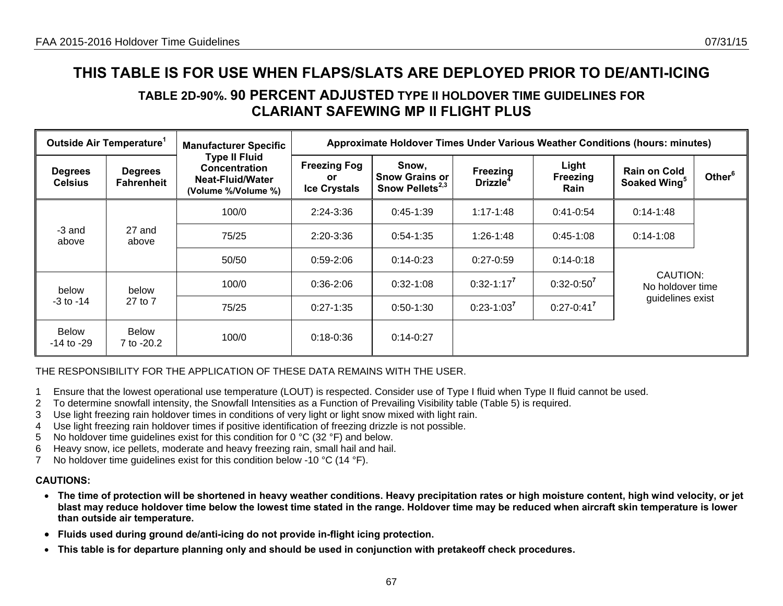## **TABLE 2D-90%. 90 PERCENT ADJUSTED TYPE II HOLDOVER TIME GUIDELINES FOR CLARIANT SAFEWING MP II FLIGHT PLUS**

|                                  | Outside Air Temperature <sup>1</sup> | <b>Manufacturer Specific</b>                                                            |                                                   | Approximate Holdover Times Under Various Weather Conditions (hours: minutes) |                                  |                           |                                                 |                    |
|----------------------------------|--------------------------------------|-----------------------------------------------------------------------------------------|---------------------------------------------------|------------------------------------------------------------------------------|----------------------------------|---------------------------|-------------------------------------------------|--------------------|
| <b>Degrees</b><br><b>Celsius</b> | <b>Degrees</b><br><b>Fahrenheit</b>  | <b>Type II Fluid</b><br><b>Concentration</b><br>Neat-Fluid/Water<br>(Volume %/Volume %) | <b>Freezing Fog</b><br>or.<br><b>Ice Crystals</b> | Snow,<br><b>Snow Grains or</b><br>Snow Pellets <sup>2,3</sup>                | Freezing<br>Drizzle <sup>4</sup> | Light<br>Freezing<br>Rain | <b>Rain on Cold</b><br>Soaked Wing <sup>5</sup> | Other <sup>6</sup> |
|                                  |                                      | 100/0                                                                                   | 2:24-3:36                                         | $0:45-1:39$                                                                  | $1:17 - 1:48$                    | $0:41-0:54$               | $0:14 - 1:48$                                   |                    |
| -3 and<br>above                  | 27 and<br>above                      | 75/25                                                                                   | 2:20-3:36                                         | $0:54-1:35$                                                                  | $1:26 - 1:48$                    | $0:45-1:08$               | $0:14-1:08$                                     |                    |
|                                  |                                      | 50/50                                                                                   | $0.59 - 2.06$                                     | $0:14-0:23$                                                                  | $0:27-0:59$                      | $0:14-0:18$               |                                                 |                    |
| below                            | below                                | 100/0                                                                                   | $0:36-2:06$                                       | $0:32-1:08$                                                                  | $0:32 - 1:17^7$                  | $0:32 - 0:50^7$           | CAUTION:<br>No holdover time                    |                    |
| $-3$ to $-14$                    | 27 to 7                              | 75/25                                                                                   | $0:27-1:35$                                       | $0:50-1:30$                                                                  | $0:23-1:03^7$                    | $0:27 - 0:41^{7}$         | guidelines exist                                |                    |
| <b>Below</b><br>-14 to -29       | Below<br>7 to -20.2                  | 100/0                                                                                   | $0:18 - 0:36$                                     | $0:14-0:27$                                                                  |                                  |                           |                                                 |                    |

#### THE RESPONSIBILITY FOR THE APPLICATION OF THESE DATA REMAINS WITH THE USER.

- 1 Ensure that the lowest operational use temperature (LOUT) is respected. Consider use of Type I fluid when Type II fluid cannot be used.
- 2 To determine snowfall intensity, the Snowfall Intensities as a Function of Prevailing Visibility table (Table 5) is required.
- 3 Use light freezing rain holdover times in conditions of very light or light snow mixed with light rain.
- 4 Use light freezing rain holdover times if positive identification of freezing drizzle is not possible.
- 5 No holdover time guidelines exist for this condition for 0 °C (32 °F) and below.
- 6 Heavy snow, ice pellets, moderate and heavy freezing rain, small hail and hail.
- 7 No holdover time guidelines exist for this condition below -10 °C (14 °F).

- **The time of protection will be shortened in heavy weather conditions. Heavy precipitation rates or high moisture content, high wind velocity, or jet blast may reduce holdover time below the lowest time stated in the range. Holdover time may be reduced when aircraft skin temperature is lower than outside air temperature.**
- **Fluids used during ground de/anti-icing do not provide in-flight icing protection.**
- •**This table is for departure planning only and should be used in conjunction with pretakeoff check procedures.**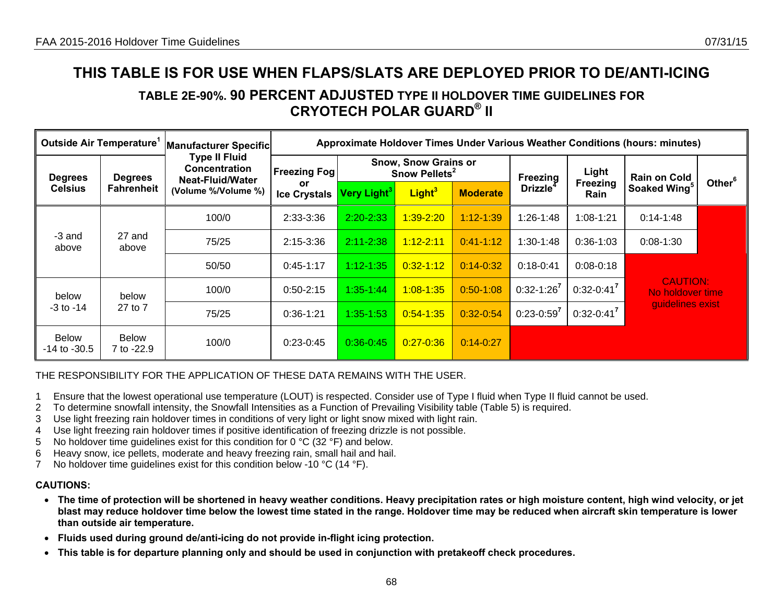## **TABLE 2E-90%. 90 PERCENT ADJUSTED TYPE II HOLDOVER TIME GUIDELINES FOR CRYOTECH POLAR GUARD® II**

| Outside Air Temperature <sup>1</sup> |                            | Manufacturer Specific                                                   |                           |                         |                                                          |                 |                                         |                         | Approximate Holdover Times Under Various Weather Conditions (hours: minutes) |                    |
|--------------------------------------|----------------------------|-------------------------------------------------------------------------|---------------------------|-------------------------|----------------------------------------------------------|-----------------|-----------------------------------------|-------------------------|------------------------------------------------------------------------------|--------------------|
| <b>Degrees</b><br><b>Degrees</b>     |                            | <b>Type II Fluid</b><br><b>Concentration</b><br><b>Neat-Fluid/Water</b> | <b>Freezing Fog</b>       |                         | <b>Snow, Snow Grains or</b><br>Snow Pellets <sup>2</sup> |                 |                                         | Light                   | <b>Rain on Cold</b>                                                          |                    |
| <b>Celsius</b>                       | <b>Fahrenheit</b>          | (Volume %/Volume %)                                                     | or<br><b>Ice Crystals</b> | Very Light <sup>3</sup> | Light <sup>3</sup>                                       | <b>Moderate</b> | <b>Freezing</b><br>Drizzle <sup>4</sup> | <b>Freezing</b><br>Rain | Soaked Wing <sup>5</sup>                                                     | Other <sup>6</sup> |
|                                      |                            | 100/0                                                                   | 2:33-3:36                 | $2:20 - 2:33$           | 1:39-2:20                                                | $1:12 - 1:39$   | $1:26-1:48$                             | $1:08 - 1:21$           | $0:14 - 1:48$                                                                |                    |
| -3 and<br>above                      | 27 and<br>above            | 75/25                                                                   | 2:15-3:36                 | $2:11 - 2:38$           | $1:12 - 2:11$                                            | $0:41 - 1:12$   | $1:30-1:48$                             | $0:36-1:03$             | 0:08-1:30                                                                    |                    |
|                                      |                            | 50/50                                                                   | $0:45-1:17$               | $1:12 - 1:35$           | $0:32 - 1:12$                                            | $0:14 - 0:32$   | $0:18-0:41$                             | $0:08 - 0:18$           |                                                                              |                    |
| below                                | below                      | 100/0                                                                   | $0:50-2:15$               | $1:35-1:44$             | $1:08 - 1:35$                                            | $0:50-1:08$     | $0:32 - 1:26^7$                         | $0:32 - 0:41^7$         | <b>CAUTION:</b><br>No holdover time                                          |                    |
| 27 to 7<br>$-3$ to $-14$             |                            | 75/25                                                                   | $0:36-1:21$               | $1:35 - 1:53$           | $0:54 - 1:35$                                            | $0:32 - 0:54$   | $0:23-0:59^7$                           | $0:32 - 0:41^7$         | guidelines exist                                                             |                    |
| <b>Below</b><br>$-14$ to $-30.5$     | <b>Below</b><br>7 to -22.9 | 100/0                                                                   | $0:23-0:45$               | $0:36 - 0:45$           | $0:27 - 0:36$                                            | $0:14 - 0:27$   |                                         |                         |                                                                              |                    |

THE RESPONSIBILITY FOR THE APPLICATION OF THESE DATA REMAINS WITH THE USER.

- 1 Ensure that the lowest operational use temperature (LOUT) is respected. Consider use of Type I fluid when Type II fluid cannot be used.
- 2 To determine snowfall intensity, the Snowfall Intensities as a Function of Prevailing Visibility table (Table 5) is required.
- 3 Use light freezing rain holdover times in conditions of very light or light snow mixed with light rain.
- 4 Use light freezing rain holdover times if positive identification of freezing drizzle is not possible.
- 5 No holdover time guidelines exist for this condition for 0 °C (32 °F) and below.
- 6 Heavy snow, ice pellets, moderate and heavy freezing rain, small hail and hail.
- 7 No holdover time guidelines exist for this condition below -10 °C (14 °F).

- **The time of protection will be shortened in heavy weather conditions. Heavy precipitation rates or high moisture content, high wind velocity, or jet blast may reduce holdover time below the lowest time stated in the range. Holdover time may be reduced when aircraft skin temperature is lower than outside air temperature.**
- **Fluids used during ground de/anti-icing do not provide in-flight icing protection.**
- **This table is for departure planning only and should be used in conjunction with pretakeoff check procedures.**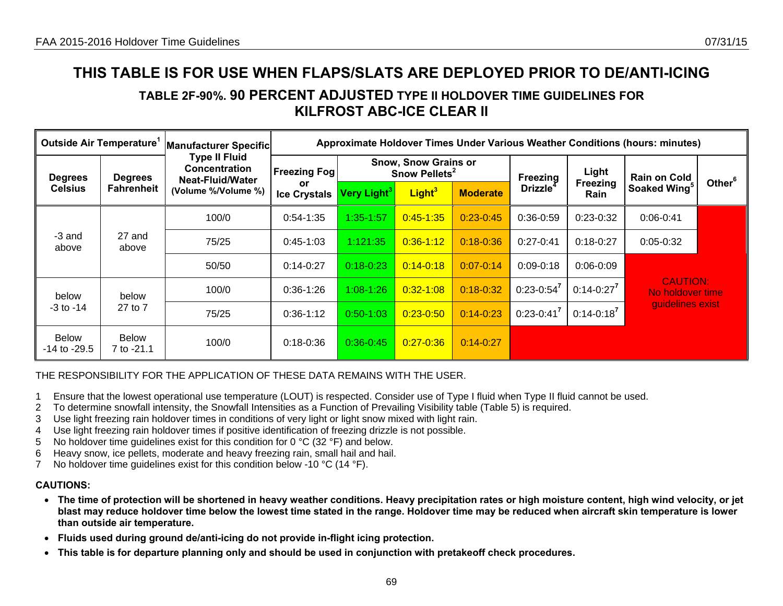## **TABLE 2F-90%. 90 PERCENT ADJUSTED TYPE II HOLDOVER TIME GUIDELINES FOR KILFROST ABC-ICE CLEAR II**

| Outside Air Temperature'                                                |                            | Manufacturer Specific                                     |                           | Approximate Holdover Times Under Various Weather Conditions (hours: minutes) |                                                          |                 |                      |                   |                                     |                    |
|-------------------------------------------------------------------------|----------------------------|-----------------------------------------------------------|---------------------------|------------------------------------------------------------------------------|----------------------------------------------------------|-----------------|----------------------|-------------------|-------------------------------------|--------------------|
| <b>Degrees</b><br><b>Degrees</b><br><b>Fahrenheit</b><br><b>Celsius</b> |                            | <b>Type II Fluid</b><br>Concentration<br>Neat-Fluid/Water | <b>Freezing Fog!</b>      |                                                                              | <b>Snow, Snow Grains or</b><br>Snow Pellets <sup>2</sup> |                 | Freezing             | Light             | <b>Rain on Cold</b>                 |                    |
|                                                                         |                            | (Volume %/Volume %)                                       | or<br><b>Ice Crystals</b> | Very Light <sup>3</sup>                                                      | Light <sup>3</sup>                                       | <b>Moderate</b> | Drizzle <sup>4</sup> | Freezing<br>Rain  | Soaked Wing <sup>5</sup>            | Other <sup>6</sup> |
|                                                                         |                            | 100/0                                                     | $0:54-1:35$               | $1:35 - 1:57$                                                                | $0:45 - 1:35$                                            | $0:23-0:45$     | $0:36-0:59$          | $0:23-0:32$       | $0:06 - 0:41$                       |                    |
| -3 and<br>above                                                         | 27 and<br>above            | 75/25                                                     | $0:45-1:03$               | 1:121:35                                                                     | $0:36 - 1:12$                                            | $0:18 - 0:36$   | $0:27-0:41$          | $0:18-0:27$       | $0:05-0:32$                         |                    |
|                                                                         |                            | 50/50                                                     | $0:14-0:27$               | $0:18 - 0:23$                                                                | $0:14 - 0:18$                                            | $0:07 - 0:14$   | $0:09 - 0:18$        | $0:06 - 0:09$     |                                     |                    |
| below                                                                   | below                      | 100/0                                                     | $0:36-1:26$               | $1:08 - 1:26$                                                                | $0:32 - 1:08$                                            | $0:18 - 0:32$   | $0:23-0:54^7$        | $0:14-0:27^7$     | <b>CAUTION:</b><br>No holdover time |                    |
| $-3$ to $-14$                                                           | 27 to 7                    | 75/25                                                     | $0:36-1:12$               | $0:50-1:03$                                                                  | $0:23 - 0:50$                                            | $0:14 - 0:23$   | $0:23-0:41^7$        | $0:14 - 0:18^{7}$ | quidelines exist                    |                    |
| <b>Below</b><br>-14 to -29.5                                            | <b>Below</b><br>7 to -21.1 | 100/0                                                     | $0:18 - 0:36$             | $0:36 - 0:45$                                                                | $0:27 - 0:36$                                            | $0:14 - 0:27$   |                      |                   |                                     |                    |

### THE RESPONSIBILITY FOR THE APPLICATION OF THESE DATA REMAINS WITH THE USER.

- 1 Ensure that the lowest operational use temperature (LOUT) is respected. Consider use of Type I fluid when Type II fluid cannot be used.
- 2 To determine snowfall intensity, the Snowfall Intensities as a Function of Prevailing Visibility table (Table 5) is required.
- 3 Use light freezing rain holdover times in conditions of very light or light snow mixed with light rain.
- 4 Use light freezing rain holdover times if positive identification of freezing drizzle is not possible.
- 5 No holdover time guidelines exist for this condition for 0 °C (32 °F) and below.
- 6 Heavy snow, ice pellets, moderate and heavy freezing rain, small hail and hail.
- 7 No holdover time guidelines exist for this condition below -10 °C (14 °F).

- **The time of protection will be shortened in heavy weather conditions. Heavy precipitation rates or high moisture content, high wind velocity, or jet blast may reduce holdover time below the lowest time stated in the range. Holdover time may be reduced when aircraft skin temperature is lower than outside air temperature.**
- **Fluids used during ground de/anti-icing do not provide in-flight icing protection.**
- **This table is for departure planning only and should be used in conjunction with pretakeoff check procedures.**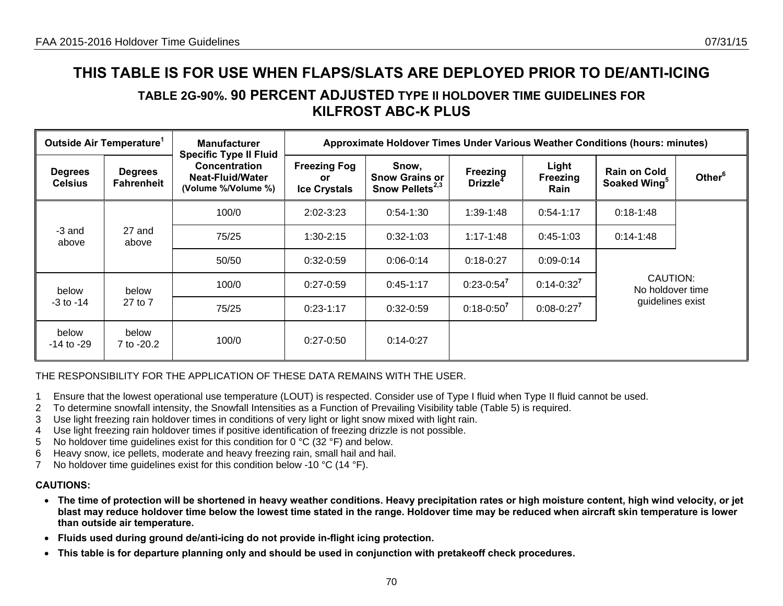## **TABLE 2G-90%. 90 PERCENT ADJUSTED TYPE II HOLDOVER TIME GUIDELINES FOR KILFROST ABC-K PLUS**

|                                                | Outside Air Temperature <sup>1</sup> | <b>Manufacturer</b>                                                                              |                                                   | Approximate Holdover Times Under Various Weather Conditions (hours: minutes) |                                  |                           |                                                 |                    |
|------------------------------------------------|--------------------------------------|--------------------------------------------------------------------------------------------------|---------------------------------------------------|------------------------------------------------------------------------------|----------------------------------|---------------------------|-------------------------------------------------|--------------------|
| <b>Degrees</b><br><b>Celsius</b>               | <b>Degrees</b><br><b>Fahrenheit</b>  | <b>Specific Type II Fluid</b><br><b>Concentration</b><br>Neat-Fluid/Water<br>(Volume %/Volume %) | <b>Freezing Fog</b><br>or.<br><b>Ice Crystals</b> | Snow,<br><b>Snow Grains or</b><br>Snow Pellets <sup>2,3</sup>                | Freezing<br>Drizzle <sup>4</sup> | Light<br>Freezing<br>Rain | <b>Rain on Cold</b><br>Soaked Wing <sup>5</sup> | Other <sup>6</sup> |
|                                                |                                      | 100/0                                                                                            | $2:02 - 3:23$                                     | $0:54-1:30$                                                                  | 1:39-1:48                        | $0:54-1:17$               | $0:18-1:48$                                     |                    |
| -3 and<br>27 and<br>above<br>above             |                                      | 75/25                                                                                            | $1:30-2:15$                                       | $0:32-1:03$                                                                  | $1:17 - 1:48$                    | $0:45-1:03$               | $0:14 - 1:48$                                   |                    |
|                                                |                                      | 50/50                                                                                            | $0:32-0:59$                                       | $0:06-0:14$                                                                  | $0:18-0:27$                      | $0:09 - 0:14$             |                                                 |                    |
| below                                          | below                                | 100/0                                                                                            | $0:27-0:59$                                       | $0:45-1:17$                                                                  | $0:23-0:54^7$                    | $0:14 - 0:32^7$           | CAUTION:<br>No holdover time                    |                    |
| $-3$ to $-14$                                  | 27 to 7                              | 75/25                                                                                            | $0:23-1:17$                                       | $0:32-0:59$                                                                  | $0:18 - 0:50^7$                  | $0:08 - 0:27^7$           | guidelines exist                                |                    |
| below<br>below<br>$-14$ to $-29$<br>7 to -20.2 |                                      | 100/0                                                                                            | $0:27-0:50$                                       | $0:14-0:27$                                                                  |                                  |                           |                                                 |                    |

#### THE RESPONSIBILITY FOR THE APPLICATION OF THESE DATA REMAINS WITH THE USER.

- 1 Ensure that the lowest operational use temperature (LOUT) is respected. Consider use of Type I fluid when Type II fluid cannot be used.
- 2 To determine snowfall intensity, the Snowfall Intensities as a Function of Prevailing Visibility table (Table 5) is required.
- 3 Use light freezing rain holdover times in conditions of very light or light snow mixed with light rain.
- 4 Use light freezing rain holdover times if positive identification of freezing drizzle is not possible.
- 5 No holdover time guidelines exist for this condition for 0 °C (32 °F) and below.
- 6 Heavy snow, ice pellets, moderate and heavy freezing rain, small hail and hail.
- 7 No holdover time guidelines exist for this condition below -10 °C (14 °F).

- **The time of protection will be shortened in heavy weather conditions. Heavy precipitation rates or high moisture content, high wind velocity, or jet blast may reduce holdover time below the lowest time stated in the range. Holdover time may be reduced when aircraft skin temperature is lower than outside air temperature.**
- **Fluids used during ground de/anti-icing do not provide in-flight icing protection.**
- **This table is for departure planning only and should be used in conjunction with pretakeoff check procedures.**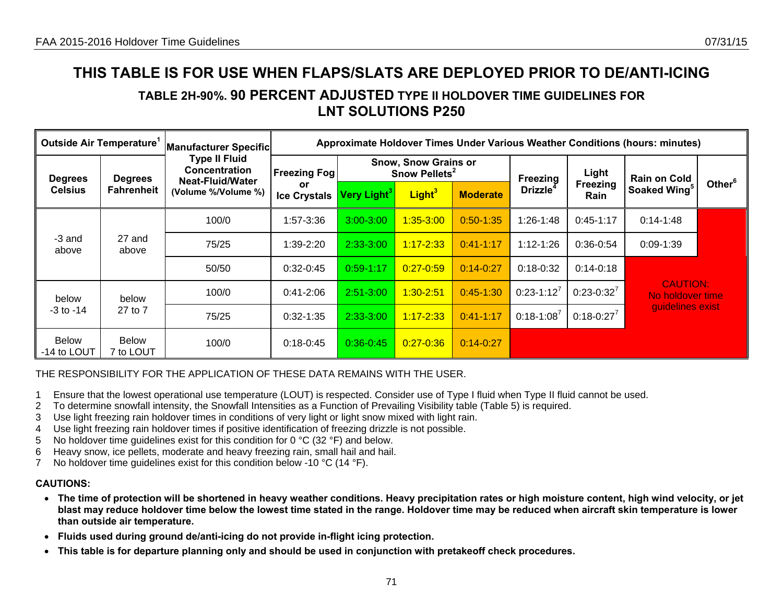### **TABLE 2H-90%. 90 PERCENT ADJUSTED TYPE II HOLDOVER TIME GUIDELINES FOR LNT SOLUTIONS P250**

| Outside Air Temperature'    |                           | Manufacturer Specific                        |                           |                                                          |                    |                 |                             |                                | Approximate Holdover Times Under Various Weather Conditions (hours: minutes) |                    |
|-----------------------------|---------------------------|----------------------------------------------|---------------------------|----------------------------------------------------------|--------------------|-----------------|-----------------------------|--------------------------------|------------------------------------------------------------------------------|--------------------|
| <b>Degrees</b>              | <b>Degrees</b>            | <b>Type II Fluid</b><br><b>Concentration</b> | <b>Freezing Fog</b>       | <b>Snow, Snow Grains or</b><br>Snow Pellets <sup>2</sup> |                    |                 | Freezing                    | Light                          | <b>Rain on Cold</b>                                                          |                    |
| <b>Celsius</b>              | <b>Fahrenheit</b>         | Neat-Fluid/Water<br>(Volume %/Volume %)      | or<br><b>Ice Crystals</b> | Very Light <sup>3</sup>                                  | Light <sup>3</sup> | <b>Moderate</b> | <b>Drizzle</b> <sup>4</sup> | <b>Freezing</b><br><b>Rain</b> | Soaked Wing <sup>5</sup>                                                     | Other <sup>6</sup> |
|                             |                           | 100/0                                        | 1:57-3:36                 | $3:00 - 3:00$                                            | $1:35 - 3:00$      | $0:50 - 1:35$   | $1:26-1:48$                 | $0:45-1:17$                    | $0:14 - 1:48$                                                                |                    |
| -3 and<br>above             | 27 and<br>above           | 75/25                                        | 1:39-2:20                 | $2:33-3:00$                                              | $1:17 - 2:33$      | $0:41 - 1:17$   | $1:12 - 1:26$               | $0:36-0:54$                    | $0:09-1:39$                                                                  |                    |
|                             |                           | 50/50                                        | $0:32-0:45$               | $0:59-1:17$                                              | $0:27 - 0:59$      | $0:14 - 0:27$   | $0:18-0:32$                 | $0:14 - 0:18$                  |                                                                              |                    |
| below                       | below                     | 100/0                                        | $0:41 - 2:06$             | $2:51 - 3:00$                                            | $1:30 - 2:51$      | $0:45-1:30$     | $0:23 - 1:12^7$             | $0:23 - 0:32^{7}$              | <b>CAUTION:</b><br>No holdover time                                          |                    |
| -3 to -14                   | 27 to 7                   | 75/25                                        | $0:32-1:35$               | $2:33 - 3:00$                                            | $1:17 - 2:33$      | $0:41 - 1:17$   | $0:18 - 1:08^7$             | $0:18 - 0:27^7$                | guidelines exist                                                             |                    |
| <b>Below</b><br>-14 to LOUT | <b>Below</b><br>7 to LOUT | 100/0                                        | $0:18 - 0:45$             | $0:36-0:45$                                              | $0:27 - 0:36$      | $0:14-0:27$     |                             |                                |                                                                              |                    |

THE RESPONSIBILITY FOR THE APPLICATION OF THESE DATA REMAINS WITH THE USER.

- 1 Ensure that the lowest operational use temperature (LOUT) is respected. Consider use of Type I fluid when Type II fluid cannot be used.
- 2 To determine snowfall intensity, the Snowfall Intensities as a Function of Prevailing Visibility table (Table 5) is required.
- 3 Use light freezing rain holdover times in conditions of very light or light snow mixed with light rain.
- 4 Use light freezing rain holdover times if positive identification of freezing drizzle is not possible.
- 5 No holdover time guidelines exist for this condition for 0 °C (32 °F) and below.
- 6 Heavy snow, ice pellets, moderate and heavy freezing rain, small hail and hail.
- 7 No holdover time guidelines exist for this condition below -10 °C (14 °F).

- **The time of protection will be shortened in heavy weather conditions. Heavy precipitation rates or high moisture content, high wind velocity, or jet blast may reduce holdover time below the lowest time stated in the range. Holdover time may be reduced when aircraft skin temperature is lower than outside air temperature.**
- **Fluids used during ground de/anti-icing do not provide in-flight icing protection.**
- **This table is for departure planning only and should be used in conjunction with pretakeoff check procedures.**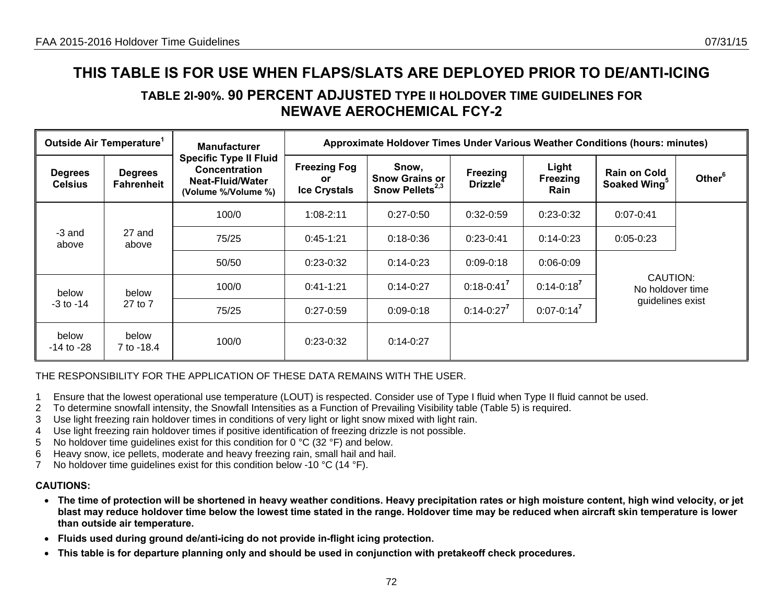## **TABLE 2I-90%. 90 PERCENT ADJUSTED TYPE II HOLDOVER TIME GUIDELINES FOR NEWAVE AEROCHEMICAL FCY-2**

|                                                | Outside Air Temperature <sup>1</sup> | <b>Manufacturer</b>                                                                                     |                                                   | Approximate Holdover Times Under Various Weather Conditions (hours: minutes) |                                  |                           |                                                 |                    |
|------------------------------------------------|--------------------------------------|---------------------------------------------------------------------------------------------------------|---------------------------------------------------|------------------------------------------------------------------------------|----------------------------------|---------------------------|-------------------------------------------------|--------------------|
| <b>Degrees</b><br><b>Celsius</b>               | <b>Degrees</b><br><b>Fahrenheit</b>  | <b>Specific Type II Fluid</b><br><b>Concentration</b><br><b>Neat-Fluid/Water</b><br>(Volume %/Volume %) | <b>Freezing Fog</b><br>or.<br><b>Ice Crystals</b> | Snow,<br><b>Snow Grains or</b><br>Snow Pellets <sup>2,3</sup>                | Freezing<br>Drizzle <sup>4</sup> | Light<br>Freezing<br>Rain | <b>Rain on Cold</b><br>Soaked Wing <sup>5</sup> | Other <sup>6</sup> |
|                                                |                                      | 100/0                                                                                                   | $1:08 - 2:11$                                     | $0:27-0:50$                                                                  | $0:32-0:59$                      | $0:23-0:32$               | $0:07 - 0:41$                                   |                    |
| -3 and<br>above                                | 27 and<br>above                      | 75/25                                                                                                   | $0:45-1:21$                                       | $0:18 - 0:36$                                                                | $0:23-0:41$                      | $0:14-0:23$               | $0:05-0:23$                                     |                    |
|                                                |                                      | 50/50                                                                                                   | $0:23-0:32$                                       | $0:14-0:23$                                                                  | $0:09-0:18$                      | $0:06-0:09$               |                                                 |                    |
| below                                          | below                                | 100/0                                                                                                   | $0:41-1:21$                                       | $0:14-0:27$                                                                  | $0:18 - 0:41^7$                  | $0:14 - 0:18^7$           | CAUTION:<br>No holdover time                    |                    |
| $-3$ to $-14$                                  | 27 to 7                              | 75/25                                                                                                   | $0:27-0:59$                                       | $0:09 - 0:18$                                                                | $0:14-0:27^7$                    | $0:07 - 0:14^7$           | guidelines exist                                |                    |
| below<br>below<br>7 to -18.4<br>$-14$ to $-28$ |                                      | 100/0                                                                                                   | $0:23-0:32$                                       | $0:14-0:27$                                                                  |                                  |                           |                                                 |                    |

### THE RESPONSIBILITY FOR THE APPLICATION OF THESE DATA REMAINS WITH THE USER.

- 1 Ensure that the lowest operational use temperature (LOUT) is respected. Consider use of Type I fluid when Type II fluid cannot be used.
- 2 To determine snowfall intensity, the Snowfall Intensities as a Function of Prevailing Visibility table (Table 5) is required.
- 3 Use light freezing rain holdover times in conditions of very light or light snow mixed with light rain.
- 4 Use light freezing rain holdover times if positive identification of freezing drizzle is not possible.
- 5 No holdover time guidelines exist for this condition for 0 °C (32 °F) and below.
- 6 Heavy snow, ice pellets, moderate and heavy freezing rain, small hail and hail.
- 7 No holdover time guidelines exist for this condition below -10 °C (14 °F).

- **The time of protection will be shortened in heavy weather conditions. Heavy precipitation rates or high moisture content, high wind velocity, or jet blast may reduce holdover time below the lowest time stated in the range. Holdover time may be reduced when aircraft skin temperature is lower than outside air temperature.**
- **Fluids used during ground de/anti-icing do not provide in-flight icing protection.**
- **This table is for departure planning only and should be used in conjunction with pretakeoff check procedures.**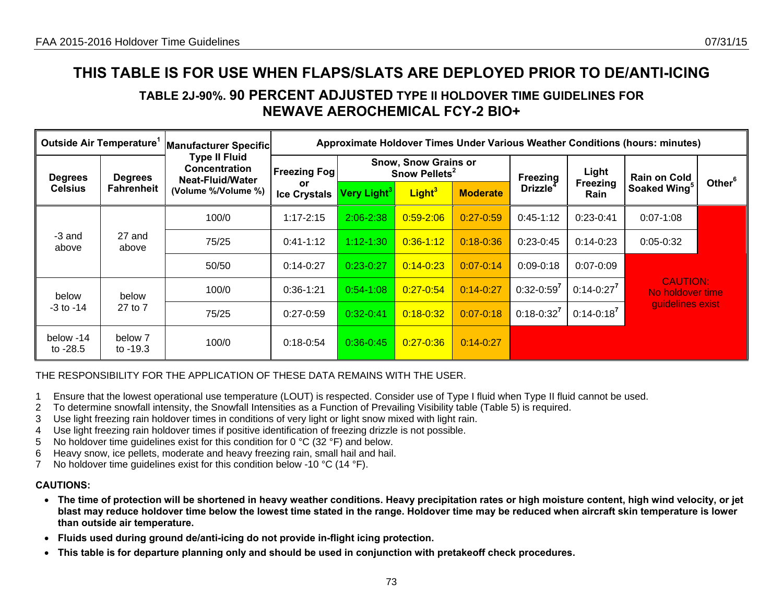# **TABLE 2J-90%. 90 PERCENT ADJUSTED TYPE II HOLDOVER TIME GUIDELINES FOR NEWAVE AEROCHEMICAL FCY-2 BIO+**

| Outside Air Temperature <sup>1</sup> |                       | Manufacturer Specific                                                                   |                           |                                                          |                    |                 |                      |                   | Approximate Holdover Times Under Various Weather Conditions (hours: minutes) |                    |
|--------------------------------------|-----------------------|-----------------------------------------------------------------------------------------|---------------------------|----------------------------------------------------------|--------------------|-----------------|----------------------|-------------------|------------------------------------------------------------------------------|--------------------|
| <b>Degrees</b><br><b>Degrees</b>     |                       | <b>Type II Fluid</b><br><b>Concentration</b><br><b>Freezing Fog</b><br>Neat-Fluid/Water |                           | <b>Snow, Snow Grains or</b><br>Snow Pellets <sup>2</sup> |                    |                 | Freezing             | Light             | <b>Rain on Cold</b>                                                          |                    |
| <b>Celsius</b>                       | <b>Fahrenheit</b>     | (Volume %/Volume %)                                                                     | or<br><b>Ice Crystals</b> | Very Light <sup>3</sup>                                  | Light <sup>3</sup> | <b>Moderate</b> | Drizzle <sup>4</sup> | Freezing<br>Rain  | Soaked Wing <sup>5</sup>                                                     | Other <sup>6</sup> |
|                                      |                       | 100/0                                                                                   | $1:17 - 2:15$             | $2:06 - 2:38$                                            | $0:59-2:06$        | $0:27 - 0:59$   | $0:45-1:12$          | $0:23-0:41$       | $0:07 - 1:08$                                                                |                    |
| -3 and<br>above                      | 27 and<br>above       | 75/25                                                                                   | $0:41-1:12$               | $1:12 - 1:30$                                            | $0:36 - 1:12$      | $0:18 - 0:36$   | $0:23-0:45$          | $0:14-0:23$       | $0:05-0:32$                                                                  |                    |
|                                      |                       | 50/50                                                                                   | $0:14-0:27$               | $0:23-0:27$                                              | $0:14 - 0:23$      | $0:07 - 0:14$   | $0:09-0:18$          | $0:07 - 0:09$     |                                                                              |                    |
| below                                | below                 | 100/0                                                                                   | $0:36-1:21$               | $0:54-1:08$                                              | $0:27 - 0.54$      | $0:14 - 0:27$   | $0:32 - 0:59^7$      | $0:14-0:27^7$     | <b>CAUTION:</b><br>No holdover time                                          |                    |
| $-3$ to $-14$                        | 27 to 7               | 75/25                                                                                   | $0:27-0:59$               | $0:32-0:41$                                              | $0:18 - 0:32$      | $0:07 - 0:18$   | $0:18-0:32^7$        | $0:14 - 0:18^{7}$ | quidelines exist                                                             |                    |
| below -14<br>to $-28.5$              | below 7<br>to $-19.3$ | 100/0                                                                                   | $0:18-0:54$               | $0:36 - 0:45$                                            | $0:27 - 0:36$      | $0:14 - 0:27$   |                      |                   |                                                                              |                    |

THE RESPONSIBILITY FOR THE APPLICATION OF THESE DATA REMAINS WITH THE USER.

- 1 Ensure that the lowest operational use temperature (LOUT) is respected. Consider use of Type I fluid when Type II fluid cannot be used.
- 2 To determine snowfall intensity, the Snowfall Intensities as a Function of Prevailing Visibility table (Table 5) is required.
- 3 Use light freezing rain holdover times in conditions of very light or light snow mixed with light rain.
- 4 Use light freezing rain holdover times if positive identification of freezing drizzle is not possible.
- 5 No holdover time guidelines exist for this condition for 0 °C (32 °F) and below.
- 6 Heavy snow, ice pellets, moderate and heavy freezing rain, small hail and hail.
- 7 No holdover time guidelines exist for this condition below -10 °C (14 °F).

- **The time of protection will be shortened in heavy weather conditions. Heavy precipitation rates or high moisture content, high wind velocity, or jet blast may reduce holdover time below the lowest time stated in the range. Holdover time may be reduced when aircraft skin temperature is lower than outside air temperature.**
- **Fluids used during ground de/anti-icing do not provide in-flight icing protection.**
- **This table is for departure planning only and should be used in conjunction with pretakeoff check procedures.**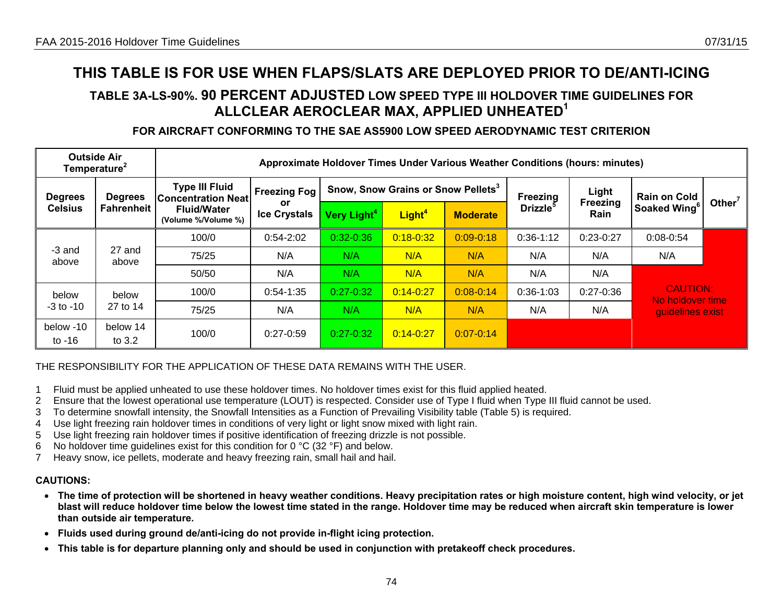# **TABLE 3A-LS-90%. 90 PERCENT ADJUSTED LOW SPEED TYPE III HOLDOVER TIME GUIDELINES FOR ALLCLEAR AEROCLEAR MAX, APPLIED UNHEATED<sup>1</sup>**

# **FOR AIRCRAFT CONFORMING TO THE SAE AS5900 LOW SPEED AERODYNAMIC TEST CRITERION**

|                                  | <b>Outside Air</b><br>Temperature <sup>2</sup> | Approximate Holdover Times Under Various Weather Conditions (hours: minutes) |                                  |                         |                                                |                 |                             |                         |                                     |           |  |  |
|----------------------------------|------------------------------------------------|------------------------------------------------------------------------------|----------------------------------|-------------------------|------------------------------------------------|-----------------|-----------------------------|-------------------------|-------------------------------------|-----------|--|--|
| <b>Degrees</b><br><b>Degrees</b> |                                                | <b>Type III Fluid</b><br><b>Concentration Neat</b>                           | <b>Freezing Fog</b>              |                         | Snow, Snow Grains or Snow Pellets <sup>3</sup> |                 | Freezing                    | Light                   | <b>Rain on Cold</b>                 | Other $7$ |  |  |
| <b>Celsius</b>                   | <b>Fahrenheit</b>                              | <b>Fluid/Water</b><br>(Volume %/Volume %)                                    | <b>or</b><br><b>Ice Crystals</b> | Very Light <sup>4</sup> | Light <sup>4</sup>                             | <b>Moderate</b> | <b>Drizzle</b> <sup>5</sup> | <b>Freezing</b><br>Rain | Soaked Wing <sup>6</sup>            |           |  |  |
|                                  |                                                | 100/0                                                                        | $0:54-2:02$                      | $0:32 - 0:36$           | $0:18 - 0:32$                                  | $0:09 - 0:18$   | $0:36-1:12$                 | $0:23-0:27$             | $0:08-0:54$                         |           |  |  |
| -3 and<br>above                  | 27 and<br>above                                | 75/25                                                                        | N/A                              | N/A                     | N/A                                            | N/A             | N/A                         | N/A                     | N/A                                 |           |  |  |
|                                  |                                                | 50/50                                                                        | N/A                              | N/A                     | N/A                                            | N/A             | N/A                         | N/A                     |                                     |           |  |  |
| below                            | below                                          | 100/0                                                                        | $0:54-1:35$                      | $0:27 - 0:32$           | $0:14 - 0:27$                                  | $0:08 - 0:14$   | $0:36-1:03$                 | $0:27 - 0:36$           | <b>CAUTION:</b><br>No holdover time |           |  |  |
| $-3$ to $-10$                    | 27 to 14                                       | 75/25                                                                        | N/A                              | N/A                     | N/A                                            | N/A             | N/A                         | N/A                     | guidelines exist                    |           |  |  |
| below -10<br>to $-16$            | below 14<br>to $3.2$                           | 100/0                                                                        | $0:27-0:59$                      | $0:27 - 0:32$           | $0:14 - 0:27$                                  | $0:07 - 0:14$   |                             |                         |                                     |           |  |  |

## THE RESPONSIBILITY FOR THE APPLICATION OF THESE DATA REMAINS WITH THE USER.

- 1 Fluid must be applied unheated to use these holdover times. No holdover times exist for this fluid applied heated.
- 2 Ensure that the lowest operational use temperature (LOUT) is respected. Consider use of Type I fluid when Type III fluid cannot be used.
- 3 To determine snowfall intensity, the Snowfall Intensities as a Function of Prevailing Visibility table (Table 5) is required.
- 4 Use light freezing rain holdover times in conditions of very light or light snow mixed with light rain.
- 5 Use light freezing rain holdover times if positive identification of freezing drizzle is not possible.
- 6 No holdover time guidelines exist for this condition for 0  $^{\circ}$ C (32  $^{\circ}$ F) and below.
- 7 Heavy snow, ice pellets, moderate and heavy freezing rain, small hail and hail.

- **The time of protection will be shortened in heavy weather conditions. Heavy precipitation rates or high moisture content, high wind velocity, or jet blast will reduce holdover time below the lowest time stated in the range. Holdover time may be reduced when aircraft skin temperature is lower than outside air temperature.**
- **Fluids used during ground de/anti-icing do not provide in-flight icing protection.**
- **This table is for departure planning only and should be used in conjunction with pretakeoff check procedures.**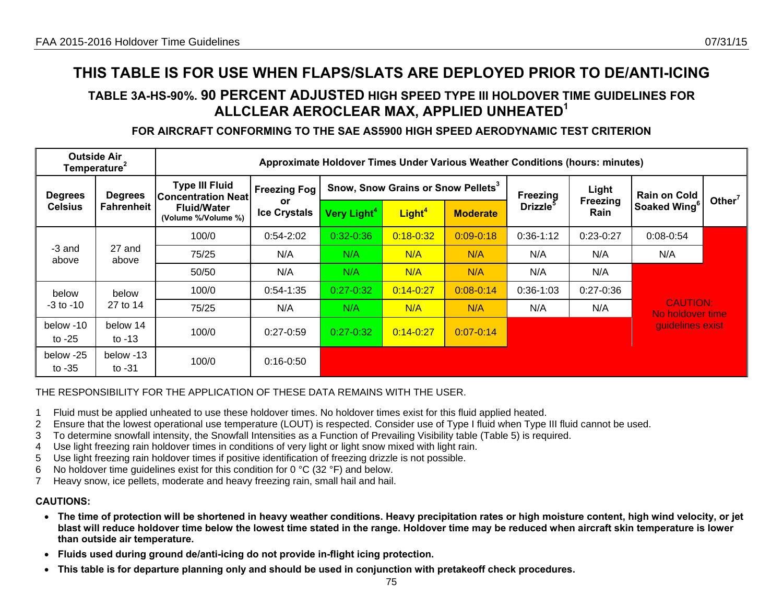# **TABLE 3A-HS-90%. 90 PERCENT ADJUSTED HIGH SPEED TYPE III HOLDOVER TIME GUIDELINES FOR ALLCLEAR AEROCLEAR MAX, APPLIED UNHEATED<sup>1</sup>**

## **FOR AIRCRAFT CONFORMING TO THE SAE AS5900 HIGH SPEED AERODYNAMIC TEST CRITERION**

|                       | <b>Outside Air</b><br>Temperature <sup>2</sup> |                                                    |                           |                         |                                                | Approximate Holdover Times Under Various Weather Conditions (hours: minutes) |                      |                  |                                     |           |
|-----------------------|------------------------------------------------|----------------------------------------------------|---------------------------|-------------------------|------------------------------------------------|------------------------------------------------------------------------------|----------------------|------------------|-------------------------------------|-----------|
| <b>Degrees</b>        | <b>Degrees</b>                                 | <b>Type III Fluid</b><br><b>Concentration Neat</b> | <b>Freezing Fog</b>       |                         | Snow, Snow Grains or Snow Pellets <sup>3</sup> |                                                                              | Freezing             | Light            | <b>Rain on Cold</b>                 | Other $7$ |
| <b>Celsius</b>        | <b>Fahrenheit</b>                              | <b>Fluid/Water</b><br>(Volume %/Volume %)          | or<br><b>Ice Crystals</b> | Very Light <sup>4</sup> | Light <sup>4</sup>                             | <b>Moderate</b>                                                              | Drizzle <sup>5</sup> | Freezing<br>Rain | Soaked Wing <sup>6</sup>            |           |
|                       |                                                | 100/0                                              | $0:54-2:02$               | $0:32 - 0:36$           | $0:18 - 0:32$                                  | $0:09 - 0:18$                                                                | $0:36-1:12$          | $0:23-0:27$      | $0:08-0:54$                         |           |
| -3 and<br>above       | 27 and<br>above                                | 75/25                                              | N/A                       | N/A                     | N/A                                            | N/A                                                                          | N/A                  | N/A              | N/A                                 |           |
|                       |                                                | 50/50                                              | N/A                       | N/A                     | N/A                                            | N/A                                                                          | N/A                  | N/A              |                                     |           |
| below                 | below                                          | 100/0                                              | $0:54-1:35$               | $0:27 - 0:32$           | $0:14 - 0:27$                                  | $0:08 - 0:14$                                                                | $0:36-1:03$          | $0:27 - 0:36$    |                                     |           |
| $-3$ to $-10$         | 27 to 14                                       | 75/25                                              | N/A                       | N/A                     | N/A                                            | N/A                                                                          | N/A                  | N/A              | <b>CAUTION:</b><br>No holdover time |           |
| below -10<br>to $-25$ | below 14<br>to $-13$                           | 100/0                                              | $0:27-0:59$               | $0:27 - 0:32$           | $0:14 - 0:27$                                  | $0:07 - 0:14$                                                                |                      |                  | guidelines exist                    |           |
| below -25<br>to $-35$ | below -13<br>to $-31$                          | 100/0                                              | $0:16 - 0:50$             |                         |                                                |                                                                              |                      |                  |                                     |           |

THE RESPONSIBILITY FOR THE APPLICATION OF THESE DATA REMAINS WITH THE USER.

- 1 Fluid must be applied unheated to use these holdover times. No holdover times exist for this fluid applied heated.
- 2 Ensure that the lowest operational use temperature (LOUT) is respected. Consider use of Type I fluid when Type III fluid cannot be used.
- 3 To determine snowfall intensity, the Snowfall Intensities as a Function of Prevailing Visibility table (Table 5) is required.
- 4 Use light freezing rain holdover times in conditions of very light or light snow mixed with light rain.
- 5 Use light freezing rain holdover times if positive identification of freezing drizzle is not possible.
- 6 No holdover time guidelines exist for this condition for 0 °C (32 °F) and below.
- 7 Heavy snow, ice pellets, moderate and heavy freezing rain, small hail and hail.

- **The time of protection will be shortened in heavy weather conditions. Heavy precipitation rates or high moisture content, high wind velocity, or jet blast will reduce holdover time below the lowest time stated in the range. Holdover time may be reduced when aircraft skin temperature is lower than outside air temperature.**
- **Fluids used during ground de/anti-icing do not provide in-flight icing protection.**
- **This table is for departure planning only and should be used in conjunction with pretakeoff check procedures.**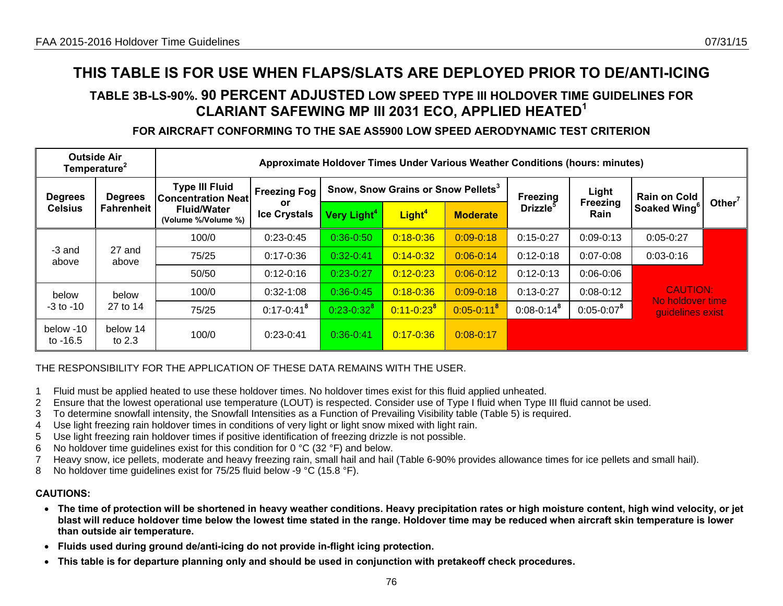# **TABLE 3B-LS-90%. 90 PERCENT ADJUSTED LOW SPEED TYPE III HOLDOVER TIME GUIDELINES FOR CLARIANT SAFEWING MP III 2031 ECO, APPLIED HEATED<sup>1</sup>**

## **FOR AIRCRAFT CONFORMING TO THE SAE AS5900 LOW SPEED AERODYNAMIC TEST CRITERION**

|                                  | <b>Outside Air</b><br>Temperature <sup>2</sup> | Approximate Holdover Times Under Various Weather Conditions (hours: minutes) |                           |                         |                                                |                 |                      |                          |                                     |           |  |  |
|----------------------------------|------------------------------------------------|------------------------------------------------------------------------------|---------------------------|-------------------------|------------------------------------------------|-----------------|----------------------|--------------------------|-------------------------------------|-----------|--|--|
| <b>Degrees</b><br><b>Degrees</b> |                                                | <b>Type III Fluid</b><br><b>Concentration Neat</b>                           | <b>Freezing Fog</b>       |                         | Snow, Snow Grains or Snow Pellets <sup>3</sup> |                 | Freezing             | Light<br><b>Freezing</b> | <b>Rain on Cold</b>                 | Other $7$ |  |  |
| <b>Celsius</b>                   | <b>Fahrenheit</b>                              | <b>Fluid/Water</b><br>(Volume %/Volume %)                                    | or<br><b>Ice Crystals</b> | Very Light <sup>4</sup> | Light <sup>4</sup>                             | <b>Moderate</b> | Drizzle <sup>5</sup> | Rain                     | Soaked Wing <sup>6</sup>            |           |  |  |
|                                  |                                                | 100/0                                                                        | $0:23-0:45$               | $0:36 - 0:50$           | $0:18 - 0:36$                                  | $0:09 - 0:18$   | $0:15-0:27$          | $0:09 - 0:13$            | $0:05-0:27$                         |           |  |  |
| -3 and<br>above                  | 27 and<br>above                                | 75/25                                                                        | $0:17 - 0:36$             | $0:32 - 0:41$           | $0:14 - 0:32$                                  | $0:06 - 0:14$   | $0:12-0:18$          | $0:07 - 0:08$            | $0:03-0:16$                         |           |  |  |
|                                  |                                                | 50/50                                                                        | $0:12 - 0:16$             | $0:23-0:27$             | $0:12 - 0:23$                                  | $0:06 - 0:12$   | $0:12-0:13$          | $0:06 - 0:06$            |                                     |           |  |  |
| below                            | below                                          | 100/0                                                                        | $0:32-1:08$               | $0:36 - 0:45$           | $0:18 - 0:36$                                  | $0:09 - 0:18$   | $0:13-0:27$          | $0:08-0:12$              | <b>CAUTION:</b><br>No holdover time |           |  |  |
| $-3$ to $-10$                    | 27 to 14                                       | 75/25                                                                        | $0:17 - 0:41^8$           | $0:23-0:32^8$           | $0:11 - 0:23^{8}$                              | $0:05 - 0:11^8$ | $0:08 - 0:14^8$      | $0:05 - 0:07^8$          | quidelines exist                    |           |  |  |
| below -10<br>to -16.5            | below 14<br>to $2.3$                           | 100/0                                                                        | $0:23-0:41$               | $0:36 - 0:41$           | $0:17 - 0:36$                                  | $0:08-0:17$     |                      |                          |                                     |           |  |  |

## THE RESPONSIBILITY FOR THE APPLICATION OF THESE DATA REMAINS WITH THE USER.

- 1 Fluid must be applied heated to use these holdover times. No holdover times exist for this fluid applied unheated.
- 2 Ensure that the lowest operational use temperature (LOUT) is respected. Consider use of Type I fluid when Type III fluid cannot be used.
- 3 To determine snowfall intensity, the Snowfall Intensities as a Function of Prevailing Visibility table (Table 5) is required.
- 4 Use light freezing rain holdover times in conditions of very light or light snow mixed with light rain.
- 5 Use light freezing rain holdover times if positive identification of freezing drizzle is not possible.
- 6 No holdover time guidelines exist for this condition for 0 °C (32 °F) and below.
- 7 Heavy snow, ice pellets, moderate and heavy freezing rain, small hail and hail (Table 6-90% provides allowance times for ice pellets and small hail).
- 8 No holdover time guidelines exist for 75/25 fluid below -9 °C (15.8 °F).

- **The time of protection will be shortened in heavy weather conditions. Heavy precipitation rates or high moisture content, high wind velocity, or jet blast will reduce holdover time below the lowest time stated in the range. Holdover time may be reduced when aircraft skin temperature is lower than outside air temperature.**
- **Fluids used during ground de/anti-icing do not provide in-flight icing protection.**
- **This table is for departure planning only and should be used in conjunction with pretakeoff check procedures.**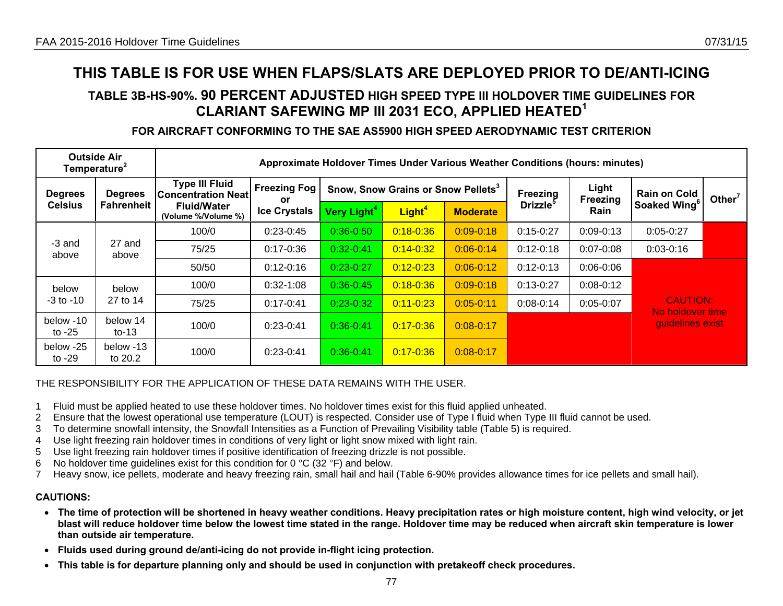# **TABLE 3B-HS-90%. 90 PERCENT ADJUSTED HIGH SPEED TYPE III HOLDOVER TIME GUIDELINES FOR CLARIANT SAFEWING MP III 2031 ECO, APPLIED HEATED<sup>1</sup>**

# **FOR AIRCRAFT CONFORMING TO THE SAE AS5900 HIGH SPEED AERODYNAMIC TEST CRITERION**

|                                  | <b>Outside Air</b><br>Temperature <sup>2</sup> |                                                    |                           | Approximate Holdover Times Under Various Weather Conditions (hours: minutes) |                                                |                 |                |                   |                                     |           |
|----------------------------------|------------------------------------------------|----------------------------------------------------|---------------------------|------------------------------------------------------------------------------|------------------------------------------------|-----------------|----------------|-------------------|-------------------------------------|-----------|
| <b>Degrees</b><br><b>Degrees</b> |                                                | <b>Type III Fluid</b><br><b>Concentration Neat</b> | <b>Freezing Fog</b><br>or |                                                                              | Snow, Snow Grains or Snow Pellets <sup>3</sup> |                 |                | Light<br>Freezing | <b>Rain on Cold</b>                 | Other $7$ |
| <b>Celsius</b>                   | <b>Fahrenheit</b>                              | <b>Fluid/Water</b><br>(Volume %/Volume %)          | <b>Ice Crystals</b>       | <b>Very Light<sup>4</sup></b>                                                | Light <sup>4</sup>                             | <b>Moderate</b> | <b>Drizzle</b> | Rain              | Soaked Wing <sup>o</sup>            |           |
|                                  |                                                | 100/0                                              | $0:23-0:45$               | $0:36 - 0:50$                                                                | $0:18 - 0:36$                                  | $0:09 - 0:18$   | $0:15-0:27$    | $0:09 - 0:13$     | $0:05-0:27$                         |           |
| -3 and<br>above                  | 27 and<br>above                                | 75/25                                              | $0:17 - 0:36$             | $0:32-0:41$                                                                  | $0:14 - 0:32$                                  | $0:06 - 0:14$   | $0:12 - 0:18$  | $0:07 - 0:08$     | $0:03-0:16$                         |           |
|                                  |                                                | 50/50                                              | $0:12 - 0:16$             | $0:23-0:27$                                                                  | $0:12 - 0:23$                                  | $0:06 - 0:12$   | $0:12-0:13$    | $0:06 - 0:06$     |                                     |           |
| below                            | below                                          | 100/0                                              | $0:32-1:08$               | $0:36 - 0:45$                                                                | $0:18 - 0:36$                                  | $0:09 - 0:18$   | $0:13-0:27$    | $0:08 - 0:12$     |                                     |           |
| -3 to -10                        | 27 to 14                                       | 75/25                                              | $0:17 - 0:41$             | $0:23-0:32$                                                                  | $0:11 - 0:23$                                  | $0:05-0:11$     | $0:08-0:14$    | $0:05 - 0:07$     | <b>CAUTION:</b><br>No holdover time |           |
| below -10<br>to $-25$            | below 14<br>to-13                              | 100/0                                              | $0:23-0:41$               | $0:36 - 0:41$                                                                | $0:17 - 0:36$                                  | $0:08-0:17$     |                |                   | guidelines exist                    |           |
| below -25<br>to -29              | below -13<br>to 20.2                           | 100/0                                              | $0:23-0:41$               | $0:36-0:41$                                                                  | $0:17 - 0:36$                                  | $0:08-0:17$     |                |                   |                                     |           |

### THE RESPONSIBILITY FOR THE APPLICATION OF THESE DATA REMAINS WITH THE USER.

- 1 Fluid must be applied heated to use these holdover times. No holdover times exist for this fluid applied unheated.
- 2 Ensure that the lowest operational use temperature (LOUT) is respected. Consider use of Type I fluid when Type III fluid cannot be used.
- 3 To determine snowfall intensity, the Snowfall Intensities as a Function of Prevailing Visibility table (Table 5) is required.
- 4 Use light freezing rain holdover times in conditions of very light or light snow mixed with light rain.
- 5 Use light freezing rain holdover times if positive identification of freezing drizzle is not possible.
- 6 No holdover time quidelines exist for this condition for 0 °C (32 °F) and below.
- 7 Heavy snow, ice pellets, moderate and heavy freezing rain, small hail and hail (Table 6-90% provides allowance times for ice pellets and small hail).

- **The time of protection will be shortened in heavy weather conditions. Heavy precipitation rates or high moisture content, high wind velocity, or jet blast will reduce holdover time below the lowest time stated in the range. Holdover time may be reduced when aircraft skin temperature is lower than outside air temperature.**
- **Fluids used during ground de/anti-icing do not provide in-flight icing protection.**
- **This table is for departure planning only and should be used in conjunction with pretakeoff check procedures.**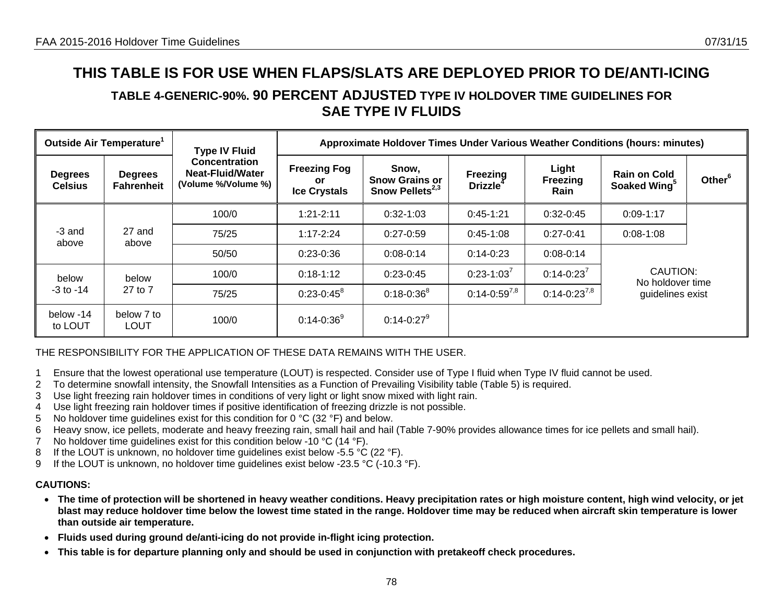# **TABLE 4-GENERIC-90%. 90 PERCENT ADJUSTED TYPE IV HOLDOVER TIME GUIDELINES FOR SAE TYPE IV FLUIDS**

|                                  | Outside Air Temperature <sup>1</sup> | <b>Type IV Fluid</b>                                                   |                                                   | Approximate Holdover Times Under Various Weather Conditions (hours: minutes) |                                  |                                  |                                                 |                    |
|----------------------------------|--------------------------------------|------------------------------------------------------------------------|---------------------------------------------------|------------------------------------------------------------------------------|----------------------------------|----------------------------------|-------------------------------------------------|--------------------|
| <b>Degrees</b><br><b>Celsius</b> | <b>Degrees</b><br><b>Fahrenheit</b>  | <b>Concentration</b><br><b>Neat-Fluid/Water</b><br>(Volume %/Volume %) | <b>Freezing Fog</b><br>or.<br><b>Ice Crystals</b> | Snow,<br><b>Snow Grains or</b><br>Snow Pellets $^{2,3}$                      | Freezing<br>Drizzle <sup>4</sup> | Light<br><b>Freezing</b><br>Rain | <b>Rain on Cold</b><br>Soaked Wing <sup>5</sup> | Other <sup>6</sup> |
|                                  |                                      | 100/0                                                                  | $1:21 - 2:11$                                     | $0:32-1:03$                                                                  | $0:45-1:21$                      | $0:32-0:45$                      | $0:09 - 1:17$                                   |                    |
| -3 and<br>above                  | 27 and<br>above                      | 75/25                                                                  | $1:17 - 2:24$                                     | $0:27-0:59$                                                                  | $0:45-1:08$                      | $0:27-0:41$                      | $0:08 - 1:08$                                   |                    |
|                                  |                                      | 50/50                                                                  | $0:23-0:36$                                       | $0:08 - 0:14$                                                                | $0:14-0:23$                      | $0:08-0:14$                      |                                                 |                    |
| below                            | below                                | 100/0                                                                  | $0:18-1:12$                                       | $0:23-0:45$                                                                  | $0:23 - 1:03^7$                  | $0:14 - 0:23^7$                  | CAUTION:<br>No holdover time                    |                    |
| $-3$ to $-14$                    | 27 to 7                              | 75/25                                                                  | $0:23 - 0:45^8$                                   | $0:18 - 0:36^8$                                                              | $0:14-0:59^{7,8}$                | $0:14-0:23^{7,8}$                | guidelines exist                                |                    |
| below -14<br>to LOUT             | below 7 to<br>LOUT                   | 100/0                                                                  | $0:14 - 0:36^9$                                   | $0:14 - 0:27^9$                                                              |                                  |                                  |                                                 |                    |

# THE RESPONSIBILITY FOR THE APPLICATION OF THESE DATA REMAINS WITH THE USER.

- 1 Ensure that the lowest operational use temperature (LOUT) is respected. Consider use of Type I fluid when Type IV fluid cannot be used.
- 2 To determine snowfall intensity, the Snowfall Intensities as a Function of Prevailing Visibility table (Table 5) is required.
- 3 Use light freezing rain holdover times in conditions of very light or light snow mixed with light rain.
- 4 Use light freezing rain holdover times if positive identification of freezing drizzle is not possible.
- 5 No holdover time guidelines exist for this condition for 0 °C (32 °F) and below.
- 6 Heavy snow, ice pellets, moderate and heavy freezing rain, small hail and hail (Table 7-90% provides allowance times for ice pellets and small hail).
- 7 No holdover time guidelines exist for this condition below -10 °C (14 °F).
- 8 If the LOUT is unknown, no holdover time guidelines exist below -5.5 °C (22 °F).
- 9 If the LOUT is unknown, no holdover time guidelines exist below -23.5 °C (-10.3 °F).

- **The time of protection will be shortened in heavy weather conditions. Heavy precipitation rates or high moisture content, high wind velocity, or jet blast may reduce holdover time below the lowest time stated in the range. Holdover time may be reduced when aircraft skin temperature is lower than outside air temperature.**
- **Fluids used during ground de/anti-icing do not provide in-flight icing protection.**
- **This table is for departure planning only and should be used in conjunction with pretakeoff check procedures.**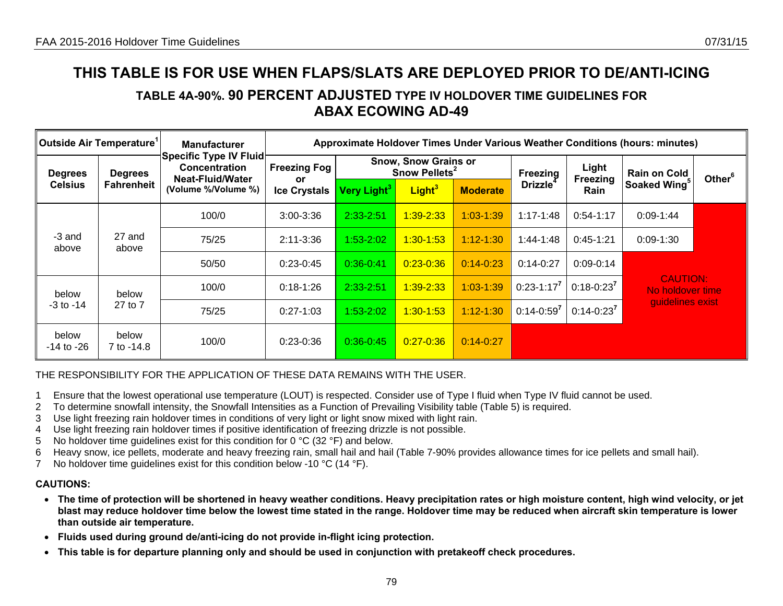# **TABLE 4A-90%. 90 PERCENT ADJUSTED TYPE IV HOLDOVER TIME GUIDELINES FOR ABAX ECOWING AD-49**

| Outside Air Temperature <sup>1</sup> |                     | <b>Manufacturer</b><br>Specific Type IV Fluid   |                                  |                         |                                                          |                 |                 |                   | Approximate Holdover Times Under Various Weather Conditions (hours: minutes) |                    |
|--------------------------------------|---------------------|-------------------------------------------------|----------------------------------|-------------------------|----------------------------------------------------------|-----------------|-----------------|-------------------|------------------------------------------------------------------------------|--------------------|
| <b>Degrees</b>                       | <b>Degrees</b>      | <b>Concentration</b><br><b>Neat-Fluid/Water</b> | <b>Freezing Fog</b>              |                         | <b>Snow, Snow Grains or</b><br>Snow Pellets <sup>2</sup> |                 | <b>Freezing</b> | Light<br>Freezing | <b>Rain on Cold</b>                                                          | Other <sup>6</sup> |
| <b>Celsius</b>                       | <b>Fahrenheit</b>   | (Volume %/Volume %)                             | <b>or</b><br><b>Ice Crystals</b> | Very Light <sup>3</sup> | Light <sup>3</sup>                                       | <b>Moderate</b> | <b>Drizzle</b>  | <b>Rain</b>       | Soaked Wing <sup>5</sup>                                                     |                    |
|                                      |                     | 100/0                                           | $3:00 - 3:36$                    | $2:33 - 2:51$           | $1:39 - 2:33$                                            | $1:03 - 1:39$   | $1:17 - 1:48$   | $0:54-1:17$       | $0:09 - 1:44$                                                                |                    |
| -3 and<br>above                      | 27 and<br>above     | 75/25                                           | $2:11 - 3:36$                    | $1:53-2:02$             | $1:30 - 1:53$                                            | $1:12 - 1:30$   | $1:44-1:48$     | $0:45-1:21$       | $0:09 - 1:30$                                                                |                    |
|                                      |                     | 50/50                                           | $0:23-0:45$                      | $0:36 - 0:41$           | $0:23 - 0:36$                                            | $0:14 - 0:23$   | $0:14-0:27$     | $0:09 - 0:14$     |                                                                              |                    |
| below                                | below               | 100/0                                           | $0:18 - 1:26$                    | 2:33-2:51               | $1:39 - 2:33$                                            | $1:03 - 1:39$   | $0:23 - 1:17^7$ | $0:18-0:23^7$     | <b>CAUTION:</b><br>No holdover time                                          |                    |
| $-3$ to $-14$                        | 27 to 7             | 75/25                                           | $0:27 - 1:03$                    | $1:53-2:02$             | $1:30 - 1:53$                                            | $1:12 - 1:30$   | $0:14 - 0:59^7$ | $0:14 - 0:23^7$   | quidelines exist                                                             |                    |
| below<br>-14 to -26                  | below<br>7 to -14.8 | 100/0                                           | $0:23-0:36$                      | $0:36-0:45$             | $0:27 - 0:36$                                            | $0:14 - 0:27$   |                 |                   |                                                                              |                    |

## THE RESPONSIBILITY FOR THE APPLICATION OF THESE DATA REMAINS WITH THE USER.

- 1 Ensure that the lowest operational use temperature (LOUT) is respected. Consider use of Type I fluid when Type IV fluid cannot be used.
- 2 To determine snowfall intensity, the Snowfall Intensities as a Function of Prevailing Visibility table (Table 5) is required.
- 3 Use light freezing rain holdover times in conditions of very light or light snow mixed with light rain.
- 4 Use light freezing rain holdover times if positive identification of freezing drizzle is not possible.
- 5 No holdover time guidelines exist for this condition for 0 °C (32 °F) and below.
- 6 Heavy snow, ice pellets, moderate and heavy freezing rain, small hail and hail (Table 7-90% provides allowance times for ice pellets and small hail).
- 7 No holdover time guidelines exist for this condition below -10 °C (14 °F).

- **The time of protection will be shortened in heavy weather conditions. Heavy precipitation rates or high moisture content, high wind velocity, or jet blast may reduce holdover time below the lowest time stated in the range. Holdover time may be reduced when aircraft skin temperature is lower than outside air temperature.**
- **Fluids used during ground de/anti-icing do not provide in-flight icing protection.**
- **This table is for departure planning only and should be used in conjunction with pretakeoff check procedures.**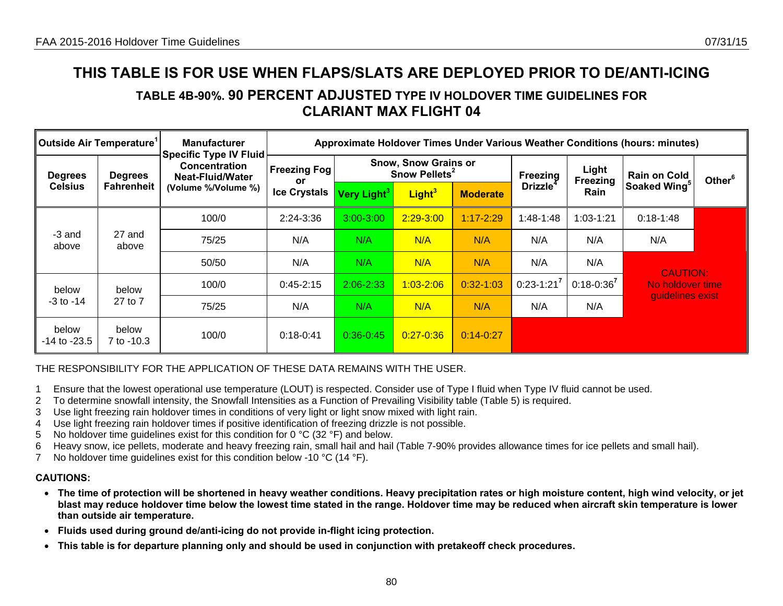# **TABLE 4B-90%. 90 PERCENT ADJUSTED TYPE IV HOLDOVER TIME GUIDELINES FOR CLARIANT MAX FLIGHT 04**

| $\ $ Outside Air Temperature $^{\text{\tiny{\textsf{1}}}}$ |                     | <b>Manufacturer</b><br><b>Specific Type IV Fluid</b> |                                  |                         |                                                          |                 |                |                   | Approximate Holdover Times Under Various Weather Conditions (hours: minutes) |                    |
|------------------------------------------------------------|---------------------|------------------------------------------------------|----------------------------------|-------------------------|----------------------------------------------------------|-----------------|----------------|-------------------|------------------------------------------------------------------------------|--------------------|
| <b>Degrees</b><br><b>Degrees</b>                           |                     | <b>Concentration</b><br>Neat-Fluid/Water             | <b>Freezing Fog</b><br><b>or</b> |                         | <b>Snow, Snow Grains or</b><br>Snow Pellets <sup>2</sup> |                 | Freezing       | Light<br>Freezing | <b>Rain on Cold</b>                                                          | Other <sup>6</sup> |
| <b>Celsius</b>                                             | <b>Fahrenheit</b>   | (Volume %/Volume %)                                  | <b>Ice Crystals</b>              | Very Light <sup>3</sup> | Light <sup>3</sup>                                       | <b>Moderate</b> | <b>Drizzle</b> | Rain              | Soaked Wing <sup>5</sup>                                                     |                    |
|                                                            |                     | 100/0                                                | $2:24-3:36$                      | $3:00 - 3:00$           | $2:29 - 3:00$                                            | $1:17 - 2:29$   | 1:48-1:48      | $1:03 - 1:21$     | $0:18-1:48$                                                                  |                    |
| -3 and<br>above                                            | 27 and<br>above     | 75/25                                                | N/A                              | N/A                     | N/A                                                      | N/A             | N/A            | N/A               | N/A                                                                          |                    |
|                                                            |                     | 50/50                                                | N/A                              | N/A                     | N/A                                                      | N/A             | N/A            | N/A               | <b>CAUTION:</b>                                                              |                    |
| below                                                      | below               | 100/0                                                | $0:45 - 2:15$                    | $2:06 - 2:33$           | $1:03 - 2:06$                                            | $0:32-1:03$     | $0:23-1:21^7$  | $0:18 - 0:36^7$   | No holdover time                                                             |                    |
| $-3$ to $-14$                                              | 27 to 7             | 75/25                                                | N/A                              | N/A                     | N/A                                                      | N/A             | N/A            | N/A               | guidelines exist                                                             |                    |
| below<br>$-14$ to $-23.5$                                  | below<br>7 to -10.3 | 100/0                                                | $0:18-0:41$                      | $0:36 - 0:45$           | $0:27 - 0:36$                                            | $0:14 - 0:27$   |                |                   |                                                                              |                    |

## THE RESPONSIBILITY FOR THE APPLICATION OF THESE DATA REMAINS WITH THE USER.

- 1 Ensure that the lowest operational use temperature (LOUT) is respected. Consider use of Type I fluid when Type IV fluid cannot be used.
- 2 To determine snowfall intensity, the Snowfall Intensities as a Function of Prevailing Visibility table (Table 5) is required.
- 3 Use light freezing rain holdover times in conditions of very light or light snow mixed with light rain.
- 4 Use light freezing rain holdover times if positive identification of freezing drizzle is not possible.
- 5 No holdover time guidelines exist for this condition for 0 °C (32 °F) and below.
- 6 Heavy snow, ice pellets, moderate and heavy freezing rain, small hail and hail (Table 7-90% provides allowance times for ice pellets and small hail).
- 7 No holdover time guidelines exist for this condition below -10 °C (14 °F).

- **The time of protection will be shortened in heavy weather conditions. Heavy precipitation rates or high moisture content, high wind velocity, or jet blast may reduce holdover time below the lowest time stated in the range. Holdover time may be reduced when aircraft skin temperature is lower than outside air temperature.**
- **Fluids used during ground de/anti-icing do not provide in-flight icing protection.**
- **This table is for departure planning only and should be used in conjunction with pretakeoff check procedures.**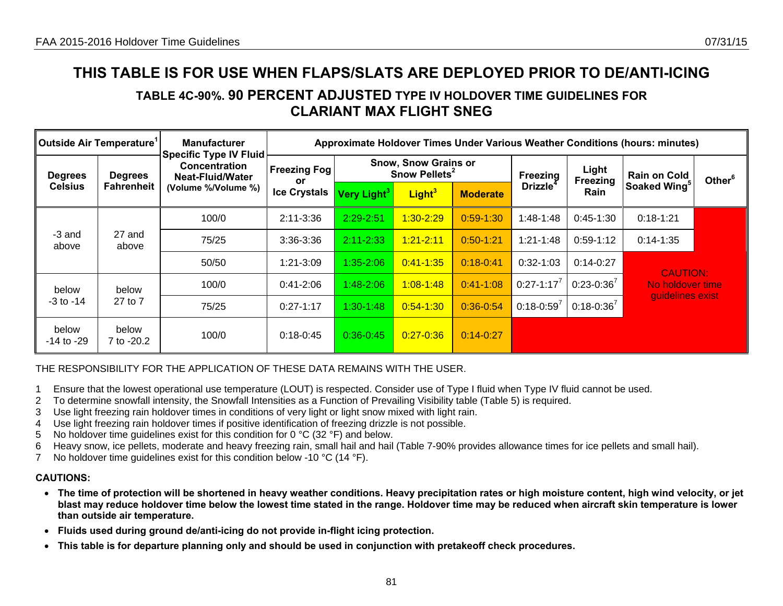# **TABLE 4C-90%. 90 PERCENT ADJUSTED TYPE IV HOLDOVER TIME GUIDELINES FOR CLARIANT MAX FLIGHT SNEG**

| $\,$ Outside Air Temperature $^{\rm \scriptscriptstyle I}$ |                     | <b>Manufacturer</b>                                                |                                                                                       |                         |                    |                 |                             |                   | Approximate Holdover Times Under Various Weather Conditions (hours: minutes) |                    |
|------------------------------------------------------------|---------------------|--------------------------------------------------------------------|---------------------------------------------------------------------------------------|-------------------------|--------------------|-----------------|-----------------------------|-------------------|------------------------------------------------------------------------------|--------------------|
| <b>Degrees</b>                                             | <b>Degrees</b>      | <b>Specific Type IV Fluid</b><br>Concentration<br>Neat-Fluid/Water | <b>Snow, Snow Grains or</b><br><b>Freezing Fog</b><br>Snow Pellets <sup>2</sup><br>or |                         |                    |                 | Freezing                    | Light<br>Freezing | <b>Rain on Cold</b>                                                          | Other <sup>6</sup> |
| <b>Celsius</b>                                             | <b>Fahrenheit</b>   | (Volume %/Volume %)                                                | <b>Ice Crystals</b>                                                                   | Very Light <sup>3</sup> | Light <sup>3</sup> | <b>Moderate</b> | <b>Drizzle</b> <sup>4</sup> | Rain              | Soaked Wing <sup>5</sup>                                                     |                    |
|                                                            |                     | 100/0                                                              | $2:11 - 3:36$                                                                         | $2:29 - 2:51$           | $1:30 - 2:29$      | $0:59-1:30$     | $1:48-1:48$                 | $0:45-1:30$       | $0:18 - 1:21$                                                                |                    |
| -3 and<br>above                                            | 27 and<br>above     | 75/25                                                              | 3:36-3:36                                                                             | $2:11 - 2:33$           | $1:21 - 2:11$      | $0:50 - 1:21$   | $1:21 - 1:48$               | $0:59-1:12$       | $0:14 - 1:35$                                                                |                    |
|                                                            |                     | 50/50                                                              | $1:21 - 3:09$                                                                         | $1:35 - 2:06$           | $0:41 - 1:35$      | $0:18 - 0:41$   | $0:32-1:03$                 | $0:14-0:27$       | <b>CAUTION:</b>                                                              |                    |
| below                                                      | below               | 100/0                                                              | $0:41 - 2:06$                                                                         | $1:48 - 2:06$           | $1:08 - 1:48$      | $0:41 - 1:08$   | $0:27 - 1:17^7$             | $0:23-0:36^7$     | No holdover time                                                             |                    |
| $-3$ to $-14$                                              | 27 to 7             | 75/25                                                              | $0:27-1:17$                                                                           | $1:30-1:48$             | $0:54 - 1:30$      | $0.36 - 0.54$   | $0:18 - 0:59^7$             | $0:18 - 0:36^{7}$ | guidelines exist                                                             |                    |
| below<br>-14 to -29                                        | below<br>7 to -20.2 | 100/0                                                              | $0:18-0:45$                                                                           | $0:36 - 0:45$           | $0:27 - 0:36$      | $0:14 - 0:27$   |                             |                   |                                                                              |                    |

## THE RESPONSIBILITY FOR THE APPLICATION OF THESE DATA REMAINS WITH THE USER.

- 1 Ensure that the lowest operational use temperature (LOUT) is respected. Consider use of Type I fluid when Type IV fluid cannot be used.
- 2 To determine snowfall intensity, the Snowfall Intensities as a Function of Prevailing Visibility table (Table 5) is required.
- 3 Use light freezing rain holdover times in conditions of very light or light snow mixed with light rain.
- 4 Use light freezing rain holdover times if positive identification of freezing drizzle is not possible.
- 5 No holdover time guidelines exist for this condition for 0 °C (32 °F) and below.
- 6 Heavy snow, ice pellets, moderate and heavy freezing rain, small hail and hail (Table 7-90% provides allowance times for ice pellets and small hail).
- 7 No holdover time guidelines exist for this condition below -10 °C (14 °F).

- **The time of protection will be shortened in heavy weather conditions. Heavy precipitation rates or high moisture content, high wind velocity, or jet blast may reduce holdover time below the lowest time stated in the range. Holdover time may be reduced when aircraft skin temperature is lower than outside air temperature.**
- **Fluids used during ground de/anti-icing do not provide in-flight icing protection.**
- **This table is for departure planning only and should be used in conjunction with pretakeoff check procedures.**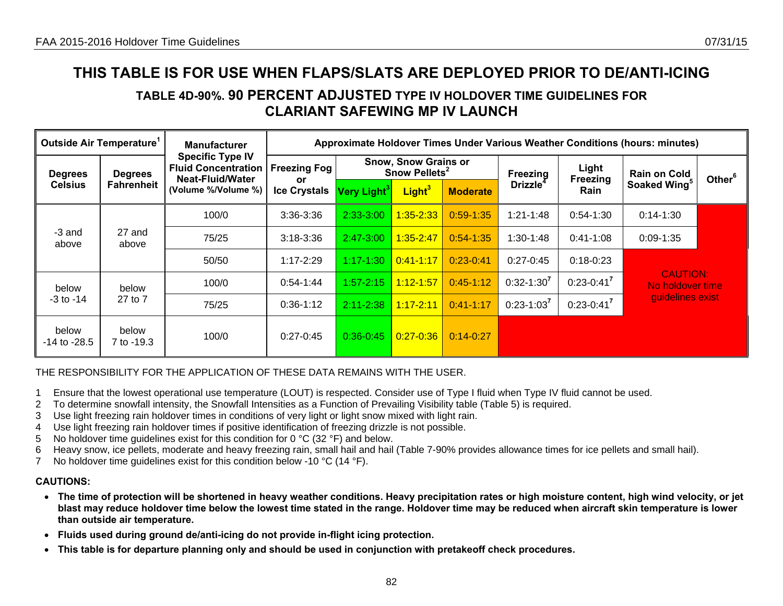# **TABLE 4D-90%. 90 PERCENT ADJUSTED TYPE IV HOLDOVER TIME GUIDELINES FOR CLARIANT SAFEWING MP IV LAUNCH**

| Outside Air Temperature <sup>1</sup> |                     | <b>Manufacturer</b>                                                       |                            |                                                          |                    |                 |                 |                         | Approximate Holdover Times Under Various Weather Conditions (hours: minutes) |                    |
|--------------------------------------|---------------------|---------------------------------------------------------------------------|----------------------------|----------------------------------------------------------|--------------------|-----------------|-----------------|-------------------------|------------------------------------------------------------------------------|--------------------|
| <b>Degrees</b>                       | <b>Degrees</b>      | <b>Specific Type IV</b><br><b>Fluid Concentration</b><br>Neat-Fluid/Water | <b>Freezing Fog</b>        | <b>Snow, Snow Grains or</b><br>Snow Pellets <sup>2</sup> |                    |                 | Freezing        | Light                   | <b>Rain on Cold</b>                                                          | Other <sup>6</sup> |
| <b>Celsius</b>                       | <b>Fahrenheit</b>   | (Volume %/Volume %)                                                       | or.<br><b>Ice Crystals</b> | Very Light <sup>3</sup>                                  | Light <sup>3</sup> | <b>Moderate</b> | <b>Drizzle</b>  | Freezing<br><b>Rain</b> | Soaked Wing <sup>5</sup>                                                     |                    |
|                                      |                     | 100/0                                                                     | $3:36 - 3:36$              | $2:33-3:00$                                              | $1:35 - 2:33$      | $0:59 - 1:35$   | $1:21 - 1:48$   | $0:54-1:30$             | $0:14-1:30$                                                                  |                    |
| -3 and<br>above                      | 27 and<br>above     | 75/25                                                                     | $3:18 - 3:36$              | $2:47 - 3:00$                                            | $1:35 - 2:47$      | $0:54-1:35$     | $1:30-1:48$     | $0:41-1:08$             | $0:09 - 1:35$                                                                |                    |
|                                      |                     | 50/50                                                                     | $1:17 - 2:29$              | 1:17-1:30                                                | $0:41 - 1:17$      | $0:23-0:41$     | $0:27-0:45$     | $0:18 - 0:23$           |                                                                              |                    |
| below                                | below               | 100/0                                                                     | $0:54-1:44$                | $1:57 - 2:15$                                            | $1:12 - 1:57$      | $0:45-1:12$     | $0:32 - 1:30^7$ | $0:23 - 0:41$           | <b>CAUTION:</b><br>No holdover time                                          |                    |
| $-3$ to $-14$                        | 27 to 7             | 75/25                                                                     | $0:36-1:12$                | $2:11 - 2:38$                                            | $1:17 - 2:11$      | $0:41 - 1:17$   | $0:23 - 1:03$   | $0:23-0:41$             | quidelines exist                                                             |                    |
| below<br>$-14$ to $-28.5$            | below<br>7 to -19.3 | 100/0                                                                     | $0:27 - 0:45$              | $0:36 - 0:45$                                            | $0:27 - 0:36$      | $0:14 - 0:27$   |                 |                         |                                                                              |                    |

### THE RESPONSIBILITY FOR THE APPLICATION OF THESE DATA REMAINS WITH THE USER.

- 1 Ensure that the lowest operational use temperature (LOUT) is respected. Consider use of Type I fluid when Type IV fluid cannot be used.
- 2 To determine snowfall intensity, the Snowfall Intensities as a Function of Prevailing Visibility table (Table 5) is required.
- 3 Use light freezing rain holdover times in conditions of very light or light snow mixed with light rain.
- 4 Use light freezing rain holdover times if positive identification of freezing drizzle is not possible.
- 5 No holdover time guidelines exist for this condition for 0  $\degree$ C (32  $\degree$ F) and below.
- 6 Heavy snow, ice pellets, moderate and heavy freezing rain, small hail and hail (Table 7-90% provides allowance times for ice pellets and small hail).
- 7 No holdover time quidelines exist for this condition below -10 °C (14 °F).

- **The time of protection will be shortened in heavy weather conditions. Heavy precipitation rates or high moisture content, high wind velocity, or jet blast may reduce holdover time below the lowest time stated in the range. Holdover time may be reduced when aircraft skin temperature is lower than outside air temperature.**
- **Fluids used during ground de/anti-icing do not provide in-flight icing protection.**
- •**This table is for departure planning only and should be used in conjunction with pretakeoff check procedures.**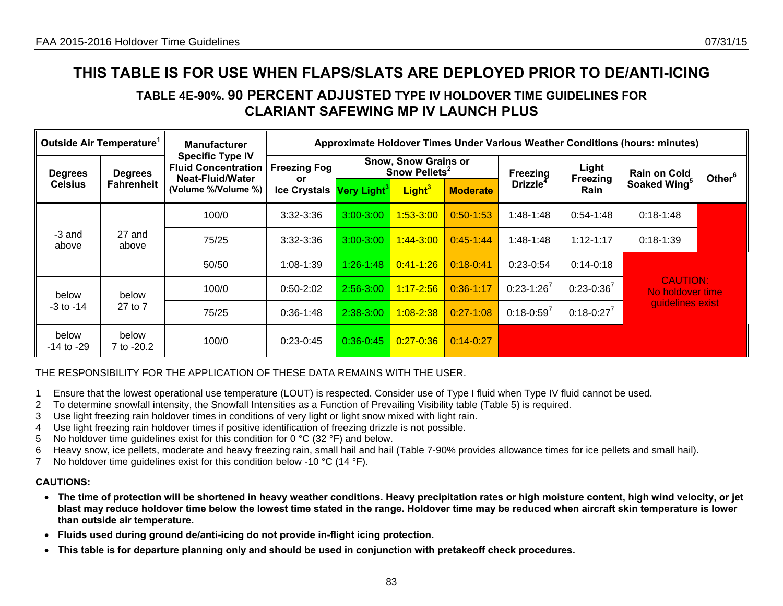# **TABLE 4E-90%. 90 PERCENT ADJUSTED TYPE IV HOLDOVER TIME GUIDELINES FOR CLARIANT SAFEWING MP IV LAUNCH PLUS**

| Outside Air Temperature <sup>1</sup> |                     | <b>Manufacturer</b>                                   |                           |                                                          |                    |                 |                             |                         | Approximate Holdover Times Under Various Weather Conditions (hours: minutes) |                    |
|--------------------------------------|---------------------|-------------------------------------------------------|---------------------------|----------------------------------------------------------|--------------------|-----------------|-----------------------------|-------------------------|------------------------------------------------------------------------------|--------------------|
| <b>Degrees</b>                       | <b>Degrees</b>      | <b>Specific Type IV</b><br><b>Fluid Concentration</b> | <b>Freezing Fog</b>       | <b>Snow, Snow Grains or</b><br>Snow Pellets <sup>2</sup> |                    |                 | Freezing                    | Light                   | <b>Rain on Cold</b>                                                          | Other <sup>6</sup> |
| <b>Celsius</b>                       | <b>Fahrenheit</b>   | <b>Neat-Fluid/Water</b><br>(Volume %/Volume %)        | or<br><b>Ice Crystals</b> | Very Light <sup>3</sup>                                  | Light <sup>3</sup> | <b>Moderate</b> | <b>Drizzle</b> <sup>4</sup> | Freezing<br><b>Rain</b> | Soaked Wing <sup>5</sup>                                                     |                    |
|                                      |                     | 100/0                                                 | $3:32 - 3:36$             | $3:00 - 3:00$                                            | $1:53-3:00$        | $0:50 - 1:53$   | $1:48-1:48$                 | $0:54-1:48$             | $0:18-1:48$                                                                  |                    |
| -3 and<br>above                      | 27 and<br>above     | 75/25                                                 | $3:32 - 3:36$             | $3:00 - 3:00$                                            | $1:44 - 3:00$      | $0:45-1:44$     | $1:48-1:48$                 | $1:12 - 1:17$           | $0:18-1:39$                                                                  |                    |
|                                      |                     | 50/50                                                 | $1:08 - 1:39$             | 1:26-1:48                                                | $0:41 - 1:26$      | $0:18 - 0:41$   | $0:23-0:54$                 | $0:14 - 0:18$           |                                                                              |                    |
| below                                | below               | 100/0                                                 | $0:50-2:02$               | $2:56 - 3:00$                                            | $1:17 - 2:56$      | $0:36-1:17$     | $0:23-1:26'$                | $0:23 - 0:36^7$         | <b>CAUTION:</b><br>No holdover time                                          |                    |
| $-3$ to $-14$                        | 27 to 7             | 75/25                                                 | $0:36-1:48$               | 2:38-3:00                                                | $1:08 - 2:38$      | $0:27-1:08$     | $0:18 - 0:59'$              | $0:18 - 0:27^7$         | guidelines exist                                                             |                    |
| below<br>$-14$ to $-29$              | below<br>7 to -20.2 | 100/0                                                 | $0:23-0:45$               | $0:36-0:45$                                              | $0:27 - 0:36$      | $0:14 - 0:27$   |                             |                         |                                                                              |                    |

### THE RESPONSIBILITY FOR THE APPLICATION OF THESE DATA REMAINS WITH THE USER.

- 1 Ensure that the lowest operational use temperature (LOUT) is respected. Consider use of Type I fluid when Type IV fluid cannot be used.
- 2 To determine snowfall intensity, the Snowfall Intensities as a Function of Prevailing Visibility table (Table 5) is required.
- 3 Use light freezing rain holdover times in conditions of very light or light snow mixed with light rain.
- 4 Use light freezing rain holdover times if positive identification of freezing drizzle is not possible.
- 5 No holdover time guidelines exist for this condition for 0 °C (32 °F) and below.
- 6 Heavy snow, ice pellets, moderate and heavy freezing rain, small hail and hail (Table 7-90% provides allowance times for ice pellets and small hail).
- 7 No holdover time guidelines exist for this condition below -10 °C (14 °F).

- **The time of protection will be shortened in heavy weather conditions. Heavy precipitation rates or high moisture content, high wind velocity, or jet blast may reduce holdover time below the lowest time stated in the range. Holdover time may be reduced when aircraft skin temperature is lower than outside air temperature.**
- **Fluids used during ground de/anti-icing do not provide in-flight icing protection.**
- •**This table is for departure planning only and should be used in conjunction with pretakeoff check procedures.**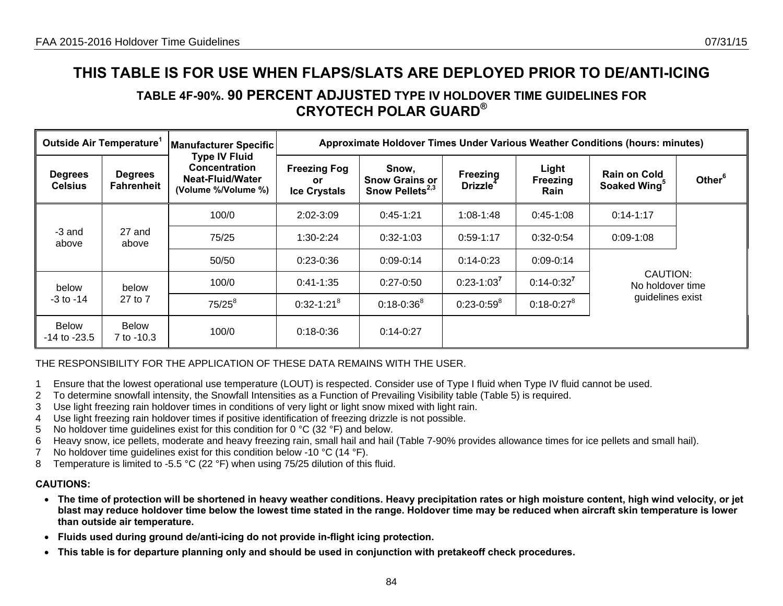# **TABLE 4F-90%. 90 PERCENT ADJUSTED TYPE IV HOLDOVER TIME GUIDELINES FOR CRYOTECH POLAR GUARD®**

| Outside Air Temperature <sup>1</sup> |                                     | Manufacturer Specific                                                                   |                                                   |                                                               |                                  |                                  | Approximate Holdover Times Under Various Weather Conditions (hours: minutes) |                    |
|--------------------------------------|-------------------------------------|-----------------------------------------------------------------------------------------|---------------------------------------------------|---------------------------------------------------------------|----------------------------------|----------------------------------|------------------------------------------------------------------------------|--------------------|
| <b>Degrees</b><br><b>Celsius</b>     | <b>Degrees</b><br><b>Fahrenheit</b> | <b>Type IV Fluid</b><br><b>Concentration</b><br>Neat-Fluid/Water<br>(Volume %/Volume %) | <b>Freezing Fog</b><br>or.<br><b>Ice Crystals</b> | Snow,<br><b>Snow Grains or</b><br>Snow Pellets <sup>2,3</sup> | Freezing<br>Drizzle <sup>4</sup> | Light<br><b>Freezing</b><br>Rain | <b>Rain on Cold</b><br>Soaked Wing <sup>5</sup>                              | Other <sup>6</sup> |
|                                      |                                     | 100/0                                                                                   | $2:02 - 3:09$                                     | $0:45-1:21$                                                   | $1:08-1:48$                      | $0:45-1:08$                      | $0:14-1:17$                                                                  |                    |
| -3 and<br>above                      | 27 and<br>above                     | 75/25                                                                                   | $1:30-2:24$                                       | $0:32-1:03$                                                   | $0:59-1:17$                      | $0:32-0:54$                      | $0:09 - 1:08$                                                                |                    |
|                                      |                                     | 50/50                                                                                   | $0:23-0:36$                                       | $0:09 - 0:14$                                                 | $0:14 - 0:23$                    | $0:09-0:14$                      |                                                                              |                    |
| below                                | below                               | 100/0                                                                                   | $0:41-1:35$                                       | $0:27 - 0:50$                                                 | $0:23 - 1:03^7$                  | $0:14-0:32^7$                    | CAUTION:<br>No holdover time                                                 |                    |
| $-3$ to $-14$                        | 27 to 7                             | $75/25^{8}$                                                                             | $0:32 - 1:21^8$                                   | $0:18 - 0:36^8$                                               | $0:23-0:59^8$                    | $0:18 - 0:27^8$                  | guidelines exist                                                             |                    |
| Below<br>$-14$ to $-23.5$            | <b>Below</b><br>7 to -10.3          | 100/0                                                                                   | $0:18 - 0:36$                                     | $0:14-0:27$                                                   |                                  |                                  |                                                                              |                    |

## THE RESPONSIBILITY FOR THE APPLICATION OF THESE DATA REMAINS WITH THE USER.

- 1 Ensure that the lowest operational use temperature (LOUT) is respected. Consider use of Type I fluid when Type IV fluid cannot be used.
- 2 To determine snowfall intensity, the Snowfall Intensities as a Function of Prevailing Visibility table (Table 5) is required.
- 3 Use light freezing rain holdover times in conditions of very light or light snow mixed with light rain.
- 4 Use light freezing rain holdover times if positive identification of freezing drizzle is not possible.
- 5 No holdover time guidelines exist for this condition for  $0^{\circ}C$  (32  $^{\circ}F$ ) and below.
- 6 Heavy snow, ice pellets, moderate and heavy freezing rain, small hail and hail (Table 7-90% provides allowance times for ice pellets and small hail).
- 7 No holdover time guidelines exist for this condition below -10 °C (14 °F).
- 8 Temperature is limited to -5.5 °C (22 °F) when using 75/25 dilution of this fluid.

#### **CAUTIONS:**

• **The time of protection will be shortened in heavy weather conditions. Heavy precipitation rates or high moisture content, high wind velocity, or jet blast may reduce holdover time below the lowest time stated in the range. Holdover time may be reduced when aircraft skin temperature is lower than outside air temperature.** 

84

- **Fluids used during ground de/anti-icing do not provide in-flight icing protection.**
- **This table is for departure planning only and should be used in conjunction with pretakeoff check procedures.**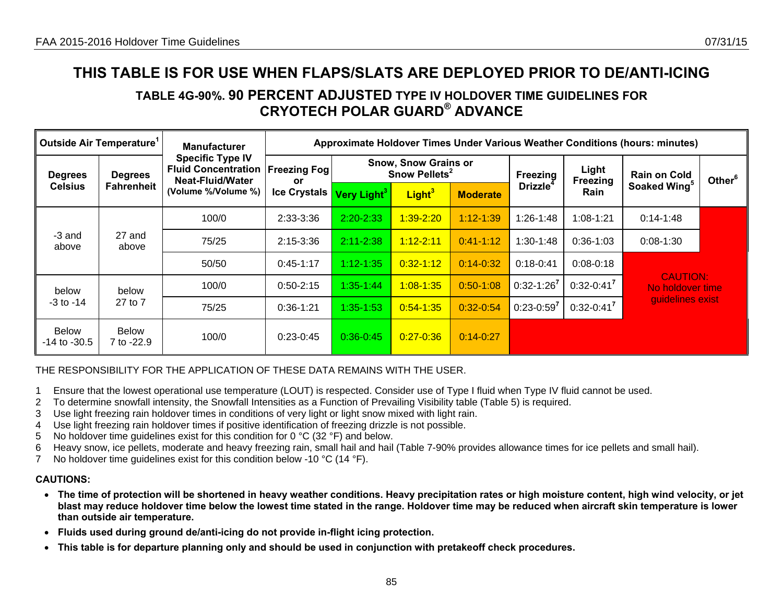# **TABLE 4G-90%. 90 PERCENT ADJUSTED TYPE IV HOLDOVER TIME GUIDELINES FOR CRYOTECH POLAR GUARD® ADVANCE**

| Outside Air Temperature <sup>1</sup> |                              | <b>Manufacturer</b>                                                                                     | Approximate Holdover Times Under Various Weather Conditions (hours: minutes) |                         |                                                          |                 |                      |                   |                                     |                    |  |
|--------------------------------------|------------------------------|---------------------------------------------------------------------------------------------------------|------------------------------------------------------------------------------|-------------------------|----------------------------------------------------------|-----------------|----------------------|-------------------|-------------------------------------|--------------------|--|
| <b>Degrees</b><br><b>Celsius</b>     | <b>Degrees</b><br>Fahrenheit | <b>Specific Type IV</b><br><b>Fluid Concentration</b><br><b>Neat-Fluid/Water</b><br>(Volume %/Volume %) | <b>Freezing Fog</b><br><b>or</b>                                             |                         | <b>Snow, Snow Grains or</b><br>Snow Pellets <sup>2</sup> |                 |                      | Light<br>Freezing | <b>Rain on Cold</b>                 | Other <sup>6</sup> |  |
|                                      |                              |                                                                                                         | <b>Ice Crystals</b>                                                          | Very Light <sup>3</sup> | Light <sup>3</sup>                                       | <b>Moderate</b> | Drizzle <sup>4</sup> | <b>Rain</b>       | Soaked Wing <sup>5</sup>            |                    |  |
|                                      | 100/0                        | 2:33-3:36                                                                                               | $2:20 - 2:33$                                                                | 1:39-2:20               | $1:12 - 1:39$                                            | $1:26-1:48$     | 1:08-1:21            | $0:14 - 1:48$     |                                     |                    |  |
| -3 and<br>above                      | 27 and<br>above              | 75/25                                                                                                   | $2:15 - 3:36$                                                                | $2:11 - 2:38$           | 1:12-2:11                                                | $0:41 - 1:12$   | $1:30-1:48$          | $0:36-1:03$       | $0:08-1:30$                         |                    |  |
|                                      |                              | 50/50                                                                                                   | $0:45-1:17$                                                                  | 1:12-1:35               | $0:32 - 1:12$                                            | $0:14 - 0:32$   | $0:18-0:41$          | $0:08 - 0:18$     |                                     |                    |  |
| below<br>$-3$ to $-14$               | below                        | 100/0                                                                                                   | $0:50-2:15$                                                                  | 1:35-1:44               | $1:08 - 1:35$                                            | $0:50 - 1:08$   | $0:32 - 1:26^7$      | $0:32 - 0:41$     | <b>CAUTION:</b><br>No holdover time |                    |  |
|                                      | 27 to 7                      | 75/25                                                                                                   | $0:36-1:21$                                                                  | 1:35-1:53               | $0:54 - 1:35$                                            | $0:32 - 0:54$   | $0:23-0:59'$         | $0:32-0:41$       | guidelines exist                    |                    |  |
| Below<br>$-14$ to $-30.5$            | <b>Below</b><br>7 to -22.9   | 100/0                                                                                                   | $0.23 - 0.45$                                                                | $0:36-0:45$             | $0:27 - 0:36$                                            | $0:14 - 0:27$   |                      |                   |                                     |                    |  |

### THE RESPONSIBILITY FOR THE APPLICATION OF THESE DATA REMAINS WITH THE USER.

- 1 Ensure that the lowest operational use temperature (LOUT) is respected. Consider use of Type I fluid when Type IV fluid cannot be used.
- 2 To determine snowfall intensity, the Snowfall Intensities as a Function of Prevailing Visibility table (Table 5) is required.
- 3 Use light freezing rain holdover times in conditions of very light or light snow mixed with light rain.
- 4 Use light freezing rain holdover times if positive identification of freezing drizzle is not possible.
- 5 No holdover time guidelines exist for this condition for 0  $^{\circ}$ C (32  $^{\circ}$ F) and below.
- 6 Heavy snow, ice pellets, moderate and heavy freezing rain, small hail and hail (Table 7-90% provides allowance times for ice pellets and small hail).
- 7 No holdover time quidelines exist for this condition below -10 °C (14 °F).

#### **CAUTIONS:**

• **The time of protection will be shortened in heavy weather conditions. Heavy precipitation rates or high moisture content, high wind velocity, or jet blast may reduce holdover time below the lowest time stated in the range. Holdover time may be reduced when aircraft skin temperature is lower than outside air temperature.** 

85

- **Fluids used during ground de/anti-icing do not provide in-flight icing protection.**
- **This table is for departure planning only and should be used in conjunction with pretakeoff check procedures.**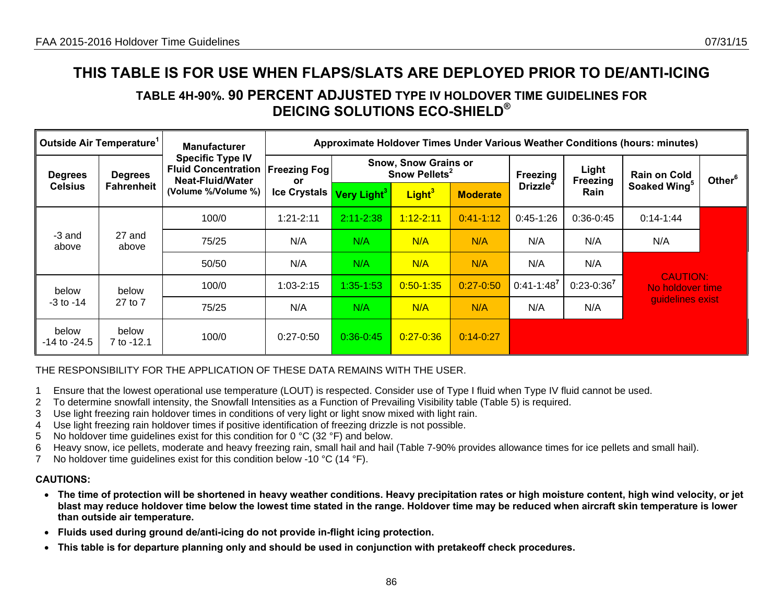# **TABLE 4H-90%. 90 PERCENT ADJUSTED TYPE IV HOLDOVER TIME GUIDELINES FOR DEICING SOLUTIONS ECO-SHIELD®**

| Outside Air Temperature <sup>1</sup> |                              | <b>Manufacturer</b>                                                                              | Approximate Holdover Times Under Various Weather Conditions (hours: minutes) |                         |                                                          |                 |                      |                   |                                     |                    |  |
|--------------------------------------|------------------------------|--------------------------------------------------------------------------------------------------|------------------------------------------------------------------------------|-------------------------|----------------------------------------------------------|-----------------|----------------------|-------------------|-------------------------------------|--------------------|--|
| <b>Degrees</b><br><b>Celsius</b>     | <b>Degrees</b><br>Fahrenheit | <b>Specific Type IV</b><br><b>Fluid Concentration</b><br>Neat-Fluid/Water<br>(Volume %/Volume %) | <b>Freezing Fog</b><br><b>or</b>                                             |                         | <b>Snow, Snow Grains or</b><br>Snow Pellets <sup>2</sup> |                 |                      | Light<br>Freezing | <b>Rain on Cold</b>                 | Other <sup>6</sup> |  |
|                                      |                              |                                                                                                  | <b>Ice Crystals</b>                                                          | Very Light <sup>3</sup> | Light <sup>3</sup>                                       | <b>Moderate</b> | Drizzle <sup>4</sup> | Rain              | Soaked Wing <sup>5</sup>            |                    |  |
|                                      |                              | 100/0                                                                                            | $1:21 - 2:11$                                                                | $2:11 - 2:38$           | $1:12 - 2:11$                                            | $0:41 - 1:12$   | $0:45-1:26$          | $0:36-0:45$       | $0:14-1:44$                         |                    |  |
| -3 and<br>above                      | 27 and<br>above              | 75/25                                                                                            | N/A                                                                          | N/A                     | N/A                                                      | N/A             | N/A                  | N/A               | N/A                                 |                    |  |
|                                      |                              | 50/50                                                                                            | N/A                                                                          | N/A                     | N/A                                                      | N/A             | N/A                  | N/A               |                                     |                    |  |
| below                                | below                        | 100/0                                                                                            | $1:03 - 2:15$                                                                | 1:35-1:53               | $0:50 - 1:35$                                            | $0:27 - 0:50$   | $0:41 - 1:48'$       | $0:23 - 0:36^7$   | <b>CAUTION:</b><br>No holdover time |                    |  |
| $-3$ to $-14$                        | 27 to 7                      | 75/25                                                                                            | N/A                                                                          | N/A                     | N/A                                                      | N/A             | N/A                  | N/A               | guidelines exist                    |                    |  |
| below<br>$-14$ to $-24.5$            | below<br>7 to -12.1          | 100/0                                                                                            | $0:27-0:50$                                                                  | $0:36-0:45$             | $0.27 - 0.36$                                            | $0:14 - 0:27$   |                      |                   |                                     |                    |  |

### THE RESPONSIBILITY FOR THE APPLICATION OF THESE DATA REMAINS WITH THE USER.

- 1 Ensure that the lowest operational use temperature (LOUT) is respected. Consider use of Type I fluid when Type IV fluid cannot be used.
- 2 To determine snowfall intensity, the Snowfall Intensities as a Function of Prevailing Visibility table (Table 5) is required.
- 3 Use light freezing rain holdover times in conditions of very light or light snow mixed with light rain.
- 4 Use light freezing rain holdover times if positive identification of freezing drizzle is not possible.
- 5 No holdover time guidelines exist for this condition for 0  $^{\circ}$ C (32  $^{\circ}$ F) and below.
- 6 Heavy snow, ice pellets, moderate and heavy freezing rain, small hail and hail (Table 7-90% provides allowance times for ice pellets and small hail).
- 7 No holdover time quidelines exist for this condition below -10 °C (14 °F).

- **The time of protection will be shortened in heavy weather conditions. Heavy precipitation rates or high moisture content, high wind velocity, or jet blast may reduce holdover time below the lowest time stated in the range. Holdover time may be reduced when aircraft skin temperature is lower than outside air temperature.**
- **Fluids used during ground de/anti-icing do not provide in-flight icing protection.**
- **This table is for departure planning only and should be used in conjunction with pretakeoff check procedures.**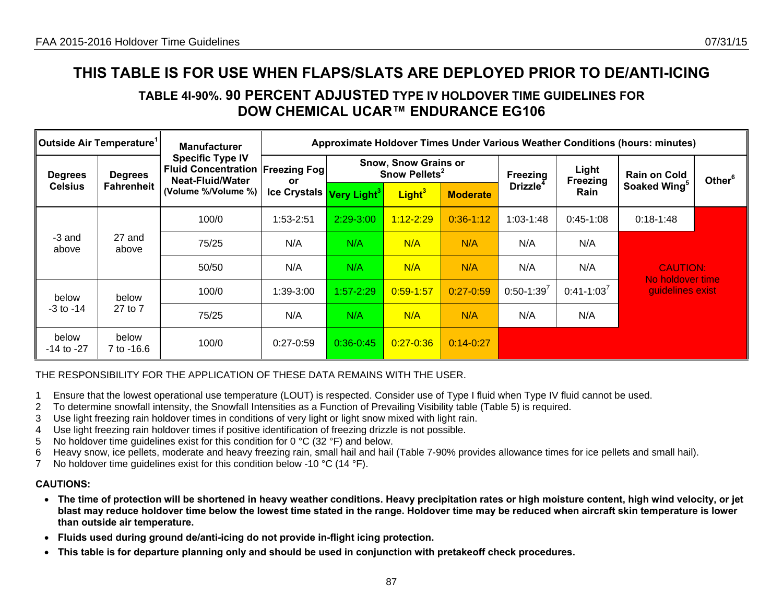# **TABLE 4I-90%. 90 PERCENT ADJUSTED TYPE IV HOLDOVER TIME GUIDELINES FOR DOW CHEMICAL UCAR™ ENDURANCE EG106**

| ∥Outside Air Temperature'          |                                     | <b>Manufacturer</b>                                                                                                   | Approximate Holdover Times Under Various Weather Conditions (hours: minutes) |                                                          |                    |                 |                      |                          |                                      |                    |  |
|------------------------------------|-------------------------------------|-----------------------------------------------------------------------------------------------------------------------|------------------------------------------------------------------------------|----------------------------------------------------------|--------------------|-----------------|----------------------|--------------------------|--------------------------------------|--------------------|--|
| <b>Degrees</b><br><b>Celsius</b>   | <b>Degrees</b><br><b>Fahrenheit</b> | <b>Specific Type IV</b><br><b>Fluid Concentration Freezing Fogl</b><br><b>Neat-Fluid/Water</b><br>(Volume %/Volume %) | or                                                                           | <b>Snow, Snow Grains or</b><br>Snow Pellets <sup>2</sup> |                    |                 | <b>Freezing</b>      | Light<br><b>Freezing</b> | <b>Rain on Cold</b>                  | Other <sup>6</sup> |  |
|                                    |                                     |                                                                                                                       | Ice Crystals Very Light <sup>3</sup>                                         |                                                          | Light <sup>3</sup> | <b>Moderate</b> | Drizzle <sup>4</sup> | Rain                     | Soaked Wing <sup>5</sup>             |                    |  |
| -3 and<br>27 and<br>above<br>above |                                     | 100/0                                                                                                                 | 1:53-2:51                                                                    | $2:29 - 3:00$                                            | $1:12 - 2:29$      | $0:36-1:12$     | $1:03-1:48$          | $0:45-1:08$              | $0:18-1:48$                          |                    |  |
|                                    |                                     | 75/25                                                                                                                 | N/A                                                                          | N/A                                                      | N/A                | N/A             | N/A                  | N/A                      |                                      |                    |  |
|                                    |                                     | 50/50                                                                                                                 | N/A                                                                          | N/A                                                      | N/A                | N/A             | N/A                  | N/A                      | <b>CAUTION:</b>                      |                    |  |
| below<br>$-3$ to $-14$             | below                               | 100/0                                                                                                                 | 1:39-3:00                                                                    | $1:57 - 2:29$                                            | $0:59 - 1:57$      | $0:27 - 0:59$   | $0:50-1:39^7$        | $0:41 - 1:03^7$          | No holdover time<br>guidelines exist |                    |  |
|                                    | 27 to 7                             | 75/25                                                                                                                 | N/A                                                                          | N/A                                                      | N/A                | N/A             | N/A                  | N/A                      |                                      |                    |  |
| below<br>-14 to -27                | below<br>7 to -16.6                 | 100/0                                                                                                                 | $0:27-0:59$                                                                  | $0.36 - 0.45$                                            | $0:27 - 0:36$      | $0:14 - 0:27$   |                      |                          |                                      |                    |  |

### THE RESPONSIBILITY FOR THE APPLICATION OF THESE DATA REMAINS WITH THE USER.

- 1 Ensure that the lowest operational use temperature (LOUT) is respected. Consider use of Type I fluid when Type IV fluid cannot be used.
- 2 To determine snowfall intensity, the Snowfall Intensities as a Function of Prevailing Visibility table (Table 5) is required.
- 3 Use light freezing rain holdover times in conditions of very light or light snow mixed with light rain.
- 4 Use light freezing rain holdover times if positive identification of freezing drizzle is not possible.
- 5 No holdover time guidelines exist for this condition for 0 °C (32 °F) and below.
- 6 Heavy snow, ice pellets, moderate and heavy freezing rain, small hail and hail (Table 7-90% provides allowance times for ice pellets and small hail).
- 7 No holdover time guidelines exist for this condition below -10 °C (14 °F).

- **The time of protection will be shortened in heavy weather conditions. Heavy precipitation rates or high moisture content, high wind velocity, or jet blast may reduce holdover time below the lowest time stated in the range. Holdover time may be reduced when aircraft skin temperature is lower than outside air temperature.**
- **Fluids used during ground de/anti-icing do not provide in-flight icing protection.**
- **This table is for departure planning only and should be used in conjunction with pretakeoff check procedures.**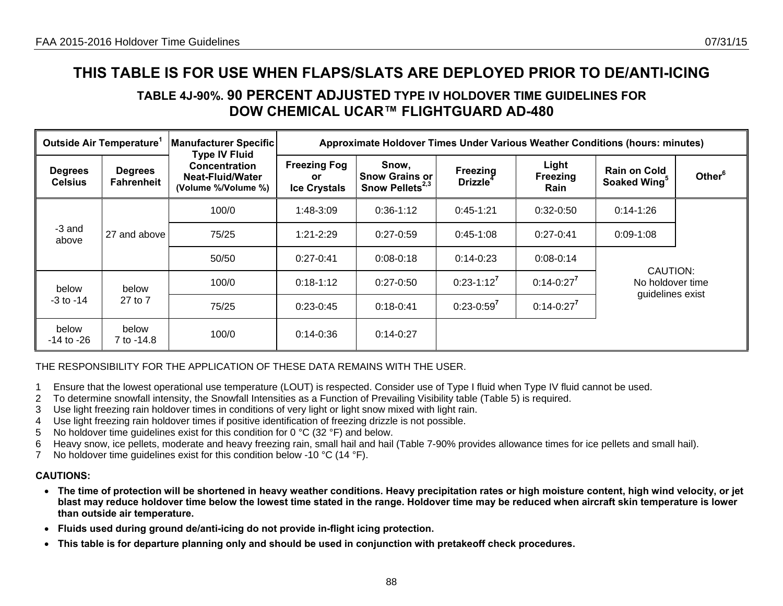# **TABLE 4J-90%. 90 PERCENT ADJUSTED TYPE IV HOLDOVER TIME GUIDELINES FOR DOW CHEMICAL UCAR™ FLIGHTGUARD AD-480**

| Outside Air Temperature <sup>1</sup> |                                     | <b>Manufacturer Specific</b><br><b>Type IV Fluid</b>                   |                                                         | Approximate Holdover Times Under Various Weather Conditions (hours: minutes) |                                         |                           |                                                  |                    |  |  |  |  |
|--------------------------------------|-------------------------------------|------------------------------------------------------------------------|---------------------------------------------------------|------------------------------------------------------------------------------|-----------------------------------------|---------------------------|--------------------------------------------------|--------------------|--|--|--|--|
| <b>Degrees</b><br><b>Celsius</b>     | <b>Degrees</b><br><b>Fahrenheit</b> | <b>Concentration</b><br><b>Neat-Fluid/Water</b><br>(Volume %/Volume %) | <b>Freezing Fog</b><br><b>or</b><br><b>Ice Crystals</b> | Snow,<br><b>Snow Grains or</b><br>Snow Pellets <sup>2,3</sup>                | Freezing<br><b>Drizzle</b> <sup>4</sup> | Light<br>Freezing<br>Rain | <b>Rain on Cold</b><br>Soaked Wing <sup>5</sup>  | Other <sup>6</sup> |  |  |  |  |
|                                      |                                     | 100/0                                                                  | 1:48-3:09                                               | $0:36-1:12$                                                                  | $0:45-1:21$                             | $0:32-0:50$               | $0:14-1:26$                                      |                    |  |  |  |  |
| -3 and<br>above                      | 27 and above                        | 75/25                                                                  | $1:21 - 2:29$                                           | $0:27-0:59$                                                                  | $0:45-1:08$                             | $0:27-0:41$               | $0.09 - 1.08$                                    |                    |  |  |  |  |
|                                      |                                     | 50/50                                                                  | $0:27-0:41$                                             | $0:08 - 0:18$                                                                | $0:14-0:23$                             | $0:08 - 0:14$             |                                                  |                    |  |  |  |  |
| below                                | below                               | 100/0                                                                  | $0:18-1:12$                                             | $0:27-0:50$                                                                  | $0:23-1:12^7$                           | $0:14-0:27^7$             | CAUTION:<br>No holdover time<br>guidelines exist |                    |  |  |  |  |
| $-3$ to $-14$                        | 27 to 7                             | 75/25                                                                  | $0:23-0:45$                                             | $0:18-0:41$                                                                  | $0:23-0:59^7$                           | $0:14 - 0:27^7$           |                                                  |                    |  |  |  |  |
| below<br>-14 to -26                  | below<br>7 to -14.8                 | 100/0                                                                  | $0:14 - 0:36$                                           | $0:14-0:27$                                                                  |                                         |                           |                                                  |                    |  |  |  |  |

## THE RESPONSIBILITY FOR THE APPLICATION OF THESE DATA REMAINS WITH THE USER.

- 1 Ensure that the lowest operational use temperature (LOUT) is respected. Consider use of Type I fluid when Type IV fluid cannot be used.
- 2 To determine snowfall intensity, the Snowfall Intensities as a Function of Prevailing Visibility table (Table 5) is required.
- 3 Use light freezing rain holdover times in conditions of very light or light snow mixed with light rain.
- 4 Use light freezing rain holdover times if positive identification of freezing drizzle is not possible.
- 5 No holdover time guidelines exist for this condition for 0 °C (32 °F) and below.
- 6 Heavy snow, ice pellets, moderate and heavy freezing rain, small hail and hail (Table 7-90% provides allowance times for ice pellets and small hail).
- 7 No holdover time guidelines exist for this condition below -10 °C (14 °F).

- **The time of protection will be shortened in heavy weather conditions. Heavy precipitation rates or high moisture content, high wind velocity, or jet blast may reduce holdover time below the lowest time stated in the range. Holdover time may be reduced when aircraft skin temperature is lower than outside air temperature.**
- **Fluids used during ground de/anti-icing do not provide in-flight icing protection.**
- **This table is for departure planning only and should be used in conjunction with pretakeoff check procedures.**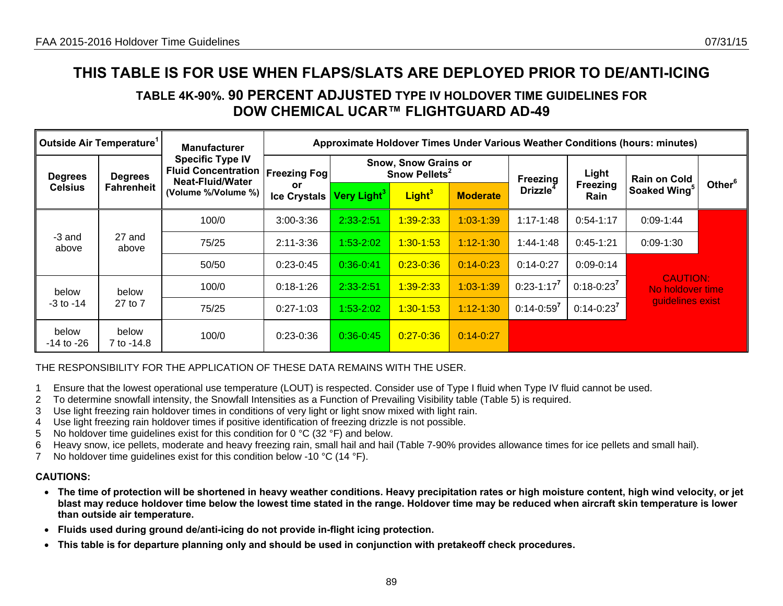# **TABLE 4K-90%. 90 PERCENT ADJUSTED TYPE IV HOLDOVER TIME GUIDELINES FOR DOW CHEMICAL UCAR™ FLIGHTGUARD AD-49**

| Outside Air Temperature <sup>1</sup> |                              | <b>Manufacturer</b>                                                                                     | Approximate Holdover Times Under Various Weather Conditions (hours: minutes) |                 |                                                   |                 |                                         |                         |                                     |                    |  |
|--------------------------------------|------------------------------|---------------------------------------------------------------------------------------------------------|------------------------------------------------------------------------------|-----------------|---------------------------------------------------|-----------------|-----------------------------------------|-------------------------|-------------------------------------|--------------------|--|
| <b>Degrees</b><br><b>Celsius</b>     | <b>Degrees</b><br>Fahrenheit | <b>Specific Type IV</b><br><b>Fluid Concentration</b><br><b>Neat-Fluid/Water</b><br>(Volume %/Volume %) | <b>Freezing Fog!</b>                                                         |                 | Snow, Snow Grains or<br>Snow Pellets <sup>2</sup> |                 |                                         | Light                   | <b>Rain on Cold</b>                 |                    |  |
|                                      |                              |                                                                                                         | or<br><b>Ice Crystals</b>                                                    | Very Light $^3$ | Light <sup>3</sup>                                | <b>Moderate</b> | Freezing<br><b>Drizzle</b> <sup>4</sup> | Freezing<br><b>Rain</b> | Soaked Wing <sup>5</sup>            | Other <sup>6</sup> |  |
|                                      | 100/0                        | $3:00 - 3:36$                                                                                           | 2:33-2:51                                                                    | 1:39-2:33       | $1:03 - 1:39$                                     | $1:17 - 1:48$   | $0:54-1:17$                             | $0:09 - 1:44$           |                                     |                    |  |
| -3 and<br>above                      | 27 and<br>above              | 75/25                                                                                                   | $2:11 - 3:36$                                                                | $1:53-2:02$     | $1:30 - 1:53$                                     | $1:12 - 1:30$   | $1:44-1:48$                             | $0:45-1:21$             | $0:09 - 1:30$                       |                    |  |
|                                      |                              | 50/50                                                                                                   | $0:23-0:45$                                                                  | $0:36 - 0:41$   | $0:23 - 0:36$                                     | $0:14 - 0:23$   | $0:14-0:27$                             | $0:09-0:14$             |                                     |                    |  |
| below                                | below                        | 100/0                                                                                                   | $0:18-1:26$                                                                  | 2:33-2:51       | $1:39 - 2:33$                                     | $1:03 - 1:39$   | $0:23-1:17^7$                           | $0:18 - 0:23^7$         | <b>CAUTION:</b><br>No holdover time |                    |  |
| $-3$ to $-14$                        | 27 to 7                      | 75/25                                                                                                   | $0:27-1:03$                                                                  | 1:53-2:02       | $1:30-1:53$                                       | $1:12 - 1:30$   | $0:14-0:59^7$                           | $0:14 - 0:23^7$         | guidelines exist                    |                    |  |
| below<br>-14 to -26                  | below<br>7 to -14.8          | 100/0                                                                                                   | $0:23-0:36$                                                                  | $0:36 - 0:45$   | $0:27 - 0:36$                                     | $0:14 - 0:27$   |                                         |                         |                                     |                    |  |

## THE RESPONSIBILITY FOR THE APPLICATION OF THESE DATA REMAINS WITH THE USER.

- 1 Ensure that the lowest operational use temperature (LOUT) is respected. Consider use of Type I fluid when Type IV fluid cannot be used.
- 2 To determine snowfall intensity, the Snowfall Intensities as a Function of Prevailing Visibility table (Table 5) is required.
- 3 Use light freezing rain holdover times in conditions of very light or light snow mixed with light rain.
- 4 Use light freezing rain holdover times if positive identification of freezing drizzle is not possible.
- 5 No holdover time guidelines exist for this condition for 0 °C (32 °F) and below.
- 6 Heavy snow, ice pellets, moderate and heavy freezing rain, small hail and hail (Table 7-90% provides allowance times for ice pellets and small hail).
- 7 No holdover time guidelines exist for this condition below -10 °C (14 °F).

- **The time of protection will be shortened in heavy weather conditions. Heavy precipitation rates or high moisture content, high wind velocity, or jet blast may reduce holdover time below the lowest time stated in the range. Holdover time may be reduced when aircraft skin temperature is lower than outside air temperature.**
- **Fluids used during ground de/anti-icing do not provide in-flight icing protection.**
- **This table is for departure planning only and should be used in conjunction with pretakeoff check procedures.**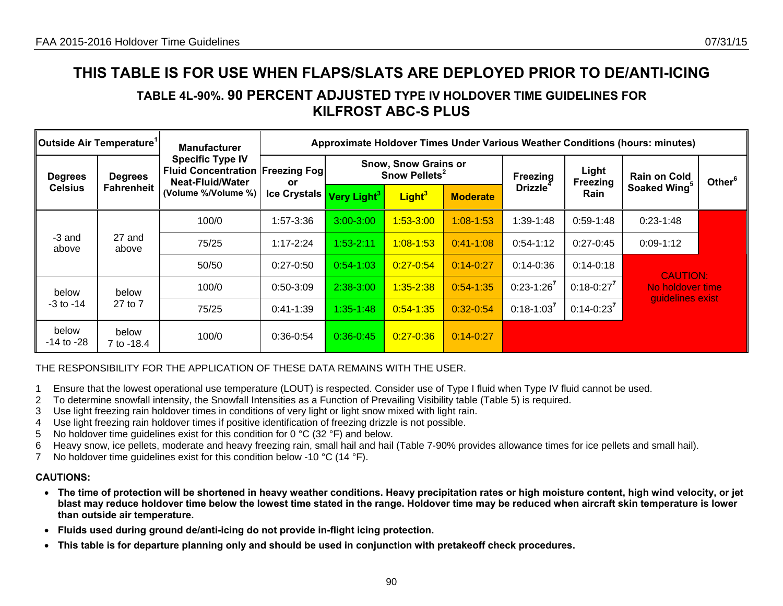# **TABLE 4L-90%. 90 PERCENT ADJUSTED TYPE IV HOLDOVER TIME GUIDELINES FOR KILFROST ABC-S PLUS**

| Outside Air Temperature <sup>1</sup> |                                     | <b>Manufacturer</b>                                                                                                   | Approximate Holdover Times Under Various Weather Conditions (hours: minutes) |                         |                                                          |                 |                 |                          |                                     |                    |  |
|--------------------------------------|-------------------------------------|-----------------------------------------------------------------------------------------------------------------------|------------------------------------------------------------------------------|-------------------------|----------------------------------------------------------|-----------------|-----------------|--------------------------|-------------------------------------|--------------------|--|
| <b>Degrees</b><br><b>Celsius</b>     | <b>Degrees</b><br><b>Fahrenheit</b> | <b>Specific Type IV</b><br><b>Fluid Concentration Freezing Fogl</b><br><b>Neat-Fluid/Water</b><br>(Volume %/Volume %) | or                                                                           |                         | <b>Snow, Snow Grains or</b><br>Snow Pellets <sup>2</sup> |                 |                 | Light<br><b>Freezing</b> | <b>Rain on Cold</b>                 | Other <sup>6</sup> |  |
|                                      |                                     |                                                                                                                       | <b>Ice Crystals</b>                                                          | Very Light <sup>3</sup> | Light <sup>3</sup>                                       | <b>Moderate</b> | <b>Drizzle</b>  | Rain                     | Soaked Wing <sup>5</sup>            |                    |  |
|                                      | 100/0                               | 1:57-3:36                                                                                                             | $3:00 - 3:00$                                                                | $1:53 - 3:00$           | $1:08 - 1:53$                                            | 1:39-1:48       | $0:59-1:48$     | 0:23-1:48                |                                     |                    |  |
| -3 and<br>above                      | 27 and<br>above                     | 75/25                                                                                                                 | $1:17 - 2:24$                                                                | $1:53 - 2:11$           | $1:08 - 1:53$                                            | $0:41 - 1:08$   | $0:54-1:12$     | $0:27-0:45$              | $0:09-1:12$                         |                    |  |
|                                      |                                     | 50/50                                                                                                                 | $0:27-0:50$                                                                  | $0:54-1:03$             | $0:27 - 0:54$                                            | $0:14 - 0:27$   | $0:14-0:36$     | $0:14-0:18$              | <b>CAUTION:</b><br>No holdover time |                    |  |
| below<br>-3 to -14                   | below                               | 100/0                                                                                                                 | $0.50 - 3.09$                                                                | 2:38-3:00               | $1:35 - 2:38$                                            | $0:54-1:35$     | $0:23-1:26^7$   | $0:18 - 0:27^7$          |                                     |                    |  |
|                                      | 27 to 7                             | 75/25                                                                                                                 | $0:41-1:39$                                                                  | $1:35 - 1:48$           | $0:54 - 1:35$                                            | $0:32 - 0:54$   | $0:18 - 1:03^7$ | $0:14 - 0:23^7$          | guidelines exist                    |                    |  |
| below<br>-14 to -28                  | below<br>7 to -18.4                 | 100/0                                                                                                                 | $0:36-0:54$                                                                  | $0:36 - 0:45$           | $0:27 - 0:36$                                            | $0:14 - 0:27$   |                 |                          |                                     |                    |  |

## THE RESPONSIBILITY FOR THE APPLICATION OF THESE DATA REMAINS WITH THE USER.

- 1 Ensure that the lowest operational use temperature (LOUT) is respected. Consider use of Type I fluid when Type IV fluid cannot be used.
- 2 To determine snowfall intensity, the Snowfall Intensities as a Function of Prevailing Visibility table (Table 5) is required.
- 3 Use light freezing rain holdover times in conditions of very light or light snow mixed with light rain.
- 4 Use light freezing rain holdover times if positive identification of freezing drizzle is not possible.
- 5 No holdover time guidelines exist for this condition for 0  $^{\circ}$ C (32  $^{\circ}$ F) and below.
- 6 Heavy snow, ice pellets, moderate and heavy freezing rain, small hail and hail (Table 7-90% provides allowance times for ice pellets and small hail).
- 7 No holdover time guidelines exist for this condition below -10 °C (14 °F).

- **The time of protection will be shortened in heavy weather conditions. Heavy precipitation rates or high moisture content, high wind velocity, or jet blast may reduce holdover time below the lowest time stated in the range. Holdover time may be reduced when aircraft skin temperature is lower than outside air temperature.**
- **Fluids used during ground de/anti-icing do not provide in-flight icing protection.**
- **This table is for departure planning only and should be used in conjunction with pretakeoff check procedures.**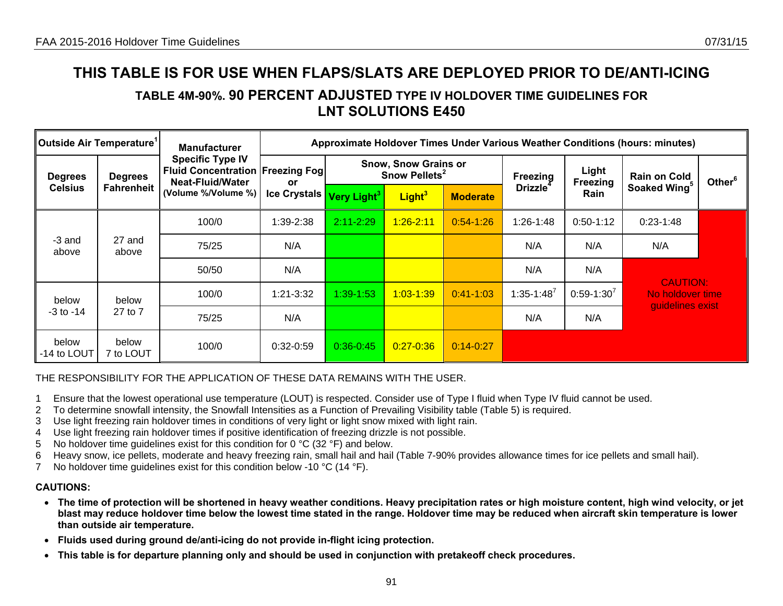# **TABLE 4M-90%. 90 PERCENT ADJUSTED TYPE IV HOLDOVER TIME GUIDELINES FOR LNT SOLUTIONS E450**

| Outside Air Temperature <sup>1</sup> |                              | <b>Manufacturer</b>                                                                                                   | Approximate Holdover Times Under Various Weather Conditions (hours: minutes) |                         |                                                          |                 |                             |                          |                                                         |                    |  |
|--------------------------------------|------------------------------|-----------------------------------------------------------------------------------------------------------------------|------------------------------------------------------------------------------|-------------------------|----------------------------------------------------------|-----------------|-----------------------------|--------------------------|---------------------------------------------------------|--------------------|--|
| <b>Degrees</b><br><b>Celsius</b>     | <b>Degrees</b><br>Fahrenheit | <b>Specific Type IV</b><br><b>Fluid Concentration Freezing Fogl</b><br><b>Neat-Fluid/Water</b><br>(Volume %/Volume %) | <b>or</b>                                                                    |                         | <b>Snow, Snow Grains or</b><br>Snow Pellets <sup>2</sup> |                 |                             | Light<br><b>Freezing</b> | <b>Rain on Cold</b>                                     | Other <sup>6</sup> |  |
|                                      |                              |                                                                                                                       | <b>Ice Crystals</b>                                                          | Very Light <sup>3</sup> | Light <sup>3</sup>                                       | <b>Moderate</b> | <b>Drizzle</b> <sup>4</sup> | <b>Rain</b>              | Soaked Wing <sup>5</sup>                                |                    |  |
|                                      |                              | 100/0                                                                                                                 | 1:39-2:38                                                                    | $2:11 - 2:29$           | $1:26 - 2:11$                                            | $0:54-1:26$     | 1:26-1:48                   | $0:50-1:12$              | $0:23-1:48$                                             |                    |  |
| -3 and<br>above                      | 27 and<br>above              | 75/25                                                                                                                 | N/A                                                                          |                         |                                                          |                 | N/A                         | N/A                      | N/A                                                     |                    |  |
|                                      |                              | 50/50                                                                                                                 | N/A                                                                          |                         |                                                          |                 | N/A                         | N/A                      |                                                         |                    |  |
| below                                | below                        | 100/0                                                                                                                 | 1:21-3:32                                                                    | 1:39-1:53               | $1:03 - 1:39$                                            | $0:41 - 1:03$   | $1:35 - 1:48^7$             | $0:59-1:30'$             | <b>CAUTION:</b><br>No holdover time<br>guidelines exist |                    |  |
| $-3$ to $-14$                        | 27 to 7                      | 75/25                                                                                                                 | N/A                                                                          |                         |                                                          |                 | N/A                         | N/A                      |                                                         |                    |  |
| below<br>-14 to LOUT                 | below<br>7 to LOUT           | 100/0                                                                                                                 | $0:32-0:59$                                                                  | $0:36 - 0:45$           | $0:27 - 0:36$                                            | $0:14 - 0:27$   |                             |                          |                                                         |                    |  |

# THE RESPONSIBILITY FOR THE APPLICATION OF THESE DATA REMAINS WITH THE USER.

- 1 Ensure that the lowest operational use temperature (LOUT) is respected. Consider use of Type I fluid when Type IV fluid cannot be used.
- 2 To determine snowfall intensity, the Snowfall Intensities as a Function of Prevailing Visibility table (Table 5) is required.
- 3 Use light freezing rain holdover times in conditions of very light or light snow mixed with light rain.
- 4 Use light freezing rain holdover times if positive identification of freezing drizzle is not possible.
- 5 No holdover time guidelines exist for this condition for 0 °C (32 °F) and below.
- 6 Heavy snow, ice pellets, moderate and heavy freezing rain, small hail and hail (Table 7-90% provides allowance times for ice pellets and small hail).
- 7 No holdover time guidelines exist for this condition below -10 °C (14 °F).

- **The time of protection will be shortened in heavy weather conditions. Heavy precipitation rates or high moisture content, high wind velocity, or jet blast may reduce holdover time below the lowest time stated in the range. Holdover time may be reduced when aircraft skin temperature is lower than outside air temperature.**
- **Fluids used during ground de/anti-icing do not provide in-flight icing protection.**
- **This table is for departure planning only and should be used in conjunction with pretakeoff check procedures.**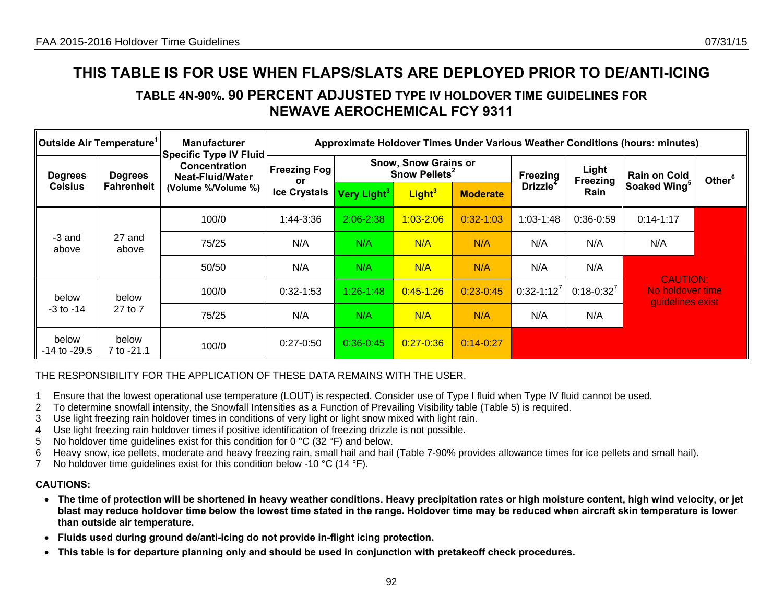**TABLE 4N-90%. 90 PERCENT ADJUSTED TYPE IV HOLDOVER TIME GUIDELINES FOR NEWAVE AEROCHEMICAL FCY 9311** 

| Outside Air Temperature <sup>1</sup> |                     | <b>Manufacturer</b><br><b>Specific Type IV Fluid</b>            | Approximate Holdover Times Under Various Weather Conditions (hours: minutes) |                                                          |                    |                 |                             |                   |                                                         |                    |  |
|--------------------------------------|---------------------|-----------------------------------------------------------------|------------------------------------------------------------------------------|----------------------------------------------------------|--------------------|-----------------|-----------------------------|-------------------|---------------------------------------------------------|--------------------|--|
| <b>Degrees</b><br><b>Celsius</b>     | <b>Degrees</b>      | <b>Concentration</b><br>Neat-Fluid/Water<br>(Volume %/Volume %) | <b>Freezing Fog</b><br>or                                                    | <b>Snow, Snow Grains or</b><br>Snow Pellets <sup>2</sup> |                    |                 | Freezing                    | Light<br>Freezing | <b>Rain on Cold</b>                                     | Other <sup>6</sup> |  |
|                                      | <b>Fahrenheit</b>   |                                                                 | <b>Ice Crystals</b>                                                          | Very Light <sup>3</sup>                                  | Light <sup>3</sup> | <b>Moderate</b> | <b>Drizzle</b> <sup>4</sup> | <b>Rain</b>       | Soaked Wing <sup>5</sup>                                |                    |  |
|                                      |                     | 100/0                                                           | 1:44-3:36                                                                    | $2:06 - 2:38$                                            | $1:03 - 2:06$      | $0:32 - 1:03$   | $1:03-1:48$                 | $0:36-0:59$       | $0:14 - 1:17$                                           |                    |  |
| -3 and<br>above                      | 27 and<br>above     | 75/25                                                           | N/A                                                                          | N/A                                                      | N/A                | N/A             | N/A                         | N/A               | N/A                                                     |                    |  |
|                                      |                     | 50/50                                                           | N/A                                                                          | N/A                                                      | N/A                | N/A             | N/A                         | N/A               |                                                         |                    |  |
| below<br>-3 to -14                   | below               | 100/0                                                           | $0:32 - 1:53$                                                                | $1:26 - 1:48$                                            | $0:45 - 1:26$      | $0:23 - 0:45$   | $0:32-1:12'$                | $0:18 - 0:32'$    | <b>CAUTION:</b><br>No holdover time<br>guidelines exist |                    |  |
|                                      | 27 to 7             | 75/25                                                           | N/A                                                                          | N/A                                                      | N/A                | N/A             | N/A                         | N/A               |                                                         |                    |  |
| below<br>$-14$ to $-29.5$            | below<br>7 to -21.1 | 100/0                                                           | $0:27-0:50$                                                                  | $0:36 - 0:45$                                            | $0:27 - 0:36$      | $0:14 - 0:27$   |                             |                   |                                                         |                    |  |

THE RESPONSIBILITY FOR THE APPLICATION OF THESE DATA REMAINS WITH THE USER.

- 1 Ensure that the lowest operational use temperature (LOUT) is respected. Consider use of Type I fluid when Type IV fluid cannot be used.
- 2 To determine snowfall intensity, the Snowfall Intensities as a Function of Prevailing Visibility table (Table 5) is required.
- 3 Use light freezing rain holdover times in conditions of very light or light snow mixed with light rain.
- 4 Use light freezing rain holdover times if positive identification of freezing drizzle is not possible.
- 5 No holdover time guidelines exist for this condition for 0 °C (32 °F) and below.
- 6 Heavy snow, ice pellets, moderate and heavy freezing rain, small hail and hail (Table 7-90% provides allowance times for ice pellets and small hail).
- 7 No holdover time guidelines exist for this condition below -10 °C (14 °F).

- **The time of protection will be shortened in heavy weather conditions. Heavy precipitation rates or high moisture content, high wind velocity, or jet blast may reduce holdover time below the lowest time stated in the range. Holdover time may be reduced when aircraft skin temperature is lower than outside air temperature.**
- **Fluids used during ground de/anti-icing do not provide in-flight icing protection.**
- **This table is for departure planning only and should be used in conjunction with pretakeoff check procedures.**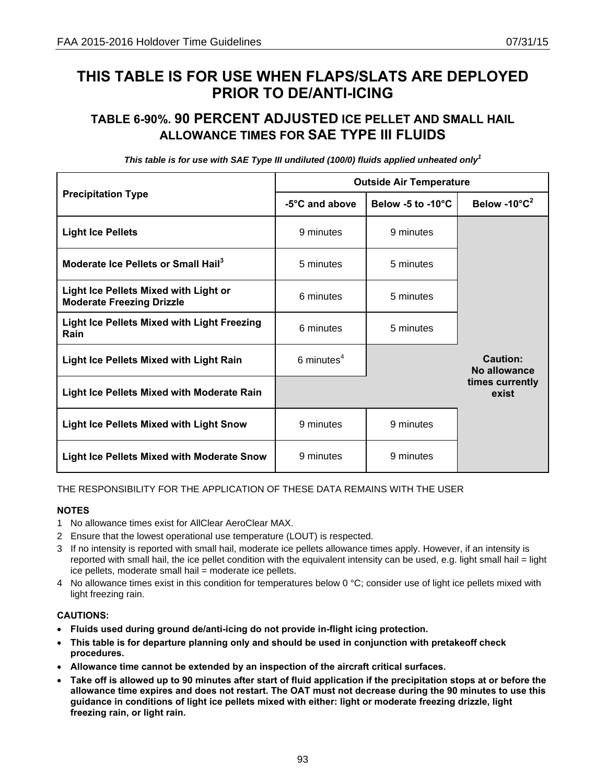# **TABLE 6-90%. 90 PERCENT ADJUSTED ICE PELLET AND SMALL HAIL ALLOWANCE TIMES FOR SAE TYPE III FLUIDS**

|                                                                                  |                | <b>Outside Air Temperature</b> |                                     |
|----------------------------------------------------------------------------------|----------------|--------------------------------|-------------------------------------|
| <b>Precipitation Type</b>                                                        | -5°C and above | Below -5 to -10 $^{\circ}$ C   | Below -10 $^{\circ}$ C <sup>2</sup> |
| <b>Light Ice Pellets</b>                                                         | 9 minutes      | 9 minutes                      |                                     |
| Moderate Ice Pellets or Small Hail <sup>3</sup>                                  | 5 minutes      | 5 minutes                      |                                     |
| <b>Light Ice Pellets Mixed with Light or</b><br><b>Moderate Freezing Drizzle</b> | 6 minutes      | 5 minutes                      |                                     |
| <b>Light Ice Pellets Mixed with Light Freezing</b><br>Rain                       | 6 minutes      | 5 minutes                      |                                     |
| <b>Light Ice Pellets Mixed with Light Rain</b>                                   | 6 minutes $4$  |                                | Caution:<br>No allowance            |
| <b>Light Ice Pellets Mixed with Moderate Rain</b>                                |                |                                | times currently<br>exist            |
| <b>Light Ice Pellets Mixed with Light Snow</b>                                   | 9 minutes      | 9 minutes                      |                                     |
| Light Ice Pellets Mixed with Moderate Snow                                       | 9 minutes      | 9 minutes                      |                                     |

*This table is for use with SAE Type III undiluted (100/0) fluids applied unheated only<sup>1</sup>*

## THE RESPONSIBILITY FOR THE APPLICATION OF THESE DATA REMAINS WITH THE USER

#### **NOTES**

- 1 No allowance times exist for AllClear AeroClear MAX.
- 2 Ensure that the lowest operational use temperature (LOUT) is respected.
- 3 If no intensity is reported with small hail, moderate ice pellets allowance times apply. However, if an intensity is reported with small hail, the ice pellet condition with the equivalent intensity can be used, e.g. light small hail = light ice pellets, moderate small hail = moderate ice pellets.
- 4 No allowance times exist in this condition for temperatures below 0  $^{\circ}$ C; consider use of light ice pellets mixed with light freezing rain.

- **Fluids used during ground de/anti-icing do not provide in-flight icing protection.**
- **This table is for departure planning only and should be used in conjunction with pretakeoff check procedures.**
- **Allowance time cannot be extended by an inspection of the aircraft critical surfaces.**
- **Take off is allowed up to 90 minutes after start of fluid application if the precipitation stops at or before the allowance time expires and does not restart. The OAT must not decrease during the 90 minutes to use this guidance in conditions of light ice pellets mixed with either: light or moderate freezing drizzle, light freezing rain, or light rain.**